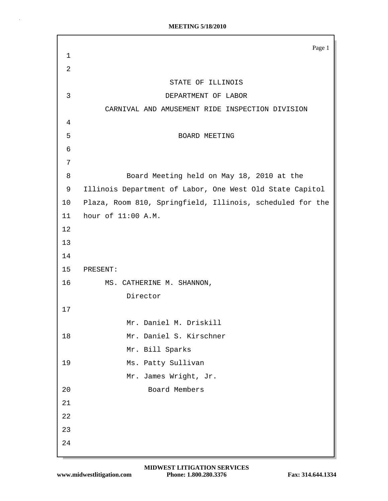|                                | Page 1                                                    |
|--------------------------------|-----------------------------------------------------------|
| $\mathbf{1}$<br>$\overline{2}$ |                                                           |
|                                | STATE OF ILLINOIS                                         |
| 3                              | DEPARTMENT OF LABOR                                       |
|                                | CARNIVAL AND AMUSEMENT RIDE INSPECTION DIVISION           |
| 4                              |                                                           |
| 5                              | BOARD MEETING                                             |
| 6                              |                                                           |
| 7                              |                                                           |
| 8                              | Board Meeting held on May 18, 2010 at the                 |
| 9                              | Illinois Department of Labor, One West Old State Capitol  |
| 10                             | Plaza, Room 810, Springfield, Illinois, scheduled for the |
| 11                             | hour of 11:00 A.M.                                        |
| 12                             |                                                           |
| 13                             |                                                           |
| 14                             |                                                           |
| 15                             | PRESENT:                                                  |
| 16                             | MS. CATHERINE M. SHANNON,                                 |
|                                | Director                                                  |
| 17                             |                                                           |
|                                | Mr. Daniel M. Driskill                                    |
| 18                             | Mr. Daniel S. Kirschner                                   |
|                                | Mr. Bill Sparks                                           |
| 19                             | Ms. Patty Sullivan                                        |
|                                | Mr. James Wright, Jr.                                     |
| 20                             | Board Members                                             |
| 21                             |                                                           |
| 22                             |                                                           |
| 23                             |                                                           |
| 24                             |                                                           |

 $\bar{z}$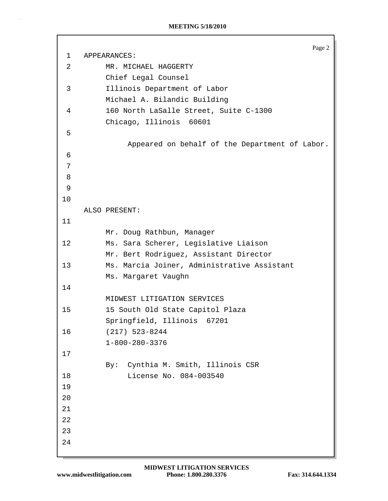```
Page 2
1 APPEARANCES:
2 MR. MICHAEL HAGGERTY
          Chief Legal Counsel
 3 Illinois Department of Labor
          Michael A. Bilandic Building
4 160 North LaSalle Street, Suite C-1300
          Chicago, Illinois 60601
5
               Appeared on behalf of the Department of Labor.
6
7
8
9
10
    ALSO PRESENT:
11
          Mr. Doug Rathbun, Manager
12 Ms. Sara Scherer, Legislative Liaison
          Mr. Bert Rodriguez, Assistant Director
13 Ms. Marcia Joiner, Administrative Assistant
          Ms. Margaret Vaughn
14
          MIDWEST LITIGATION SERVICES
15 15 South Old State Capitol Plaza
          Springfield, Illinois 67201
16 (217) 523-8244
          1-800-280-3376
17
          By: Cynthia M. Smith, Illinois CSR
18 License No. 084-003540
19
20
21
22
23
24
```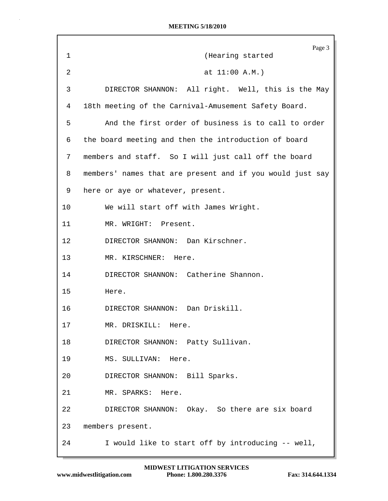| 1  | Page 3<br>(Hearing started                                |
|----|-----------------------------------------------------------|
| 2  | at $11:00 A.M.$                                           |
| 3  | DIRECTOR SHANNON: All right. Well, this is the May        |
| 4  | 18th meeting of the Carnival-Amusement Safety Board.      |
| 5  | And the first order of business is to call to order       |
| 6  | the board meeting and then the introduction of board      |
| 7  | members and staff. So I will just call off the board      |
| 8  | members' names that are present and if you would just say |
| 9  | here or aye or whatever, present.                         |
| 10 | We will start off with James Wright.                      |
| 11 | MR. WRIGHT: Present.                                      |
| 12 | DIRECTOR SHANNON: Dan Kirschner.                          |
| 13 | MR. KIRSCHNER: Here.                                      |
| 14 | DIRECTOR SHANNON: Catherine Shannon.                      |
| 15 | Here.                                                     |
| 16 | DIRECTOR SHANNON: Dan Driskill.                           |
| 17 | MR. DRISKILL:<br>Here.                                    |
| 18 | DIRECTOR SHANNON: Patty Sullivan.                         |
| 19 | MS. SULLIVAN: Here.                                       |
| 20 | DIRECTOR SHANNON: Bill Sparks.                            |
| 21 | MR. SPARKS: Here.                                         |
| 22 | DIRECTOR SHANNON: Okay. So there are six board            |
| 23 | members present.                                          |
| 24 | I would like to start off by introducing -- well,         |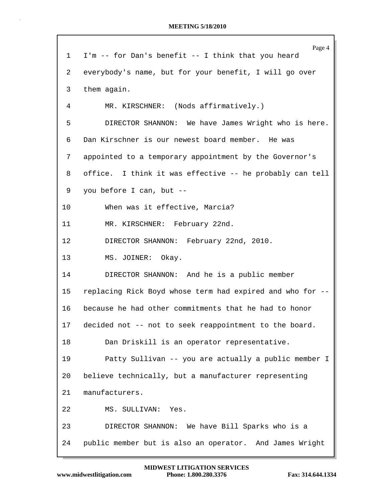Page 4 1 I'm -- for Dan's benefit -- I think that you heard 2 everybody's name, but for your benefit, I will go over 3 them again. 4 MR. KIRSCHNER: (Nods affirmatively.) 5 DIRECTOR SHANNON: We have James Wright who is here. 6 Dan Kirschner is our newest board member. He was 7 appointed to a temporary appointment by the Governor's 8 office. I think it was effective -- he probably can tell 9 you before I can, but -- 10 When was it effective, Marcia? 11 MR. KIRSCHNER: February 22nd. 12 DIRECTOR SHANNON: February 22nd, 2010. 13 MS. JOINER: Okay. 14 DIRECTOR SHANNON: And he is a public member 15 replacing Rick Boyd whose term had expired and who for -- 16 because he had other commitments that he had to honor 17 decided not -- not to seek reappointment to the board. 18 Dan Driskill is an operator representative. 19 Patty Sullivan -- you are actually a public member I 20 believe technically, but a manufacturer representing 21 manufacturers. 22 MS. SULLIVAN: Yes. 23 DIRECTOR SHANNON: We have Bill Sparks who is a 24 public member but is also an operator. And James Wright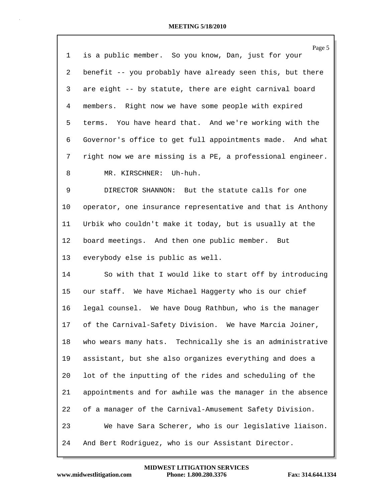|    | Page 5                                                     |
|----|------------------------------------------------------------|
| 1  | is a public member. So you know, Dan, just for your        |
| 2  | benefit -- you probably have already seen this, but there  |
| 3  | are eight -- by statute, there are eight carnival board    |
| 4  | members. Right now we have some people with expired        |
| 5  | terms. You have heard that. And we're working with the     |
| 6  | Governor's office to get full appointments made. And what  |
| 7  | right now we are missing is a PE, a professional engineer. |
| 8  | MR. KIRSCHNER: Uh-huh.                                     |
| 9  | DIRECTOR SHANNON: But the statute calls for one            |
| 10 | operator, one insurance representative and that is Anthony |
| 11 | Urbik who couldn't make it today, but is usually at the    |
| 12 | board meetings. And then one public member. But            |
| 13 | everybody else is public as well.                          |
| 14 | So with that I would like to start off by introducing      |
| 15 | our staff. We have Michael Haggerty who is our chief       |
| 16 | legal counsel. We have Doug Rathbun, who is the manager    |
| 17 | of the Carnival-Safety Division. We have Marcia Joiner,    |
| 18 | who wears many hats. Technically she is an administrative  |
| 19 | assistant, but she also organizes everything and does a    |
| 20 | lot of the inputting of the rides and scheduling of the    |
| 21 | appointments and for awhile was the manager in the absence |
| 22 | of a manager of the Carnival-Amusement Safety Division.    |
| 23 | We have Sara Scherer, who is our legislative liaison.      |
| 24 | And Bert Rodriguez, who is our Assistant Director.         |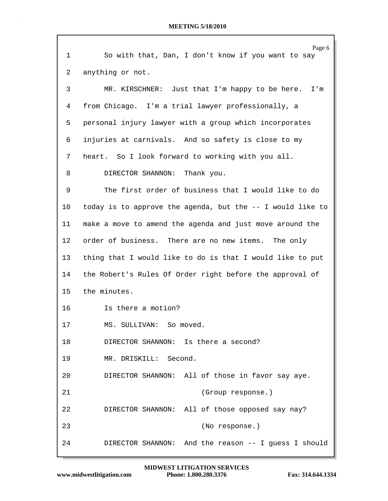| $\mathbf 1$ | Page 6<br>So with that, Dan, I don't know if you want to say |
|-------------|--------------------------------------------------------------|
| 2           | anything or not.                                             |
| 3           | MR. KIRSCHNER: Just that I'm happy to be here. I'm           |
| 4           | from Chicago. I'm a trial lawyer professionally, a           |
| 5           | personal injury lawyer with a group which incorporates       |
| 6           | injuries at carnivals. And so safety is close to my          |
| 7           | heart. So I look forward to working with you all.            |
| 8           | DIRECTOR SHANNON: Thank you.                                 |
| 9           | The first order of business that I would like to do          |
| 10          | today is to approve the agenda, but the -- I would like to   |
| 11          | make a move to amend the agenda and just move around the     |
| 12          | order of business. There are no new items. The only          |
| 13          | thing that I would like to do is that I would like to put    |
| 14          | the Robert's Rules Of Order right before the approval of     |
| 15          | the minutes.                                                 |
| 16          | Is there a motion?                                           |
| 17          | MS. SULLIVAN: So moved.                                      |
| 18          | DIRECTOR SHANNON: Is there a second?                         |
| 19          | MR. DRISKILL: Second.                                        |
| 20          | DIRECTOR SHANNON: All of those in favor say aye.             |
| 21          | (Group response.)                                            |
| 22          | DIRECTOR SHANNON: All of those opposed say nay?              |
| 23          | (No response.)                                               |
| 24          | DIRECTOR SHANNON: And the reason -- I guess I should         |

 $\mathsf{r}$ 

٦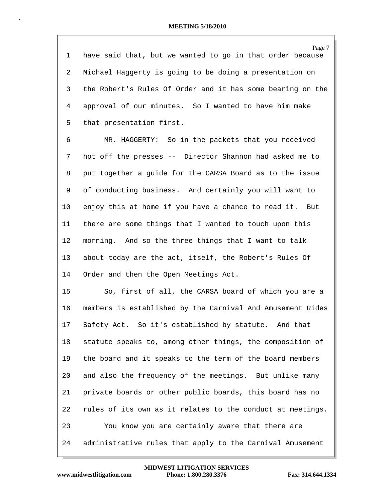Page 7 1 have said that, but we wanted to go in that order because 2 Michael Haggerty is going to be doing a presentation on 3 the Robert's Rules Of Order and it has some bearing on the 4 approval of our minutes. So I wanted to have him make 5 that presentation first.

6 MR. HAGGERTY: So in the packets that you received 7 hot off the presses -- Director Shannon had asked me to 8 put together a guide for the CARSA Board as to the issue 9 of conducting business. And certainly you will want to 10 enjoy this at home if you have a chance to read it. But 11 there are some things that I wanted to touch upon this 12 morning. And so the three things that I want to talk 13 about today are the act, itself, the Robert's Rules Of 14 Order and then the Open Meetings Act.

15 So, first of all, the CARSA board of which you are a 16 members is established by the Carnival And Amusement Rides 17 Safety Act. So it's established by statute. And that 18 statute speaks to, among other things, the composition of 19 the board and it speaks to the term of the board members 20 and also the frequency of the meetings. But unlike many 21 private boards or other public boards, this board has no 22 rules of its own as it relates to the conduct at meetings. 23 You know you are certainly aware that there are 24 administrative rules that apply to the Carnival Amusement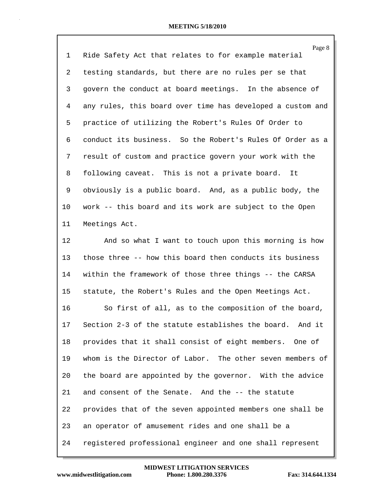| $\mathbf{1}$ | Page 8<br>Ride Safety Act that relates to for example material |
|--------------|----------------------------------------------------------------|
| 2            | testing standards, but there are no rules per se that          |
| 3            | govern the conduct at board meetings. In the absence of        |
| 4            | any rules, this board over time has developed a custom and     |
| 5            | practice of utilizing the Robert's Rules Of Order to           |
| 6            | conduct its business. So the Robert's Rules Of Order as a      |
| 7            | result of custom and practice govern your work with the        |
| 8            | following caveat. This is not a private board. It              |
| 9            | obviously is a public board. And, as a public body, the        |
| 10           | work -- this board and its work are subject to the Open        |
| 11           | Meetings Act.                                                  |
| 12           | And so what I want to touch upon this morning is how           |
| 13           | those three -- how this board then conducts its business       |
| 14           | within the framework of those three things -- the CARSA        |
| 15           | statute, the Robert's Rules and the Open Meetings Act.         |
| 16           | So first of all, as to the composition of the board,           |
| 17           | Section 2-3 of the statute establishes the board.<br>And it    |
| 18           | provides that it shall consist of eight members. One of        |
| 19           | whom is the Director of Labor. The other seven members of      |
| 20           | the board are appointed by the governor. With the advice       |
| 21           | and consent of the Senate. And the -- the statute              |
| 22           | provides that of the seven appointed members one shall be      |
| 23           | an operator of amusement rides and one shall be a              |
| 24           | registered professional engineer and one shall represent       |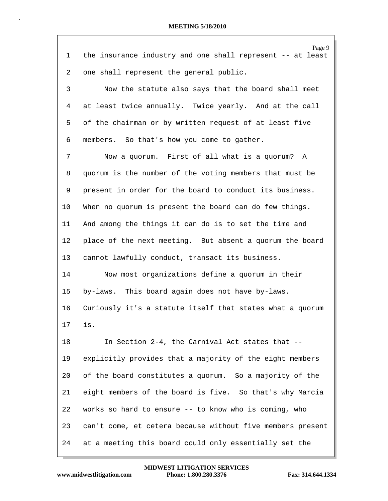| 1               | Page 9<br>the insurance industry and one shall represent -- at least |
|-----------------|----------------------------------------------------------------------|
| 2               | one shall represent the general public.                              |
| 3               | Now the statute also says that the board shall meet                  |
| 4               | at least twice annually. Twice yearly. And at the call               |
| 5               | of the chairman or by written request of at least five               |
| 6               | members. So that's how you come to gather.                           |
| 7               | Now a quorum. First of all what is a quorum? A                       |
| 8               | quorum is the number of the voting members that must be              |
| 9               | present in order for the board to conduct its business.              |
| 10              | When no quorum is present the board can do few things.               |
| 11              | And among the things it can do is to set the time and                |
| 12              | place of the next meeting. But absent a quorum the board             |
| 13              | cannot lawfully conduct, transact its business.                      |
| 14              | Now most organizations define a quorum in their                      |
| 15              | by-laws. This board again does not have by-laws.                     |
| 16              | Curiously it's a statute itself that states what a quorum            |
| 17 <sub>2</sub> | is.                                                                  |
| 18              | In Section 2-4, the Carnival Act states that --                      |
| 19              | explicitly provides that a majority of the eight members             |
| 20              | of the board constitutes a quorum. So a majority of the              |
| 21              | eight members of the board is five. So that's why Marcia             |
| 22              | works so hard to ensure -- to know who is coming, who                |
| 23              | can't come, et cetera because without five members present           |
| 24              | at a meeting this board could only essentially set the               |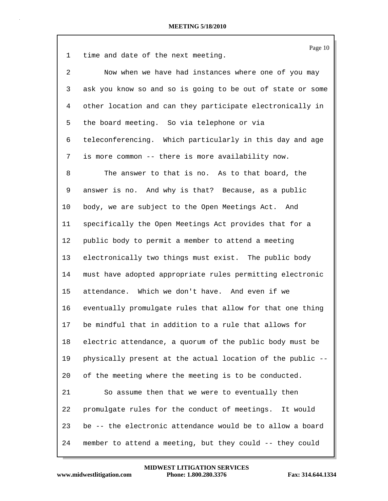|             | Page 10                                                    |
|-------------|------------------------------------------------------------|
| $\mathbf 1$ | time and date of the next meeting.                         |
| 2           | Now when we have had instances where one of you may        |
| 3           | ask you know so and so is going to be out of state or some |
| 4           | other location and can they participate electronically in  |
| 5           | the board meeting. So via telephone or via                 |
| 6           | teleconferencing. Which particularly in this day and age   |
| 7           | is more common -- there is more availability now.          |
| 8           | The answer to that is no. As to that board, the            |
| 9           | answer is no. And why is that? Because, as a public        |
| 10          | body, we are subject to the Open Meetings Act. And         |
| 11          | specifically the Open Meetings Act provides that for a     |
| 12          | public body to permit a member to attend a meeting         |
| 13          | electronically two things must exist. The public body      |
| 14          | must have adopted appropriate rules permitting electronic  |
| 15          | attendance. Which we don't have. And even if we            |
| 16          | eventually promulgate rules that allow for that one thing  |
| 17          | be mindful that in addition to a rule that allows for      |
| 18          | electric attendance, a quorum of the public body must be   |
| 19          | physically present at the actual location of the public -- |
| 20          | of the meeting where the meeting is to be conducted.       |
| 21          | So assume then that we were to eventually then             |
| 22          | promulgate rules for the conduct of meetings. It would     |
| 23          | be -- the electronic attendance would be to allow a board  |
| 24          | member to attend a meeting, but they could -- they could   |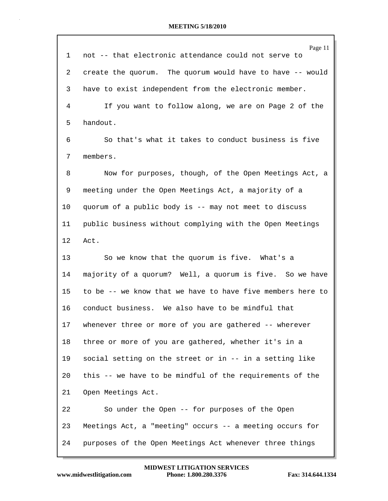| $\mathbf 1$ | Page 11<br>not -- that electronic attendance could not serve to |
|-------------|-----------------------------------------------------------------|
| 2           | create the quorum. The quorum would have to have -- would       |
| 3           | have to exist independent from the electronic member.           |
| 4           | If you want to follow along, we are on Page 2 of the            |
| 5           | handout.                                                        |
| 6           | So that's what it takes to conduct business is five             |
| 7           | members.                                                        |
| 8           | Now for purposes, though, of the Open Meetings Act, a           |
| 9           | meeting under the Open Meetings Act, a majority of a            |
| 10          | quorum of a public body is -- may not meet to discuss           |
| 11          | public business without complying with the Open Meetings        |
| 12          | Act.                                                            |
| 13          | So we know that the quorum is five. What's a                    |
| 14          | majority of a quorum? Well, a quorum is five. So we have        |
| $15\,$      | to be -- we know that we have to have five members here to      |
| 16          | conduct business. We also have to be mindful that               |
| 17          | whenever three or more of you are gathered -- wherever          |
| 18          | three or more of you are gathered, whether it's in a            |
| 19          | social setting on the street or in -- in a setting like         |
| 20          | this -- we have to be mindful of the requirements of the        |
| 21          | Open Meetings Act.                                              |
| 22          | So under the Open -- for purposes of the Open                   |
| 23          | Meetings Act, a "meeting" occurs -- a meeting occurs for        |
| 24          | purposes of the Open Meetings Act whenever three things         |

**www.midwestlitigation.com Phone: 1.800.280.3376 Fax: 314.644.1334 MIDWEST LITIGATION SERVICES**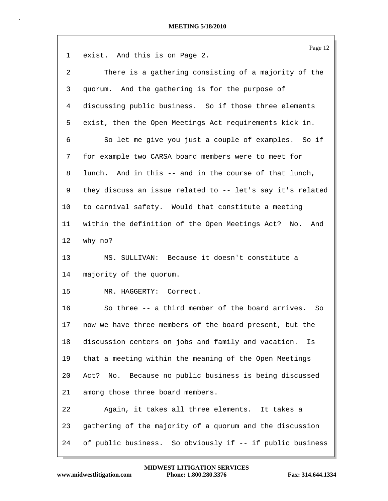|             | Page 12                                                    |
|-------------|------------------------------------------------------------|
| $\mathbf 1$ | exist. And this is on Page 2.                              |
| 2           | There is a gathering consisting of a majority of the       |
| 3           | quorum. And the gathering is for the purpose of            |
| 4           | discussing public business. So if those three elements     |
| 5           | exist, then the Open Meetings Act requirements kick in.    |
| 6           | So let me give you just a couple of examples. So if        |
| 7           | for example two CARSA board members were to meet for       |
| 8           | lunch. And in this -- and in the course of that lunch,     |
| 9           | they discuss an issue related to -- let's say it's related |
| 10          | to carnival safety. Would that constitute a meeting        |
| 11          | within the definition of the Open Meetings Act? No. And    |
| 12          | why no?                                                    |
| 13          | MS. SULLIVAN: Because it doesn't constitute a              |
| 14          | majority of the quorum.                                    |
| 15          | MR. HAGGERTY: Correct.                                     |
| 16          | So three -- a third member of the board arrives.<br>So     |
| 17          | now we have three members of the board present, but the    |
| 18          | discussion centers on jobs and family and vacation.<br>Is  |
| 19          | that a meeting within the meaning of the Open Meetings     |
| 20          | No. Because no public business is being discussed<br>Act?  |
| 21          | among those three board members.                           |
| 22          | Again, it takes all three elements. It takes a             |
| 23          | gathering of the majority of a quorum and the discussion   |
| 24          | of public business. So obviously if -- if public business  |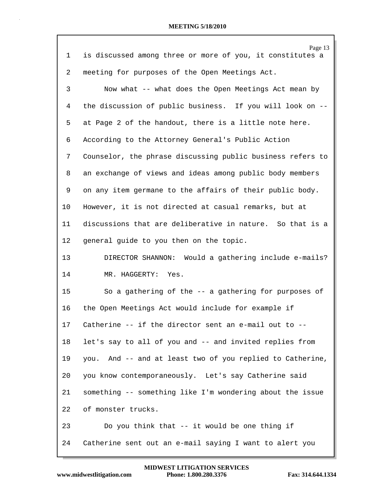|    | Page 13                                                    |
|----|------------------------------------------------------------|
| 1  | is discussed among three or more of you, it constitutes a  |
| 2  | meeting for purposes of the Open Meetings Act.             |
| 3  | Now what -- what does the Open Meetings Act mean by        |
| 4  | the discussion of public business. If you will look on --  |
| 5  | at Page 2 of the handout, there is a little note here.     |
| 6  | According to the Attorney General's Public Action          |
| 7  | Counselor, the phrase discussing public business refers to |
| 8  | an exchange of views and ideas among public body members   |
| 9  | on any item germane to the affairs of their public body.   |
| 10 | However, it is not directed at casual remarks, but at      |
| 11 | discussions that are deliberative in nature. So that is a  |
| 12 | general guide to you then on the topic.                    |
| 13 | DIRECTOR SHANNON: Would a gathering include e-mails?       |
| 14 | MR. HAGGERTY: Yes.                                         |
| 15 | So a gathering of the -- a gathering for purposes of       |
| 16 | the Open Meetings Act would include for example if         |
| 17 | Catherine -- if the director sent an e-mail out to --      |
| 18 | let's say to all of you and -- and invited replies from    |
| 19 | you. And -- and at least two of you replied to Catherine,  |
| 20 | you know contemporaneously. Let's say Catherine said       |
| 21 | something -- something like I'm wondering about the issue  |
| 22 | of monster trucks.                                         |
| 23 | Do you think that -- it would be one thing if              |
| 24 | Catherine sent out an e-mail saying I want to alert you    |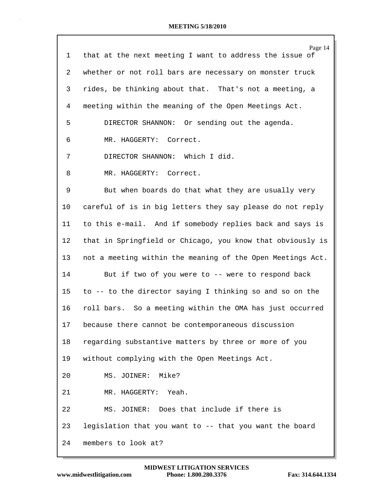| 1  | Page 14<br>that at the next meeting I want to address the issue of |
|----|--------------------------------------------------------------------|
| 2  | whether or not roll bars are necessary on monster truck            |
| 3  | rides, be thinking about that. That's not a meeting, a             |
| 4  | meeting within the meaning of the Open Meetings Act.               |
| 5  | DIRECTOR SHANNON: Or sending out the agenda.                       |
| 6  | MR. HAGGERTY: Correct.                                             |
| 7  | DIRECTOR SHANNON: Which I did.                                     |
| 8  | MR. HAGGERTY: Correct.                                             |
| 9  | But when boards do that what they are usually very                 |
| 10 | careful of is in big letters they say please do not reply          |
| 11 | to this e-mail. And if somebody replies back and says is           |
| 12 | that in Springfield or Chicago, you know that obviously is         |
| 13 | not a meeting within the meaning of the Open Meetings Act.         |
| 14 | But if two of you were to -- were to respond back                  |
| 15 | to -- to the director saying I thinking so and so on the           |
| 16 | roll bars. So a meeting within the OMA has just occurred           |
| 17 | because there cannot be contemporaneous discussion                 |
| 18 | regarding substantive matters by three or more of you              |
| 19 | without complying with the Open Meetings Act.                      |
| 20 | MS. JOINER: Mike?                                                  |
| 21 | MR. HAGGERTY: Yeah.                                                |
| 22 | MS. JOINER: Does that include if there is                          |
| 23 | legislation that you want to -- that you want the board            |
| 24 | members to look at?                                                |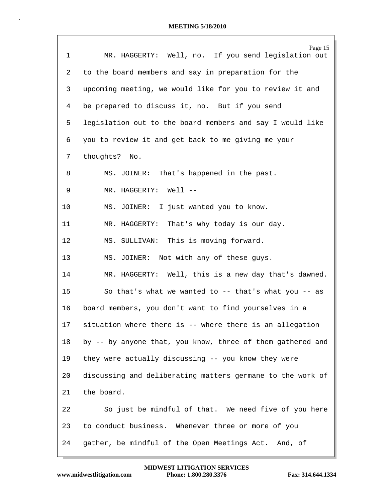| $\mathbf 1$     | Page 15<br>MR. HAGGERTY: Well, no. If you send legislation out |
|-----------------|----------------------------------------------------------------|
| 2               | to the board members and say in preparation for the            |
| 3               | upcoming meeting, we would like for you to review it and       |
| 4               | be prepared to discuss it, no. But if you send                 |
| 5               | legislation out to the board members and say I would like      |
| 6               | you to review it and get back to me giving me your             |
| 7               | thoughts? No.                                                  |
| 8               | MS. JOINER: That's happened in the past.                       |
| 9               | MR. HAGGERTY: Well --                                          |
| 10              | MS. JOINER: I just wanted you to know.                         |
| 11              | MR. HAGGERTY: That's why today is our day.                     |
| 12              | MS. SULLIVAN: This is moving forward.                          |
| 13              | MS. JOINER: Not with any of these guys.                        |
| 14              | MR. HAGGERTY: Well, this is a new day that's dawned.           |
| 15              | So that's what we wanted to $-$ - that's what you $-$ - as     |
| 16              | board members, you don't want to find yourselves in a          |
| 17 <sub>2</sub> | situation where there is -- where there is an allegation       |
| 18              | by -- by anyone that, you know, three of them gathered and     |
| 19              | they were actually discussing -- you know they were            |
| 20              | discussing and deliberating matters germane to the work of     |
| 21              | the board.                                                     |
| 22              | So just be mindful of that. We need five of you here           |
| 23              | to conduct business. Whenever three or more of you             |
| 24              | gather, be mindful of the Open Meetings Act. And, of           |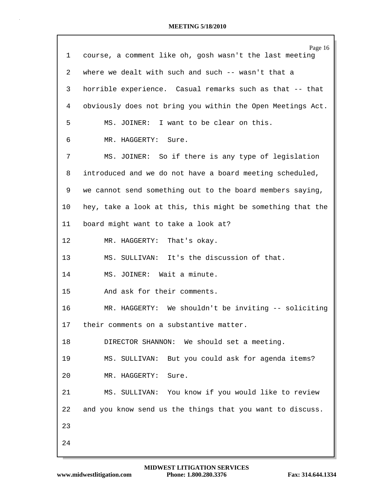| ı  | Page 16<br>course, a comment like oh, gosh wasn't the last meeting |
|----|--------------------------------------------------------------------|
| 2  | where we dealt with such and such -- wasn't that a                 |
| 3  | horrible experience. Casual remarks such as that -- that           |
| 4  | obviously does not bring you within the Open Meetings Act.         |
| 5  | MS. JOINER: I want to be clear on this.                            |
| 6  | MR. HAGGERTY:<br>Sure.                                             |
| 7  | MS. JOINER: So if there is any type of legislation                 |
| 8  | introduced and we do not have a board meeting scheduled,           |
| 9  | we cannot send something out to the board members saying,          |
| 10 | hey, take a look at this, this might be something that the         |
| 11 | board might want to take a look at?                                |
| 12 | That's okay.<br>MR. HAGGERTY:                                      |
| 13 | MS. SULLIVAN: It's the discussion of that.                         |
| 14 | MS. JOINER: Wait a minute.                                         |
| 15 | And ask for their comments.                                        |
| 16 | MR. HAGGERTY: We shouldn't be inviting -- soliciting               |
| 17 | their comments on a substantive matter                             |
| 18 | DIRECTOR SHANNON: We should set a meeting.                         |
| 19 | MS. SULLIVAN: But you could ask for agenda items?                  |
| 20 | Sure.<br>MR. HAGGERTY:                                             |
| 21 | MS. SULLIVAN: You know if you would like to review                 |
| 22 | and you know send us the things that you want to discuss.          |
| 23 |                                                                    |
| 24 |                                                                    |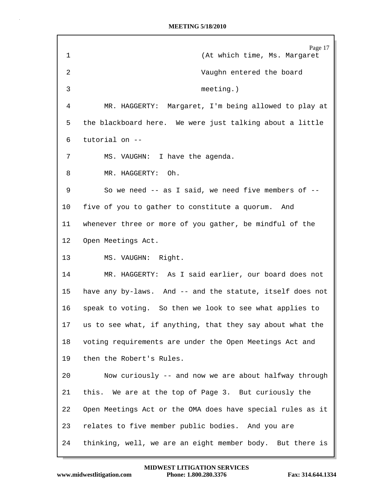Page 17 1 (At which time, Ms. Margaret 2 Vaughn entered the board 3 meeting.) 4 MR. HAGGERTY: Margaret, I'm being allowed to play at 5 the blackboard here. We were just talking about a little 6 tutorial on -- 7 MS. VAUGHN: I have the agenda. 8 MR. HAGGERTY: Oh. 9 So we need -- as I said, we need five members of -- 10 five of you to gather to constitute a quorum. And 11 whenever three or more of you gather, be mindful of the 12 Open Meetings Act. 13 MS. VAUGHN: Right. 14 MR. HAGGERTY: As I said earlier, our board does not 15 have any by-laws. And -- and the statute, itself does not 16 speak to voting. So then we look to see what applies to 17 us to see what, if anything, that they say about what the 18 voting requirements are under the Open Meetings Act and 19 then the Robert's Rules. 20 Now curiously -- and now we are about halfway through 21 this. We are at the top of Page 3. But curiously the 22 Open Meetings Act or the OMA does have special rules as it 23 relates to five member public bodies. And you are 24 thinking, well, we are an eight member body. But there is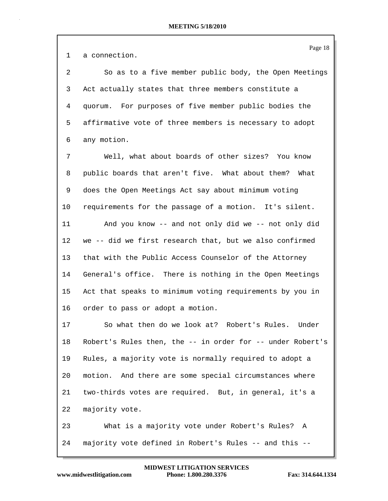Page 18

1 a connection.

2 So as to a five member public body, the Open Meetings 3 Act actually states that three members constitute a 4 quorum. For purposes of five member public bodies the 5 affirmative vote of three members is necessary to adopt 6 any motion.

7 Well, what about boards of other sizes? You know 8 public boards that aren't five. What about them? What 9 does the Open Meetings Act say about minimum voting 10 requirements for the passage of a motion. It's silent. 11 And you know -- and not only did we -- not only did 12 we -- did we first research that, but we also confirmed 13 that with the Public Access Counselor of the Attorney 14 General's office. There is nothing in the Open Meetings 15 Act that speaks to minimum voting requirements by you in 16 order to pass or adopt a motion.

17 So what then do we look at? Robert's Rules. Under 18 Robert's Rules then, the -- in order for -- under Robert's 19 Rules, a majority vote is normally required to adopt a 20 motion. And there are some special circumstances where 21 two-thirds votes are required. But, in general, it's a 22 majority vote.

23 What is a majority vote under Robert's Rules? A 24 majority vote defined in Robert's Rules -- and this --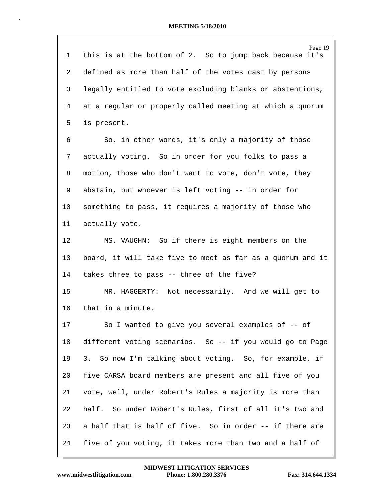| $\mathbf 1$ | Page 19<br>this is at the bottom of 2. So to jump back because it's |
|-------------|---------------------------------------------------------------------|
| 2           | defined as more than half of the votes cast by persons              |
| 3           | legally entitled to vote excluding blanks or abstentions,           |
| 4           | at a regular or properly called meeting at which a quorum           |
| 5           | is present.                                                         |
| 6           | So, in other words, it's only a majority of those                   |
| 7           | actually voting. So in order for you folks to pass a                |
| 8           | motion, those who don't want to vote, don't vote, they              |
| 9           | abstain, but whoever is left voting -- in order for                 |
| 10          | something to pass, it requires a majority of those who              |
| 11          | actually vote.                                                      |
| 12          | MS. VAUGHN: So if there is eight members on the                     |
| 13          | board, it will take five to meet as far as a quorum and it          |
| 14          | takes three to pass -- three of the five?                           |
| 15          | MR. HAGGERTY: Not necessarily. And we will get to                   |
| 16          | that in a minute.                                                   |
| 17          | So I wanted to give you several examples of -- of                   |
| 18          | different voting scenarios. So -- if you would go to Page           |
| 19          | 3. So now I'm talking about voting. So, for example, if             |
| 20          | five CARSA board members are present and all five of you            |
| 21          | vote, well, under Robert's Rules a majority is more than            |
| 22          | half. So under Robert's Rules, first of all it's two and            |
| 23          | a half that is half of five. So in order -- if there are            |
| 24          | five of you voting, it takes more than two and a half of            |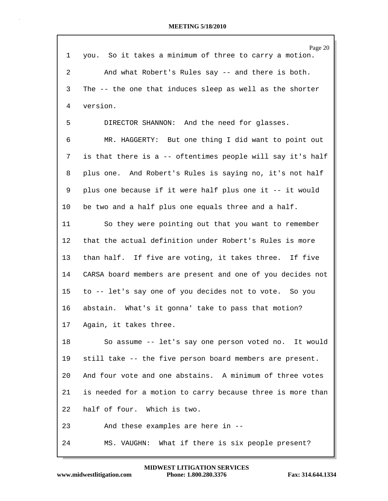| 1              | Page 20<br>you. So it takes a minimum of three to carry a motion. |
|----------------|-------------------------------------------------------------------|
| $\overline{2}$ | And what Robert's Rules say -- and there is both.                 |
| 3              | The -- the one that induces sleep as well as the shorter          |
| 4              | version.                                                          |
| 5              | DIRECTOR SHANNON: And the need for glasses.                       |
| 6              | MR. HAGGERTY: But one thing I did want to point out               |
| 7              | is that there is a -- oftentimes people will say it's half        |
| 8              | plus one. And Robert's Rules is saying no, it's not half          |
| 9              | plus one because if it were half plus one it -- it would          |
| 10             | be two and a half plus one equals three and a half.               |
| 11             | So they were pointing out that you want to remember               |
| 12             | that the actual definition under Robert's Rules is more           |
| 13             | than half. If five are voting, it takes three. If five            |
| 14             | CARSA board members are present and one of you decides not        |
| 15             | to -- let's say one of you decides not to vote. So you            |
| 16             | abstain. What's it gonna' take to pass that motion?               |
| 17             | Again, it takes three.                                            |
| 18             | So assume -- let's say one person voted no. It would              |
| 19             | still take -- the five person board members are present.          |
| 20             | And four vote and one abstains. A minimum of three votes          |
| 21             | is needed for a motion to carry because three is more than        |
| 22             | half of four. Which is two.                                       |
| 23             | And these examples are here in --                                 |
| 24             | MS. VAUGHN: What if there is six people present?                  |

Г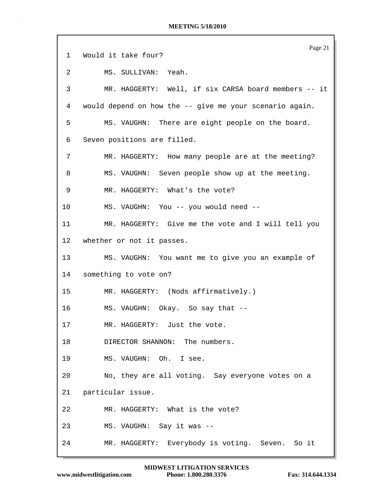Page 21 1 Would it take four? 2 MS. SULLIVAN: Yeah. 3 MR. HAGGERTY: Well, if six CARSA board members -- it 4 would depend on how the -- give me your scenario again. 5 MS. VAUGHN: There are eight people on the board. 6 Seven positions are filled. 7 MR. HAGGERTY: How many people are at the meeting? 8 MS. VAUGHN: Seven people show up at the meeting. 9 MR. HAGGERTY: What's the vote? 10 MS. VAUGHN: You -- you would need -- 11 MR. HAGGERTY: Give me the vote and I will tell you 12 whether or not it passes. 13 MS. VAUGHN: You want me to give you an example of 14 something to vote on? 15 MR. HAGGERTY: (Nods affirmatively.) 16 MS. VAUGHN: Okay. So say that -- 17 MR. HAGGERTY: Just the vote. 18 DIRECTOR SHANNON: The numbers. 19 MS. VAUGHN: Oh. I see. 20 No, they are all voting. Say everyone votes on a 21 particular issue. 22 MR. HAGGERTY: What is the vote? 23 MS. VAUGHN: Say it was -- 24 MR. HAGGERTY: Everybody is voting. Seven. So it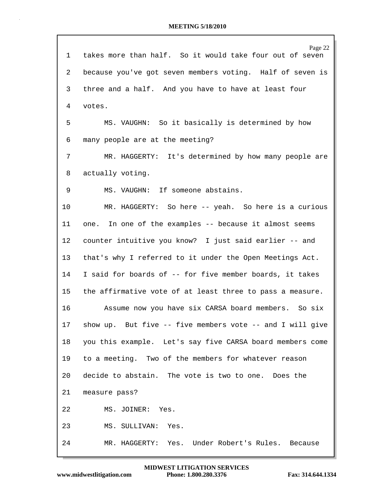| ı  | Page 22<br>takes more than half. So it would take four out of seven |
|----|---------------------------------------------------------------------|
| 2  | because you've got seven members voting. Half of seven is           |
| 3  | three and a half. And you have to have at least four                |
| 4  | votes.                                                              |
| 5  | MS. VAUGHN: So it basically is determined by how                    |
| 6  | many people are at the meeting?                                     |
| 7  | MR. HAGGERTY: It's determined by how many people are                |
| 8  | actually voting.                                                    |
| 9  | MS. VAUGHN: If someone abstains.                                    |
| 10 | MR. HAGGERTY: So here -- yeah. So here is a curious                 |
| 11 | In one of the examples -- because it almost seems<br>one.           |
| 12 | counter intuitive you know? I just said earlier -- and              |
| 13 | that's why I referred to it under the Open Meetings Act.            |
| 14 | I said for boards of -- for five member boards, it takes            |
| 15 | the affirmative vote of at least three to pass a measure.           |
| 16 | Assume now you have six CARSA board members. So six                 |
| 17 | show up. But five -- five members vote -- and I will give           |
| 18 | you this example. Let's say five CARSA board members come           |
| 19 | to a meeting. Two of the members for whatever reason                |
| 20 | decide to abstain. The vote is two to one. Does the                 |
| 21 | measure pass?                                                       |
| 22 | MS. JOINER: Yes.                                                    |
| 23 | MS. SULLIVAN: Yes.                                                  |
| 24 | MR. HAGGERTY: Yes. Under Robert's Rules. Because                    |

Г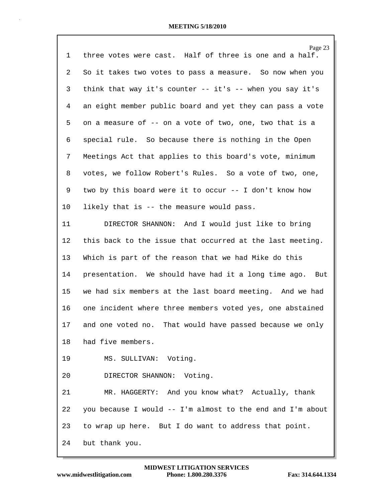| $\mathbf 1$     | Page 23<br>three votes were cast. Half of three is one and a half. |
|-----------------|--------------------------------------------------------------------|
| $\overline{2}$  | So it takes two votes to pass a measure. So now when you           |
| 3               | think that way it's counter $--$ it's $--$ when you say it's       |
| 4               | an eight member public board and yet they can pass a vote          |
| 5               | on a measure of -- on a vote of two, one, two that is a            |
| 6               | special rule. So because there is nothing in the Open              |
| 7               | Meetings Act that applies to this board's vote, minimum            |
| 8               | votes, we follow Robert's Rules. So a vote of two, one,            |
| 9               | two by this board were it to occur -- I don't know how             |
| 10              | likely that is -- the measure would pass.                          |
| 11              | DIRECTOR SHANNON: And I would just like to bring                   |
| 12 <sub>2</sub> | this back to the issue that occurred at the last meeting.          |
| 13              | Which is part of the reason that we had Mike do this               |
| 14              | presentation. We should have had it a long time ago. But           |
| 15              | we had six members at the last board meeting. And we had           |
| 16              | one incident where three members voted yes, one abstained          |
| 17              | and one voted no. That would have passed because we only           |
| 18              | had five members.                                                  |
| 19              | MS. SULLIVAN: Voting.                                              |
| 20              | DIRECTOR SHANNON: Voting.                                          |
| 21              | MR. HAGGERTY: And you know what? Actually, thank                   |
| 22              | you because I would -- I'm almost to the end and I'm about         |
| 23              | to wrap up here. But I do want to address that point.              |
| 24              | but thank you.                                                     |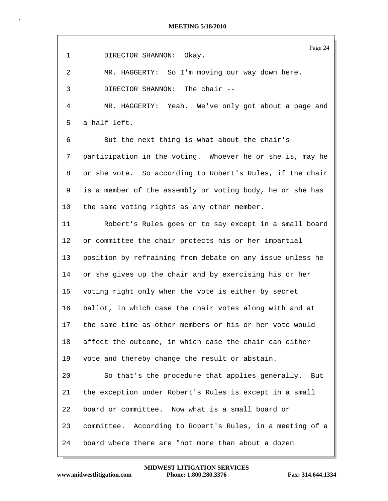|    | Page 24                                                   |
|----|-----------------------------------------------------------|
| 1  | DIRECTOR SHANNON:<br>Okay.                                |
| 2  | MR. HAGGERTY: So I'm moving our way down here.            |
| 3  | DIRECTOR SHANNON: The chair --                            |
| 4  | MR. HAGGERTY: Yeah. We've only got about a page and       |
| 5  | a half left.                                              |
| 6  | But the next thing is what about the chair's              |
| 7  | participation in the voting. Whoever he or she is, may he |
| 8  | or she vote. So according to Robert's Rules, if the chair |
| 9  | is a member of the assembly or voting body, he or she has |
| 10 | the same voting rights as any other member.               |
| 11 | Robert's Rules goes on to say except in a small board     |
| 12 | or committee the chair protects his or her impartial      |
| 13 | position by refraining from debate on any issue unless he |
| 14 | or she gives up the chair and by exercising his or her    |
| 15 | voting right only when the vote is either by secret       |
| 16 | ballot, in which case the chair votes along with and at   |
| 17 | the same time as other members or his or her vote would   |
| 18 | affect the outcome, in which case the chair can either    |
| 19 | vote and thereby change the result or abstain.            |
| 20 | So that's the procedure that applies generally.<br>But    |
| 21 | the exception under Robert's Rules is except in a small   |
| 22 | board or committee. Now what is a small board or          |
| 23 | committee. According to Robert's Rules, in a meeting of a |
| 24 | board where there are "not more than about a dozen        |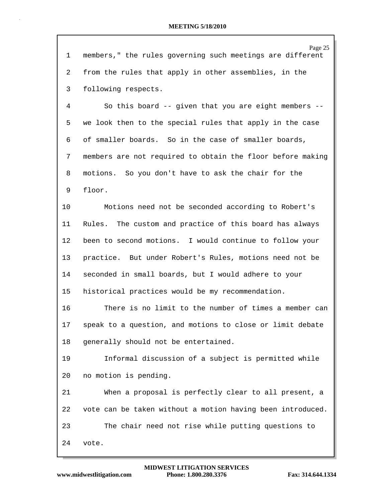| $\mathbf 1$ | Page 25<br>members," the rules governing such meetings are different |
|-------------|----------------------------------------------------------------------|
| 2           | from the rules that apply in other assemblies, in the                |
| 3           | following respects.                                                  |
| 4           | So this board -- given that you are eight members --                 |
| 5           | we look then to the special rules that apply in the case             |
| 6           | of smaller boards. So in the case of smaller boards,                 |
| 7           | members are not required to obtain the floor before making           |
| 8           | motions. So you don't have to ask the chair for the                  |
| 9           | floor.                                                               |
| 10          | Motions need not be seconded according to Robert's                   |
| 11          | Rules. The custom and practice of this board has always              |
| 12          | been to second motions. I would continue to follow your              |
| 13          | practice. But under Robert's Rules, motions need not be              |
| 14          | seconded in small boards, but I would adhere to your                 |
| 15          | historical practices would be my recommendation.                     |
| 16          | There is no limit to the number of times a member can                |
| 17          | speak to a question, and motions to close or limit debate            |
| 18          | generally should not be entertained.                                 |
| 19          | Informal discussion of a subject is permitted while                  |
| 20          | no motion is pending.                                                |
| 21          | When a proposal is perfectly clear to all present, a                 |
| 22          | vote can be taken without a motion having been introduced.           |
| 23          | The chair need not rise while putting questions to                   |
| 24          | vote.                                                                |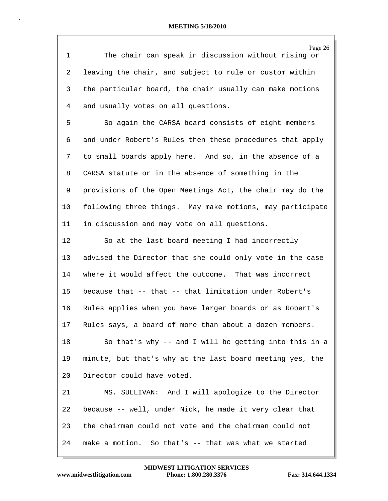Page 26

1 The chair can speak in discussion without rising or 2 leaving the chair, and subject to rule or custom within 3 the particular board, the chair usually can make motions 4 and usually votes on all questions. 5 So again the CARSA board consists of eight members 6 and under Robert's Rules then these procedures that apply 7 to small boards apply here. And so, in the absence of a 8 CARSA statute or in the absence of something in the 9 provisions of the Open Meetings Act, the chair may do the 10 following three things. May make motions, may participate 11 in discussion and may vote on all questions. 12 So at the last board meeting I had incorrectly 13 advised the Director that she could only vote in the case 14 where it would affect the outcome. That was incorrect 15 because that -- that -- that limitation under Robert's 16 Rules applies when you have larger boards or as Robert's 17 Rules says, a board of more than about a dozen members. 18 So that's why -- and I will be getting into this in a 19 minute, but that's why at the last board meeting yes, the 20 Director could have voted. 21 MS. SULLIVAN: And I will apologize to the Director 22 because -- well, under Nick, he made it very clear that 23 the chairman could not vote and the chairman could not 24 make a motion. So that's -- that was what we started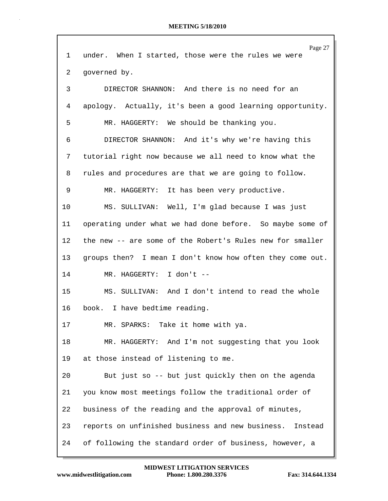|                 | Page 27                                                     |
|-----------------|-------------------------------------------------------------|
| 1               | under. When I started, those were the rules we were         |
| 2               | governed by.                                                |
| 3               | DIRECTOR SHANNON: And there is no need for an               |
| 4               | apology. Actually, it's been a good learning opportunity.   |
| 5               | MR. HAGGERTY: We should be thanking you.                    |
| 6               | DIRECTOR SHANNON: And it's why we're having this            |
| 7               | tutorial right now because we all need to know what the     |
| 8               | rules and procedures are that we are going to follow.       |
| 9               | MR. HAGGERTY: It has been very productive.                  |
| 10              | MS. SULLIVAN: Well, I'm glad because I was just             |
| 11              | operating under what we had done before. So maybe some of   |
| 12 <sub>2</sub> | the new -- are some of the Robert's Rules new for smaller   |
| 13              | groups then? I mean I don't know how often they come out.   |
| 14              | MR. HAGGERTY: I don't --                                    |
| 15 <sub>2</sub> | MS. SULLIVAN: And I don't intend to read the whole          |
| 16              | book. I have bedtime reading.                               |
| 17              | MR. SPARKS: Take it home with ya.                           |
| 18              | MR. HAGGERTY: And I'm not suggesting that you look          |
| 19              | at those instead of listening to me.                        |
| 20              | But just so -- but just quickly then on the agenda          |
| 21              | you know most meetings follow the traditional order of      |
| 22              | business of the reading and the approval of minutes,        |
| 23              | reports on unfinished business and new business.<br>Instead |
| 24              | of following the standard order of business, however, a     |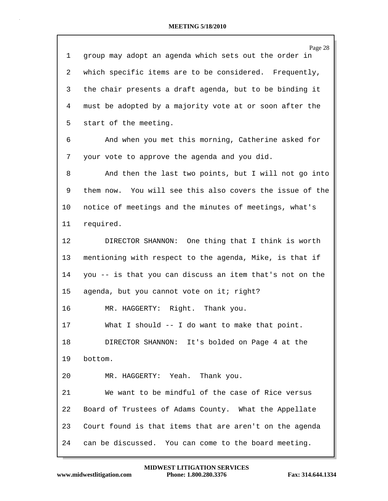|         | Page 28                                                  |
|---------|----------------------------------------------------------|
| 1       | group may adopt an agenda which sets out the order in    |
| 2       | which specific items are to be considered. Frequently,   |
| 3       | the chair presents a draft agenda, but to be binding it  |
| 4       | must be adopted by a majority vote at or soon after the  |
| 5       | start of the meeting.                                    |
| 6       | And when you met this morning, Catherine asked for       |
| 7       | your vote to approve the agenda and you did.             |
| 8       | And then the last two points, but I will not go into     |
| 9       | them now. You will see this also covers the issue of the |
| $10 \,$ | notice of meetings and the minutes of meetings, what's   |
| 11      | required.                                                |
| 12      | DIRECTOR SHANNON: One thing that I think is worth        |
| 13      | mentioning with respect to the agenda, Mike, is that if  |
| 14      | you -- is that you can discuss an item that's not on the |
| 15      | agenda, but you cannot vote on it; right?                |
| 16      | MR. HAGGERTY: Right. Thank you.                          |
| 17      | What I should -- I do want to make that point.           |
| 18      | DIRECTOR SHANNON: It's bolded on Page 4 at the           |
| 19      | bottom.                                                  |
| 20      | MR. HAGGERTY: Yeah. Thank you.                           |
| 21      | We want to be mindful of the case of Rice versus         |
| 22      | Board of Trustees of Adams County. What the Appellate    |
| 23      | Court found is that items that are aren't on the agenda  |
| 24      | can be discussed. You can come to the board meeting.     |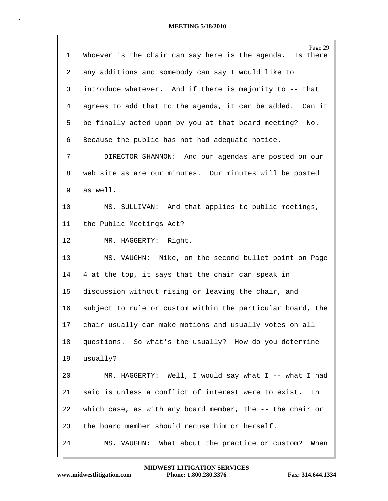| $\mathbf 1$ | Page 29<br>Whoever is the chair can say here is the agenda.<br>Is there |
|-------------|-------------------------------------------------------------------------|
|             |                                                                         |
| 2           | any additions and somebody can say I would like to                      |
| 3           | introduce whatever. And if there is majority to -- that                 |
| 4           | agrees to add that to the agenda, it can be added. Can it               |
| 5           | be finally acted upon by you at that board meeting?<br>No.              |
| 6           | Because the public has not had adequate notice.                         |
| 7           | DIRECTOR SHANNON: And our agendas are posted on our                     |
| 8           | web site as are our minutes. Our minutes will be posted                 |
| 9           | as well.                                                                |
| 10          | MS. SULLIVAN: And that applies to public meetings,                      |
| 11          | the Public Meetings Act?                                                |
| 12          | MR. HAGGERTY: Right.                                                    |
| 13          | MS. VAUGHN: Mike, on the second bullet point on Page                    |
| 14          | 4 at the top, it says that the chair can speak in                       |
| 15          | discussion without rising or leaving the chair, and                     |
| 16          | subject to rule or custom within the particular board, the              |
| 17          | chair usually can make motions and usually votes on all                 |
| 18          | questions. So what's the usually? How do you determine                  |
| 19          | usually?                                                                |
| 20          | MR. HAGGERTY: Well, I would say what I -- what I had                    |
| 21          | said is unless a conflict of interest were to exist.<br>In              |
| 22          | which case, as with any board member, the -- the chair or               |
| 23          | the board member should recuse him or herself.                          |
| 24          | MS. VAUGHN: What about the practice or custom?<br>When                  |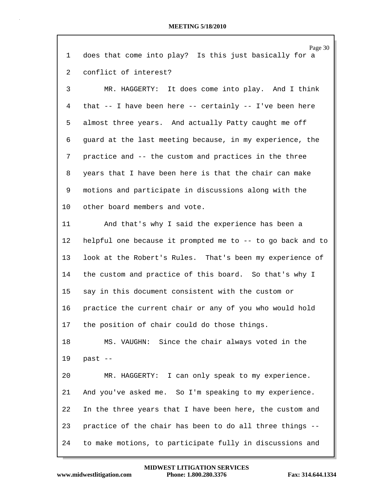|    | Page 30                                                       |
|----|---------------------------------------------------------------|
| 1  | does that come into play? Is this just basically for a        |
| 2  | conflict of interest?                                         |
| 3  | MR. HAGGERTY: It does come into play. And I think             |
| 4  | that $--$ I have been here $--$ certainly $--$ I've been here |
| 5  | almost three years. And actually Patty caught me off          |
| 6  | guard at the last meeting because, in my experience, the      |
| 7  | practice and -- the custom and practices in the three         |
| 8  | years that I have been here is that the chair can make        |
| 9  | motions and participate in discussions along with the         |
| 10 | other board members and vote.                                 |
| 11 | And that's why I said the experience has been a               |
| 12 | helpful one because it prompted me to -- to go back and to    |
| 13 | look at the Robert's Rules. That's been my experience of      |
| 14 | the custom and practice of this board. So that's why I        |
| 15 | say in this document consistent with the custom or            |
| 16 | practice the current chair or any of you who would hold       |
| 17 | the position of chair could do those things.                  |
| 18 | MS. VAUGHN: Since the chair always voted in the               |
| 19 | past --                                                       |
| 20 | MR. HAGGERTY: I can only speak to my experience.              |
| 21 | And you've asked me. So I'm speaking to my experience.        |
| 22 | In the three years that I have been here, the custom and      |
| 23 | practice of the chair has been to do all three things --      |
| 24 | to make motions, to participate fully in discussions and      |

**www.midwestlitigation.com Phone: 1.800.280.3376 Fax: 314.644.1334 MIDWEST LITIGATION SERVICES**

Г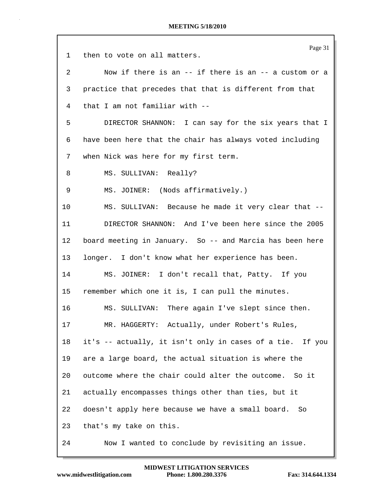|                 | Page 31                                                   |
|-----------------|-----------------------------------------------------------|
| 1               | then to vote on all matters.                              |
| 2               | Now if there is an -- if there is an -- a custom or a     |
| 3               | practice that precedes that that is different from that   |
| 4               | that I am not familiar with --                            |
| 5               | DIRECTOR SHANNON: I can say for the six years that I      |
| 6               | have been here that the chair has always voted including  |
| 7               | when Nick was here for my first term.                     |
| 8               | MS. SULLIVAN: Really?                                     |
| 9               | MS. JOINER: (Nods affirmatively.)                         |
| 10              | MS. SULLIVAN: Because he made it very clear that --       |
| 11              | DIRECTOR SHANNON: And I've been here since the 2005       |
| 12              | board meeting in January. So -- and Marcia has been here  |
| 13              | longer. I don't know what her experience has been.        |
| 14              | MS. JOINER: I don't recall that, Patty. If you            |
| 15 <sub>1</sub> | remember which one it is, I can pull the minutes.         |
| 16              | There again I've slept since then.<br>MS. SULLIVAN:       |
| 17              | MR. HAGGERTY: Actually, under Robert's Rules,             |
| 18              | it's -- actually, it isn't only in cases of a tie. If you |
| 19              | are a large board, the actual situation is where the      |
| 20              | outcome where the chair could alter the outcome. So it    |
| 21              | actually encompasses things other than ties, but it       |
| 22              | doesn't apply here because we have a small board.<br>So   |
| 23              | that's my take on this.                                   |
| 24              | Now I wanted to conclude by revisiting an issue.          |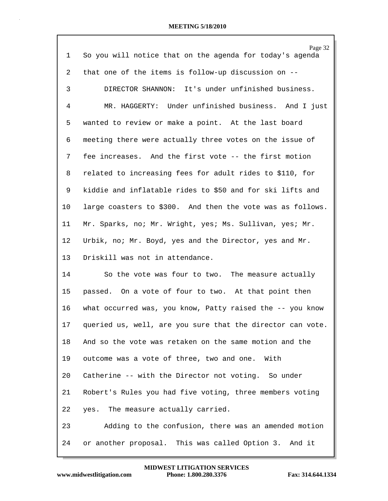| $\mathbf{1}$   | Page 32<br>So you will notice that on the agenda for today's agenda |
|----------------|---------------------------------------------------------------------|
| $\overline{2}$ | that one of the items is follow-up discussion on --                 |
| 3              | DIRECTOR SHANNON: It's under unfinished business.                   |
| 4              | MR. HAGGERTY: Under unfinished business. And I just                 |
| 5              | wanted to review or make a point. At the last board                 |
| 6              | meeting there were actually three votes on the issue of             |
| 7              | fee increases. And the first vote -- the first motion               |
| 8              | related to increasing fees for adult rides to \$110, for            |
| 9              | kiddie and inflatable rides to \$50 and for ski lifts and           |
| 10             | large coasters to \$300. And then the vote was as follows.          |
| 11             | Mr. Sparks, no; Mr. Wright, yes; Ms. Sullivan, yes; Mr.             |
| 12             | Urbik, no; Mr. Boyd, yes and the Director, yes and Mr.              |
| 13             | Driskill was not in attendance.                                     |
| 14             | So the vote was four to two. The measure actually                   |
| 15             | passed. On a vote of four to two. At that point then                |
| 16             | what occurred was, you know, Patty raised the -- you know           |
| 17             | queried us, well, are you sure that the director can vote.          |
| 18             | And so the vote was retaken on the same motion and the              |
| 19             | outcome was a vote of three, two and one.<br>With                   |
| 20             | Catherine -- with the Director not voting. So under                 |
| 21             | Robert's Rules you had five voting, three members voting            |
| 22             | yes. The measure actually carried.                                  |
| 23             | Adding to the confusion, there was an amended motion                |
| 24             | or another proposal. This was called Option 3. And it               |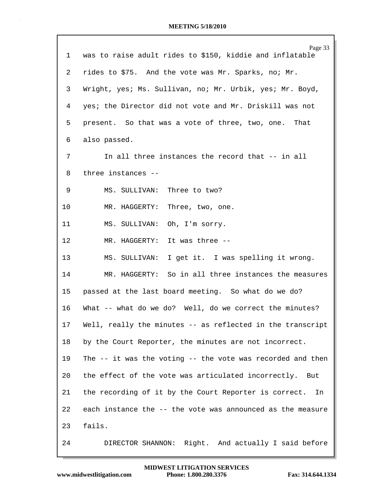|              | Page 33                                                        |
|--------------|----------------------------------------------------------------|
| $\mathbf{1}$ | was to raise adult rides to \$150, kiddie and inflatable       |
| 2            | rides to \$75. And the vote was Mr. Sparks, no; Mr.            |
| 3            | Wright, yes; Ms. Sullivan, no; Mr. Urbik, yes; Mr. Boyd,       |
| 4            | yes; the Director did not vote and Mr. Driskill was not        |
| 5            | present. So that was a vote of three, two, one. That           |
| 6            | also passed.                                                   |
| 7            | In all three instances the record that -- in all               |
| 8            | three instances --                                             |
| 9            | MS. SULLIVAN:<br>Three to two?                                 |
| 10           | Three, two, one.<br>MR. HAGGERTY:                              |
| 11           | MS. SULLIVAN: Oh, I'm sorry.                                   |
| 12           | It was three --<br>MR. HAGGERTY:                               |
| 13           | I get it. I was spelling it wrong.<br>MS. SULLIVAN:            |
| 14           | MR. HAGGERTY: So in all three instances the measures           |
| 15           | passed at the last board meeting. So what do we do?            |
| 16           | What -- what do we do? Well, do we correct the minutes?        |
| 17           | Well, really the minutes -- as reflected in the transcript     |
| 18           | by the Court Reporter, the minutes are not incorrect.          |
| 19           | The $--$ it was the voting $--$ the vote was recorded and then |
| 20           | the effect of the vote was articulated incorrectly. But        |
| 21           | the recording of it by the Court Reporter is correct.<br>In    |
| 22           | each instance the -- the vote was announced as the measure     |
| 23           | fails.                                                         |
| 24           | DIRECTOR SHANNON: Right. And actually I said before            |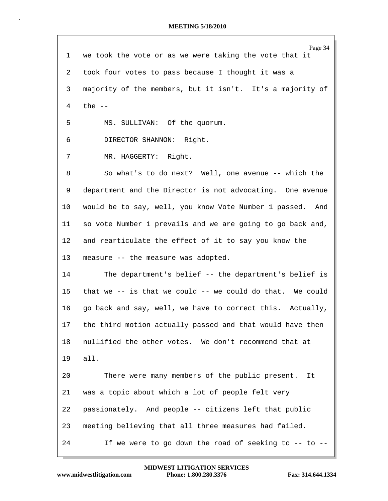| 1  | Page 34<br>we took the vote or as we were taking the vote that it |
|----|-------------------------------------------------------------------|
| 2  | took four votes to pass because I thought it was a                |
| 3  | majority of the members, but it isn't. It's a majority of         |
| 4  | the $--$                                                          |
| 5  | MS. SULLIVAN: Of the quorum.                                      |
| 6  | DIRECTOR SHANNON: Right.                                          |
| 7  | MR. HAGGERTY: Right.                                              |
| 8  | So what's to do next? Well, one avenue -- which the               |
| 9  | department and the Director is not advocating. One avenue         |
| 10 | would be to say, well, you know Vote Number 1 passed. And         |
| 11 | so vote Number 1 prevails and we are going to go back and,        |
| 12 | and rearticulate the effect of it to say you know the             |
| 13 | measure -- the measure was adopted.                               |
| 14 | The department's belief -- the department's belief is             |
| 15 | that we -- is that we could -- we could do that. We could         |
| 16 | go back and say, well, we have to correct this. Actually,         |
| 17 | the third motion actually passed and that would have then         |
| 18 | nullified the other votes. We don't recommend that at             |
| 19 | all.                                                              |
| 20 | There were many members of the public present.<br>It              |
| 21 | was a topic about which a lot of people felt very                 |
| 22 | passionately. And people -- citizens left that public             |
| 23 | meeting believing that all three measures had failed.             |
| 24 | If we were to go down the road of seeking to -- to --             |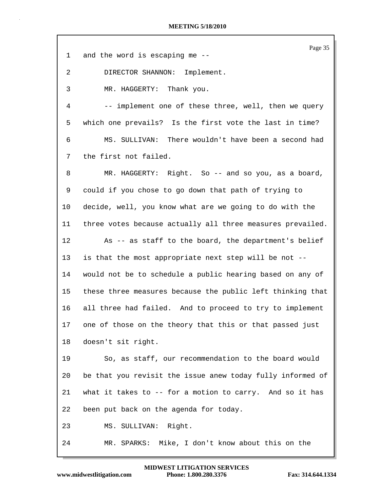|    | Page 35                                                    |
|----|------------------------------------------------------------|
| 1  | and the word is escaping me --                             |
| 2  | DIRECTOR SHANNON: Implement.                               |
| 3  | MR. HAGGERTY: Thank you.                                   |
| 4  | -- implement one of these three, well, then we query       |
| 5  | which one prevails? Is the first vote the last in time?    |
| 6  | MS. SULLIVAN: There wouldn't have been a second had        |
| 7  | the first not failed.                                      |
| 8  | MR. HAGGERTY: Right. So -- and so you, as a board,         |
| 9  | could if you chose to go down that path of trying to       |
| 10 | decide, well, you know what are we going to do with the    |
| 11 | three votes because actually all three measures prevailed. |
| 12 | As -- as staff to the board, the department's belief       |
| 13 | is that the most appropriate next step will be not --      |
| 14 | would not be to schedule a public hearing based on any of  |
| 15 | these three measures because the public left thinking that |
| 16 | all three had failed. And to proceed to try to implement   |
| 17 | one of those on the theory that this or that passed just   |
| 18 | doesn't sit right.                                         |
| 19 | So, as staff, our recommendation to the board would        |
| 20 | be that you revisit the issue anew today fully informed of |
| 21 | what it takes to -- for a motion to carry. And so it has   |
| 22 | been put back on the agenda for today.                     |
| 23 | Right.<br>MS. SULLIVAN:                                    |
| 24 | MR. SPARKS: Mike, I don't know about this on the           |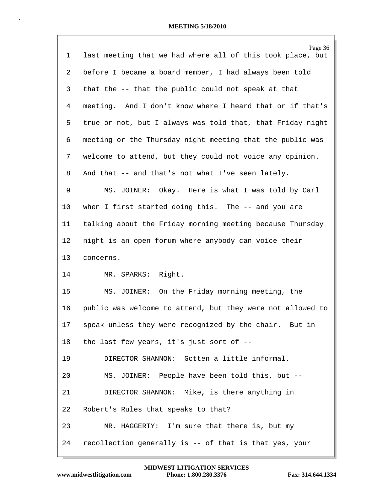|    | Page 36                                                    |
|----|------------------------------------------------------------|
| 1  | last meeting that we had where all of this took place, but |
| 2  | before I became a board member, I had always been told     |
| 3  | that the -- that the public could not speak at that        |
| 4  | meeting. And I don't know where I heard that or if that's  |
| 5  | true or not, but I always was told that, that Friday night |
| 6  | meeting or the Thursday night meeting that the public was  |
| 7  | welcome to attend, but they could not voice any opinion.   |
| 8  | And that -- and that's not what I've seen lately.          |
| 9  | MS. JOINER: Okay. Here is what I was told by Carl          |
| 10 | when I first started doing this. The -- and you are        |
| 11 | talking about the Friday morning meeting because Thursday  |
| 12 | night is an open forum where anybody can voice their       |
| 13 | concerns.                                                  |
| 14 | MR. SPARKS: Right.                                         |
| 15 | MS. JOINER: On the Friday morning meeting, the             |
| 16 | public was welcome to attend, but they were not allowed to |
| 17 | speak unless they were recognized by the chair. But in     |
| 18 | the last few years, it's just sort of --                   |
| 19 | DIRECTOR SHANNON: Gotten a little informal.                |
| 20 | MS. JOINER: People have been told this, but --             |
| 21 | DIRECTOR SHANNON: Mike, is there anything in               |
| 22 | Robert's Rules that speaks to that?                        |
| 23 | MR. HAGGERTY: I'm sure that there is, but my               |
| 24 | recollection generally is -- of that is that yes, your     |

**www.midwestlitigation.com Phone: 1.800.280.3376 Fax: 314.644.1334 MIDWEST LITIGATION SERVICES**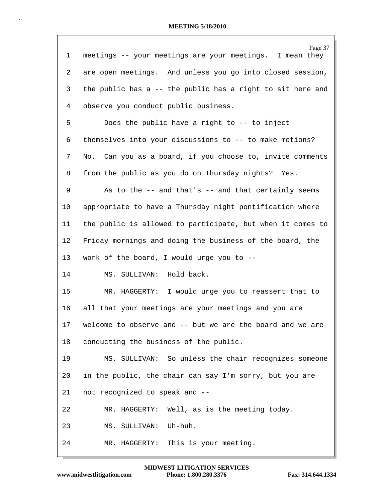| $\mathbf 1$ | Page 37<br>meetings -- your meetings are your meetings. I mean they |
|-------------|---------------------------------------------------------------------|
|             |                                                                     |
| 2           | are open meetings. And unless you go into closed session,           |
| 3           | the public has a -- the public has a right to sit here and          |
| 4           | observe you conduct public business.                                |
| 5           | Does the public have a right to -- to inject                        |
| 6           | themselves into your discussions to -- to make motions?             |
| 7           | No. Can you as a board, if you choose to, invite comments           |
| 8           | from the public as you do on Thursday nights? Yes.                  |
| 9           | As to the -- and that's -- and that certainly seems                 |
| 10          | appropriate to have a Thursday night pontification where            |
| 11          | the public is allowed to participate, but when it comes to          |
| 12          | Friday mornings and doing the business of the board, the            |
| 13          | work of the board, I would urge you to --                           |
| 14          | MS. SULLIVAN: Hold back.                                            |
| 15          | MR. HAGGERTY: I would urge you to reassert that to                  |
| 16          | all that your meetings are your meetings and you are                |
| 17          | welcome to observe and -- but we are the board and we are           |
| 18          | conducting the business of the public.                              |
| 19          | MS. SULLIVAN: So unless the chair recognizes someone                |
| 20          | in the public, the chair can say I'm sorry, but you are             |
| 21          | not recognized to speak and --                                      |
| 22          | Well, as is the meeting today.<br>MR. HAGGERTY:                     |
| 23          | Uh-huh.<br>MS. SULLIVAN:                                            |
| 24          | This is your meeting.<br>MR. HAGGERTY:                              |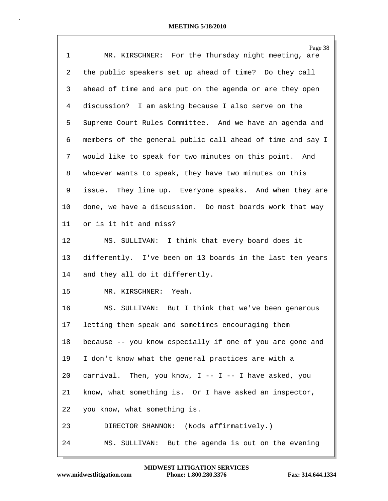| $\mathbf{1}$ | Page 38<br>MR. KIRSCHNER: For the Thursday night meeting, are |
|--------------|---------------------------------------------------------------|
| 2            | the public speakers set up ahead of time? Do they call        |
| 3            | ahead of time and are put on the agenda or are they open      |
| 4            | discussion? I am asking because I also serve on the           |
| 5            | Supreme Court Rules Committee. And we have an agenda and      |
| 6            | members of the general public call ahead of time and say I    |
| 7            | would like to speak for two minutes on this point. And        |
| 8            | whoever wants to speak, they have two minutes on this         |
| 9            | issue. They line up. Everyone speaks. And when they are       |
| 10           | done, we have a discussion. Do most boards work that way      |
| 11           | or is it hit and miss?                                        |
| 12           | MS. SULLIVAN: I think that every board does it                |
| 13           | differently. I've been on 13 boards in the last ten years     |
| 14           | and they all do it differently.                               |
| 15           | MR. KIRSCHNER: Yeah.                                          |
| 16           | MS. SULLIVAN: But I think that we've been generous            |
| 17           | letting them speak and sometimes encouraging them             |
| 18           | because -- you know especially if one of you are gone and     |
| 19           | I don't know what the general practices are with a            |
| 20           | carnival. Then, you know, I -- I -- I have asked, you         |
| 21           | know, what something is. Or I have asked an inspector,        |
| 22           | you know, what something is.                                  |
| 23           | DIRECTOR SHANNON: (Nods affirmatively.)                       |
| 24           | MS. SULLIVAN: But the agenda is out on the evening            |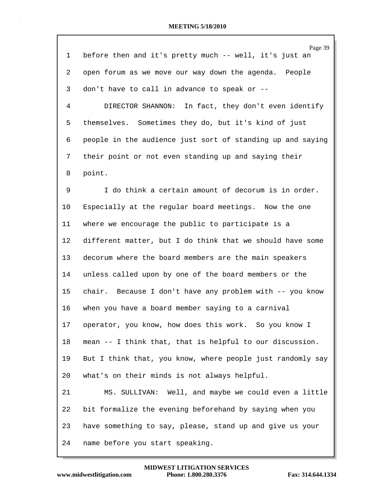| $\mathbf 1$ | Page 39<br>before then and it's pretty much -- well, it's just an |
|-------------|-------------------------------------------------------------------|
| 2           | open forum as we move our way down the agenda. People             |
| 3           | don't have to call in advance to speak or --                      |
| 4           | In fact, they don't even identify<br>DIRECTOR SHANNON:            |
| 5           | themselves. Sometimes they do, but it's kind of just              |
| 6           | people in the audience just sort of standing up and saying        |
| 7           | their point or not even standing up and saying their              |
| 8           | point.                                                            |
| 9           | I do think a certain amount of decorum is in order.               |
| 10          | Especially at the regular board meetings. Now the one             |
| 11          | where we encourage the public to participate is a                 |
| 12          | different matter, but I do think that we should have some         |
| 13          | decorum where the board members are the main speakers             |
| 14          | unless called upon by one of the board members or the             |
| 15          | chair. Because I don't have any problem with -- you know          |
| 16          | when you have a board member saying to a carnival                 |
| 17          | operator, you know, how does this work. So you know I             |
| 18          | mean -- I think that, that is helpful to our discussion.          |
| 19          | But I think that, you know, where people just randomly say        |
| 20          | what's on their minds is not always helpful.                      |
| 21          | MS. SULLIVAN: Well, and maybe we could even a little              |
| 22          | bit formalize the evening beforehand by saying when you           |
| 23          | have something to say, please, stand up and give us your          |
| 24          | name before you start speaking.                                   |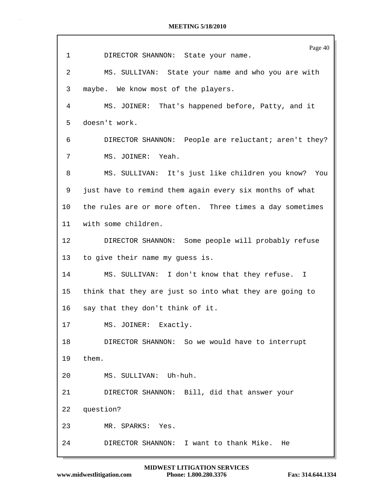| $\mathbf 1$     | Page 40<br>DIRECTOR SHANNON: State your name.            |
|-----------------|----------------------------------------------------------|
| 2               | MS. SULLIVAN: State your name and who you are with       |
| 3               | maybe. We know most of the players.                      |
| 4               | MS. JOINER: That's happened before, Patty, and it        |
| 5               | doesn't work.                                            |
| 6               | DIRECTOR SHANNON: People are reluctant; aren't they?     |
| 7               | MS. JOINER: Yeah.                                        |
| 8               | MS. SULLIVAN: It's just like children you know? You      |
| 9               | just have to remind them again every six months of what  |
| 10              | the rules are or more often. Three times a day sometimes |
| 11              | with some children.                                      |
| 12              | DIRECTOR SHANNON: Some people will probably refuse       |
| 13              | to give their name my guess is.                          |
| 14              | MS. SULLIVAN: I don't know that they refuse. I           |
| 15 <sub>1</sub> | think that they are just so into what they are going to  |
| 16              | say that they don't think of it.                         |
| 17              | MS. JOINER: Exactly.                                     |
| 18              | DIRECTOR SHANNON: So we would have to interrupt          |
| 19              | them.                                                    |
| 20              | MS. SULLIVAN: Uh-huh.                                    |
| 21              | DIRECTOR SHANNON: Bill, did that answer your             |
| 22              | question?                                                |
| 23              | MR. SPARKS: Yes.                                         |
| 24              | DIRECTOR SHANNON: I want to thank Mike.<br>He            |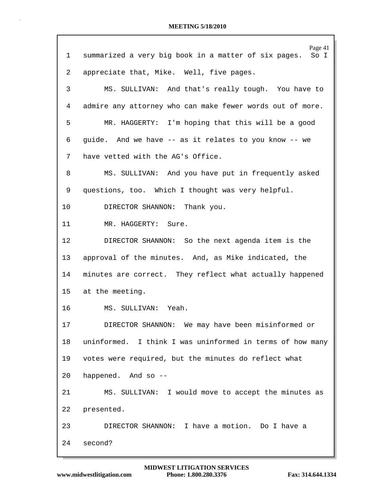| 1       | Page 41<br>summarized a very big book in a matter of six pages.<br>So I |
|---------|-------------------------------------------------------------------------|
| 2       | appreciate that, Mike. Well, five pages.                                |
| 3       | MS. SULLIVAN: And that's really tough. You have to                      |
| 4       | admire any attorney who can make fewer words out of more.               |
| 5       | MR. HAGGERTY: I'm hoping that this will be a good                       |
| 6       | guide. And we have -- as it relates to you know -- we                   |
| 7       | have vetted with the AG's Office.                                       |
| 8       | MS. SULLIVAN: And you have put in frequently asked                      |
| 9       | questions, too. Which I thought was very helpful.                       |
| 10      | DIRECTOR SHANNON: Thank you.                                            |
| 11      | MR. HAGGERTY: Sure.                                                     |
| $12 \,$ | DIRECTOR SHANNON: So the next agenda item is the                        |
| 13      | approval of the minutes. And, as Mike indicated, the                    |
| 14      | minutes are correct. They reflect what actually happened                |
| 15      | at the meeting.                                                         |
| 16      | MS. SULLIVAN: Yeah.                                                     |
| 17      | DIRECTOR SHANNON: We may have been misinformed or                       |
| 18      | uninformed. I think I was uninformed in terms of how many               |
| 19      | votes were required, but the minutes do reflect what                    |
| 20      | happened. And so --                                                     |
| 21      | MS. SULLIVAN: I would move to accept the minutes as                     |
| 22      | presented.                                                              |
| 23      | DIRECTOR SHANNON: I have a motion. Do I have a                          |
| 24      | second?                                                                 |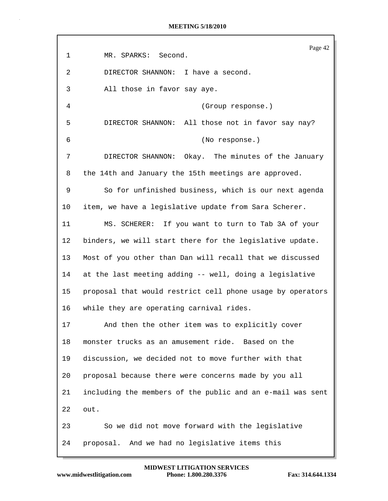Page 42 1 MR. SPARKS: Second. 2 DIRECTOR SHANNON: I have a second. 3 All those in favor say aye. 4 (Group response.) 5 DIRECTOR SHANNON: All those not in favor say nay? 6 (No response.) 7 DIRECTOR SHANNON: Okay. The minutes of the January 8 the 14th and January the 15th meetings are approved. 9 So for unfinished business, which is our next agenda 10 item, we have a legislative update from Sara Scherer. 11 MS. SCHERER: If you want to turn to Tab 3A of your 12 binders, we will start there for the legislative update. 13 Most of you other than Dan will recall that we discussed 14 at the last meeting adding -- well, doing a legislative 15 proposal that would restrict cell phone usage by operators 16 while they are operating carnival rides. 17 And then the other item was to explicitly cover 18 monster trucks as an amusement ride. Based on the 19 discussion, we decided not to move further with that 20 proposal because there were concerns made by you all 21 including the members of the public and an e-mail was sent 22 out. 23 So we did not move forward with the legislative 24 proposal. And we had no legislative items this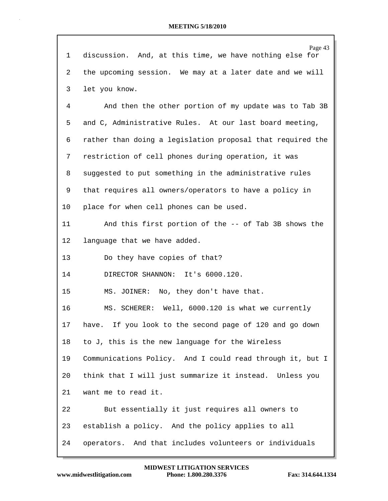| 1  | Page 43<br>discussion. And, at this time, we have nothing else for |
|----|--------------------------------------------------------------------|
| 2  | the upcoming session. We may at a later date and we will           |
| 3  | let you know.                                                      |
| 4  | And then the other portion of my update was to Tab 3B              |
| 5  | and C, Administrative Rules. At our last board meeting,            |
| 6  | rather than doing a legislation proposal that required the         |
| 7  | restriction of cell phones during operation, it was                |
|    |                                                                    |
| 8  | suggested to put something in the administrative rules             |
| 9  | that requires all owners/operators to have a policy in             |
| 10 | place for when cell phones can be used.                            |
| 11 | And this first portion of the -- of Tab 3B shows the               |
| 12 | language that we have added.                                       |
| 13 | Do they have copies of that?                                       |
| 14 | DIRECTOR SHANNON: It's 6000.120.                                   |
| 15 | MS. JOINER: No, they don't have that.                              |
| 16 | MS. SCHERER: Well, 6000.120 is what we currently                   |
| 17 | have. If you look to the second page of 120 and go down            |
| 18 | to J, this is the new language for the Wireless                    |
| 19 | Communications Policy. And I could read through it, but I          |
| 20 | think that I will just summarize it instead. Unless you            |
| 21 | want me to read it.                                                |
| 22 | But essentially it just requires all owners to                     |
| 23 | establish a policy. And the policy applies to all                  |
| 24 | operators. And that includes volunteers or individuals             |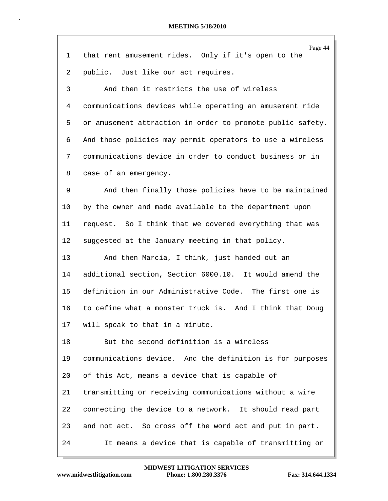|                 | Page 44                                                    |
|-----------------|------------------------------------------------------------|
| 1               | that rent amusement rides. Only if it's open to the        |
| 2               | public. Just like our act requires.                        |
| 3               | And then it restricts the use of wireless                  |
| 4               | communications devices while operating an amusement ride   |
| 5               | or amusement attraction in order to promote public safety. |
| 6               | And those policies may permit operators to use a wireless  |
| 7               | communications device in order to conduct business or in   |
| 8               | case of an emergency.                                      |
| 9               | And then finally those policies have to be maintained      |
| $10 \,$         | by the owner and made available to the department upon     |
| 11              | request. So I think that we covered everything that was    |
| 12              | suggested at the January meeting in that policy.           |
| 13              | And then Marcia, I think, just handed out an               |
| 14              | additional section, Section 6000.10. It would amend the    |
| 15 <sub>2</sub> | definition in our Administrative Code. The first one is    |
| 16              | to define what a monster truck is. And I think that Doug   |
| 17              | will speak to that in a minute.                            |
| 18              | But the second definition is a wireless                    |
| 19              | communications device. And the definition is for purposes  |
| 20              | of this Act, means a device that is capable of             |
| 21              | transmitting or receiving communications without a wire    |
| 22              | connecting the device to a network. It should read part    |
| 23              | and not act. So cross off the word act and put in part.    |
| 24              | It means a device that is capable of transmitting or       |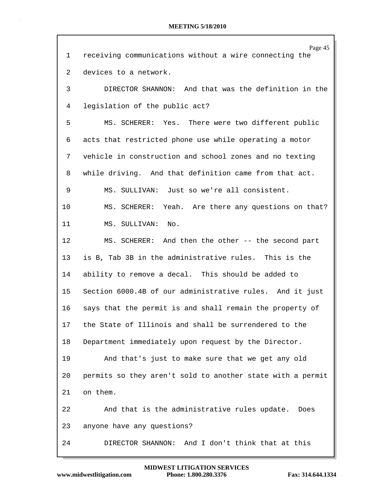| 1  | Page 45<br>receiving communications without a wire connecting the |
|----|-------------------------------------------------------------------|
| 2  | devices to a network.                                             |
|    |                                                                   |
| 3  | DIRECTOR SHANNON: And that was the definition in the              |
| 4  | legislation of the public act?                                    |
| 5  | MS. SCHERER: Yes. There were two different public                 |
| 6  | acts that restricted phone use while operating a motor            |
| 7  | vehicle in construction and school zones and no texting           |
| 8  | while driving. And that definition came from that act.            |
| 9  | MS. SULLIVAN: Just so we're all consistent.                       |
| 10 | MS. SCHERER:<br>Yeah. Are there any questions on that?            |
| 11 | MS. SULLIVAN:<br>No.                                              |
| 12 | MS. SCHERER: And then the other -- the second part                |
| 13 | is B, Tab 3B in the administrative rules. This is the             |
| 14 | ability to remove a decal. This should be added to                |
| 15 | Section 6000.4B of our administrative rules. And it just          |
| 16 | says that the permit is and shall remain the property of          |
| 17 | the State of Illinois and shall be surrendered to the             |
| 18 | Department immediately upon request by the Director.              |
| 19 | And that's just to make sure that we get any old                  |
| 20 | permits so they aren't sold to another state with a permit        |
| 21 | on them.                                                          |
| 22 | And that is the administrative rules update. Does                 |
| 23 | anyone have any questions?                                        |
| 24 | And I don't think that at this<br>DIRECTOR SHANNON:               |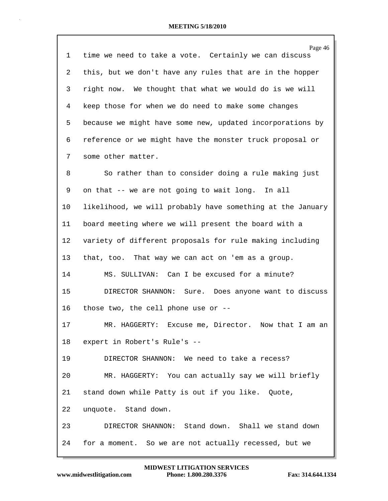|         | Page 46                                                    |
|---------|------------------------------------------------------------|
| 1       | time we need to take a vote. Certainly we can discuss      |
| 2       | this, but we don't have any rules that are in the hopper   |
| 3       | right now. We thought that what we would do is we will     |
| 4       | keep those for when we do need to make some changes        |
| 5       | because we might have some new, updated incorporations by  |
| 6       | reference or we might have the monster truck proposal or   |
| 7       | some other matter.                                         |
| 8       | So rather than to consider doing a rule making just        |
| 9       | on that -- we are not going to wait long. In all           |
| $10 \,$ | likelihood, we will probably have something at the January |
| 11      | board meeting where we will present the board with a       |
| 12      | variety of different proposals for rule making including   |
| 13      | that, too. That way we can act on 'em as a group.          |
| 14      | MS. SULLIVAN: Can I be excused for a minute?               |
| 15      | DIRECTOR SHANNON: Sure. Does anyone want to discuss        |
| 16      | those two, the cell phone use or --                        |
| 17      | Excuse me, Director. Now that I am an<br>MR. HAGGERTY:     |
| 18      | expert in Robert's Rule's --                               |
| 19      | DIRECTOR SHANNON: We need to take a recess?                |
| 20      | MR. HAGGERTY: You can actually say we will briefly         |
| 21      | stand down while Patty is out if you like. Quote,          |
| 22      | unquote. Stand down.                                       |
| 23      | DIRECTOR SHANNON: Stand down. Shall we stand down          |
| 24      | for a moment. So we are not actually recessed, but we      |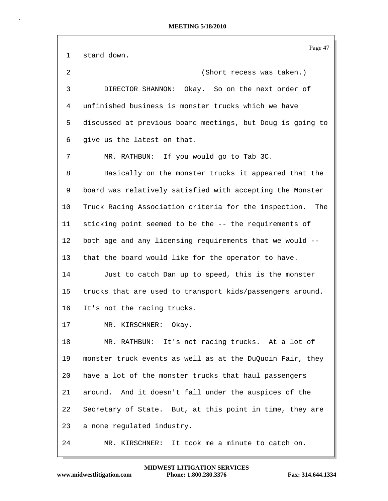Page 47 1 stand down. 2 (Short recess was taken.) 3 DIRECTOR SHANNON: Okay. So on the next order of 4 unfinished business is monster trucks which we have 5 discussed at previous board meetings, but Doug is going to 6 give us the latest on that. 7 MR. RATHBUN: If you would go to Tab 3C. 8 Basically on the monster trucks it appeared that the 9 board was relatively satisfied with accepting the Monster 10 Truck Racing Association criteria for the inspection. The 11 sticking point seemed to be the -- the requirements of 12 both age and any licensing requirements that we would -- 13 that the board would like for the operator to have. 14 Just to catch Dan up to speed, this is the monster 15 trucks that are used to transport kids/passengers around. 16 It's not the racing trucks. 17 MR. KIRSCHNER: Okay. 18 MR. RATHBUN: It's not racing trucks. At a lot of 19 monster truck events as well as at the DuQuoin Fair, they 20 have a lot of the monster trucks that haul passengers 21 around. And it doesn't fall under the auspices of the 22 Secretary of State. But, at this point in time, they are 23 a none regulated industry. 24 MR. KIRSCHNER: It took me a minute to catch on.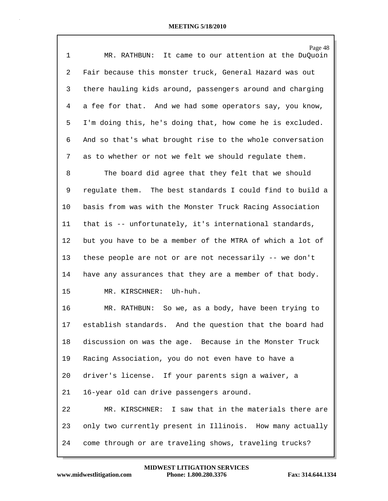| $\mathbf 1$ | Page 48<br>MR. RATHBUN: It came to our attention at the DuQuoin |
|-------------|-----------------------------------------------------------------|
| 2           | Fair because this monster truck, General Hazard was out         |
| 3           | there hauling kids around, passengers around and charging       |
| 4           | a fee for that. And we had some operators say, you know,        |
| 5           | I'm doing this, he's doing that, how come he is excluded.       |
| 6           | And so that's what brought rise to the whole conversation       |
| 7           | as to whether or not we felt we should regulate them.           |
| 8           | The board did agree that they felt that we should               |
| 9           | regulate them. The best standards I could find to build a       |
| 10          | basis from was with the Monster Truck Racing Association        |
| 11          | that is -- unfortunately, it's international standards,         |
| 12          | but you have to be a member of the MTRA of which a lot of       |
| 13          | these people are not or are not necessarily -- we don't         |
| 14          | have any assurances that they are a member of that body.        |
| 15          | MR. KIRSCHNER: Uh-huh.                                          |
| 16          | MR. RATHBUN: So we, as a body, have been trying to              |
| 17          | establish standards. And the question that the board had        |
| 18          | discussion on was the age. Because in the Monster Truck         |
| 19          | Racing Association, you do not even have to have a              |
| 20          | driver's license. If your parents sign a waiver, a              |
| 21          | 16-year old can drive passengers around.                        |
| 22          | MR. KIRSCHNER: I saw that in the materials there are            |
| 23          | only two currently present in Illinois. How many actually       |
| 24          | come through or are traveling shows, traveling trucks?          |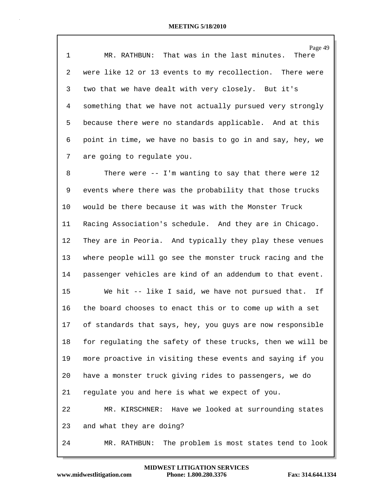| $\mathbf{1}$ | Page 49<br>MR. RATHBUN: That was in the last minutes.<br>There |
|--------------|----------------------------------------------------------------|
| 2            | were like 12 or 13 events to my recollection. There were       |
| 3            | two that we have dealt with very closely. But it's             |
| 4            | something that we have not actually pursued very strongly      |
| 5            | because there were no standards applicable. And at this        |
| 6            | point in time, we have no basis to go in and say, hey, we      |
| 7            | are going to regulate you.                                     |
| 8            | There were $--$ I'm wanting to say that there were 12          |
| 9            | events where there was the probability that those trucks       |
| 10           | would be there because it was with the Monster Truck           |
|              |                                                                |
| 11           | Racing Association's schedule. And they are in Chicago.        |
| 12           | They are in Peoria. And typically they play these venues       |
| 13           | where people will go see the monster truck racing and the      |
| 14           | passenger vehicles are kind of an addendum to that event.      |
| 15           | We hit -- like I said, we have not pursued that.<br>Ιf         |
| 16           | the board chooses to enact this or to come up with a set       |
| 17           | of standards that says, hey, you guys are now responsible      |
| 18           | for regulating the safety of these trucks, then we will be     |
| 19           | more proactive in visiting these events and saying if you      |
| 20           | have a monster truck giving rides to passengers, we do         |
| 21           | regulate you and here is what we expect of you.                |
| 22           | MR. KIRSCHNER: Have we looked at surrounding states            |
| 23           | and what they are doing?                                       |
| 24           | MR. RATHBUN:<br>The problem is most states tend to look        |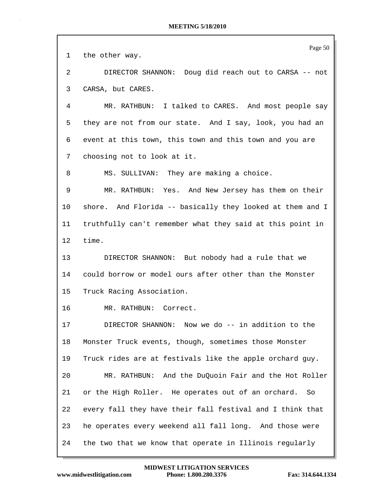| $\mathbf 1$     | Page 50<br>the other way.                                 |
|-----------------|-----------------------------------------------------------|
|                 |                                                           |
| 2               | DIRECTOR SHANNON: Doug did reach out to CARSA -- not      |
| 3               | CARSA, but CARES.                                         |
| 4               | MR. RATHBUN: I talked to CARES. And most people say       |
| 5               | they are not from our state. And I say, look, you had an  |
| 6               | event at this town, this town and this town and you are   |
| 7               | choosing not to look at it.                               |
| 8               | MS. SULLIVAN: They are making a choice.                   |
| 9               | MR. RATHBUN: Yes. And New Jersey has them on their        |
| 10              | shore. And Florida -- basically they looked at them and I |
| 11              | truthfully can't remember what they said at this point in |
| 12 <sup>°</sup> | time.                                                     |
| 13              | DIRECTOR SHANNON: But nobody had a rule that we           |
| 14              | could borrow or model ours after other than the Monster   |
| 15              | Truck Racing Association.                                 |
| 16              | MR. RATHBUN: Correct.                                     |
| 17              | DIRECTOR SHANNON: Now we do -- in addition to the         |
| 18              | Monster Truck events, though, sometimes those Monster     |
| 19              | Truck rides are at festivals like the apple orchard guy.  |
| 20              | MR. RATHBUN: And the DuQuoin Fair and the Hot Roller      |
| 21              | or the High Roller. He operates out of an orchard.<br>So  |
| 22              | every fall they have their fall festival and I think that |
| 23              | he operates every weekend all fall long. And those were   |
| 24              | the two that we know that operate in Illinois regularly   |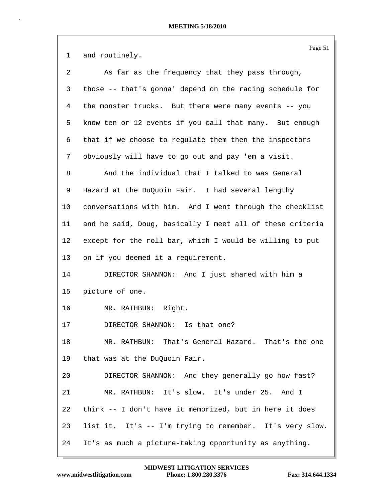1 and routinely. 2 As far as the frequency that they pass through, 3 those -- that's gonna' depend on the racing schedule for 4 the monster trucks. But there were many events -- you 5 know ten or 12 events if you call that many. But enough 6 that if we choose to regulate them then the inspectors 7 obviously will have to go out and pay 'em a visit. 8 And the individual that I talked to was General 9 Hazard at the DuQuoin Fair. I had several lengthy 10 conversations with him. And I went through the checklist 11 and he said, Doug, basically I meet all of these criteria 12 except for the roll bar, which I would be willing to put 13 on if you deemed it a requirement. 14 DIRECTOR SHANNON: And I just shared with him a 15 picture of one. 16 MR. RATHBUN: Right. 17 DIRECTOR SHANNON: Is that one? 18 MR. RATHBUN: That's General Hazard. That's the one 19 that was at the DuQuoin Fair. 20 DIRECTOR SHANNON: And they generally go how fast? 21 MR. RATHBUN: It's slow. It's under 25. And I 22 think -- I don't have it memorized, but in here it does 23 list it. It's -- I'm trying to remember. It's very slow. 24 It's as much a picture-taking opportunity as anything.

Page 51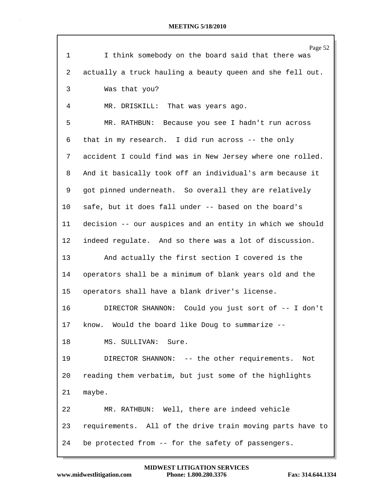| $\mathbf 1$ | Page 52<br>I think somebody on the board said that there was |
|-------------|--------------------------------------------------------------|
| 2           | actually a truck hauling a beauty queen and she fell out.    |
| 3           | Was that you?                                                |
| 4           | MR. DRISKILL: That was years ago.                            |
| 5           | MR. RATHBUN:<br>Because you see I hadn't run across          |
| 6           | that in my research. I did run across -- the only            |
| 7           | accident I could find was in New Jersey where one rolled.    |
| 8           | And it basically took off an individual's arm because it     |
| 9           | got pinned underneath. So overall they are relatively        |
| 10          | safe, but it does fall under -- based on the board's         |
| 11          | decision -- our auspices and an entity in which we should    |
| 12          | indeed regulate. And so there was a lot of discussion.       |
| 13          | And actually the first section I covered is the              |
| 14          | operators shall be a minimum of blank years old and the      |
| 15          | operators shall have a blank driver's license.               |
| 16          | DIRECTOR SHANNON: Could you just sort of -- I don't          |
| 17          | know. Would the board like Doug to summarize --              |
| 18          | MS. SULLIVAN:<br>Sure.                                       |
| 19          | DIRECTOR SHANNON: -- the other requirements. Not             |
| 20          | reading them verbatim, but just some of the highlights       |
| 21          | maybe.                                                       |
| 22          | MR. RATHBUN: Well, there are indeed vehicle                  |
| 23          | requirements. All of the drive train moving parts have to    |
| 24          | be protected from -- for the safety of passengers.           |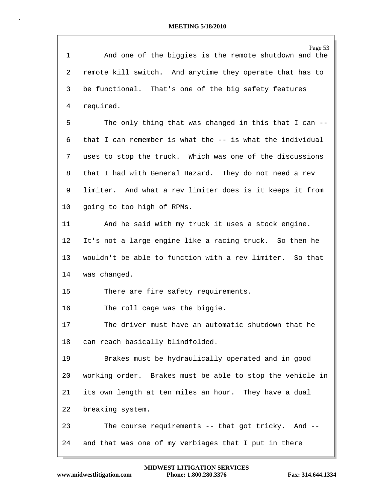| $\mathbf 1$ | Page 53<br>And one of the biggies is the remote shutdown and the |
|-------------|------------------------------------------------------------------|
| 2           | remote kill switch. And anytime they operate that has to         |
| 3           | be functional. That's one of the big safety features             |
| 4           | required.                                                        |
| 5           | The only thing that was changed in this that I can --            |
| 6           | that I can remember is what the -- is what the individual        |
|             |                                                                  |
| 7           | uses to stop the truck. Which was one of the discussions         |
| 8           | that I had with General Hazard. They do not need a rev           |
| 9           | limiter. And what a rev limiter does is it keeps it from         |
| 10          | going to too high of RPMs.                                       |
| 11          | And he said with my truck it uses a stock engine.                |
| 12          | It's not a large engine like a racing truck. So then he          |
| 13          | wouldn't be able to function with a rev limiter. So that         |
| 14          | was changed.                                                     |
| 15          | There are fire safety requirements.                              |
| 16          | The roll cage was the biggie.                                    |
| 17          | The driver must have an automatic shutdown that he               |
| 18          | can reach basically blindfolded.                                 |
| 19          | Brakes must be hydraulically operated and in good                |
| 20          | working order. Brakes must be able to stop the vehicle in        |
| 21          | its own length at ten miles an hour. They have a dual            |
| 22          | breaking system.                                                 |
| 23          | The course requirements -- that got tricky. And --               |
| 24          | and that was one of my verbiages that I put in there             |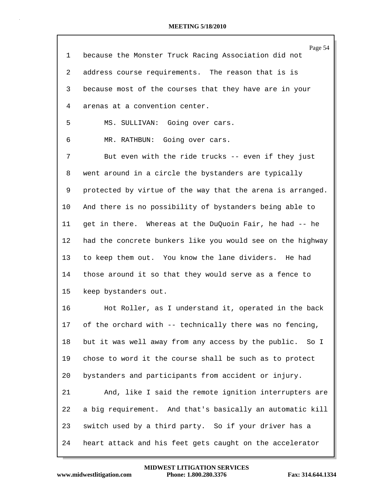|    | Page 54                                                     |
|----|-------------------------------------------------------------|
| 1  | because the Monster Truck Racing Association did not        |
| 2  | address course requirements. The reason that is is          |
| 3  | because most of the courses that they have are in your      |
| 4  | arenas at a convention center.                              |
| 5  | MS. SULLIVAN: Going over cars.                              |
| 6  | MR. RATHBUN: Going over cars.                               |
| 7  | But even with the ride trucks -- even if they just          |
| 8  | went around in a circle the bystanders are typically        |
| 9  | protected by virtue of the way that the arena is arranged.  |
| 10 | And there is no possibility of bystanders being able to     |
| 11 | get in there. Whereas at the DuQuoin Fair, he had -- he     |
| 12 | had the concrete bunkers like you would see on the highway  |
| 13 | to keep them out. You know the lane dividers. He had        |
| 14 | those around it so that they would serve as a fence to      |
| 15 | keep bystanders out.                                        |
| 16 | Hot Roller, as I understand it, operated in the back        |
| 17 | of the orchard with -- technically there was no fencing,    |
| 18 | but it was well away from any access by the public.<br>So I |
| 19 | chose to word it the course shall be such as to protect     |
| 20 | bystanders and participants from accident or injury.        |
| 21 | And, like I said the remote ignition interrupters are       |
| 22 | a big requirement. And that's basically an automatic kill   |
| 23 | switch used by a third party. So if your driver has a       |
| 24 | heart attack and his feet gets caught on the accelerator    |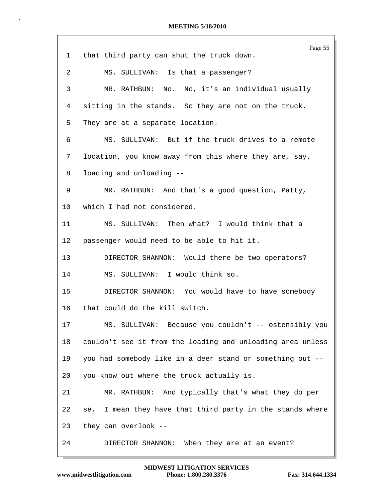| 1               | Page 55<br>that third party can shut the truck down.         |
|-----------------|--------------------------------------------------------------|
| 2               | MS. SULLIVAN: Is that a passenger?                           |
| 3               | MR. RATHBUN: No. No, it's an individual usually              |
| 4               | sitting in the stands. So they are not on the truck.         |
| 5               | They are at a separate location.                             |
| 6               | MS. SULLIVAN: But if the truck drives to a remote            |
| 7               | location, you know away from this where they are, say,       |
| 8               | loading and unloading --                                     |
|                 |                                                              |
| 9               | MR. RATHBUN: And that's a good question, Patty,              |
| 10              | which I had not considered.                                  |
| 11              | MS. SULLIVAN: Then what? I would think that a                |
| 12 <sub>2</sub> | passenger would need to be able to hit it.                   |
| 13              | DIRECTOR SHANNON: Would there be two operators?              |
| 14              | MS. SULLIVAN: I would think so.                              |
| 15              | DIRECTOR SHANNON: You would have to have somebody            |
| 16              | that could do the kill switch.                               |
| 17              | MS. SULLIVAN: Because you couldn't -- ostensibly you         |
| 18              | couldn't see it from the loading and unloading area unless   |
| 19              | you had somebody like in a deer stand or something out --    |
| 20              | you know out where the truck actually is.                    |
| 21              | MR. RATHBUN: And typically that's what they do per           |
| 22              | I mean they have that third party in the stands where<br>se. |
| 23              | they can overlook --                                         |
| 24              | DIRECTOR SHANNON:<br>When they are at an event?              |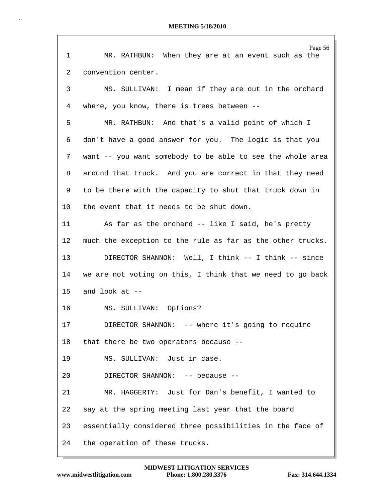| $\mathbf 1$     | Page 56<br>MR. RATHBUN: When they are at an event such as the |
|-----------------|---------------------------------------------------------------|
| 2               | convention center.                                            |
| 3               | MS. SULLIVAN: I mean if they are out in the orchard           |
| 4               | where, you know, there is trees between --                    |
| 5               | MR. RATHBUN: And that's a valid point of which I              |
| 6               | don't have a good answer for you. The logic is that you       |
| 7               | want -- you want somebody to be able to see the whole area    |
| 8               | around that truck. And you are correct in that they need      |
| 9               | to be there with the capacity to shut that truck down in      |
| 10              | the event that it needs to be shut down.                      |
| 11              | As far as the orchard -- like I said, he's pretty             |
| 12              | much the exception to the rule as far as the other trucks.    |
| 13              | DIRECTOR SHANNON: Well, I think -- I think -- since           |
| 14              | we are not voting on this, I think that we need to go back    |
| 15 <sub>1</sub> | and look at $-$ -                                             |
| 16              | MS. SULLIVAN: Options?                                        |
| 17              | DIRECTOR SHANNON: -- where it's going to require              |
| 18              | that there be two operators because --                        |
| 19              | MS. SULLIVAN: Just in case.                                   |
| 20              | DIRECTOR SHANNON: -- because --                               |
| 21              | MR. HAGGERTY: Just for Dan's benefit, I wanted to             |
| 22              | say at the spring meeting last year that the board            |
| 23              | essentially considered three possibilities in the face of     |
| 24              | the operation of these trucks.                                |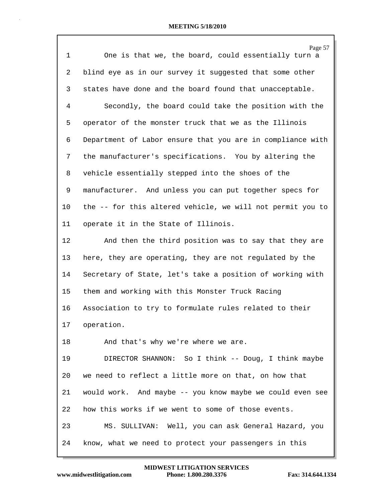| 1  | Page 57<br>One is that we, the board, could essentially turn a |
|----|----------------------------------------------------------------|
| 2  | blind eye as in our survey it suggested that some other        |
| 3  | states have done and the board found that unacceptable.        |
| 4  | Secondly, the board could take the position with the           |
| 5  | operator of the monster truck that we as the Illinois          |
| 6  | Department of Labor ensure that you are in compliance with     |
| 7  | the manufacturer's specifications. You by altering the         |
| 8  | vehicle essentially stepped into the shoes of the              |
| 9  | manufacturer. And unless you can put together specs for        |
| 10 | the -- for this altered vehicle, we will not permit you to     |
| 11 | operate it in the State of Illinois.                           |
| 12 | And then the third position was to say that they are           |
| 13 | here, they are operating, they are not regulated by the        |
| 14 | Secretary of State, let's take a position of working with      |
| 15 | them and working with this Monster Truck Racing                |
| 16 | Association to try to formulate rules related to their         |
| 17 | operation.                                                     |
| 18 | And that's why we're where we are.                             |
| 19 | DIRECTOR SHANNON: So I think -- Doug, I think maybe            |
| 20 | we need to reflect a little more on that, on how that          |
| 21 | would work. And maybe -- you know maybe we could even see      |
| 22 | how this works if we went to some of those events.             |
| 23 | MS. SULLIVAN: Well, you can ask General Hazard, you            |
| 24 | know, what we need to protect your passengers in this          |

**www.midwestlitigation.com Phone: 1.800.280.3376 Fax: 314.644.1334 MIDWEST LITIGATION SERVICES**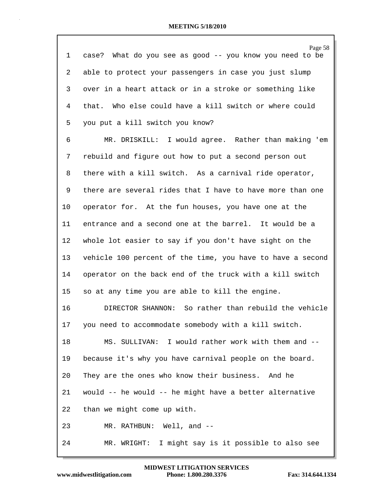|              | Page 58                                                    |
|--------------|------------------------------------------------------------|
| $\mathbf{1}$ | case? What do you see as good -- you know you need to be   |
| 2            | able to protect your passengers in case you just slump     |
| 3            | over in a heart attack or in a stroke or something like    |
| 4            | that. Who else could have a kill switch or where could     |
| 5            | you put a kill switch you know?                            |
| 6            | MR. DRISKILL: I would agree. Rather than making 'em        |
| 7            | rebuild and figure out how to put a second person out      |
| 8            | there with a kill switch. As a carnival ride operator,     |
| 9            | there are several rides that I have to have more than one  |
| 10           | operator for. At the fun houses, you have one at the       |
| 11           | entrance and a second one at the barrel. It would be a     |
| 12           | whole lot easier to say if you don't have sight on the     |
| 13           | vehicle 100 percent of the time, you have to have a second |
| 14           | operator on the back end of the truck with a kill switch   |
| 15           | so at any time you are able to kill the engine.            |
| 16           | DIRECTOR SHANNON: So rather than rebuild the vehicle       |
| 17           | you need to accommodate somebody with a kill switch.       |
| 18           | MS. SULLIVAN: I would rather work with them and --         |
| 19           | because it's why you have carnival people on the board.    |
| 20           | They are the ones who know their business. And he          |
| 21           | would -- he would -- he might have a better alternative    |
| 22           | than we might come up with.                                |
| 23           | MR. RATHBUN: Well, and --                                  |
| 24           | I might say is it possible to also see<br>MR. WRIGHT:      |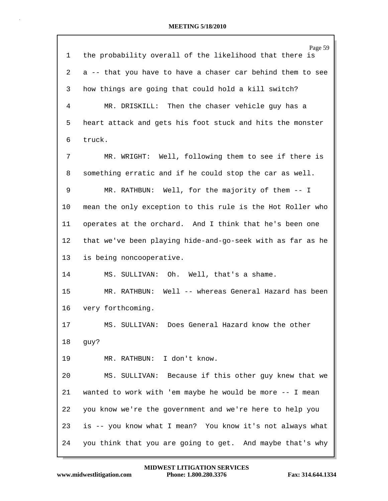| $\mathbf{1}$ | Page 59<br>the probability overall of the likelihood that there is |
|--------------|--------------------------------------------------------------------|
|              |                                                                    |
| 2            | a -- that you have to have a chaser car behind them to see         |
| 3            | how things are going that could hold a kill switch?                |
| 4            | MR. DRISKILL: Then the chaser vehicle guy has a                    |
| 5            | heart attack and gets his foot stuck and hits the monster          |
| 6            | truck.                                                             |
| 7            | MR. WRIGHT: Well, following them to see if there is                |
| 8            | something erratic and if he could stop the car as well.            |
| 9            | MR. RATHBUN: Well, for the majority of them -- I                   |
| 10           | mean the only exception to this rule is the Hot Roller who         |
| 11           | operates at the orchard. And I think that he's been one            |
| 12           | that we've been playing hide-and-go-seek with as far as he         |
| 13           | is being noncooperative.                                           |
| 14           | MS. SULLIVAN: Oh. Well, that's a shame.                            |
| 15           | MR. RATHBUN: Well -- whereas General Hazard has been               |
| 16           | very forthcoming.                                                  |
| 17           | MS. SULLIVAN: Does General Hazard know the other                   |
| 18           | guy?                                                               |
| 19           | MR. RATHBUN: I don't know.                                         |
| 20           | MS. SULLIVAN: Because if this other guy knew that we               |
| 21           | wanted to work with 'em maybe he would be more -- I mean           |
| 22           | you know we're the government and we're here to help you           |
| 23           | is -- you know what I mean? You know it's not always what          |
| 24           | you think that you are going to get. And maybe that's why          |

**www.midwestlitigation.com Phone: 1.800.280.3376 Fax: 314.644.1334 MIDWEST LITIGATION SERVICES**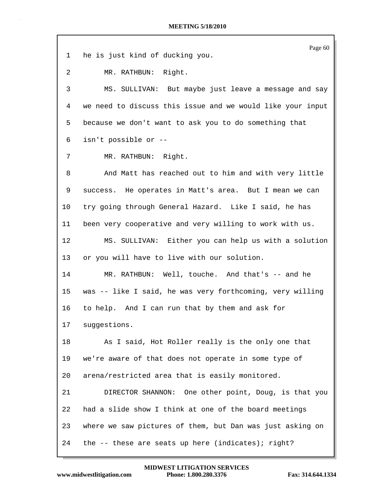| $\mathbf{1}$    | Page 60<br>he is just kind of ducking you.                 |
|-----------------|------------------------------------------------------------|
| 2               | MR. RATHBUN: Right.                                        |
|                 |                                                            |
| 3               | MS. SULLIVAN: But maybe just leave a message and say       |
| 4               | we need to discuss this issue and we would like your input |
| 5               | because we don't want to ask you to do something that      |
| 6               | isn't possible or --                                       |
| 7               | MR. RATHBUN: Right.                                        |
| 8               | And Matt has reached out to him and with very little       |
| 9               | success. He operates in Matt's area. But I mean we can     |
| 10              | try going through General Hazard. Like I said, he has      |
| 11              | been very cooperative and very willing to work with us.    |
| 12              | MS. SULLIVAN: Either you can help us with a solution       |
| 13              | or you will have to live with our solution.                |
| 14              | MR. RATHBUN: Well, touche. And that's -- and he            |
| 15 <sub>2</sub> | was -- like I said, he was very forthcoming, very willing  |
| 16              | to help. And I can run that by them and ask for            |
| 17              | suggestions.                                               |
| 18              | As I said, Hot Roller really is the only one that          |
| 19              | we're aware of that does not operate in some type of       |
| 20              | arena/restricted area that is easily monitored.            |
| 21              | DIRECTOR SHANNON: One other point, Doug, is that you       |
| 22              | had a slide show I think at one of the board meetings      |
| 23              | where we saw pictures of them, but Dan was just asking on  |
| 24              | the -- these are seats up here (indicates); right?         |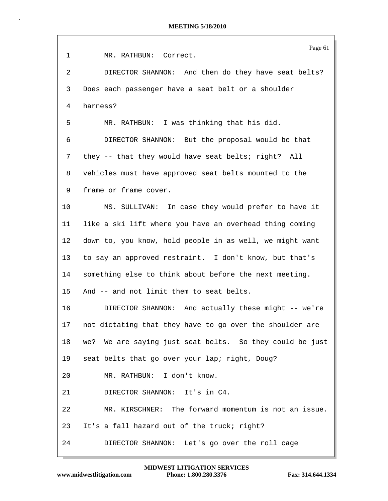| $\mathbf{1}$    | Page 61<br>MR. RATHBUN: Correct.                         |
|-----------------|----------------------------------------------------------|
| 2               | DIRECTOR SHANNON: And then do they have seat belts?      |
| 3               | Does each passenger have a seat belt or a shoulder       |
| 4               | harness?                                                 |
| 5               | MR. RATHBUN: I was thinking that his did.                |
| 6               | DIRECTOR SHANNON: But the proposal would be that         |
| 7               | they -- that they would have seat belts; right? All      |
| 8               | vehicles must have approved seat belts mounted to the    |
| 9               | frame or frame cover.                                    |
| 10              | MS. SULLIVAN: In case they would prefer to have it       |
| 11              | like a ski lift where you have an overhead thing coming  |
| 12              | down to, you know, hold people in as well, we might want |
| 13 <sup>°</sup> | to say an approved restraint. I don't know, but that's   |
| 14              | something else to think about before the next meeting.   |
| 15              | And -- and not limit them to seat belts.                 |
| 16              | DIRECTOR SHANNON: And actually these might -- we're      |
| 17              | not dictating that they have to go over the shoulder are |
| 18              | we? We are saying just seat belts. So they could be just |
| 19              | seat belts that go over your lap; right, Doug?           |
| 20              | MR. RATHBUN: I don't know.                               |
| 21              | DIRECTOR SHANNON: It's in C4.                            |
| 22              | MR. KIRSCHNER: The forward momentum is not an issue.     |
| 23              | It's a fall hazard out of the truck; right?              |
| 24              | DIRECTOR SHANNON: Let's go over the roll cage            |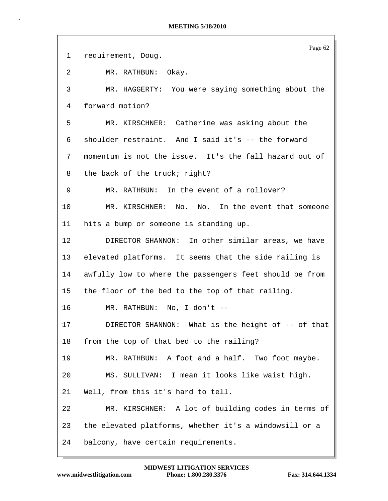|    | Page 62                                                 |
|----|---------------------------------------------------------|
| 1  | requirement, Doug.                                      |
| 2  | MR. RATHBUN: Okay.                                      |
| 3  | MR. HAGGERTY: You were saying something about the       |
| 4  | forward motion?                                         |
| 5  | MR. KIRSCHNER: Catherine was asking about the           |
| 6  | shoulder restraint. And I said it's -- the forward      |
| 7  | momentum is not the issue. It's the fall hazard out of  |
| 8  | the back of the truck; right?                           |
| 9  | MR. RATHBUN: In the event of a rollover?                |
| 10 | MR. KIRSCHNER: No. No. In the event that someone        |
| 11 | hits a bump or someone is standing up.                  |
| 12 | DIRECTOR SHANNON: In other similar areas, we have       |
| 13 | elevated platforms. It seems that the side railing is   |
| 14 | awfully low to where the passengers feet should be from |
| 15 | the floor of the bed to the top of that railing.        |
| 16 | MR. RATHBUN: No, I don't --                             |
| 17 | DIRECTOR SHANNON: What is the height of -- of that      |
| 18 | from the top of that bed to the railing?                |
| 19 | MR. RATHBUN: A foot and a half. Two foot maybe.         |
| 20 | MS. SULLIVAN: I mean it looks like waist high.          |
| 21 | Well, from this it's hard to tell.                      |
| 22 | MR. KIRSCHNER: A lot of building codes in terms of      |
| 23 | the elevated platforms, whether it's a windowsill or a  |
| 24 | balcony, have certain requirements.                     |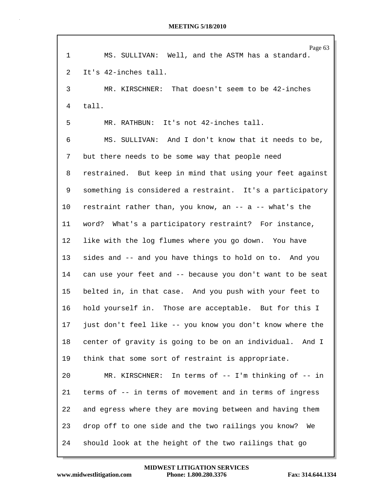| $\mathbf{1}$ | Page 63<br>MS. SULLIVAN: Well, and the ASTM has a standard. |
|--------------|-------------------------------------------------------------|
| 2            | It's 42-inches tall.                                        |
| 3            | MR. KIRSCHNER: That doesn't seem to be 42-inches            |
| 4            | tall.                                                       |
| 5            | MR. RATHBUN: It's not 42-inches tall.                       |
| 6            | MS. SULLIVAN: And I don't know that it needs to be,         |
| 7            | but there needs to be some way that people need             |
| 8            | restrained. But keep in mind that using your feet against   |
| 9            | something is considered a restraint. It's a participatory   |
| 10           | restraint rather than, you know, an -- a -- what's the      |
| 11           | word? What's a participatory restraint? For instance,       |
| 12           | like with the log flumes where you go down. You have        |
| 13           | sides and -- and you have things to hold on to. And you     |
| 14           | can use your feet and -- because you don't want to be seat  |
| 15           | belted in, in that case. And you push with your feet to     |
| 16           | hold yourself in. Those are acceptable. But for this I      |
| 17           | just don't feel like -- you know you don't know where the   |
| 18           | center of gravity is going to be on an individual. And I    |
| 19           | think that some sort of restraint is appropriate.           |
| 20           | MR. KIRSCHNER: In terms of -- I'm thinking of -- in         |
| 21           | terms of -- in terms of movement and in terms of ingress    |
| 22           | and egress where they are moving between and having them    |
| 23           | drop off to one side and the two railings you know?<br>We   |
| 24           | should look at the height of the two railings that go       |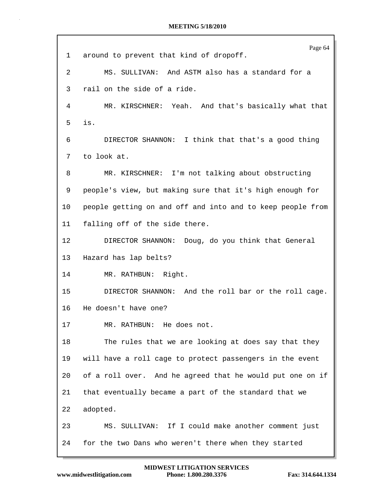Page 64 1 around to prevent that kind of dropoff. 2 MS. SULLIVAN: And ASTM also has a standard for a 3 rail on the side of a ride. 4 MR. KIRSCHNER: Yeah. And that's basically what that 5 is. 6 DIRECTOR SHANNON: I think that that's a good thing 7 to look at. 8 MR. KIRSCHNER: I'm not talking about obstructing 9 people's view, but making sure that it's high enough for 10 people getting on and off and into and to keep people from 11 falling off of the side there. 12 DIRECTOR SHANNON: Doug, do you think that General 13 Hazard has lap belts? 14 MR. RATHBUN: Right. 15 DIRECTOR SHANNON: And the roll bar or the roll cage. 16 He doesn't have one? 17 MR. RATHBUN: He does not. 18 The rules that we are looking at does say that they 19 will have a roll cage to protect passengers in the event 20 of a roll over. And he agreed that he would put one on if 21 that eventually became a part of the standard that we 22 adopted. 23 MS. SULLIVAN: If I could make another comment just 24 for the two Dans who weren't there when they started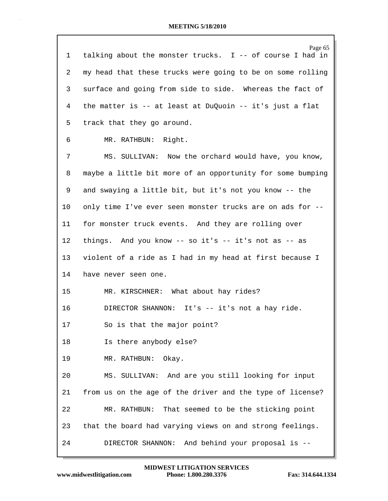| ı  | Page 65<br>talking about the monster trucks. I -- of course I had in |
|----|----------------------------------------------------------------------|
| 2  | my head that these trucks were going to be on some rolling           |
|    |                                                                      |
| 3  | surface and going from side to side. Whereas the fact of             |
| 4  | the matter is -- at least at DuQuoin -- it's just a flat             |
| 5  | track that they go around.                                           |
| 6  | MR. RATHBUN: Right.                                                  |
| 7  | MS. SULLIVAN: Now the orchard would have, you know,                  |
| 8  | maybe a little bit more of an opportunity for some bumping           |
| 9  | and swaying a little bit, but it's not you know -- the               |
| 10 | only time I've ever seen monster trucks are on ads for --            |
| 11 | for monster truck events. And they are rolling over                  |
| 12 | things. And you know -- so it's -- it's not as -- as                 |
| 13 | violent of a ride as I had in my head at first because I             |
| 14 | have never seen one.                                                 |
| 15 | MR. KIRSCHNER: What about hay rides?                                 |
| 16 | DIRECTOR SHANNON: It's -- it's not a hay ride.                       |
| 17 | So is that the major point?                                          |
| 18 | Is there anybody else?                                               |
| 19 | MR. RATHBUN: Okay.                                                   |
| 20 | MS. SULLIVAN: And are you still looking for input                    |
| 21 | from us on the age of the driver and the type of license?            |
| 22 | MR. RATHBUN: That seemed to be the sticking point                    |
| 23 | that the board had varying views on and strong feelings.             |
| 24 | DIRECTOR SHANNON: And behind your proposal is --                     |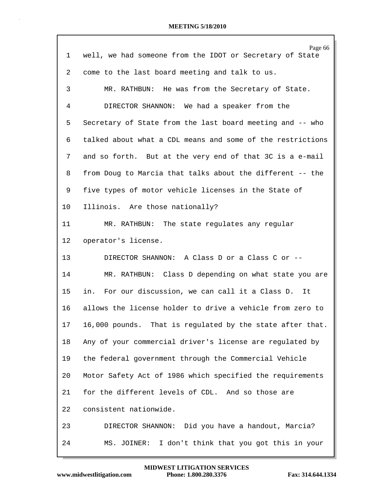| 1  | Page 66<br>well, we had someone from the IDOT or Secretary of State |
|----|---------------------------------------------------------------------|
| 2  | come to the last board meeting and talk to us.                      |
| 3  | MR. RATHBUN: He was from the Secretary of State.                    |
| 4  | DIRECTOR SHANNON: We had a speaker from the                         |
| 5  | Secretary of State from the last board meeting and -- who           |
| 6  | talked about what a CDL means and some of the restrictions          |
| 7  | and so forth. But at the very end of that 3C is a e-mail            |
| 8  | from Doug to Marcia that talks about the different -- the           |
| 9  | five types of motor vehicle licenses in the State of                |
| 10 | Illinois. Are those nationally?                                     |
| 11 | MR. RATHBUN: The state regulates any regular                        |
| 12 | operator's license.                                                 |
| 13 | DIRECTOR SHANNON: A Class D or a Class C or --                      |
| 14 | MR. RATHBUN: Class D depending on what state you are                |
| 15 | in. For our discussion, we can call it a Class D.<br>It             |
| 16 | allows the license holder to drive a vehicle from zero to           |
| 17 | 16,000 pounds. That is regulated by the state after that.           |
| 18 | Any of your commercial driver's license are regulated by            |
| 19 | the federal government through the Commercial Vehicle               |
| 20 | Motor Safety Act of 1986 which specified the requirements           |
| 21 | for the different levels of CDL. And so those are                   |
| 22 | consistent nationwide.                                              |
| 23 | DIRECTOR SHANNON: Did you have a handout, Marcia?                   |
| 24 | MS. JOINER: I don't think that you got this in your                 |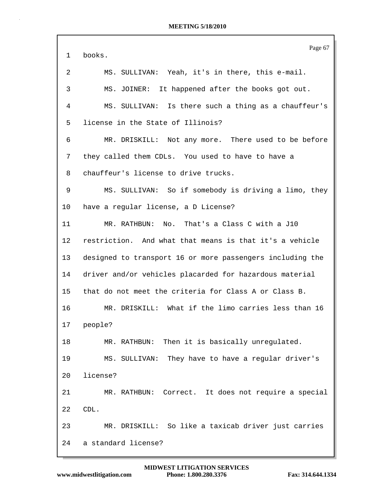| 1  | Page 67<br>books.                                         |
|----|-----------------------------------------------------------|
|    |                                                           |
| 2  | MS. SULLIVAN: Yeah, it's in there, this e-mail.           |
| 3  | MS. JOINER: It happened after the books got out.          |
| 4  | Is there such a thing as a chauffeur's<br>MS. SULLIVAN:   |
| 5. | license in the State of Illinois?                         |
| 6  | Not any more. There used to be before<br>MR. DRISKILL:    |
| 7  | they called them CDLs. You used to have to have a         |
| 8  | chauffeur's license to drive trucks.                      |
| 9  | MS. SULLIVAN: So if somebody is driving a limo, they      |
| 10 | have a regular license, a D License?                      |
| 11 | No. That's a Class C with a J10<br>MR. RATHBUN:           |
| 12 | restriction. And what that means is that it's a vehicle   |
| 13 | designed to transport 16 or more passengers including the |
| 14 | driver and/or vehicles placarded for hazardous material   |
| 15 | that do not meet the criteria for Class A or Class B.     |
| 16 | MR. DRISKILL: What if the limo carries less than 16       |
| 17 | people?                                                   |
| 18 | Then it is basically unregulated.<br>MR. RATHBUN:         |
| 19 | They have to have a regular driver's<br>MS. SULLIVAN:     |
| 20 | license?                                                  |
| 21 | MR. RATHBUN: Correct. It does not require a special       |
| 22 | CDL.                                                      |
| 23 | MR. DRISKILL: So like a taxicab driver just carries       |
| 24 | a standard license?                                       |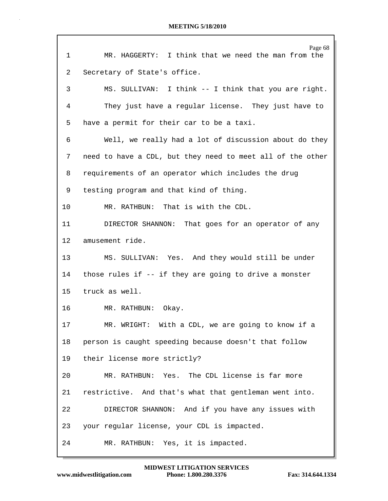| $\mathbf 1$ | Page 68<br>MR. HAGGERTY: I think that we need the man from the |
|-------------|----------------------------------------------------------------|
| 2           | Secretary of State's office.                                   |
| 3           | MS. SULLIVAN: I think -- I think that you are right.           |
| 4           | They just have a regular license. They just have to            |
| 5           | have a permit for their car to be a taxi.                      |
| 6           | Well, we really had a lot of discussion about do they          |
| 7           | need to have a CDL, but they need to meet all of the other     |
| 8           | requirements of an operator which includes the drug            |
| 9           | testing program and that kind of thing.                        |
| 10          | MR. RATHBUN: That is with the CDL.                             |
| 11          | DIRECTOR SHANNON: That goes for an operator of any             |
| 12          | amusement ride.                                                |
| 13          | MS. SULLIVAN: Yes. And they would still be under               |
| 14          | those rules if -- if they are going to drive a monster         |
| 15          | truck as well.                                                 |
| 16          | MR. RATHBUN:<br>Okay.                                          |
| 17          | MR. WRIGHT: With a CDL, we are going to know if a              |
| 18          | person is caught speeding because doesn't that follow          |
| 19          | their license more strictly?                                   |
| 20          | MR. RATHBUN: Yes. The CDL license is far more                  |
| 21          | restrictive. And that's what that gentleman went into.         |
| 22          | DIRECTOR SHANNON: And if you have any issues with              |
| 23          | your regular license, your CDL is impacted.                    |
| 24          | MR. RATHBUN: Yes, it is impacted.                              |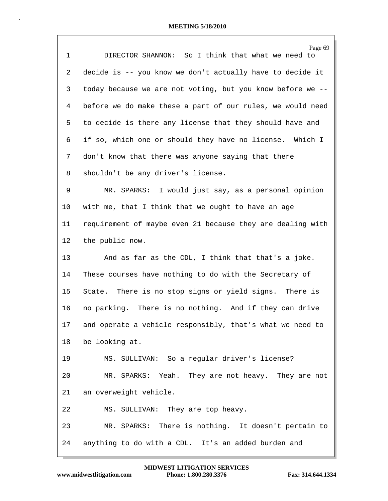| $\mathbf{1}$ | Page 69<br>DIRECTOR SHANNON: So I think that what we need to |
|--------------|--------------------------------------------------------------|
|              |                                                              |
| 2            | decide is -- you know we don't actually have to decide it    |
| 3            | today because we are not voting, but you know before we --   |
| 4            | before we do make these a part of our rules, we would need   |
| 5            | to decide is there any license that they should have and     |
| 6            | if so, which one or should they have no license. Which I     |
| 7            | don't know that there was anyone saying that there           |
| 8            | shouldn't be any driver's license.                           |
| 9            | MR. SPARKS: I would just say, as a personal opinion          |
| 10           | with me, that I think that we ought to have an age           |
| 11           | requirement of maybe even 21 because they are dealing with   |
| 12           | the public now.                                              |
| 13           | And as far as the CDL, I think that that's a joke.           |
| 14           | These courses have nothing to do with the Secretary of       |
| 15           | State. There is no stop signs or yield signs. There is       |
| 16           | no parking. There is no nothing. And if they can drive       |
| 17           | and operate a vehicle responsibly, that's what we need to    |
| 18           | be looking at.                                               |
| 19           | MS. SULLIVAN: So a regular driver's license?                 |
| 20           | MR. SPARKS: Yeah. They are not heavy. They are not           |
| 21           | an overweight vehicle.                                       |
| 22           | MS. SULLIVAN: They are top heavy.                            |
| 23           | MR. SPARKS: There is nothing. It doesn't pertain to          |
| 24           | anything to do with a CDL. It's an added burden and          |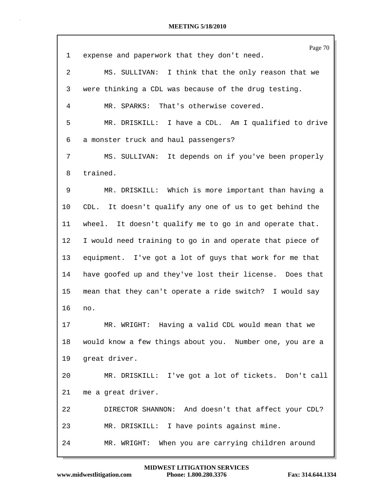|    | Page 70                                                    |
|----|------------------------------------------------------------|
| 1  | expense and paperwork that they don't need.                |
| 2  | MS. SULLIVAN: I think that the only reason that we         |
| 3  | were thinking a CDL was because of the drug testing.       |
| 4  | MR. SPARKS: That's otherwise covered.                      |
| 5  | I have a CDL. Am I qualified to drive<br>MR. DRISKILL:     |
| 6  | a monster truck and haul passengers?                       |
| 7  | It depends on if you've been properly<br>MS. SULLIVAN:     |
| 8  | trained.                                                   |
| 9  | MR. DRISKILL: Which is more important than having a        |
| 10 | It doesn't qualify any one of us to get behind the<br>CDL. |
| 11 | wheel.<br>It doesn't qualify me to go in and operate that. |
| 12 | I would need training to go in and operate that piece of   |
| 13 | equipment. I've got a lot of guys that work for me that    |
| 14 | have goofed up and they've lost their license. Does that   |
| 15 | mean that they can't operate a ride switch? I would say    |
| 16 | no.                                                        |
| 17 | MR. WRIGHT: Having a valid CDL would mean that we          |
| 18 | would know a few things about you. Number one, you are a   |
| 19 | great driver.                                              |
| 20 | MR. DRISKILL: I've got a lot of tickets. Don't call        |
| 21 | me a great driver.                                         |
| 22 | DIRECTOR SHANNON: And doesn't that affect your CDL?        |
| 23 | MR. DRISKILL: I have points against mine.                  |
| 24 | When you are carrying children around<br>MR. WRIGHT:       |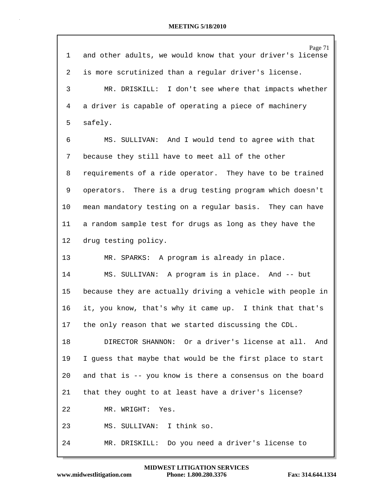|    | Page 71                                                    |
|----|------------------------------------------------------------|
| ı  | and other adults, we would know that your driver's license |
| 2  | is more scrutinized than a regular driver's license.       |
| 3  | MR. DRISKILL: I don't see where that impacts whether       |
| 4  | a driver is capable of operating a piece of machinery      |
| 5  | safely.                                                    |
| 6  | MS. SULLIVAN: And I would tend to agree with that          |
| 7  | because they still have to meet all of the other           |
| 8  | requirements of a ride operator. They have to be trained   |
| 9  | operators. There is a drug testing program which doesn't   |
| 10 | mean mandatory testing on a regular basis. They can have   |
| 11 | a random sample test for drugs as long as they have the    |
| 12 | drug testing policy.                                       |
| 13 | MR. SPARKS: A program is already in place.                 |
| 14 | MS. SULLIVAN: A program is in place. And -- but            |
| 15 | because they are actually driving a vehicle with people in |
| 16 | it, you know, that's why it came up. I think that that's   |
| 17 | the only reason that we started discussing the CDL.        |
| 18 | DIRECTOR SHANNON: Or a driver's license at all.<br>And     |
| 19 | I guess that maybe that would be the first place to start  |
| 20 | and that is -- you know is there a consensus on the board  |
| 21 | that they ought to at least have a driver's license?       |
| 22 | MR. WRIGHT: Yes.                                           |
| 23 | MS. SULLIVAN: I think so.                                  |
| 24 | MR. DRISKILL: Do you need a driver's license to            |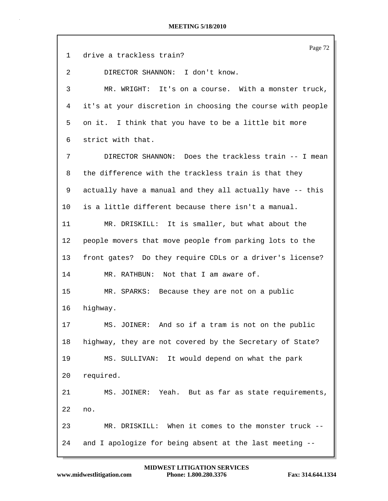|    | Page 72                                                    |
|----|------------------------------------------------------------|
| 1  | drive a trackless train?                                   |
| 2  | DIRECTOR SHANNON: I don't know.                            |
| 3  | MR. WRIGHT: It's on a course. With a monster truck,        |
| 4  | it's at your discretion in choosing the course with people |
| 5  | on it. I think that you have to be a little bit more       |
| 6  | strict with that.                                          |
| 7  | DIRECTOR SHANNON: Does the trackless train -- I mean       |
| 8  | the difference with the trackless train is that they       |
| 9  | actually have a manual and they all actually have -- this  |
| 10 | is a little different because there isn't a manual.        |
| 11 | MR. DRISKILL: It is smaller, but what about the            |
| 12 | people movers that move people from parking lots to the    |
| 13 | front gates? Do they require CDLs or a driver's license?   |
| 14 | MR. RATHBUN: Not that I am aware of.                       |
| 15 | MR. SPARKS: Because they are not on a public               |
| 16 | highway.                                                   |
| 17 | MS. JOINER: And so if a tram is not on the public          |
| 18 | highway, they are not covered by the Secretary of State?   |
| 19 | MS. SULLIVAN: It would depend on what the park             |
| 20 | required.                                                  |
| 21 | MS. JOINER: Yeah. But as far as state requirements,        |
| 22 | no.                                                        |
| 23 | MR. DRISKILL: When it comes to the monster truck --        |
| 24 | and I apologize for being absent at the last meeting --    |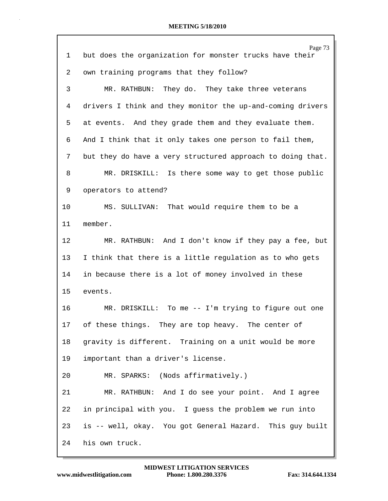|    | Page 73                                                    |
|----|------------------------------------------------------------|
| 1  | but does the organization for monster trucks have their    |
| 2  | own training programs that they follow?                    |
| 3  | MR. RATHBUN: They do. They take three veterans             |
| 4  | drivers I think and they monitor the up-and-coming drivers |
| 5  | at events. And they grade them and they evaluate them.     |
| 6  | And I think that it only takes one person to fail them,    |
| 7  | but they do have a very structured approach to doing that. |
| 8  | MR. DRISKILL: Is there some way to get those public        |
| 9  | operators to attend?                                       |
| 10 | MS. SULLIVAN: That would require them to be a              |
| 11 | member.                                                    |
| 12 | MR. RATHBUN: And I don't know if they pay a fee, but       |
| 13 | I think that there is a little regulation as to who gets   |
| 14 | in because there is a lot of money involved in these       |
| 15 | events.                                                    |
| 16 | MR. DRISKILL: To me -- I'm trying to figure out one        |
| 17 | of these things. They are top heavy. The center of         |
| 18 | gravity is different. Training on a unit would be more     |
| 19 | important than a driver's license.                         |
| 20 | MR. SPARKS: (Nods affirmatively.)                          |
| 21 | MR. RATHBUN: And I do see your point. And I agree          |
| 22 | in principal with you. I guess the problem we run into     |
| 23 | is -- well, okay. You got General Hazard. This guy built   |
| 24 | his own truck.                                             |

**www.midwestlitigation.com Phone: 1.800.280.3376 Fax: 314.644.1334 MIDWEST LITIGATION SERVICES**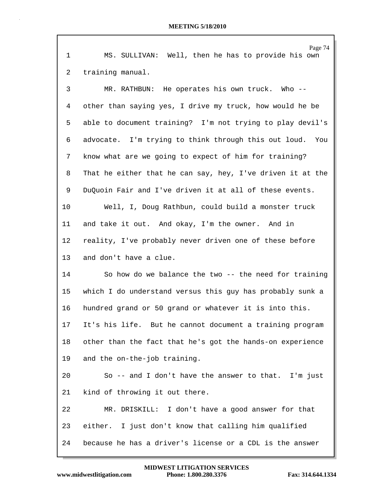| $\mathbf{1}$    | Page 74<br>MS. SULLIVAN: Well, then he has to provide his own |
|-----------------|---------------------------------------------------------------|
| 2               | training manual.                                              |
| 3               | MR. RATHBUN: He operates his own truck. Who --                |
| 4               | other than saying yes, I drive my truck, how would he be      |
| 5               | able to document training? I'm not trying to play devil's     |
|                 |                                                               |
| 6               | advocate. I'm trying to think through this out loud. You      |
| 7               | know what are we going to expect of him for training?         |
| 8               | That he either that he can say, hey, I've driven it at the    |
| 9               | DuQuoin Fair and I've driven it at all of these events.       |
| 10              | Well, I, Doug Rathbun, could build a monster truck            |
| 11              | and take it out. And okay, I'm the owner. And in              |
| 12              | reality, I've probably never driven one of these before       |
| 13              | and don't have a clue.                                        |
| 14              | So how do we balance the two -- the need for training         |
| 15 <sub>1</sub> | which I do understand versus this guy has probably sunk a     |
| 16              | hundred grand or 50 grand or whatever it is into this.        |
| 17              | It's his life. But he cannot document a training program      |
| 18              | other than the fact that he's got the hands-on experience     |
| 19              | and the on-the-job training.                                  |
| 20              | So -- and I don't have the answer to that. I'm just           |
| 21              | kind of throwing it out there.                                |
| 22              | MR. DRISKILL: I don't have a good answer for that             |
| 23              | either. I just don't know that calling him qualified          |
| 24              | because he has a driver's license or a CDL is the answer      |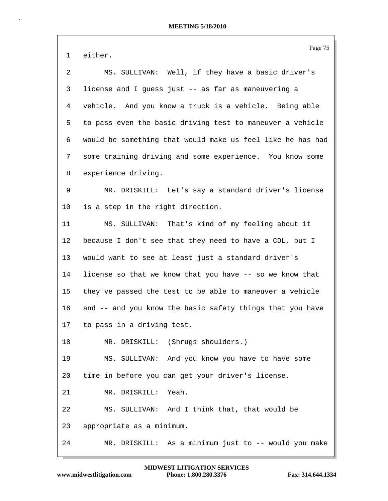Page 75 1 either. 2 MS. SULLIVAN: Well, if they have a basic driver's 3 license and I guess just -- as far as maneuvering a 4 vehicle. And you know a truck is a vehicle. Being able 5 to pass even the basic driving test to maneuver a vehicle 6 would be something that would make us feel like he has had 7 some training driving and some experience. You know some 8 experience driving. 9 MR. DRISKILL: Let's say a standard driver's license 10 is a step in the right direction. 11 MS. SULLIVAN: That's kind of my feeling about it 12 because I don't see that they need to have a CDL, but I 13 would want to see at least just a standard driver's 14 license so that we know that you have -- so we know that 15 they've passed the test to be able to maneuver a vehicle 16 and -- and you know the basic safety things that you have 17 to pass in a driving test. 18 MR. DRISKILL: (Shrugs shoulders.) 19 MS. SULLIVAN: And you know you have to have some 20 time in before you can get your driver's license. 21 MR. DRISKILL: Yeah. 22 MS. SULLIVAN: And I think that, that would be 23 appropriate as a minimum. 24 MR. DRISKILL: As a minimum just to -- would you make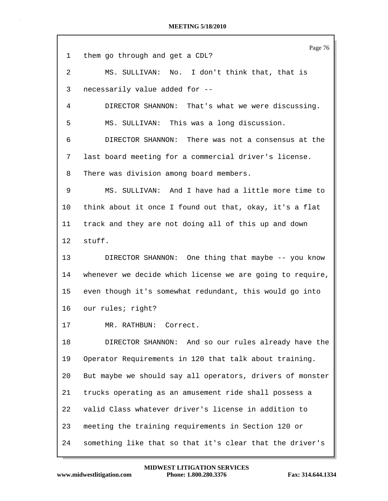|         | Page 76                                                   |
|---------|-----------------------------------------------------------|
| 1       | them go through and get a CDL?                            |
| 2       | MS. SULLIVAN: No. I don't think that, that is             |
| 3       | necessarily value added for --                            |
| 4       | DIRECTOR SHANNON: That's what we were discussing.         |
| 5       | MS. SULLIVAN: This was a long discussion.                 |
| 6       | DIRECTOR SHANNON: There was not a consensus at the        |
| 7       | last board meeting for a commercial driver's license.     |
| 8       | There was division among board members.                   |
| 9       | MS. SULLIVAN: And I have had a little more time to        |
| 10      | think about it once I found out that, okay, it's a flat   |
| 11      | track and they are not doing all of this up and down      |
| $12 \,$ | stuff.                                                    |
| 13      | DIRECTOR SHANNON: One thing that maybe -- you know        |
| 14      | whenever we decide which license we are going to require, |
| 15      | even though it's somewhat redundant, this would go into   |
| 16      | our rules; right?                                         |
| 17      | MR. RATHBUN: Correct.                                     |
| 18      | DIRECTOR SHANNON: And so our rules already have the       |
| 19      | Operator Requirements in 120 that talk about training.    |
| 20      | But maybe we should say all operators, drivers of monster |
| 21      | trucks operating as an amusement ride shall possess a     |
| 22      | valid Class whatever driver's license in addition to      |
| 23      | meeting the training requirements in Section 120 or       |
| 24      | something like that so that it's clear that the driver's  |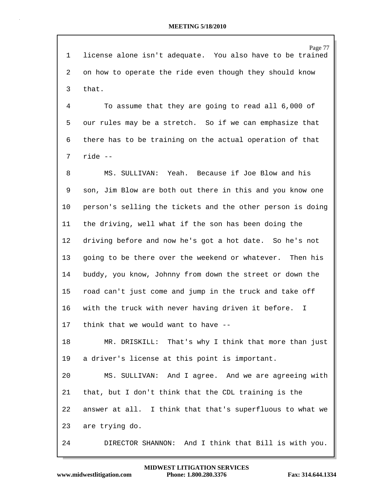Page 77 1 license alone isn't adequate. You also have to be trained 2 on how to operate the ride even though they should know 3 that. 4 To assume that they are going to read all 6,000 of 5 our rules may be a stretch. So if we can emphasize that 6 there has to be training on the actual operation of that 7 ride -- 8 MS. SULLIVAN: Yeah. Because if Joe Blow and his 9 son, Jim Blow are both out there in this and you know one 10 person's selling the tickets and the other person is doing 11 the driving, well what if the son has been doing the 12 driving before and now he's got a hot date. So he's not 13 going to be there over the weekend or whatever. Then his 14 buddy, you know, Johnny from down the street or down the 15 road can't just come and jump in the truck and take off 16 with the truck with never having driven it before. I 17 think that we would want to have -- 18 MR. DRISKILL: That's why I think that more than just 19 a driver's license at this point is important. 20 MS. SULLIVAN: And I agree. And we are agreeing with 21 that, but I don't think that the CDL training is the 22 answer at all. I think that that's superfluous to what we 23 are trying do. 24 DIRECTOR SHANNON: And I think that Bill is with you.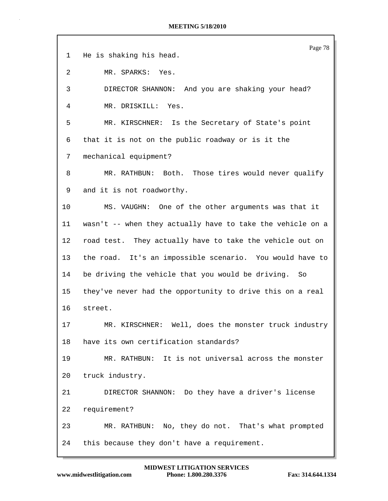|              | Page 78                                                    |
|--------------|------------------------------------------------------------|
| $\mathbf{1}$ | He is shaking his head.                                    |
| 2            | MR. SPARKS: Yes.                                           |
| 3            | DIRECTOR SHANNON: And you are shaking your head?           |
| 4            | MR. DRISKILL: Yes.                                         |
| 5            | MR. KIRSCHNER: Is the Secretary of State's point           |
| 6            | that it is not on the public roadway or is it the          |
| 7            | mechanical equipment?                                      |
| 8            | MR. RATHBUN: Both. Those tires would never qualify         |
| 9            | and it is not roadworthy.                                  |
| 10           | MS. VAUGHN: One of the other arguments was that it         |
| 11           | wasn't -- when they actually have to take the vehicle on a |
| 12           | road test. They actually have to take the vehicle out on   |
| 13           | the road. It's an impossible scenario. You would have to   |
| 14           | be driving the vehicle that you would be driving. So       |
| 15           | they've never had the opportunity to drive this on a real  |
| 16           | street.                                                    |
| 17           | MR. KIRSCHNER: Well, does the monster truck industry       |
| 18           | have its own certification standards?                      |
| 19           | MR. RATHBUN: It is not universal across the monster        |
| 20           | truck industry.                                            |
| 21           | DIRECTOR SHANNON: Do they have a driver's license          |
| 22           | requirement?                                               |
| 23           | MR. RATHBUN: No, they do not. That's what prompted         |
| 24           | this because they don't have a requirement.                |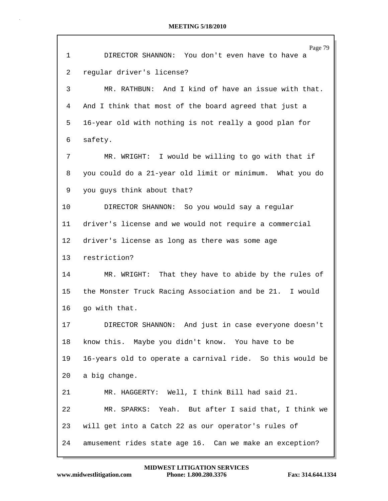|              | Page 79                                                   |
|--------------|-----------------------------------------------------------|
| $\mathbf{1}$ | DIRECTOR SHANNON: You don't even have to have a           |
| 2            | regular driver's license?                                 |
| 3            | MR. RATHBUN: And I kind of have an issue with that.       |
| 4            | And I think that most of the board agreed that just a     |
| 5            | 16-year old with nothing is not really a good plan for    |
| 6            | safety.                                                   |
| 7            | MR. WRIGHT: I would be willing to go with that if         |
| 8            | you could do a 21-year old limit or minimum. What you do  |
| 9            | you guys think about that?                                |
| 10           | DIRECTOR SHANNON: So you would say a regular              |
| 11           | driver's license and we would not require a commercial    |
| 12           | driver's license as long as there was some age            |
| 13           | restriction?                                              |
| 14           | MR. WRIGHT: That they have to abide by the rules of       |
| 15           | the Monster Truck Racing Association and be 21. I would   |
| 16           | go with that.                                             |
| 17           | DIRECTOR SHANNON: And just in case everyone doesn't       |
| 18           | know this. Maybe you didn't know. You have to be          |
| 19           | 16-years old to operate a carnival ride. So this would be |
| 20           | a big change.                                             |
| 21           | MR. HAGGERTY: Well, I think Bill had said 21.             |
| 22           | MR. SPARKS: Yeah. But after I said that, I think we       |
| 23           | will get into a Catch 22 as our operator's rules of       |
| 24           | amusement rides state age 16. Can we make an exception?   |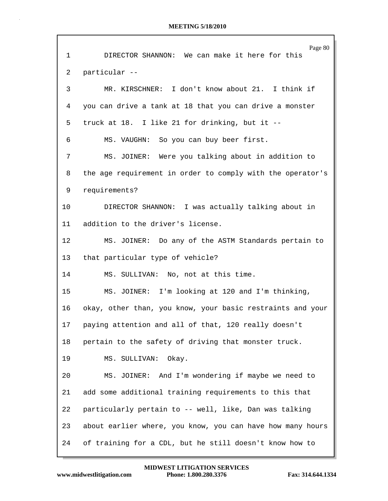| $\mathbf 1$     | Page 80<br>DIRECTOR SHANNON: We can make it here for this  |
|-----------------|------------------------------------------------------------|
| 2               | particular --                                              |
| 3               | MR. KIRSCHNER: I don't know about 21. I think if           |
| 4               | you can drive a tank at 18 that you can drive a monster    |
| 5               | truck at 18. I like 21 for drinking, but it --             |
| 6               | MS. VAUGHN: So you can buy beer first.                     |
| 7               | MS. JOINER: Were you talking about in addition to          |
| 8               | the age requirement in order to comply with the operator's |
| 9               | requirements?                                              |
| 10              | DIRECTOR SHANNON: I was actually talking about in          |
| 11              | addition to the driver's license.                          |
| 12              | MS. JOINER: Do any of the ASTM Standards pertain to        |
| 13              | that particular type of vehicle?                           |
| 14              | MS. SULLIVAN: No, not at this time.                        |
| 15 <sub>2</sub> | MS. JOINER: I'm looking at 120 and I'm thinking,           |
| 16              | okay, other than, you know, your basic restraints and your |
| 17              | paying attention and all of that, 120 really doesn't       |
| 18              | pertain to the safety of driving that monster truck.       |
| 19              | MS. SULLIVAN:<br>Okay.                                     |
| 20              | MS. JOINER: And I'm wondering if maybe we need to          |
| 21              | add some additional training requirements to this that     |
| 22              | particularly pertain to -- well, like, Dan was talking     |
| 23              | about earlier where, you know, you can have how many hours |
| 24              | of training for a CDL, but he still doesn't know how to    |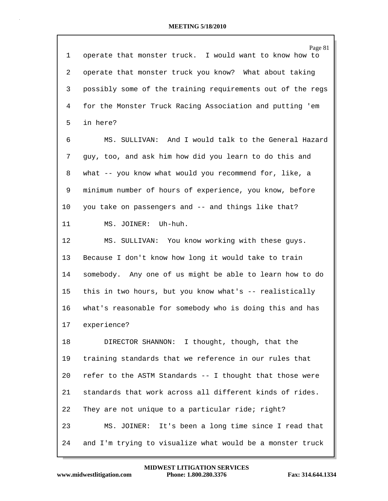| $\mathbf{1}$ | Page 81<br>operate that monster truck. I would want to know how to |
|--------------|--------------------------------------------------------------------|
| 2            | operate that monster truck you know? What about taking             |
| 3            | possibly some of the training requirements out of the regs         |
|              |                                                                    |
| 4            | for the Monster Truck Racing Association and putting 'em           |
| 5            | in here?                                                           |
| 6            | MS. SULLIVAN: And I would talk to the General Hazard               |
| 7            | guy, too, and ask him how did you learn to do this and             |
| 8            | what -- you know what would you recommend for, like, a             |
| 9            | minimum number of hours of experience, you know, before            |
| 10           | you take on passengers and -- and things like that?                |
| 11           | MS. JOINER: Uh-huh.                                                |
| 12           | MS. SULLIVAN: You know working with these guys.                    |
| 13           | Because I don't know how long it would take to train               |
| 14           | somebody. Any one of us might be able to learn how to do           |
| 15           | this in two hours, but you know what's -- realistically            |
| 16           | what's reasonable for somebody who is doing this and has           |
| 17           | experience?                                                        |
| 18           | DIRECTOR SHANNON: I thought, though, that the                      |
| 19           | training standards that we reference in our rules that             |
| 20           | refer to the ASTM Standards -- I thought that those were           |
| 21           | standards that work across all different kinds of rides.           |
| 22           | They are not unique to a particular ride; right?                   |
| 23           | MS. JOINER: It's been a long time since I read that                |
| 24           | and I'm trying to visualize what would be a monster truck          |

**www.midwestlitigation.com Phone: 1.800.280.3376 Fax: 314.644.1334 MIDWEST LITIGATION SERVICES**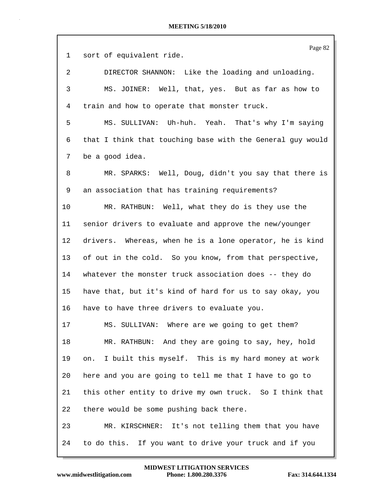|    | Page 82                                                    |
|----|------------------------------------------------------------|
| 1  | sort of equivalent ride.                                   |
| 2  | DIRECTOR SHANNON: Like the loading and unloading.          |
| 3  | MS. JOINER: Well, that, yes. But as far as how to          |
| 4  | train and how to operate that monster truck.               |
| 5  | MS. SULLIVAN: Uh-huh. Yeah. That's why I'm saying          |
| 6  | that I think that touching base with the General guy would |
| 7  | be a good idea.                                            |
| 8  | MR. SPARKS: Well, Doug, didn't you say that there is       |
| 9  | an association that has training requirements?             |
| 10 | MR. RATHBUN: Well, what they do is they use the            |
| 11 | senior drivers to evaluate and approve the new/younger     |
| 12 | drivers. Whereas, when he is a lone operator, he is kind   |
| 13 | of out in the cold. So you know, from that perspective,    |
| 14 | whatever the monster truck association does -- they do     |
| 15 | have that, but it's kind of hard for us to say okay, you   |
| 16 | have to have three drivers to evaluate you.                |
| 17 | MS. SULLIVAN: Where are we going to get them?              |
| 18 | MR. RATHBUN: And they are going to say, hey, hold          |
| 19 | on. I built this myself. This is my hard money at work     |
| 20 | here and you are going to tell me that I have to go to     |
| 21 | this other entity to drive my own truck. So I think that   |
| 22 | there would be some pushing back there.                    |
| 23 | MR. KIRSCHNER: It's not telling them that you have         |
| 24 | to do this. If you want to drive your truck and if you     |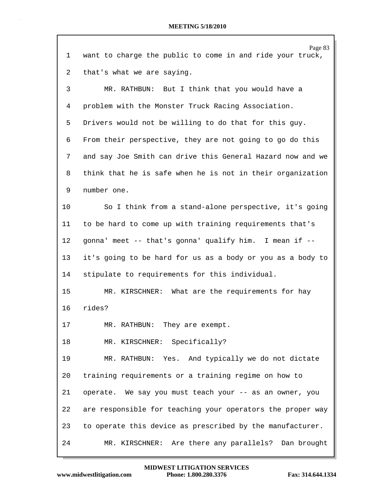|    | Page 83                                                    |
|----|------------------------------------------------------------|
| 1  | want to charge the public to come in and ride your truck,  |
| 2  | that's what we are saying.                                 |
| 3  | MR. RATHBUN: But I think that you would have a             |
| 4  | problem with the Monster Truck Racing Association.         |
| 5  | Drivers would not be willing to do that for this guy.      |
| 6  | From their perspective, they are not going to go do this   |
| 7  | and say Joe Smith can drive this General Hazard now and we |
| 8  | think that he is safe when he is not in their organization |
| 9  | number one.                                                |
| 10 | So I think from a stand-alone perspective, it's going      |
| 11 | to be hard to come up with training requirements that's    |
| 12 | gonna' meet -- that's gonna' qualify him. I mean if --     |
| 13 | it's going to be hard for us as a body or you as a body to |
| 14 | stipulate to requirements for this individual.             |
| 15 | MR. KIRSCHNER: What are the requirements for hay           |
| 16 | rides?                                                     |
| 17 | MR. RATHBUN: They are exempt.                              |
| 18 | MR. KIRSCHNER: Specifically?                               |
| 19 | MR. RATHBUN: Yes. And typically we do not dictate          |
| 20 | training requirements or a training regime on how to       |
| 21 | operate. We say you must teach your -- as an owner, you    |
| 22 | are responsible for teaching your operators the proper way |
| 23 | to operate this device as prescribed by the manufacturer.  |
| 24 | MR. KIRSCHNER: Are there any parallels? Dan brought        |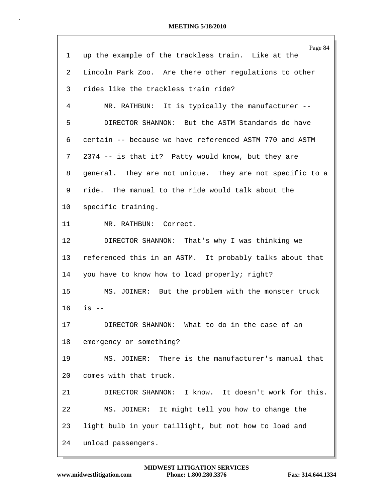| 1              | Page 84<br>up the example of the trackless train. Like at the |
|----------------|---------------------------------------------------------------|
| $\overline{2}$ | Lincoln Park Zoo. Are there other regulations to other        |
| 3              | rides like the trackless train ride?                          |
| 4              | MR. RATHBUN: It is typically the manufacturer --              |
| 5              | DIRECTOR SHANNON: But the ASTM Standards do have              |
| 6              | certain -- because we have referenced ASTM 770 and ASTM       |
| 7              | 2374 -- is that it? Patty would know, but they are            |
| 8              | general. They are not unique. They are not specific to a      |
| 9              | ride. The manual to the ride would talk about the             |
| 10             | specific training.                                            |
| 11             | MR. RATHBUN: Correct.                                         |
| 12             | DIRECTOR SHANNON: That's why I was thinking we                |
| 13             | referenced this in an ASTM. It probably talks about that      |
| 14             | you have to know how to load properly; right?                 |
| 15             | MS. JOINER: But the problem with the monster truck            |
| 16             | $is$ $-$                                                      |
| 17             | DIRECTOR SHANNON:<br>What to do in the case of an             |
| 18             | emergency or something?                                       |
| 19             | MS. JOINER: There is the manufacturer's manual that           |
| 20             | comes with that truck.                                        |
| 21             | DIRECTOR SHANNON: I know. It doesn't work for this.           |
| 22             | MS. JOINER: It might tell you how to change the               |
| 23             | light bulb in your taillight, but not how to load and         |
| 24             | unload passengers.                                            |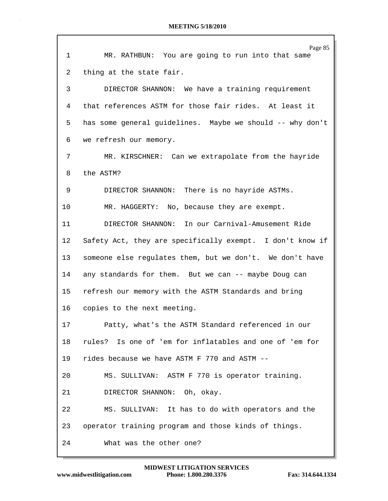|              | Page 85                                                   |
|--------------|-----------------------------------------------------------|
| $\mathbf{1}$ | MR. RATHBUN: You are going to run into that same          |
| 2            | thing at the state fair.                                  |
| 3            | DIRECTOR SHANNON: We have a training requirement          |
| 4            | that references ASTM for those fair rides. At least it    |
| 5            | has some general guidelines. Maybe we should -- why don't |
| 6            | we refresh our memory.                                    |
| 7            | MR. KIRSCHNER: Can we extrapolate from the hayride        |
| 8            | the ASTM?                                                 |
| 9            | DIRECTOR SHANNON: There is no hayride ASTMs.              |
| 10           | MR. HAGGERTY: No, because they are exempt.                |
| 11           | DIRECTOR SHANNON: In our Carnival-Amusement Ride          |
| 12           | Safety Act, they are specifically exempt. I don't know if |
| 13           | someone else regulates them, but we don't. We don't have  |
| 14           | any standards for them. But we can -- maybe Doug can      |
| 15           | refresh our memory with the ASTM Standards and bring      |
| 16           | copies to the next meeting.                               |
| 17           | Patty, what's the ASTM Standard referenced in our         |
| 18           | rules? Is one of 'em for inflatables and one of 'em for   |
| 19           | rides because we have ASTM F 770 and ASTM --              |
| 20           | MS. SULLIVAN: ASTM F 770 is operator training.            |
| 21           | DIRECTOR SHANNON: Oh, okay.                               |
| 22           | MS. SULLIVAN: It has to do with operators and the         |
| 23           | operator training program and those kinds of things.      |
| 24           | What was the other one?                                   |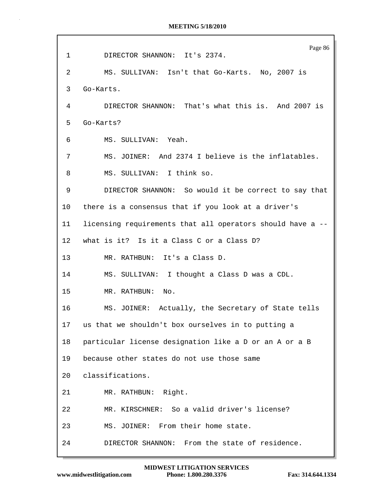Page 86 1 DIRECTOR SHANNON: It's 2374. 2 MS. SULLIVAN: Isn't that Go-Karts. No, 2007 is 3 Go-Karts. 4 DIRECTOR SHANNON: That's what this is. And 2007 is 5 Go-Karts? 6 MS. SULLIVAN: Yeah. 7 MS. JOINER: And 2374 I believe is the inflatables. 8 MS. SULLIVAN: I think so. 9 DIRECTOR SHANNON: So would it be correct to say that 10 there is a consensus that if you look at a driver's 11 licensing requirements that all operators should have a -- 12 what is it? Is it a Class C or a Class D? 13 MR. RATHBUN: It's a Class D. 14 MS. SULLIVAN: I thought a Class D was a CDL. 15 MR. RATHBUN: No. 16 MS. JOINER: Actually, the Secretary of State tells 17 us that we shouldn't box ourselves in to putting a 18 particular license designation like a D or an A or a B 19 because other states do not use those same 20 classifications. 21 MR. RATHBUN: Right. 22 MR. KIRSCHNER: So a valid driver's license? 23 MS. JOINER: From their home state. 24 DIRECTOR SHANNON: From the state of residence.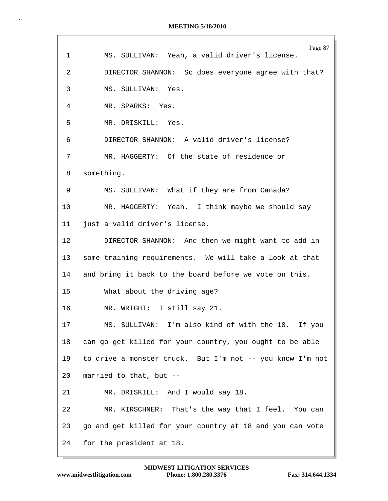| $\mathbf 1$ | Page 87<br>MS. SULLIVAN: Yeah, a valid driver's license.  |
|-------------|-----------------------------------------------------------|
| 2           | DIRECTOR SHANNON: So does everyone agree with that?       |
| 3           | MS. SULLIVAN: Yes.                                        |
| 4           | MR. SPARKS: Yes.                                          |
| 5           | MR. DRISKILL: Yes.                                        |
| 6           | DIRECTOR SHANNON: A valid driver's license?               |
| 7           | MR. HAGGERTY: Of the state of residence or                |
| 8           | something.                                                |
| 9           | MS. SULLIVAN: What if they are from Canada?               |
| 10          | MR. HAGGERTY: Yeah. I think maybe we should say           |
| 11          | just a valid driver's license.                            |
| 12          | DIRECTOR SHANNON: And then we might want to add in        |
| 13          | some training requirements. We will take a look at that   |
| 14          | and bring it back to the board before we vote on this.    |
| 15          | What about the driving age?                               |
| 16          | MR. WRIGHT: I still say 21.                               |
| 17          | MS. SULLIVAN: I'm also kind of with the 18. If you        |
| 18          | can go get killed for your country, you ought to be able  |
| 19          | to drive a monster truck. But I'm not -- you know I'm not |
| 20          | married to that, but --                                   |
| 21          | MR. DRISKILL: And I would say 18.                         |
| 22          | MR. KIRSCHNER: That's the way that I feel. You can        |
| 23          | go and get killed for your country at 18 and you can vote |
| 24          | for the president at 18.                                  |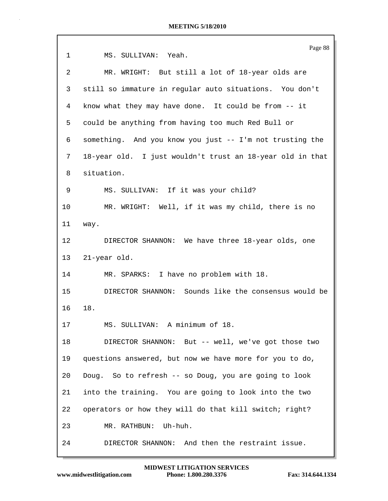|                 | Page 88                                                   |
|-----------------|-----------------------------------------------------------|
| $\mathbf{1}$    | MS. SULLIVAN: Yeah.                                       |
| $\overline{2}$  | MR. WRIGHT: But still a lot of 18-year olds are           |
| 3               | still so immature in regular auto situations. You don't   |
| 4               | know what they may have done. It could be from -- it      |
| 5               | could be anything from having too much Red Bull or        |
| 6               | something. And you know you just -- I'm not trusting the  |
| 7               | 18-year old. I just wouldn't trust an 18-year old in that |
| 8               | situation.                                                |
| 9               | MS. SULLIVAN: If it was your child?                       |
| 10              | MR. WRIGHT: Well, if it was my child, there is no         |
| 11              | way.                                                      |
| 12 <sub>2</sub> | DIRECTOR SHANNON: We have three 18-year olds, one         |
| 13              | 21-year old.                                              |
| 14              | MR. SPARKS: I have no problem with 18.                    |
| 15              | DIRECTOR SHANNON: Sounds like the consensus would be      |
| 16              | 18.                                                       |
| 17              | MS. SULLIVAN: A minimum of 18.                            |
| 18              | DIRECTOR SHANNON: But -- well, we've got those two        |
| 19              | questions answered, but now we have more for you to do,   |
| 20              | Doug. So to refresh -- so Doug, you are going to look     |
| 21              | into the training. You are going to look into the two     |
| 22              | operators or how they will do that kill switch; right?    |
| 23              | MR. RATHBUN: Uh-huh.                                      |
| 24              | And then the restraint issue.<br>DIRECTOR SHANNON:        |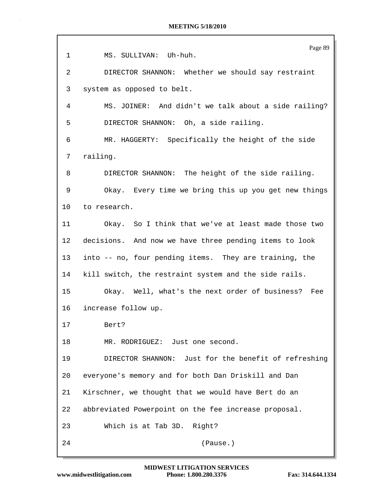Page 89 1 MS. SULLIVAN: Uh-huh. 2 DIRECTOR SHANNON: Whether we should say restraint 3 system as opposed to belt. 4 MS. JOINER: And didn't we talk about a side railing? 5 DIRECTOR SHANNON: Oh, a side railing. 6 MR. HAGGERTY: Specifically the height of the side 7 railing. 8 DIRECTOR SHANNON: The height of the side railing. 9 Okay. Every time we bring this up you get new things 10 to research. 11 Okay. So I think that we've at least made those two 12 decisions. And now we have three pending items to look 13 into -- no, four pending items. They are training, the 14 kill switch, the restraint system and the side rails. 15 Okay. Well, what's the next order of business? Fee 16 increase follow up. 17 Bert? 18 MR. RODRIGUEZ: Just one second. 19 DIRECTOR SHANNON: Just for the benefit of refreshing 20 everyone's memory and for both Dan Driskill and Dan 21 Kirschner, we thought that we would have Bert do an 22 abbreviated Powerpoint on the fee increase proposal. 23 Which is at Tab 3D. Right? 24 (Pause.)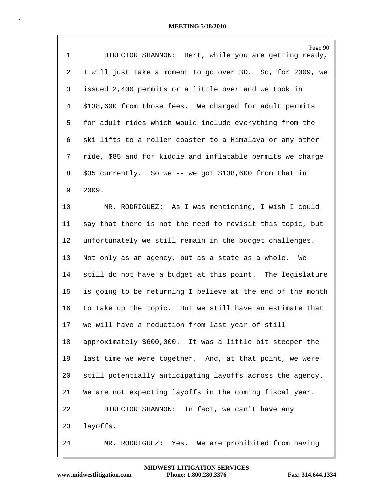|              | Page 90                                                    |
|--------------|------------------------------------------------------------|
| $\mathbf{1}$ | DIRECTOR SHANNON: Bert, while you are getting ready,       |
| 2            | I will just take a moment to go over 3D. So, for 2009, we  |
| 3            | issued 2,400 permits or a little over and we took in       |
| 4            | \$138,600 from those fees. We charged for adult permits    |
| 5            | for adult rides which would include everything from the    |
| 6            | ski lifts to a roller coaster to a Himalaya or any other   |
| 7            | ride, \$85 and for kiddie and inflatable permits we charge |
| 8            | \$35 currently. So we -- we got \$138,600 from that in     |
| 9            | 2009.                                                      |
| 10           | MR. RODRIGUEZ: As I was mentioning, I wish I could         |
| 11           | say that there is not the need to revisit this topic, but  |
| 12           | unfortunately we still remain in the budget challenges.    |
| 13           | Not only as an agency, but as a state as a whole. We       |
| 14           | still do not have a budget at this point. The legislature  |
| 15           | is going to be returning I believe at the end of the month |
| 16           | to take up the topic. But we still have an estimate that   |
| 17           | we will have a reduction from last year of still           |
| 18           | approximately \$600,000. It was a little bit steeper the   |
| 19           | last time we were together. And, at that point, we were    |
| 20           | still potentially anticipating layoffs across the agency.  |
| 21           | We are not expecting layoffs in the coming fiscal year.    |
| 22           | DIRECTOR SHANNON:<br>In fact, we can't have any            |
| 23           | layoffs.                                                   |
| 24           | We are prohibited from having<br>MR. RODRIGUEZ:<br>Yes.    |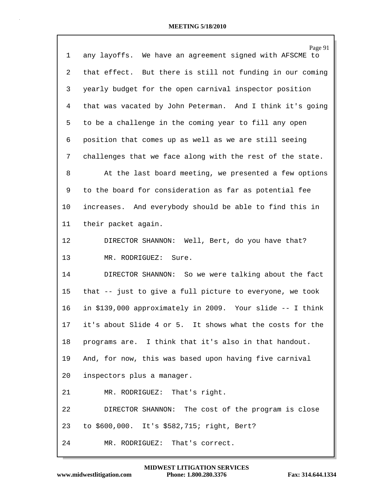| 1  | Page 91<br>any layoffs. We have an agreement signed with AFSCME to |
|----|--------------------------------------------------------------------|
| 2  | that effect. But there is still not funding in our coming          |
| 3  | yearly budget for the open carnival inspector position             |
| 4  | that was vacated by John Peterman. And I think it's going          |
| 5  | to be a challenge in the coming year to fill any open              |
| 6  | position that comes up as well as we are still seeing              |
| 7  | challenges that we face along with the rest of the state.          |
| 8  | At the last board meeting, we presented a few options              |
| 9  | to the board for consideration as far as potential fee             |
| 10 | increases. And everybody should be able to find this in            |
| 11 | their packet again.                                                |
| 12 | DIRECTOR SHANNON: Well, Bert, do you have that?                    |
| 13 | MR. RODRIGUEZ:<br>Sure.                                            |
| 14 | DIRECTOR SHANNON: So we were talking about the fact                |
| 15 | that -- just to give a full picture to everyone, we took           |
| 16 | in \$139,000 approximately in 2009. Your slide -- I think          |
| 17 | it's about Slide 4 or 5. It shows what the costs for the           |
| 18 | programs are. I think that it's also in that handout.              |
| 19 | And, for now, this was based upon having five carnival             |
| 20 | inspectors plus a manager.                                         |
| 21 | MR. RODRIGUEZ: That's right.                                       |
| 22 | DIRECTOR SHANNON: The cost of the program is close                 |
| 23 | to \$600,000. It's \$582,715; right, Bert?                         |
| 24 | MR. RODRIGUEZ: That's correct.                                     |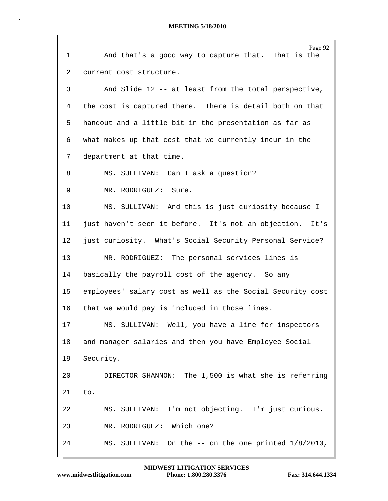|             | Page 92                                                     |
|-------------|-------------------------------------------------------------|
| $\mathbf 1$ | And that's a good way to capture that. That is the          |
| 2           | current cost structure.                                     |
| 3           | And Slide 12 -- at least from the total perspective,        |
| 4           | the cost is captured there. There is detail both on that    |
| 5           | handout and a little bit in the presentation as far as      |
| 6           | what makes up that cost that we currently incur in the      |
| 7           | department at that time.                                    |
| 8           | MS. SULLIVAN: Can I ask a question?                         |
| 9           | MR. RODRIGUEZ:<br>Sure.                                     |
| 10          | MS. SULLIVAN: And this is just curiosity because I          |
| 11          | just haven't seen it before. It's not an objection.<br>It's |
| 12          | just curiosity. What's Social Security Personal Service?    |
| 13          | MR. RODRIGUEZ: The personal services lines is               |
| 14          | basically the payroll cost of the agency. So any            |
| 15          | employees' salary cost as well as the Social Security cost  |
| 16          | that we would pay is included in those lines.               |
| 17          | MS. SULLIVAN: Well, you have a line for inspectors          |
| 18          | and manager salaries and then you have Employee Social      |
| 19          | Security.                                                   |
| 20          | DIRECTOR SHANNON: The 1,500 is what she is referring        |
| 21          | to.                                                         |
| 22          | I'm not objecting. I'm just curious.<br>MS. SULLIVAN:       |
| 23          | Which one?<br>MR. RODRIGUEZ:                                |
| 24          | MS. SULLIVAN: On the -- on the one printed $1/8/2010$ ,     |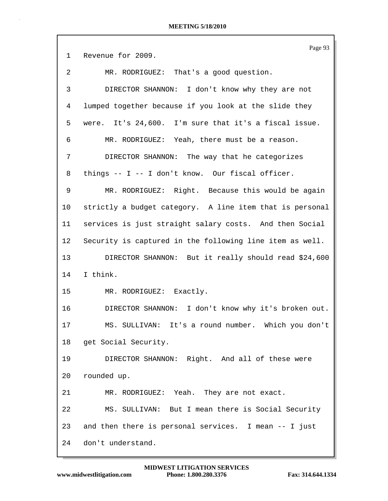Page 93 1 Revenue for 2009. 2 MR. RODRIGUEZ: That's a good question. 3 DIRECTOR SHANNON: I don't know why they are not 4 lumped together because if you look at the slide they 5 were. It's 24,600. I'm sure that it's a fiscal issue. 6 MR. RODRIGUEZ: Yeah, there must be a reason. 7 DIRECTOR SHANNON: The way that he categorizes 8 things -- I -- I don't know. Our fiscal officer. 9 MR. RODRIGUEZ: Right. Because this would be again 10 strictly a budget category. A line item that is personal 11 services is just straight salary costs. And then Social 12 Security is captured in the following line item as well. 13 DIRECTOR SHANNON: But it really should read \$24,600 14 I think. 15 MR. RODRIGUEZ: Exactly. 16 DIRECTOR SHANNON: I don't know why it's broken out. 17 MS. SULLIVAN: It's a round number. Which you don't 18 get Social Security. 19 DIRECTOR SHANNON: Right. And all of these were 20 rounded up. 21 MR. RODRIGUEZ: Yeah. They are not exact. 22 MS. SULLIVAN: But I mean there is Social Security 23 and then there is personal services. I mean -- I just 24 don't understand.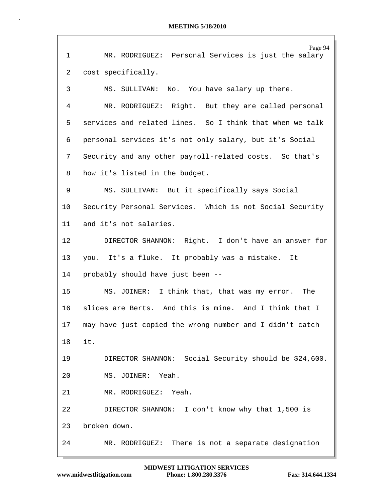|             | Page 94                                                  |
|-------------|----------------------------------------------------------|
| $\mathbf 1$ | MR. RODRIGUEZ: Personal Services is just the salary      |
| 2           | cost specifically.                                       |
| 3           | MS. SULLIVAN: No. You have salary up there.              |
| 4           | Right. But they are called personal<br>MR. RODRIGUEZ:    |
| 5           | services and related lines. So I think that when we talk |
| 6           | personal services it's not only salary, but it's Social  |
| 7           | Security and any other payroll-related costs. So that's  |
| 8           | how it's listed in the budget.                           |
| 9           | MS. SULLIVAN: But it specifically says Social            |
| 10          | Security Personal Services. Which is not Social Security |
| 11          | and it's not salaries.                                   |
| $12 \,$     | DIRECTOR SHANNON: Right. I don't have an answer for      |
| 13          | you. It's a fluke. It probably was a mistake. It         |
| 14          | probably should have just been --                        |
| 15          | MS. JOINER: I think that, that was my error.<br>The      |
| 16          | slides are Berts. And this is mine. And I think that I   |
| 17          | may have just copied the wrong number and I didn't catch |
| 18          | it.                                                      |
| 19          | DIRECTOR SHANNON: Social Security should be \$24,600.    |
| 20          | MS. JOINER: Yeah.                                        |
| 21          | MR. RODRIGUEZ:<br>Yeah.                                  |
| 22          | DIRECTOR SHANNON: I don't know why that 1,500 is         |
| 23          | broken down.                                             |
| 24          | MR. RODRIGUEZ: There is not a separate designation       |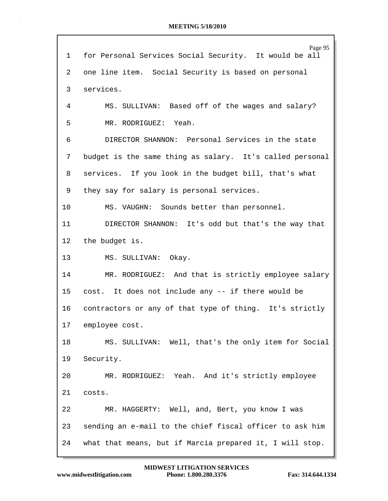|         | Page 95                                                  |
|---------|----------------------------------------------------------|
| 1       | for Personal Services Social Security. It would be all   |
| 2       | one line item. Social Security is based on personal      |
| 3       | services.                                                |
| 4       | MS. SULLIVAN: Based off of the wages and salary?         |
| 5       | MR. RODRIGUEZ: Yeah.                                     |
| 6       | DIRECTOR SHANNON: Personal Services in the state         |
| 7       | budget is the same thing as salary. It's called personal |
| 8       | services. If you look in the budget bill, that's what    |
| 9       | they say for salary is personal services.                |
| $10 \,$ | MS. VAUGHN: Sounds better than personnel.                |
| 11      | DIRECTOR SHANNON: It's odd but that's the way that       |
| 12      | the budget is.                                           |
| 13      | MS. SULLIVAN: Okay.                                      |
| 14      | MR. RODRIGUEZ: And that is strictly employee salary      |
| 15      | cost. It does not include any -- if there would be       |
| 16      | contractors or any of that type of thing. It's strictly  |
| 17      | employee cost.                                           |
| 18      | MS. SULLIVAN: Well, that's the only item for Social      |
| 19      | Security.                                                |
| 20      | MR. RODRIGUEZ: Yeah. And it's strictly employee          |
| 21      | costs.                                                   |
| 22      | MR. HAGGERTY: Well, and, Bert, you know I was            |
| 23      | sending an e-mail to the chief fiscal officer to ask him |
| 24      | what that means, but if Marcia prepared it, I will stop. |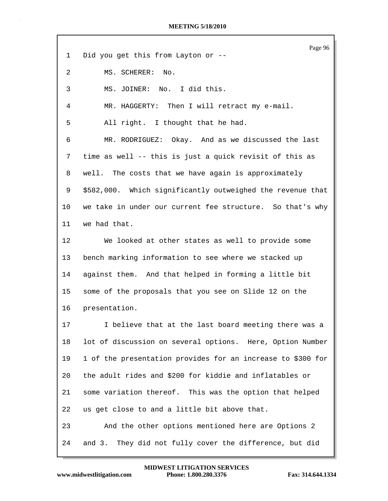|              | Page 96                                                      |
|--------------|--------------------------------------------------------------|
| $\mathbf{1}$ | Did you get this from Layton or --                           |
| 2            | MS. SCHERER: No.                                             |
| 3            | MS. JOINER: No. I did this.                                  |
| 4            | MR. HAGGERTY: Then I will retract my e-mail.                 |
| 5            | All right. I thought that he had.                            |
| 6            | MR. RODRIGUEZ: Okay. And as we discussed the last            |
| 7            | time as well -- this is just a quick revisit of this as      |
| 8            | well. The costs that we have again is approximately          |
| 9            | \$582,000. Which significantly outweighed the revenue that   |
| 10           | we take in under our current fee structure. So that's why    |
| 11           | we had that.                                                 |
| 12           | We looked at other states as well to provide some            |
| 13           | bench marking information to see where we stacked up         |
| 14           | against them. And that helped in forming a little bit        |
| 15           | some of the proposals that you see on Slide 12 on the        |
| 16           | presentation.                                                |
| 17           | I believe that at the last board meeting there was a         |
| 18           | lot of discussion on several options. Here, Option Number    |
| 19           | 1 of the presentation provides for an increase to \$300 for  |
| 20           | the adult rides and \$200 for kiddie and inflatables or      |
| 21           | some variation thereof. This was the option that helped      |
| 22           | us get close to and a little bit above that.                 |
| 23           | And the other options mentioned here are Options 2           |
| 24           | They did not fully cover the difference, but did<br>and $3.$ |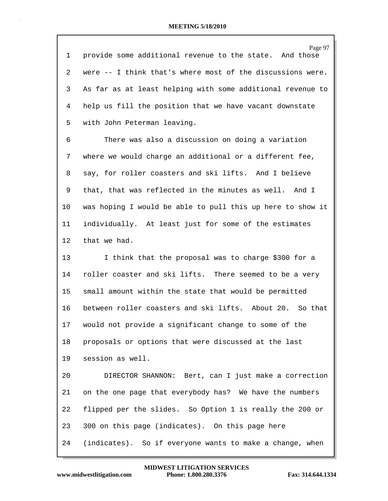| 1              | Page 97<br>provide some additional revenue to the state. And those |
|----------------|--------------------------------------------------------------------|
| $\overline{2}$ | were -- I think that's where most of the discussions were.         |
| 3              | As far as at least helping with some additional revenue to         |
| 4              | help us fill the position that we have vacant downstate            |
| 5              | with John Peterman leaving.                                        |
| 6              | There was also a discussion on doing a variation                   |
| 7              | where we would charge an additional or a different fee,            |
| 8              | say, for roller coasters and ski lifts. And I believe              |
| 9              | that, that was reflected in the minutes as well. And I             |
| 10             | was hoping I would be able to pull this up here to show it         |
| 11             | individually. At least just for some of the estimates              |
| 12             | that we had.                                                       |
| 13             | I think that the proposal was to charge \$300 for a                |
| 14             | roller coaster and ski lifts. There seemed to be a very            |
| 15             | small amount within the state that would be permitted              |
| 16             | between roller coasters and ski lifts. About 20. So that           |
| 17             | would not provide a significant change to some of the              |
| 18             | proposals or options that were discussed at the last               |
| 19             | session as well.                                                   |
| 20             | DIRECTOR SHANNON: Bert, can I just make a correction               |
| 21             | on the one page that everybody has? We have the numbers            |
| 22             | flipped per the slides. So Option 1 is really the 200 or           |
| 23             | 300 on this page (indicates). On this page here                    |
| 24             | (indicates). So if everyone wants to make a change, when           |

**www.midwestlitigation.com Phone: 1.800.280.3376 Fax: 314.644.1334 MIDWEST LITIGATION SERVICES**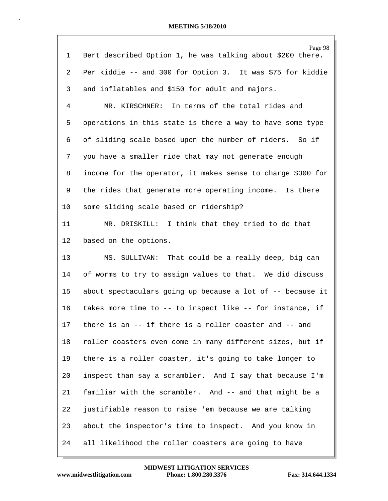| $\mathbf 1$ | Page 98<br>Bert described Option 1, he was talking about \$200 there. |
|-------------|-----------------------------------------------------------------------|
| 2           | Per kiddie -- and 300 for Option 3. It was \$75 for kiddie            |
| 3           | and inflatables and \$150 for adult and majors.                       |
|             |                                                                       |
| 4           | MR. KIRSCHNER: In terms of the total rides and                        |
| 5           | operations in this state is there a way to have some type             |
| 6           | of sliding scale based upon the number of riders. So if               |
| 7           | you have a smaller ride that may not generate enough                  |
| 8           | income for the operator, it makes sense to charge \$300 for           |
| 9           | the rides that generate more operating income. Is there               |
| 10          | some sliding scale based on ridership?                                |
| 11          | MR. DRISKILL: I think that they tried to do that                      |
| 12          | based on the options.                                                 |
| 13          | MS. SULLIVAN: That could be a really deep, big can                    |
| 14          | of worms to try to assign values to that. We did discuss              |
| 15          | about spectaculars going up because a lot of -- because it            |
| 16          | takes more time to -- to inspect like -- for instance, if             |
| 17          | there is an -- if there is a roller coaster and -- and                |
| 18          | roller coasters even come in many different sizes, but if             |
| 19          | there is a roller coaster, it's going to take longer to               |
| 20          | inspect than say a scrambler. And I say that because I'm              |
| 21          | familiar with the scrambler. And -- and that might be a               |
| 22          | justifiable reason to raise 'em because we are talking                |
| 23          | about the inspector's time to inspect. And you know in                |
| 24          | all likelihood the roller coasters are going to have                  |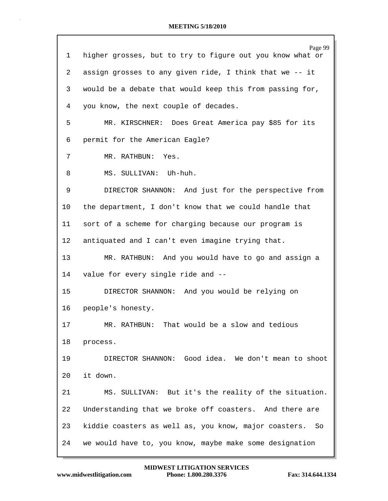| 1  | Page 99<br>higher grosses, but to try to figure out you know what or |
|----|----------------------------------------------------------------------|
| 2  | assign grosses to any given ride, I think that we -- it              |
| 3  | would be a debate that would keep this from passing for,             |
| 4  | you know, the next couple of decades.                                |
| 5  | MR. KIRSCHNER: Does Great America pay \$85 for its                   |
| 6  | permit for the American Eagle?                                       |
| 7  | MR. RATHBUN: Yes.                                                    |
| 8  | MS. SULLIVAN: Uh-huh.                                                |
| 9  | DIRECTOR SHANNON: And just for the perspective from                  |
| 10 | the department, I don't know that we could handle that               |
| 11 | sort of a scheme for charging because our program is                 |
| 12 | antiquated and I can't even imagine trying that.                     |
| 13 | MR. RATHBUN: And you would have to go and assign a                   |
| 14 | value for every single ride and --                                   |
| 15 | DIRECTOR SHANNON: And you would be relying on                        |
| 16 | people's honesty.                                                    |
| 17 | MR. RATHBUN: That would be a slow and tedious                        |
| 18 | process.                                                             |
| 19 | DIRECTOR SHANNON: Good idea. We don't mean to shoot                  |
| 20 | it down.                                                             |
| 21 | MS. SULLIVAN: But it's the reality of the situation.                 |
| 22 | Understanding that we broke off coasters. And there are              |
| 23 |                                                                      |
|    | kiddie coasters as well as, you know, major coasters.<br>So          |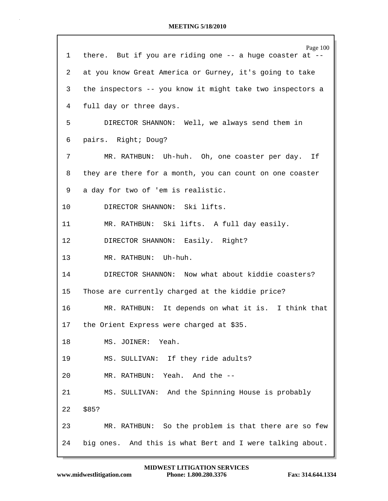| $\mathbf{1}$    | Page 100<br>there. But if you are riding one -- a huge coaster at -- |
|-----------------|----------------------------------------------------------------------|
| 2               | at you know Great America or Gurney, it's going to take              |
| 3               | the inspectors -- you know it might take two inspectors a            |
| 4               | full day or three days.                                              |
| 5               | DIRECTOR SHANNON: Well, we always send them in                       |
| 6               | pairs. Right; Doug?                                                  |
| 7               | MR. RATHBUN: Uh-huh. Oh, one coaster per day. If                     |
| 8               | they are there for a month, you can count on one coaster             |
| 9               | a day for two of 'em is realistic.                                   |
| 10 <sup>°</sup> | DIRECTOR SHANNON: Ski lifts.                                         |
| 11              | MR. RATHBUN: Ski lifts. A full day easily.                           |
| 12              | DIRECTOR SHANNON: Easily. Right?                                     |
| 13              | MR. RATHBUN: Uh-huh.                                                 |
| 14              | DIRECTOR SHANNON: Now what about kiddie coasters?                    |
| 15              | Those are currently charged at the kiddie price?                     |
| 16              | MR. RATHBUN: It depends on what it is. I think that                  |
| 17              | the Orient Express were charged at \$35.                             |
| 18              | MS. JOINER: Yeah.                                                    |
| 19              | MS. SULLIVAN: If they ride adults?                                   |
| 20              | MR. RATHBUN: Yeah. And the --                                        |
| 21              | MS. SULLIVAN: And the Spinning House is probably                     |
| 22              | \$85?                                                                |
| 23              | MR. RATHBUN: So the problem is that there are so few                 |
| 24              | big ones. And this is what Bert and I were talking about.            |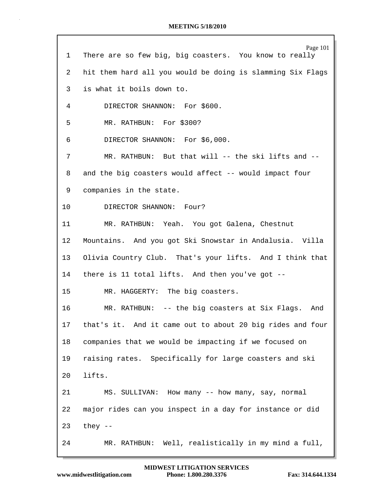|    | Page 101                                                   |
|----|------------------------------------------------------------|
| 1  | There are so few big, big coasters. You know to really     |
| 2  | hit them hard all you would be doing is slamming Six Flags |
| 3  | is what it boils down to.                                  |
| 4  | DIRECTOR SHANNON: For \$600.                               |
| 5  | MR. RATHBUN: For \$300?                                    |
| 6  | DIRECTOR SHANNON: For \$6,000.                             |
| 7  | MR. RATHBUN: But that will -- the ski lifts and --         |
| 8  | and the big coasters would affect -- would impact four     |
| 9  | companies in the state.                                    |
| 10 | DIRECTOR SHANNON: Four?                                    |
| 11 | MR. RATHBUN: Yeah. You got Galena, Chestnut                |
| 12 | Mountains. And you got Ski Snowstar in Andalusia. Villa    |
| 13 | Olivia Country Club. That's your lifts. And I think that   |
| 14 | there is 11 total lifts. And then you've got --            |
| 15 | MR. HAGGERTY: The big coasters.                            |
| 16 | MR. RATHBUN: -- the big coasters at Six Flags. And         |
| 17 | that's it. And it came out to about 20 big rides and four  |
| 18 | companies that we would be impacting if we focused on      |
| 19 | raising rates. Specifically for large coasters and ski     |
| 20 | lifts.                                                     |
| 21 | MS. SULLIVAN: How many -- how many, say, normal            |
| 22 | major rides can you inspect in a day for instance or did   |
| 23 | they $--$                                                  |
| 24 | MR. RATHBUN: Well, realistically in my mind a full,        |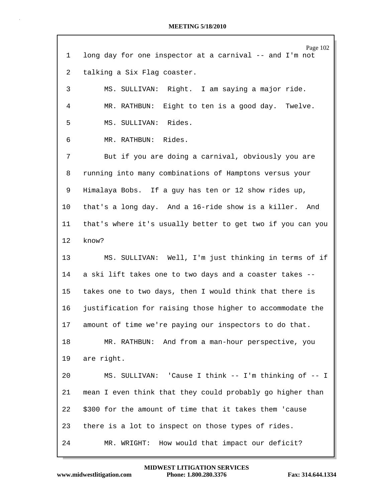|                 | Page 102                                                   |
|-----------------|------------------------------------------------------------|
| 1               | long day for one inspector at a carnival -- and I'm not    |
| 2               | talking a Six Flag coaster.                                |
| 3               | MS. SULLIVAN: Right. I am saying a major ride.             |
| 4               | MR. RATHBUN: Eight to ten is a good day. Twelve.           |
| 5               | MS. SULLIVAN: Rides.                                       |
| 6               | MR. RATHBUN: Rides.                                        |
| 7               | But if you are doing a carnival, obviously you are         |
| 8               | running into many combinations of Hamptons versus your     |
| 9               | Himalaya Bobs. If a guy has ten or 12 show rides up,       |
| 10              | that's a long day. And a 16-ride show is a killer. And     |
| 11              | that's where it's usually better to get two if you can you |
| 12              | know?                                                      |
| 13 <sup>°</sup> | MS. SULLIVAN: Well, I'm just thinking in terms of if       |
| 14              | a ski lift takes one to two days and a coaster takes --    |
| 15              | takes one to two days, then I would think that there is    |
| 16              | justification for raising those higher to accommodate the  |
| 17              | amount of time we're paying our inspectors to do that.     |
| 18              | And from a man-hour perspective, you<br>MR. RATHBUN:       |
| 19              | are right.                                                 |
| 20              | MS. SULLIVAN: 'Cause I think -- I'm thinking of -- I       |
| 21              | mean I even think that they could probably go higher than  |
| 22              | \$300 for the amount of time that it takes them 'cause     |
| 23              | there is a lot to inspect on those types of rides.         |
| 24              | MR. WRIGHT: How would that impact our deficit?             |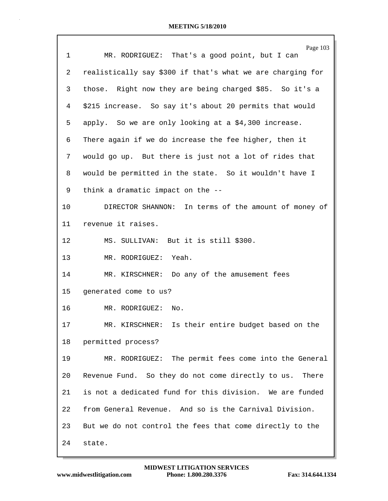|              | Page 103                                                   |
|--------------|------------------------------------------------------------|
| $\mathbf{1}$ | MR. RODRIGUEZ: That's a good point, but I can              |
| 2            | realistically say \$300 if that's what we are charging for |
| 3            | those. Right now they are being charged \$85. So it's a    |
| 4            | \$215 increase. So say it's about 20 permits that would    |
| 5            | apply. So we are only looking at a \$4,300 increase.       |
| 6            | There again if we do increase the fee higher, then it      |
| 7            | would go up. But there is just not a lot of rides that     |
| 8            | would be permitted in the state. So it wouldn't have I     |
| 9            | think a dramatic impact on the --                          |
| $10 \,$      | DIRECTOR SHANNON: In terms of the amount of money of       |
| 11           | revenue it raises.                                         |
| 12           | MS. SULLIVAN: But it is still \$300.                       |
| 13           | MR. RODRIGUEZ: Yeah.                                       |
| 14           | MR. KIRSCHNER: Do any of the amusement fees                |
| 15           | generated come to us?                                      |
| 16           | No.<br>MR. RODRIGUEZ:                                      |
| 17           | MR. KIRSCHNER: Is their entire budget based on the         |
| 18           | permitted process?                                         |
| 19           | MR. RODRIGUEZ: The permit fees come into the General       |
| 20           | Revenue Fund. So they do not come directly to us. There    |
| 21           | is not a dedicated fund for this division. We are funded   |
| 22           | from General Revenue. And so is the Carnival Division.     |
| 23           | But we do not control the fees that come directly to the   |
| 24           | state.                                                     |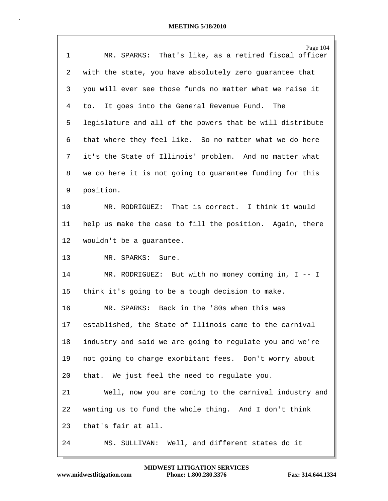| 1  | Page 104<br>MR. SPARKS: That's like, as a retired fiscal officer |
|----|------------------------------------------------------------------|
| 2  | with the state, you have absolutely zero guarantee that          |
| 3  | you will ever see those funds no matter what we raise it         |
|    |                                                                  |
| 4  | to. It goes into the General Revenue Fund.<br>The                |
| 5  | legislature and all of the powers that be will distribute        |
| 6  | that where they feel like. So no matter what we do here          |
| 7  | it's the State of Illinois' problem. And no matter what          |
| 8  | we do here it is not going to guarantee funding for this         |
| 9  | position.                                                        |
| 10 | MR. RODRIGUEZ: That is correct. I think it would                 |
| 11 | help us make the case to fill the position. Again, there         |
| 12 | wouldn't be a guarantee.                                         |
| 13 | MR. SPARKS:<br>Sure.                                             |
| 14 | MR. RODRIGUEZ: But with no money coming in, I -- I               |
| 15 | think it's going to be a tough decision to make.                 |
| 16 | MR. SPARKS: Back in the '80s when this was                       |
| 17 | established, the State of Illinois came to the carnival          |
| 18 | industry and said we are going to regulate you and we're         |
| 19 | not going to charge exorbitant fees. Don't worry about           |
| 20 | that. We just feel the need to regulate you.                     |
| 21 | Well, now you are coming to the carnival industry and            |
| 22 | wanting us to fund the whole thing. And I don't think            |
| 23 | that's fair at all.                                              |
| 24 | MS. SULLIVAN: Well, and different states do it                   |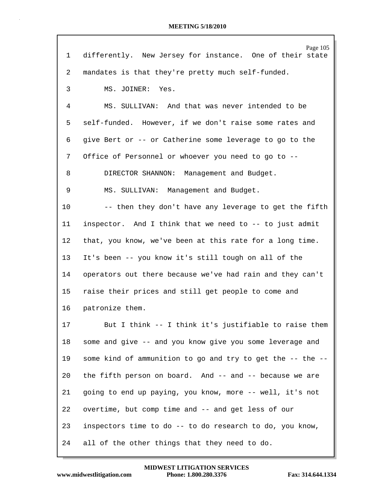| 1  | Page 105<br>differently. New Jersey for instance. One of their state |
|----|----------------------------------------------------------------------|
| 2  | mandates is that they're pretty much self-funded.                    |
| 3  | MS. JOINER: Yes.                                                     |
| 4  | MS. SULLIVAN: And that was never intended to be                      |
| 5  | self-funded. However, if we don't raise some rates and               |
| 6  | give Bert or -- or Catherine some leverage to go to the              |
| 7  | Office of Personnel or whoever you need to go to --                  |
| 8  | DIRECTOR SHANNON: Management and Budget.                             |
| 9  | MS. SULLIVAN: Management and Budget.                                 |
| 10 | -- then they don't have any leverage to get the fifth                |
| 11 | inspector. And I think that we need to -- to just admit              |
| 12 | that, you know, we've been at this rate for a long time.             |
| 13 | It's been -- you know it's still tough on all of the                 |
| 14 | operators out there because we've had rain and they can't            |
| 15 | raise their prices and still get people to come and                  |
| 16 | patronize them.                                                      |
| 17 | But I think -- I think it's justifiable to raise them                |
| 18 | some and give -- and you know give you some leverage and             |
| 19 | some kind of ammunition to go and try to get the -- the --           |
| 20 | the fifth person on board. And -- and -- because we are              |
| 21 | going to end up paying, you know, more -- well, it's not             |
| 22 | overtime, but comp time and -- and get less of our                   |
| 23 | inspectors time to do -- to do research to do, you know,             |
| 24 | all of the other things that they need to do.                        |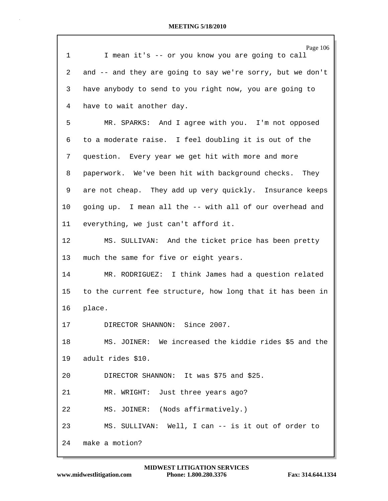| $\mathbf 1$     | Page 106<br>I mean it's -- or you know you are going to call |
|-----------------|--------------------------------------------------------------|
| 2               | and -- and they are going to say we're sorry, but we don't   |
| 3               | have anybody to send to you right now, you are going to      |
| 4               | have to wait another day.                                    |
| 5               | MR. SPARKS: And I agree with you. I'm not opposed            |
| 6               | to a moderate raise. I feel doubling it is out of the        |
| 7               | question. Every year we get hit with more and more           |
| 8               | paperwork. We've been hit with background checks. They       |
| 9               | are not cheap. They add up very quickly. Insurance keeps     |
| 10              | going up. I mean all the -- with all of our overhead and     |
| 11              | everything, we just can't afford it.                         |
| 12              | MS. SULLIVAN: And the ticket price has been pretty           |
| 13              | much the same for five or eight years.                       |
| 14              | MR. RODRIGUEZ: I think James had a question related          |
| 15 <sub>1</sub> | to the current fee structure, how long that it has been in   |
| 16              | place.                                                       |
| 17              | DIRECTOR SHANNON: Since 2007.                                |
| 18              | MS. JOINER: We increased the kiddie rides \$5 and the        |
| 19              | adult rides \$10.                                            |
| 20              | DIRECTOR SHANNON: It was \$75 and \$25.                      |
| 21              | MR. WRIGHT: Just three years ago?                            |
| 22              | MS. JOINER: (Nods affirmatively.)                            |
| 23              | MS. SULLIVAN: Well, I can -- is it out of order to           |
| 24              | make a motion?                                               |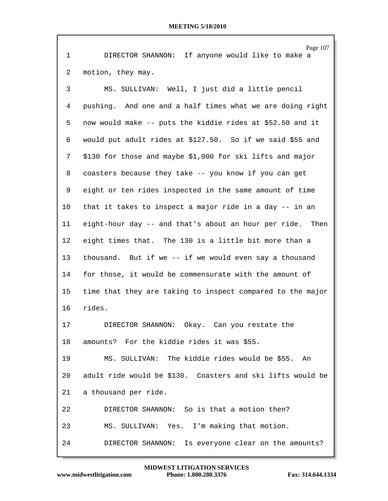| $\mathbf 1$ | Page 107<br>DIRECTOR SHANNON:<br>If anyone would like to make a |
|-------------|-----------------------------------------------------------------|
| 2           | motion, they may.                                               |
| 3           | MS. SULLIVAN: Well, I just did a little pencil                  |
| 4           | pushing. And one and a half times what we are doing right       |
| 5           | now would make -- puts the kiddie rides at \$52.50 and it       |
| 6           | would put adult rides at \$127.50. So if we said \$55 and       |
| 7           | \$130 for those and maybe \$1,000 for ski lifts and major       |
| 8           | coasters because they take -- you know if you can get           |
| 9           | eight or ten rides inspected in the same amount of time         |
| 10          | that it takes to inspect a major ride in a day -- in an         |
| 11          | eight-hour day -- and that's about an hour per ride. Then       |
| 12          | eight times that. The 130 is a little bit more than a           |
| 13          | thousand. But if we -- if we would even say a thousand          |
| 14          | for those, it would be commensurate with the amount of          |
| 15          | time that they are taking to inspect compared to the major      |
| 16          | rides.                                                          |
| 17          | DIRECTOR SHANNON: Okay. Can you restate the                     |
| 18          | amounts? For the kiddie rides it was \$55.                      |
| 19          | MS. SULLIVAN: The kiddie rides would be \$55. An                |
| 20          | adult ride would be \$130. Coasters and ski lifts would be      |
| 21          | a thousand per ride.                                            |
| 22          | DIRECTOR SHANNON: So is that a motion then?                     |
| 23          | MS. SULLIVAN: Yes. I'm making that motion.                      |
| 24          | Is everyone clear on the amounts?<br>DIRECTOR SHANNON:          |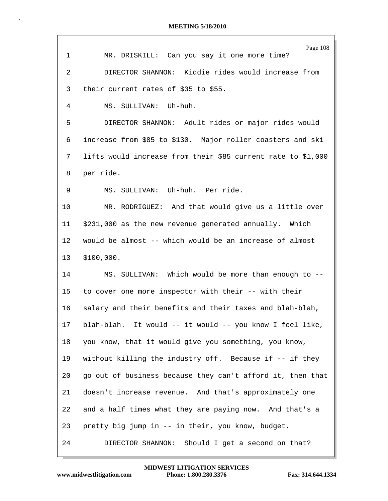|             | Page 108                                                     |
|-------------|--------------------------------------------------------------|
| $\mathbf 1$ | MR. DRISKILL: Can you say it one more time?                  |
| 2           | DIRECTOR SHANNON: Kiddie rides would increase from           |
| 3           | their current rates of \$35 to \$55.                         |
| 4           | MS. SULLIVAN: Uh-huh.                                        |
| 5           | DIRECTOR SHANNON: Adult rides or major rides would           |
| 6           | increase from \$85 to \$130. Major roller coasters and ski   |
| 7           | lifts would increase from their \$85 current rate to \$1,000 |
| 8           | per ride.                                                    |
| 9           | MS. SULLIVAN: Uh-huh. Per ride.                              |
| 10          | MR. RODRIGUEZ: And that would give us a little over          |
| 11          | \$231,000 as the new revenue generated annually. Which       |
| 12          | would be almost -- which would be an increase of almost      |
| 13          | \$100,000.                                                   |
| 14          | MS. SULLIVAN: Which would be more than enough to --          |
| 15          | to cover one more inspector with their -- with their         |
| 16          | salary and their benefits and their taxes and blah-blah,     |
| 17          | blah-blah. It would -- it would -- you know I feel like,     |
| 18          | you know, that it would give you something, you know,        |
| 19          | without killing the industry off. Because if -- if they      |
| 20          | go out of business because they can't afford it, then that   |
| 21          | doesn't increase revenue. And that's approximately one       |
| 22          | and a half times what they are paying now. And that's a      |
| 23          | pretty big jump in -- in their, you know, budget.            |
| 24          | DIRECTOR SHANNON:<br>Should I get a second on that?          |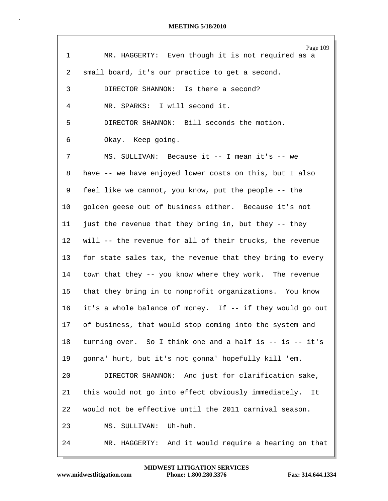| $\mathbf 1$     | Page 109<br>MR. HAGGERTY: Even though it is not required as a |
|-----------------|---------------------------------------------------------------|
| 2               | small board, it's our practice to get a second.               |
| 3               | DIRECTOR SHANNON: Is there a second?                          |
| 4               | MR. SPARKS: I will second it.                                 |
| 5               | DIRECTOR SHANNON: Bill seconds the motion.                    |
| 6               | Okay. Keep going.                                             |
| 7               | MS. SULLIVAN: Because it -- I mean it's -- we                 |
| 8               | have -- we have enjoyed lower costs on this, but I also       |
| 9               | feel like we cannot, you know, put the people -- the          |
| $10 \,$         | golden geese out of business either. Because it's not         |
| 11              | just the revenue that they bring in, but they -- they         |
| 12              | will -- the revenue for all of their trucks, the revenue      |
| 13              | for state sales tax, the revenue that they bring to every     |
| 14              | town that they -- you know where they work. The revenue       |
| 15 <sub>1</sub> | that they bring in to nonprofit organizations. You know       |
| 16              | it's a whole balance of money. If -- if they would go out     |
| 17              | of business, that would stop coming into the system and       |
| 18              | turning over. So I think one and a half is -- is -- it's      |
| 19              | gonna' hurt, but it's not gonna' hopefully kill 'em.          |
| 20              | DIRECTOR SHANNON: And just for clarification sake,            |
| 21              | this would not go into effect obviously immediately.<br>It    |
| 22              | would not be effective until the 2011 carnival season.        |
| 23              | Uh-huh.<br>MS. SULLIVAN:                                      |
| 24              | And it would require a hearing on that<br>MR. HAGGERTY:       |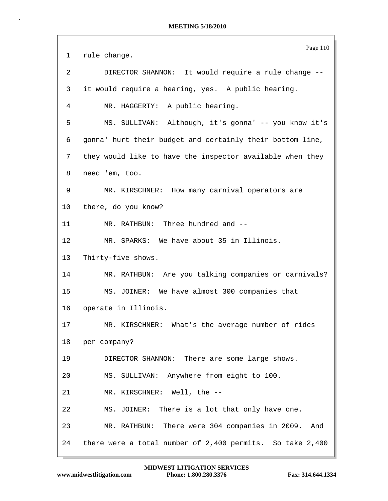|         | Page 110                                                  |
|---------|-----------------------------------------------------------|
| 1       | rule change.                                              |
| 2       | DIRECTOR SHANNON: It would require a rule change --       |
| 3       | it would require a hearing, yes. A public hearing.        |
| 4       | MR. HAGGERTY: A public hearing.                           |
| 5       | MS. SULLIVAN: Although, it's gonna' -- you know it's      |
| 6       | gonna' hurt their budget and certainly their bottom line, |
| 7       | they would like to have the inspector available when they |
| 8       | need 'em, too.                                            |
| 9       | MR. KIRSCHNER: How many carnival operators are            |
| $10 \,$ | there, do you know?                                       |
| 11      | MR. RATHBUN: Three hundred and --                         |
| 12      | MR. SPARKS: We have about 35 in Illinois.                 |
| 13      | Thirty-five shows.                                        |
| 14      | MR. RATHBUN: Are you talking companies or carnivals?      |
| 15      | MS. JOINER: We have almost 300 companies that             |
| 16      | operate in Illinois.                                      |
| 17      | MR. KIRSCHNER: What's the average number of rides         |
| 18      | per company?                                              |
| 19      | DIRECTOR SHANNON: There are some large shows.             |
| 20      | MS. SULLIVAN: Anywhere from eight to 100.                 |
| 21      | MR. KIRSCHNER: Well, the --                               |
| 22      | MS. JOINER: There is a lot that only have one.            |
| 23      | MR. RATHBUN: There were 304 companies in 2009. And        |
| 24      | there were a total number of 2,400 permits. So take 2,400 |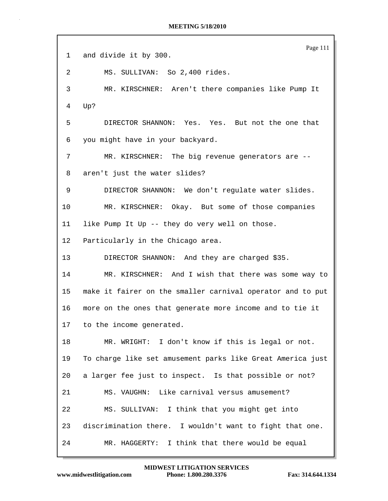|                 | Page 111                                                   |
|-----------------|------------------------------------------------------------|
| ı               | and divide it by 300.                                      |
| 2               | MS. SULLIVAN: So 2,400 rides.                              |
| 3               | MR. KIRSCHNER: Aren't there companies like Pump It         |
| 4               | Up?                                                        |
| 5               | DIRECTOR SHANNON: Yes. Yes. But not the one that           |
| 6               | you might have in your backyard.                           |
| 7               | MR. KIRSCHNER: The big revenue generators are --           |
| 8               | aren't just the water slides?                              |
| 9               | DIRECTOR SHANNON: We don't regulate water slides.          |
| 10              | MR. KIRSCHNER: Okay. But some of those companies           |
| 11              | like Pump It Up -- they do very well on those.             |
| 12              | Particularly in the Chicago area.                          |
| 13              | DIRECTOR SHANNON: And they are charged \$35.               |
| 14              | MR. KIRSCHNER: And I wish that there was some way to       |
| 15 <sub>1</sub> | make it fairer on the smaller carnival operator and to put |
| 16              | more on the ones that generate more income and to tie it   |
| 17              | to the income generated.                                   |
| 18              | MR. WRIGHT: I don't know if this is legal or not.          |
| 19              | To charge like set amusement parks like Great America just |
| 20              | a larger fee just to inspect. Is that possible or not?     |
| 21              | MS. VAUGHN: Like carnival versus amusement?                |
| 22              | MS. SULLIVAN: I think that you might get into              |
| 23              | discrimination there. I wouldn't want to fight that one.   |
| 24              | I think that there would be equal<br>MR. HAGGERTY:         |

**www.midwestlitigation.com Phone: 1.800.280.3376 Fax: 314.644.1334 MIDWEST LITIGATION SERVICES**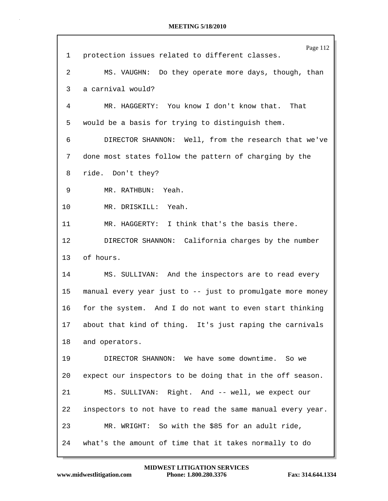| 1               | Page 112<br>protection issues related to different classes. |
|-----------------|-------------------------------------------------------------|
| 2               | MS. VAUGHN: Do they operate more days, though, than         |
| 3               | a carnival would?                                           |
| 4               | MR. HAGGERTY: You know I don't know that. That              |
| 5               | would be a basis for trying to distinguish them.            |
| 6               | DIRECTOR SHANNON: Well, from the research that we've        |
| 7               | done most states follow the pattern of charging by the      |
|                 |                                                             |
| 8               | ride. Don't they?                                           |
| 9               | MR. RATHBUN: Yeah.                                          |
| 10              | MR. DRISKILL: Yeah.                                         |
| 11              | MR. HAGGERTY: I think that's the basis there.               |
| 12              | DIRECTOR SHANNON: California charges by the number          |
| 13 <sup>°</sup> | of hours.                                                   |
| 14              | MS. SULLIVAN: And the inspectors are to read every          |
| 15              | manual every year just to -- just to promulgate more money  |
| 16              | for the system. And I do not want to even start thinking    |
| 17              | about that kind of thing. It's just raping the carnivals    |
| 18              | and operators.                                              |
| 19              | DIRECTOR SHANNON: We have some downtime. So we              |
| 20              | expect our inspectors to be doing that in the off season.   |
| 21              | MS. SULLIVAN: Right. And -- well, we expect our             |
| 22              | inspectors to not have to read the same manual every year.  |
| 23              | MR. WRIGHT: So with the \$85 for an adult ride,             |
| 24              | what's the amount of time that it takes normally to do      |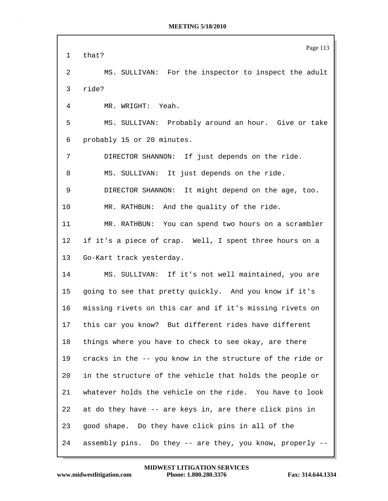Page 113 1 that? 2 MS. SULLIVAN: For the inspector to inspect the adult 3 ride? 4 MR. WRIGHT: Yeah. 5 MS. SULLIVAN: Probably around an hour. Give or take 6 probably 15 or 20 minutes. 7 DIRECTOR SHANNON: If just depends on the ride. 8 MS. SULLIVAN: It just depends on the ride. 9 DIRECTOR SHANNON: It might depend on the age, too. 10 MR. RATHBUN: And the quality of the ride. 11 MR. RATHBUN: You can spend two hours on a scrambler 12 if it's a piece of crap. Well, I spent three hours on a 13 Go-Kart track yesterday. 14 MS. SULLIVAN: If it's not well maintained, you are 15 going to see that pretty quickly. And you know if it's 16 missing rivets on this car and if it's missing rivets on 17 this car you know? But different rides have different 18 things where you have to check to see okay, are there 19 cracks in the -- you know in the structure of the ride or 20 in the structure of the vehicle that holds the people or 21 whatever holds the vehicle on the ride. You have to look 22 at do they have -- are keys in, are there click pins in 23 good shape. Do they have click pins in all of the 24 assembly pins. Do they -- are they, you know, properly --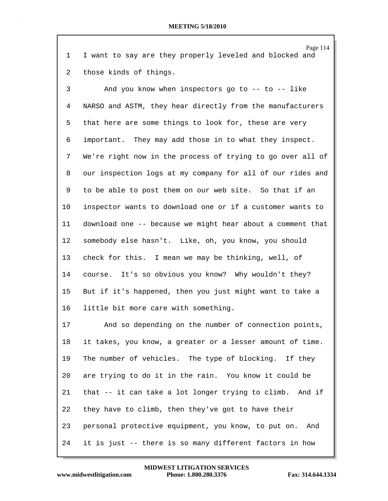|                                                           |  |  |  | Page 114 |
|-----------------------------------------------------------|--|--|--|----------|
| 1 I want to say are they properly leveled and blocked and |  |  |  |          |
|                                                           |  |  |  |          |
| 2 those kinds of things.                                  |  |  |  |          |

3 And you know when inspectors go to -- to -- like 4 NARSO and ASTM, they hear directly from the manufacturers 5 that here are some things to look for, these are very 6 important. They may add those in to what they inspect. 7 We're right now in the process of trying to go over all of 8 our inspection logs at my company for all of our rides and 9 to be able to post them on our web site. So that if an 10 inspector wants to download one or if a customer wants to 11 download one -- because we might hear about a comment that 12 somebody else hasn't. Like, oh, you know, you should 13 check for this. I mean we may be thinking, well, of 14 course. It's so obvious you know? Why wouldn't they? 15 But if it's happened, then you just might want to take a 16 little bit more care with something.

17 And so depending on the number of connection points, 18 it takes, you know, a greater or a lesser amount of time. 19 The number of vehicles. The type of blocking. If they 20 are trying to do it in the rain. You know it could be 21 that -- it can take a lot longer trying to climb. And if 22 they have to climb, then they've got to have their 23 personal protective equipment, you know, to put on. And 24 it is just -- there is so many different factors in how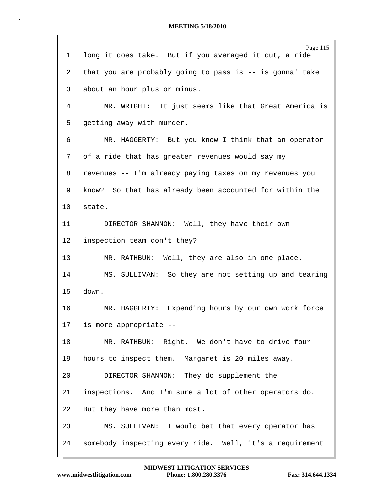|                 | Page 115                                                 |
|-----------------|----------------------------------------------------------|
| 1               | long it does take. But if you averaged it out, a ride    |
| 2               | that you are probably going to pass is -- is gonna' take |
| 3               | about an hour plus or minus.                             |
| 4               | MR. WRIGHT: It just seems like that Great America is     |
| 5.              | getting away with murder.                                |
| 6               | MR. HAGGERTY: But you know I think that an operator      |
| 7               | of a ride that has greater revenues would say my         |
| 8               | revenues -- I'm already paying taxes on my revenues you  |
| 9               | know? So that has already been accounted for within the  |
| 10 <sub>o</sub> | state.                                                   |
| 11              | DIRECTOR SHANNON: Well, they have their own              |
| 12              | inspection team don't they?                              |
| 13              | MR. RATHBUN: Well, they are also in one place.           |
| 14              | MS. SULLIVAN: So they are not setting up and tearing     |
| 15              | down.                                                    |
| 16              | MR. HAGGERTY: Expending hours by our own work force      |
| 17              | is more appropriate --                                   |
| 18              | MR. RATHBUN: Right. We don't have to drive four          |
| 19              | hours to inspect them. Margaret is 20 miles away.        |
| 20              | DIRECTOR SHANNON: They do supplement the                 |
| 21              | inspections. And I'm sure a lot of other operators do.   |
| 22              | But they have more than most.                            |
| 23              | MS. SULLIVAN: I would bet that every operator has        |
| 24              | somebody inspecting every ride. Well, it's a requirement |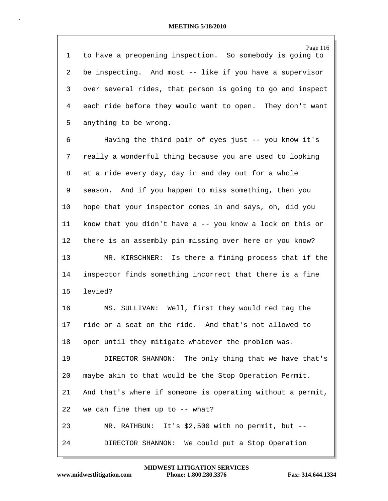| 1      | Page 116<br>to have a preopening inspection. So somebody is going to |
|--------|----------------------------------------------------------------------|
| 2      | be inspecting. And most -- like if you have a supervisor             |
| 3      | over several rides, that person is going to go and inspect           |
| 4      | each ride before they would want to open. They don't want            |
| 5      | anything to be wrong.                                                |
| 6      | Having the third pair of eyes just -- you know it's                  |
| 7      | really a wonderful thing because you are used to looking             |
| 8      | at a ride every day, day in and day out for a whole                  |
| 9      | season. And if you happen to miss something, then you                |
| 10     | hope that your inspector comes in and says, oh, did you              |
| 11     | know that you didn't have a -- you know a lock on this or            |
| 12     | there is an assembly pin missing over here or you know?              |
| 13     | MR. KIRSCHNER: Is there a fining process that if the                 |
| 14     | inspector finds something incorrect that there is a fine             |
| $15\,$ | levied?                                                              |
| 16     | MS. SULLIVAN: Well, first they would red tag the                     |
| 17     | ride or a seat on the ride. And that's not allowed to                |
| 18     | open until they mitigate whatever the problem was.                   |
| 19     | DIRECTOR SHANNON: The only thing that we have that's                 |
| 20     | maybe akin to that would be the Stop Operation Permit.               |
| 21     | And that's where if someone is operating without a permit,           |
| 22     | we can fine them up to -- what?                                      |
| 23     | MR. RATHBUN: It's \$2,500 with no permit, but --                     |
| 24     | We could put a Stop Operation<br>DIRECTOR SHANNON:                   |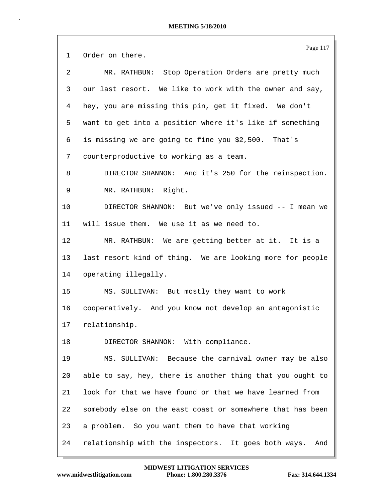|                 | Page 117                                                    |
|-----------------|-------------------------------------------------------------|
| $\mathbf{1}$    | Order on there.                                             |
| $\overline{2}$  | MR. RATHBUN: Stop Operation Orders are pretty much          |
| 3               | our last resort. We like to work with the owner and say,    |
| 4               | hey, you are missing this pin, get it fixed. We don't       |
| 5               | want to get into a position where it's like if something    |
| 6               | is missing we are going to fine you \$2,500. That's         |
| 7               | counterproductive to working as a team.                     |
| 8               | DIRECTOR SHANNON: And it's 250 for the reinspection.        |
| 9               | MR. RATHBUN: Right.                                         |
| 10              | DIRECTOR SHANNON: But we've only issued -- I mean we        |
| 11              | will issue them. We use it as we need to.                   |
| 12 <sub>1</sub> | MR. RATHBUN: We are getting better at it. It is a           |
| 13              | last resort kind of thing. We are looking more for people   |
| 14              | operating illegally.                                        |
| 15              | MS. SULLIVAN: But mostly they want to work                  |
| 16              | cooperatively. And you know not develop an antagonistic     |
| 17              | relationship.                                               |
| 18              | DIRECTOR SHANNON: With compliance.                          |
| 19              | MS. SULLIVAN: Because the carnival owner may be also        |
| 20              | able to say, hey, there is another thing that you ought to  |
| 21              | look for that we have found or that we have learned from    |
| 22              | somebody else on the east coast or somewhere that has been  |
| 23              | a problem. So you want them to have that working            |
| 24              | relationship with the inspectors. It goes both ways.<br>And |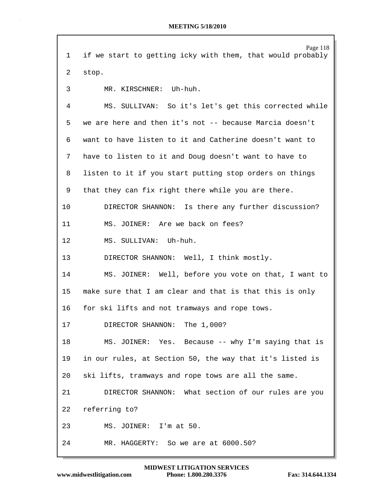| 1               | Page 118<br>if we start to getting icky with them, that would probably |
|-----------------|------------------------------------------------------------------------|
| 2               | stop.                                                                  |
| 3               | MR. KIRSCHNER: Uh-huh.                                                 |
| 4               | MS. SULLIVAN: So it's let's get this corrected while                   |
| 5               | we are here and then it's not -- because Marcia doesn't                |
| 6               | want to have listen to it and Catherine doesn't want to                |
| 7               | have to listen to it and Doug doesn't want to have to                  |
| 8               | listen to it if you start putting stop orders on things                |
|                 |                                                                        |
| 9               | that they can fix right there while you are there.                     |
| 10              | DIRECTOR SHANNON: Is there any further discussion?                     |
| 11              | MS. JOINER: Are we back on fees?                                       |
| 12              | MS. SULLIVAN: Uh-huh.                                                  |
| 13              | DIRECTOR SHANNON: Well, I think mostly.                                |
| 14              | MS. JOINER: Well, before you vote on that, I want to                   |
| 15 <sub>2</sub> | make sure that I am clear and that is that this is only                |
| 16              | for ski lifts and not tramways and rope tows.                          |
| 17              | DIRECTOR SHANNON: The 1,000?                                           |
| 18              | MS. JOINER: Yes. Because -- why I'm saying that is                     |
| 19              | in our rules, at Section 50, the way that it's listed is               |
| 20              | ski lifts, tramways and rope tows are all the same.                    |
| 21              | DIRECTOR SHANNON: What section of our rules are you                    |
| 22              | referring to?                                                          |
| 23              | MS. JOINER: I'm at 50.                                                 |
| 24              | So we are at 6000.50?<br>MR. HAGGERTY:                                 |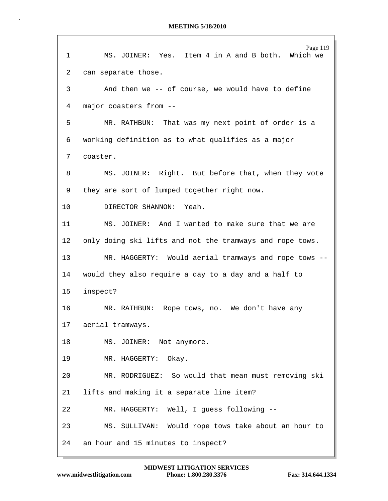|                 | Page 119                                                 |
|-----------------|----------------------------------------------------------|
| $\mathbf{1}$    | MS. JOINER: Yes. Item 4 in A and B both. Which we        |
| 2               | can separate those.                                      |
| 3               | And then we -- of course, we would have to define        |
| 4               | major coasters from --                                   |
| 5               | MR. RATHBUN: That was my next point of order is a        |
| 6               | working definition as to what qualifies as a major       |
| 7               | coaster.                                                 |
| 8               | MS. JOINER: Right. But before that, when they vote       |
| 9               | they are sort of lumped together right now.              |
| 10              | DIRECTOR SHANNON: Yeah.                                  |
| 11              | MS. JOINER: And I wanted to make sure that we are        |
| 12              | only doing ski lifts and not the tramways and rope tows. |
| 13              | MR. HAGGERTY: Would aerial tramways and rope tows --     |
| 14              | would they also require a day to a day and a half to     |
| 15 <sub>1</sub> | inspect?                                                 |
| 16              | MR. RATHBUN: Rope tows, no. We don't have any            |
| 17              | aerial tramways.                                         |
| 18              | MS. JOINER: Not anymore.                                 |
| 19              | MR. HAGGERTY: Okay.                                      |
| 20              | MR. RODRIGUEZ: So would that mean must removing ski      |
| 21              | lifts and making it a separate line item?                |
| 22              | MR. HAGGERTY: Well, I guess following --                 |
| 23              | MS. SULLIVAN: Would rope tows take about an hour to      |
| 24              | an hour and 15 minutes to inspect?                       |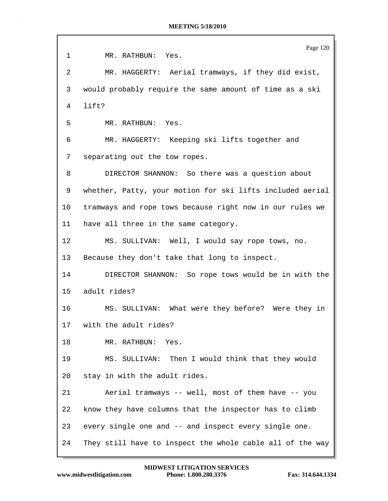|    | Page 120                                                  |
|----|-----------------------------------------------------------|
| 1  | MR. RATHBUN: Yes.                                         |
| 2  | MR. HAGGERTY: Aerial tramways, if they did exist,         |
| 3  | would probably require the same amount of time as a ski   |
| 4  | lift?                                                     |
| 5  | MR. RATHBUN: Yes.                                         |
| 6  | MR. HAGGERTY: Keeping ski lifts together and              |
| 7  | separating out the tow ropes.                             |
| 8  | DIRECTOR SHANNON: So there was a question about           |
| 9  | whether, Patty, your motion for ski lifts included aerial |
| 10 | tramways and rope tows because right now in our rules we  |
| 11 | have all three in the same category.                      |
| 12 | MS. SULLIVAN: Well, I would say rope tows, no.            |
| 13 | Because they don't take that long to inspect.             |
| 14 | DIRECTOR SHANNON: So rope tows would be in with the       |
| 15 | adult rides?                                              |
| 16 | MS. SULLIVAN: What were they before? Were they in         |
| 17 | with the adult rides?                                     |
| 18 | MR. RATHBUN:<br>Yes.                                      |
| 19 | MS. SULLIVAN: Then I would think that they would          |
| 20 | stay in with the adult rides.                             |
| 21 | Aerial tramways -- well, most of them have -- you         |
| 22 | know they have columns that the inspector has to climb    |
| 23 | every single one and -- and inspect every single one.     |
| 24 | They still have to inspect the whole cable all of the way |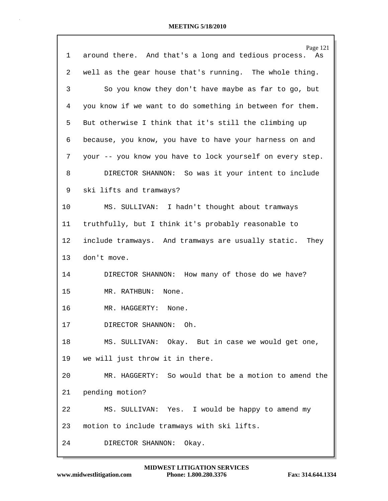| 1  | Page 121<br>around there. And that's a long and tedious process.<br>As |
|----|------------------------------------------------------------------------|
| 2  | well as the gear house that's running. The whole thing.                |
| 3  | So you know they don't have maybe as far to go, but                    |
| 4  | you know if we want to do something in between for them.               |
| 5  | But otherwise I think that it's still the climbing up                  |
| 6  | because, you know, you have to have your harness on and                |
| 7  | your -- you know you have to lock yourself on every step.              |
| 8  | DIRECTOR SHANNON: So was it your intent to include                     |
| 9  | ski lifts and tramways?                                                |
| 10 | MS. SULLIVAN: I hadn't thought about tramways                          |
| 11 | truthfully, but I think it's probably reasonable to                    |
| 12 | include tramways. And tramways are usually static.<br>They             |
| 13 | don't move.                                                            |
| 14 | DIRECTOR SHANNON: How many of those do we have?                        |
| 15 | MR. RATHBUN:<br>None.                                                  |
| 16 | MR. HAGGERTY:<br>None.                                                 |
| 17 | DIRECTOR SHANNON: Oh.                                                  |
| 18 | MS. SULLIVAN: Okay. But in case we would get one,                      |
| 19 | we will just throw it in there.                                        |
| 20 | MR. HAGGERTY: So would that be a motion to amend the                   |
| 21 | pending motion?                                                        |
| 22 | MS. SULLIVAN: Yes. I would be happy to amend my                        |
| 23 | motion to include tramways with ski lifts.                             |
| 24 | DIRECTOR SHANNON:<br>Okay.                                             |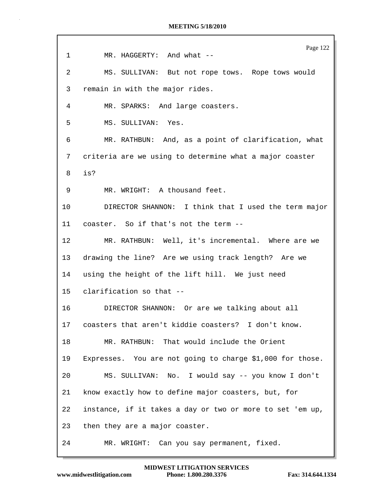| $\mathbf 1$ | Page 122<br>MR. HAGGERTY: And what --                     |
|-------------|-----------------------------------------------------------|
| 2           | MS. SULLIVAN: But not rope tows. Rope tows would          |
| 3           | remain in with the major rides.                           |
| 4           | MR. SPARKS: And large coasters.                           |
| 5           | MS. SULLIVAN: Yes.                                        |
| 6           | MR. RATHBUN: And, as a point of clarification, what       |
| 7           | criteria are we using to determine what a major coaster   |
| 8           | is?                                                       |
| 9           | MR. WRIGHT: A thousand feet.                              |
| 10          | DIRECTOR SHANNON: I think that I used the term major      |
| 11          | coaster. So if that's not the term --                     |
| 12          | MR. RATHBUN: Well, it's incremental. Where are we         |
| 13          | drawing the line? Are we using track length? Are we       |
| 14          | using the height of the lift hill. We just need           |
| 15          | clarification so that --                                  |
| 16          | DIRECTOR SHANNON: Or are we talking about all             |
| 17          | coasters that aren't kiddie coasters? I don't know.       |
| 18          | MR. RATHBUN: That would include the Orient                |
| 19          | Expresses. You are not going to charge \$1,000 for those. |
| 20          | MS. SULLIVAN: No. I would say -- you know I don't         |
| 21          | know exactly how to define major coasters, but, for       |
| 22          | instance, if it takes a day or two or more to set 'em up, |
| 23          | then they are a major coaster.                            |
| 24          | MR. WRIGHT: Can you say permanent, fixed.                 |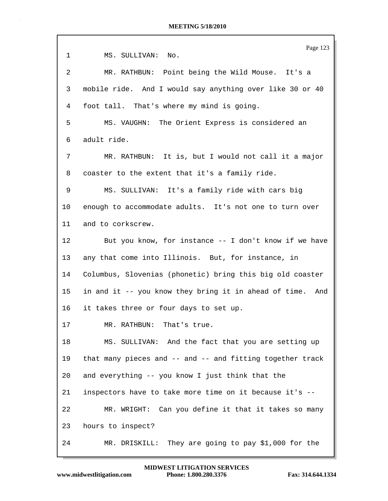|                | Page 123                                                  |
|----------------|-----------------------------------------------------------|
| 1              | MS. SULLIVAN: No.                                         |
| $\overline{2}$ | MR. RATHBUN: Point being the Wild Mouse. It's a           |
| 3              | mobile ride. And I would say anything over like 30 or 40  |
| 4              | foot tall. That's where my mind is going.                 |
| 5              | MS. VAUGHN: The Orient Express is considered an           |
| 6              | adult ride.                                               |
| 7              | MR. RATHBUN: It is, but I would not call it a major       |
| 8              | coaster to the extent that it's a family ride.            |
| 9              | MS. SULLIVAN: It's a family ride with cars big            |
| 10             | enough to accommodate adults. It's not one to turn over   |
| 11             | and to corkscrew.                                         |
| 12             | But you know, for instance -- I don't know if we have     |
| 13             | any that come into Illinois. But, for instance, in        |
| 14             | Columbus, Slovenias (phonetic) bring this big old coaster |
| 15             | in and it -- you know they bring it in ahead of time. And |
| 16             | it takes three or four days to set up.                    |
| 17             | MR. RATHBUN: That's true.                                 |
| 18             | MS. SULLIVAN: And the fact that you are setting up        |
| 19             | that many pieces and -- and -- and fitting together track |
| 20             | and everything -- you know I just think that the          |
| 21             | inspectors have to take more time on it because it's --   |
| 22             | MR. WRIGHT: Can you define it that it takes so many       |
| 23             | hours to inspect?                                         |
| 24             | They are going to pay \$1,000 for the<br>MR. DRISKILL:    |

 $\mathsf{r}$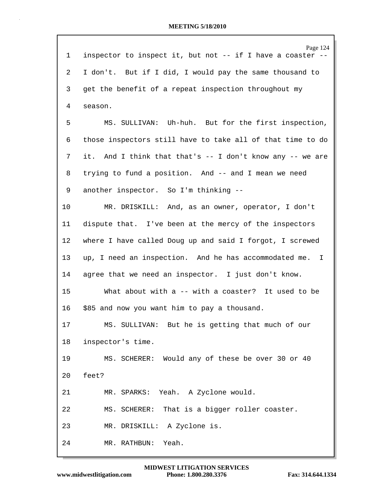|         | Page 124                                                   |
|---------|------------------------------------------------------------|
| 1       | inspector to inspect it, but not -- if I have a coaster.   |
| 2       | I don't. But if I did, I would pay the same thousand to    |
| 3       | get the benefit of a repeat inspection throughout my       |
| 4       | season.                                                    |
| 5       | MS. SULLIVAN: Uh-huh. But for the first inspection,        |
| 6       | those inspectors still have to take all of that time to do |
| 7       | it. And I think that that's -- I don't know any -- we are  |
| 8       | trying to fund a position. And -- and I mean we need       |
| 9       | another inspector. So I'm thinking --                      |
| $10 \,$ | MR. DRISKILL: And, as an owner, operator, I don't          |
| 11      | dispute that. I've been at the mercy of the inspectors     |
| 12      | where I have called Doug up and said I forgot, I screwed   |
| 13      | up, I need an inspection. And he has accommodated me. I    |
| 14      | agree that we need an inspector. I just don't know.        |
| 15      | What about with a -- with a coaster? It used to be         |
| 16      | \$85 and now you want him to pay a thousand.               |
| 17      | MS. SULLIVAN: But he is getting that much of our           |
| 18      | inspector's time.                                          |
| 19      | MS. SCHERER: Would any of these be over 30 or 40           |
| 20      | feet?                                                      |
| 21      | MR. SPARKS: Yeah. A Zyclone would.                         |
| 22      | MS. SCHERER: That is a bigger roller coaster.              |
| 23      | MR. DRISKILL: A Zyclone is.                                |
| 24      | Yeah.<br>MR. RATHBUN:                                      |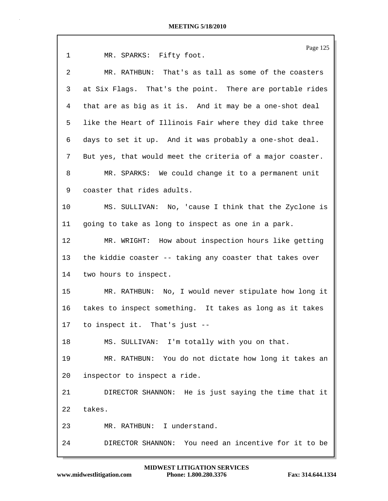| $\mathbf{1}$    | Page 125<br>MR. SPARKS: Fifty foot.                       |
|-----------------|-----------------------------------------------------------|
| 2               | MR. RATHBUN: That's as tall as some of the coasters       |
| 3               | at Six Flags. That's the point. There are portable rides  |
|                 |                                                           |
| 4               | that are as big as it is. And it may be a one-shot deal   |
| 5               | like the Heart of Illinois Fair where they did take three |
| 6               | days to set it up. And it was probably a one-shot deal.   |
| 7               | But yes, that would meet the criteria of a major coaster. |
| 8               | MR. SPARKS: We could change it to a permanent unit        |
| 9               | coaster that rides adults.                                |
| 10              | MS. SULLIVAN: No, 'cause I think that the Zyclone is      |
| 11              | going to take as long to inspect as one in a park.        |
| 12              | MR. WRIGHT: How about inspection hours like getting       |
| 13              | the kiddie coaster -- taking any coaster that takes over  |
| 14              | two hours to inspect.                                     |
| 15 <sub>2</sub> | MR. RATHBUN: No, I would never stipulate how long it      |
| 16              | takes to inspect something. It takes as long as it takes  |
| 17              | to inspect it. That's just --                             |
| 18              | MS. SULLIVAN: I'm totally with you on that.               |
| 19              | MR. RATHBUN: You do not dictate how long it takes an      |
| 20              | inspector to inspect a ride.                              |
| 21              | DIRECTOR SHANNON: He is just saying the time that it      |
| 22              | takes.                                                    |
| 23              | MR. RATHBUN: I understand.                                |
| 24              | DIRECTOR SHANNON: You need an incentive for it to be      |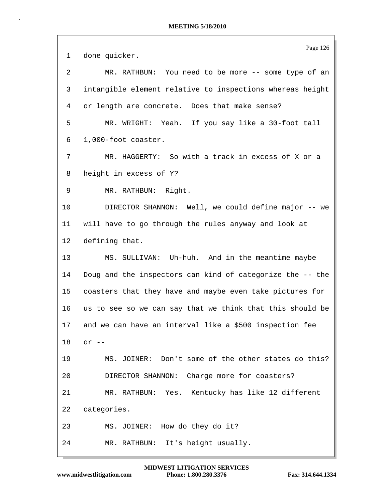|    | Page 126                                                  |
|----|-----------------------------------------------------------|
| 1  | done quicker.                                             |
| 2  | MR. RATHBUN: You need to be more -- some type of an       |
| 3  | intangible element relative to inspections whereas height |
| 4  | or length are concrete. Does that make sense?             |
| 5  | MR. WRIGHT: Yeah. If you say like a 30-foot tall          |
| 6  | 1,000-foot coaster.                                       |
| 7  | MR. HAGGERTY: So with a track in excess of X or a         |
| 8  | height in excess of Y?                                    |
| 9  | MR. RATHBUN: Right.                                       |
| 10 | DIRECTOR SHANNON: Well, we could define major -- we       |
| 11 | will have to go through the rules anyway and look at      |
| 12 | defining that.                                            |
| 13 | MS. SULLIVAN: Uh-huh. And in the meantime maybe           |
| 14 | Doug and the inspectors can kind of categorize the -- the |
| 15 | coasters that they have and maybe even take pictures for  |
| 16 | us to see so we can say that we think that this should be |
| 17 | and we can have an interval like a \$500 inspection fee   |
| 18 | $or$ $--$                                                 |
| 19 | MS. JOINER: Don't some of the other states do this?       |
| 20 | DIRECTOR SHANNON: Charge more for coasters?               |
| 21 | MR. RATHBUN: Yes. Kentucky has like 12 different          |
| 22 | categories.                                               |
| 23 | MS. JOINER: How do they do it?                            |
| 24 | MR. RATHBUN: It's height usually.                         |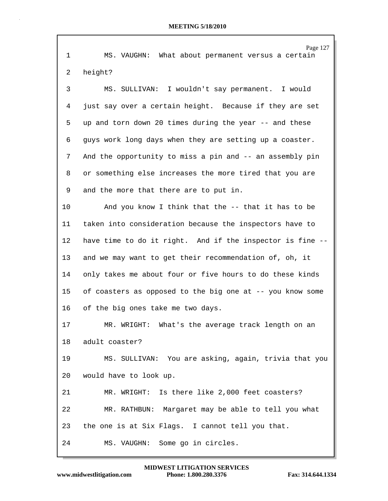| $\mathbf 1$ | Page 127<br>MS. VAUGHN: What about permanent versus a certain |
|-------------|---------------------------------------------------------------|
| 2           | height?                                                       |
| 3           | MS. SULLIVAN: I wouldn't say permanent. I would               |
| 4           | just say over a certain height. Because if they are set       |
| 5           | up and torn down 20 times during the year -- and these        |
| 6           | guys work long days when they are setting up a coaster.       |
| 7           | And the opportunity to miss a pin and -- an assembly pin      |
| 8           | or something else increases the more tired that you are       |
| 9           | and the more that there are to put in.                        |
| 10          | And you know I think that the -- that it has to be            |
| 11          | taken into consideration because the inspectors have to       |
| 12          | have time to do it right. And if the inspector is fine --     |
| 13          | and we may want to get their recommendation of, oh, it        |
| 14          | only takes me about four or five hours to do these kinds      |
| 15          | of coasters as opposed to the big one at -- you know some     |
| 16          | of the big ones take me two days.                             |
| 17          | MR. WRIGHT: What's the average track length on an             |
| 18          | adult coaster?                                                |
| 19          | MS. SULLIVAN: You are asking, again, trivia that you          |
| 20          | would have to look up.                                        |
| 21          | MR. WRIGHT: Is there like 2,000 feet coasters?                |
| 22          | MR. RATHBUN: Margaret may be able to tell you what            |
| 23          | the one is at Six Flags. I cannot tell you that.              |
| 24          | MS. VAUGHN: Some go in circles.                               |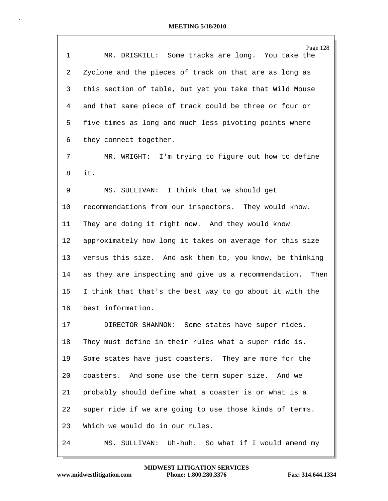| $\mathbf{1}$ | Page 128<br>MR. DRISKILL: Some tracks are long. You take the |
|--------------|--------------------------------------------------------------|
| 2            | Zyclone and the pieces of track on that are as long as       |
| 3            | this section of table, but yet you take that Wild Mouse      |
| 4            | and that same piece of track could be three or four or       |
| 5            | five times as long and much less pivoting points where       |
| 6            | they connect together.                                       |
| 7            | MR. WRIGHT: I'm trying to figure out how to define           |
| 8            | it.                                                          |
| 9            | MS. SULLIVAN: I think that we should get                     |
| 10           | recommendations from our inspectors. They would know.        |
| 11           | They are doing it right now. And they would know             |
| 12           | approximately how long it takes on average for this size     |
| 13           | versus this size. And ask them to, you know, be thinking     |
| 14           | as they are inspecting and give us a recommendation.<br>Then |
| 15           | I think that that's the best way to go about it with the     |
| 16           | best information.                                            |
| 17           | DIRECTOR SHANNON: Some states have super rides.              |
| 18           | They must define in their rules what a super ride is.        |
| 19           | Some states have just coasters. They are more for the        |
| 20           | coasters. And some use the term super size. And we           |
| 21           | probably should define what a coaster is or what is a        |
| 22           | super ride if we are going to use those kinds of terms.      |
| 23           | Which we would do in our rules.                              |
| 24           | MS. SULLIVAN: Uh-huh. So what if I would amend my            |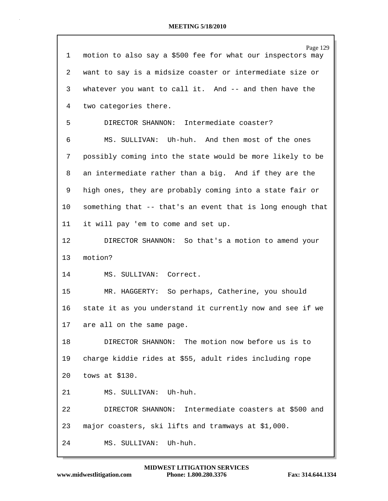| 1       | Page 129<br>motion to also say a \$500 fee for what our inspectors may |
|---------|------------------------------------------------------------------------|
|         |                                                                        |
| 2       | want to say is a midsize coaster or intermediate size or               |
| 3       | whatever you want to call it. And -- and then have the                 |
| 4       | two categories there.                                                  |
| 5       | DIRECTOR SHANNON: Intermediate coaster?                                |
| 6       | MS. SULLIVAN: Uh-huh. And then most of the ones                        |
| 7       | possibly coming into the state would be more likely to be              |
| 8       | an intermediate rather than a big. And if they are the                 |
| 9       | high ones, they are probably coming into a state fair or               |
| $10 \,$ | something that -- that's an event that is long enough that             |
| 11      | it will pay 'em to come and set up.                                    |
| 12      | DIRECTOR SHANNON: So that's a motion to amend your                     |
| 13      | motion?                                                                |
| 14      | MS. SULLIVAN: Correct.                                                 |
| 15      | MR. HAGGERTY: So perhaps, Catherine, you should                        |
| 16      | state it as you understand it currently now and see if we              |
| 17      | are all on the same page.                                              |
| 18      | DIRECTOR SHANNON: The motion now before us is to                       |
| 19      | charge kiddie rides at \$55, adult rides including rope                |
| 20      | tows at $$130.$                                                        |
| 21      | MS. SULLIVAN: Uh-huh.                                                  |
| 22      | DIRECTOR SHANNON: Intermediate coasters at \$500 and                   |
| 23      | major coasters, ski lifts and tramways at \$1,000.                     |
| 24      | Uh-huh.<br>MS. SULLIVAN:                                               |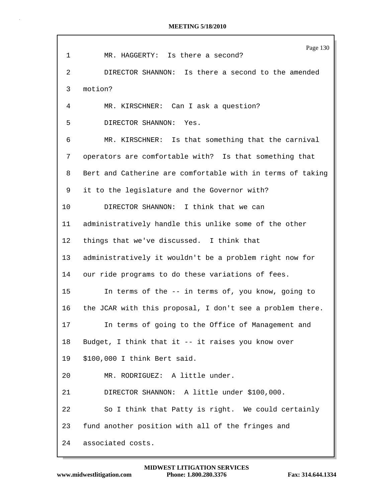|                 | Page 130                                                   |
|-----------------|------------------------------------------------------------|
| $\mathbf 1$     | MR. HAGGERTY: Is there a second?                           |
| 2               | DIRECTOR SHANNON: Is there a second to the amended         |
| 3               | motion?                                                    |
| 4               | MR. KIRSCHNER: Can I ask a question?                       |
| 5               | DIRECTOR SHANNON: Yes.                                     |
| 6               | MR. KIRSCHNER: Is that something that the carnival         |
| 7               | operators are comfortable with? Is that something that     |
| 8               | Bert and Catherine are comfortable with in terms of taking |
| 9               | it to the legislature and the Governor with?               |
| 10              | DIRECTOR SHANNON: I think that we can                      |
| 11              | administratively handle this unlike some of the other      |
| 12              | things that we've discussed. I think that                  |
| 13 <sup>°</sup> | administratively it wouldn't be a problem right now for    |
| 14              | our ride programs to do these variations of fees.          |
| 15              | In terms of the -- in terms of, you know, going to         |
| 16              | the JCAR with this proposal, I don't see a problem there.  |
| 17              | In terms of going to the Office of Management and          |
| 18              | Budget, I think that it -- it raises you know over         |
| 19              | \$100,000 I think Bert said.                               |
| 20              | MR. RODRIGUEZ: A little under.                             |
| 21              | DIRECTOR SHANNON: A little under \$100,000.                |
| 22              | So I think that Patty is right. We could certainly         |
| 23              | fund another position with all of the fringes and          |
| 24              | associated costs.                                          |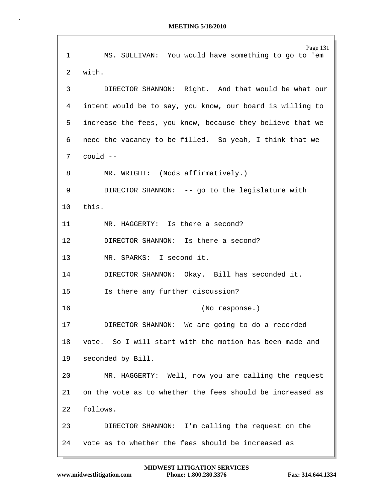| 1               | Page 131<br>MS. SULLIVAN: You would have something to go to 'em |
|-----------------|-----------------------------------------------------------------|
| $\overline{2}$  | with.                                                           |
| 3               | DIRECTOR SHANNON: Right. And that would be what our             |
| 4               | intent would be to say, you know, our board is willing to       |
| 5               | increase the fees, you know, because they believe that we       |
| 6               | need the vacancy to be filled. So yeah, I think that we         |
| 7               | could --                                                        |
| 8               | MR. WRIGHT: (Nods affirmatively.)                               |
| 9               | DIRECTOR SHANNON: -- go to the legislature with                 |
| 10 <sup>°</sup> | this.                                                           |
| 11              | MR. HAGGERTY: Is there a second?                                |
| $12 \,$         | DIRECTOR SHANNON: Is there a second?                            |
| 13              | MR. SPARKS: I second it.                                        |
| 14              | DIRECTOR SHANNON: Okay. Bill has seconded it.                   |
| 15              | Is there any further discussion?                                |
| 16              | (No response.)                                                  |
| 17              | DIRECTOR SHANNON: We are going to do a recorded                 |
| 18              | vote. So I will start with the motion has been made and         |
| 19              | seconded by Bill.                                               |
| 20              | MR. HAGGERTY: Well, now you are calling the request             |
| 21              | on the vote as to whether the fees should be increased as       |
| 22              | follows.                                                        |
| 23              | DIRECTOR SHANNON: I'm calling the request on the                |
| 24              | vote as to whether the fees should be increased as              |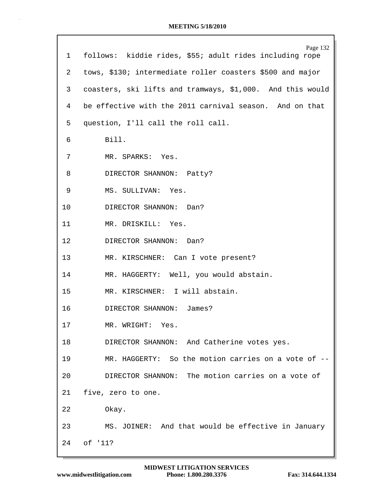|    | Page 132                                                  |
|----|-----------------------------------------------------------|
| 1  | follows: kiddie rides, \$55; adult rides including rope   |
| 2  | tows, \$130; intermediate roller coasters \$500 and major |
| 3  | coasters, ski lifts and tramways, \$1,000. And this would |
| 4  | be effective with the 2011 carnival season. And on that   |
| 5  | question, I'll call the roll call.                        |
| 6  | Bill.                                                     |
| 7  | MR. SPARKS: Yes.                                          |
| 8  | DIRECTOR SHANNON: Patty?                                  |
| 9  | MS. SULLIVAN: Yes.                                        |
| 10 | DIRECTOR SHANNON: Dan?                                    |
| 11 | MR. DRISKILL: Yes.                                        |
| 12 | DIRECTOR SHANNON:<br>Dan?                                 |
| 13 | MR. KIRSCHNER: Can I vote present?                        |
| 14 | MR. HAGGERTY: Well, you would abstain.                    |
| 15 | MR. KIRSCHNER: I will abstain.                            |
| 16 | DIRECTOR SHANNON: James?                                  |
| 17 | MR. WRIGHT: Yes.                                          |
| 18 | DIRECTOR SHANNON: And Catherine votes yes.                |
| 19 | MR. HAGGERTY: So the motion carries on a vote of --       |
| 20 | DIRECTOR SHANNON: The motion carries on a vote of         |
| 21 | five, zero to one.                                        |
| 22 | Okay.                                                     |
| 23 | MS. JOINER: And that would be effective in January        |
| 24 | of '11?                                                   |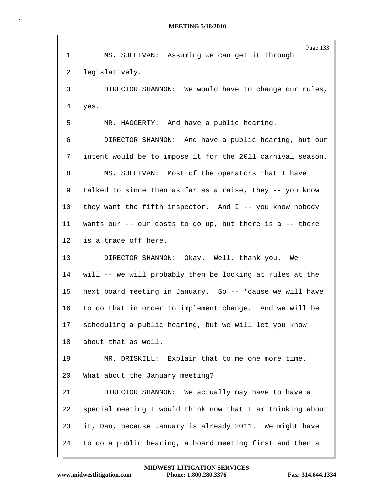|              | Page 133                                                     |
|--------------|--------------------------------------------------------------|
| $\mathbf{1}$ | MS. SULLIVAN: Assuming we can get it through                 |
| 2            | legislatively.                                               |
| 3            | DIRECTOR SHANNON: We would have to change our rules,         |
| 4            | yes.                                                         |
| 5            | MR. HAGGERTY: And have a public hearing.                     |
| 6            | DIRECTOR SHANNON: And have a public hearing, but our         |
| 7            | intent would be to impose it for the 2011 carnival season.   |
| 8            | MS. SULLIVAN: Most of the operators that I have              |
| 9            | talked to since then as far as a raise, they -- you know     |
| 10           | they want the fifth inspector. And I -- you know nobody      |
| 11           | wants our $--$ our costs to go up, but there is a $--$ there |
| 12           | is a trade off here.                                         |
| 13           | DIRECTOR SHANNON: Okay. Well, thank you. We                  |
| 14           | will -- we will probably then be looking at rules at the     |
| 15           | next board meeting in January. So -- 'cause we will have     |
| 16           | to do that in order to implement change. And we will be      |
| 17           | scheduling a public hearing, but we will let you know        |
| 18           | about that as well.                                          |
| 19           | MR. DRISKILL: Explain that to me one more time.              |
| 20           | What about the January meeting?                              |
| 21           | DIRECTOR SHANNON: We actually may have to have a             |
| 22           | special meeting I would think now that I am thinking about   |
| 23           | it, Dan, because January is already 2011. We might have      |
| 24           | to do a public hearing, a board meeting first and then a     |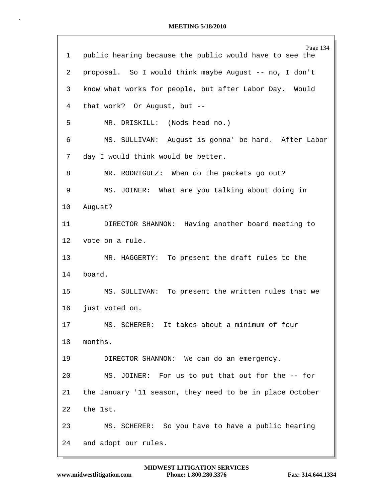|                 | Page 134                                                 |
|-----------------|----------------------------------------------------------|
| 1               | public hearing because the public would have to see the  |
| 2               | proposal. So I would think maybe August -- no, I don't   |
| 3               | know what works for people, but after Labor Day. Would   |
| 4               | that work? Or August, but --                             |
| 5               | MR. DRISKILL: (Nods head no.)                            |
| 6               | MS. SULLIVAN: August is gonna' be hard. After Labor      |
| 7               | day I would think would be better.                       |
| 8               | MR. RODRIGUEZ: When do the packets go out?               |
| 9               | MS. JOINER: What are you talking about doing in          |
| 10              | August?                                                  |
| 11              | DIRECTOR SHANNON: Having another board meeting to        |
| 12              | vote on a rule.                                          |
| 13              | MR. HAGGERTY: To present the draft rules to the          |
| 14              | board.                                                   |
| 15 <sub>1</sub> | MS. SULLIVAN: To present the written rules that we       |
| 16              | just voted on.                                           |
| 17              | MS. SCHERER: It takes about a minimum of four            |
| 18              | months.                                                  |
|                 |                                                          |
| 19              | DIRECTOR SHANNON: We can do an emergency.                |
| 20              | MS. JOINER: For us to put that out for the -- for        |
| 21              | the January '11 season, they need to be in place October |
| 22              | the 1st.                                                 |
| 23              | MS. SCHERER: So you have to have a public hearing        |
| 24              | and adopt our rules.                                     |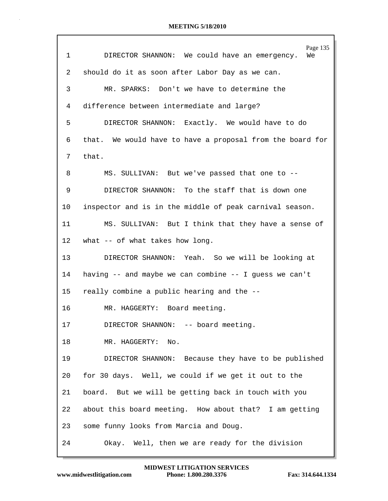| $\mathbf 1$     | Page 135<br>DIRECTOR SHANNON: We could have an emergency.<br>We |
|-----------------|-----------------------------------------------------------------|
| 2               | should do it as soon after Labor Day as we can.                 |
|                 |                                                                 |
| 3               | MR. SPARKS: Don't we have to determine the                      |
| 4               | difference between intermediate and large?                      |
| 5               | DIRECTOR SHANNON: Exactly. We would have to do                  |
| 6               | that. We would have to have a proposal from the board for       |
| 7               | that.                                                           |
| 8               | MS. SULLIVAN: But we've passed that one to --                   |
| 9               | DIRECTOR SHANNON: To the staff that is down one                 |
| $10 \,$         | inspector and is in the middle of peak carnival season.         |
| 11              | MS. SULLIVAN: But I think that they have a sense of             |
| 12              | what -- of what takes how long.                                 |
| 13              | DIRECTOR SHANNON: Yeah. So we will be looking at                |
| 14              | having $-$ and maybe we can combine $-$ I guess we can't        |
| 15 <sub>1</sub> | really combine a public hearing and the --                      |
| 16              | MR. HAGGERTY: Board meeting.                                    |
| 17              | DIRECTOR SHANNON: -- board meeting.                             |
| 18              | MR. HAGGERTY:<br>No.                                            |
| 19              | DIRECTOR SHANNON: Because they have to be published             |
| 20              | for 30 days. Well, we could if we get it out to the             |
| 21              | board. But we will be getting back in touch with you            |
| 22              | about this board meeting. How about that? I am getting          |
| 23              | some funny looks from Marcia and Doug.                          |
| 24              | Okay. Well, then we are ready for the division                  |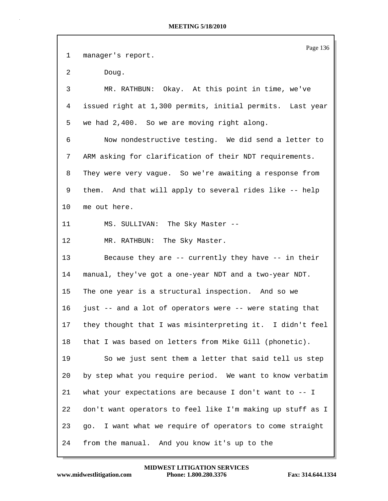Page 136 1 manager's report. 2 Doug. 3 MR. RATHBUN: Okay. At this point in time, we've 4 issued right at 1,300 permits, initial permits. Last year 5 we had 2,400. So we are moving right along. 6 Now nondestructive testing. We did send a letter to 7 ARM asking for clarification of their NDT requirements. 8 They were very vague. So we're awaiting a response from 9 them. And that will apply to several rides like -- help 10 me out here. 11 MS. SULLIVAN: The Sky Master -- 12 MR. RATHBUN: The Sky Master. 13 Because they are -- currently they have -- in their 14 manual, they've got a one-year NDT and a two-year NDT. 15 The one year is a structural inspection. And so we 16 just -- and a lot of operators were -- were stating that 17 they thought that I was misinterpreting it. I didn't feel 18 that I was based on letters from Mike Gill (phonetic). 19 So we just sent them a letter that said tell us step 20 by step what you require period. We want to know verbatim 21 what your expectations are because I don't want to -- I 22 don't want operators to feel like I'm making up stuff as I 23 go. I want what we require of operators to come straight 24 from the manual. And you know it's up to the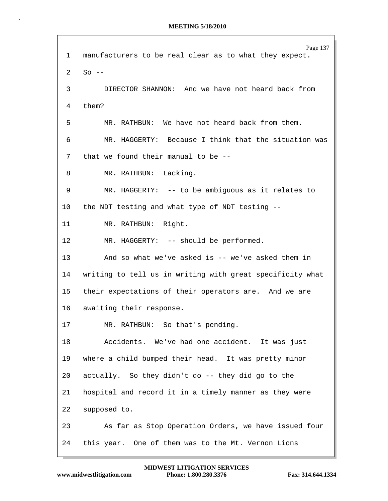Page 137 1 manufacturers to be real clear as to what they expect.  $2$  So  $-$ 3 DIRECTOR SHANNON: And we have not heard back from 4 them? 5 MR. RATHBUN: We have not heard back from them. 6 MR. HAGGERTY: Because I think that the situation was 7 that we found their manual to be -- 8 MR. RATHBUN: Lacking. 9 MR. HAGGERTY: -- to be ambiguous as it relates to 10 the NDT testing and what type of NDT testing -- 11 MR. RATHBUN: Right. 12 MR. HAGGERTY: -- should be performed. 13 And so what we've asked is -- we've asked them in 14 writing to tell us in writing with great specificity what 15 their expectations of their operators are. And we are 16 awaiting their response. 17 MR. RATHBUN: So that's pending. 18 Accidents. We've had one accident. It was just 19 where a child bumped their head. It was pretty minor 20 actually. So they didn't do -- they did go to the 21 hospital and record it in a timely manner as they were 22 supposed to. 23 As far as Stop Operation Orders, we have issued four 24 this year. One of them was to the Mt. Vernon Lions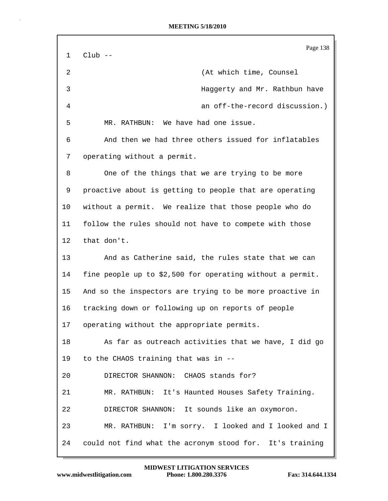|    | Page 138                                                  |
|----|-----------------------------------------------------------|
| 1  | $Club$ --                                                 |
| 2  | (At which time, Counsel                                   |
| 3  | Haggerty and Mr. Rathbun have                             |
| 4  | an off-the-record discussion.)                            |
| 5  | We have had one issue.<br>MR. RATHBUN:                    |
| 6  | And then we had three others issued for inflatables       |
| 7  | operating without a permit.                               |
| 8  | One of the things that we are trying to be more           |
| 9  | proactive about is getting to people that are operating   |
| 10 | without a permit. We realize that those people who do     |
| 11 | follow the rules should not have to compete with those    |
| 12 | that don't.                                               |
| 13 | And as Catherine said, the rules state that we can        |
| 14 | fine people up to \$2,500 for operating without a permit. |
| 15 | And so the inspectors are trying to be more proactive in  |
| 16 | tracking down or following up on reports of people        |
| 17 | operating without the appropriate permits.                |
| 18 | As far as outreach activities that we have, I did go      |
| 19 | to the CHAOS training that was in --                      |
| 20 | DIRECTOR SHANNON: CHAOS stands for?                       |
| 21 | MR. RATHBUN: It's Haunted Houses Safety Training.         |
| 22 | DIRECTOR SHANNON: It sounds like an oxymoron.             |
| 23 | MR. RATHBUN: I'm sorry. I looked and I looked and I       |
| 24 | could not find what the acronym stood for. It's training  |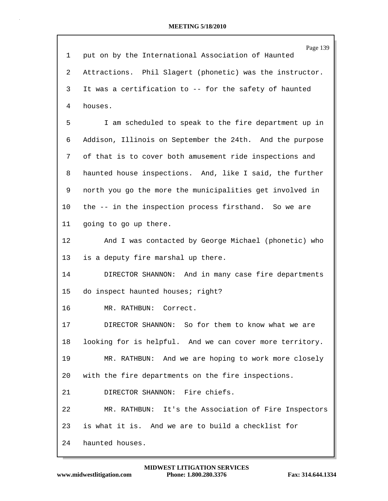|      | Page 139                                                 |
|------|----------------------------------------------------------|
| 1    | put on by the International Association of Haunted       |
| 2    | Attractions. Phil Slagert (phonetic) was the instructor. |
| 3    | It was a certification to -- for the safety of haunted   |
| 4    | houses.                                                  |
| 5    | I am scheduled to speak to the fire department up in     |
| 6    | Addison, Illinois on September the 24th. And the purpose |
| 7    | of that is to cover both amusement ride inspections and  |
| 8    | haunted house inspections. And, like I said, the further |
| 9    | north you go the more the municipalities get involved in |
| 10   | the -- in the inspection process firsthand. So we are    |
| 11   | going to go up there.                                    |
| 12   | And I was contacted by George Michael (phonetic) who     |
| 13   | is a deputy fire marshal up there.                       |
| 14   | DIRECTOR SHANNON: And in many case fire departments      |
| 15   | do inspect haunted houses; right?                        |
| 16   | MR. RATHBUN:<br>Correct.                                 |
| $17$ | DIRECTOR SHANNON: So for them to know what we are        |
| 18   | looking for is helpful. And we can cover more territory. |
| 19   | MR. RATHBUN: And we are hoping to work more closely      |
| 20   | with the fire departments on the fire inspections.       |
| 21   | DIRECTOR SHANNON: Fire chiefs.                           |
| 22   | MR. RATHBUN: It's the Association of Fire Inspectors     |
| 23   | is what it is. And we are to build a checklist for       |
| 24   | haunted houses.                                          |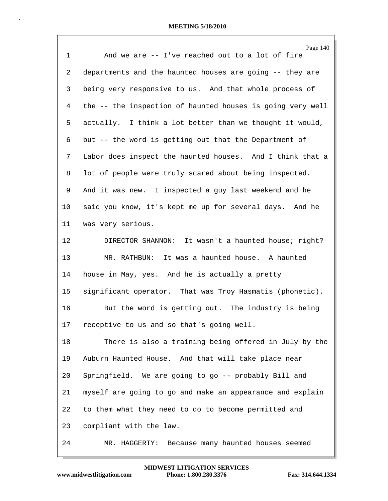| $\mathbf{1}$   | Page 140<br>And we are -- I've reached out to a lot of fire |
|----------------|-------------------------------------------------------------|
| $\overline{2}$ | departments and the haunted houses are going -- they are    |
| 3              | being very responsive to us. And that whole process of      |
| 4              | the -- the inspection of haunted houses is going very well  |
| 5              | actually. I think a lot better than we thought it would,    |
| 6              | but -- the word is getting out that the Department of       |
| 7              | Labor does inspect the haunted houses. And I think that a   |
| 8              | lot of people were truly scared about being inspected.      |
| 9              | And it was new. I inspected a guy last weekend and he       |
| 10             | said you know, it's kept me up for several days. And he     |
| 11             | was very serious.                                           |
| 12             | DIRECTOR SHANNON: It wasn't a haunted house; right?         |
| 13             | MR. RATHBUN: It was a haunted house. A haunted              |
| 14             | house in May, yes. And he is actually a pretty              |
| 15             | significant operator. That was Troy Hasmatis (phonetic).    |
| 16             | But the word is getting out. The industry is being          |
| 17             | receptive to us and so that's going well.                   |
| 18             | There is also a training being offered in July by the       |
| 19             | Auburn Haunted House. And that will take place near         |
| 20             | Springfield. We are going to go -- probably Bill and        |
| 21             | myself are going to go and make an appearance and explain   |
| 22             | to them what they need to do to become permitted and        |
| 23             | compliant with the law.                                     |
| 24             | MR. HAGGERTY:<br>Because many haunted houses seemed         |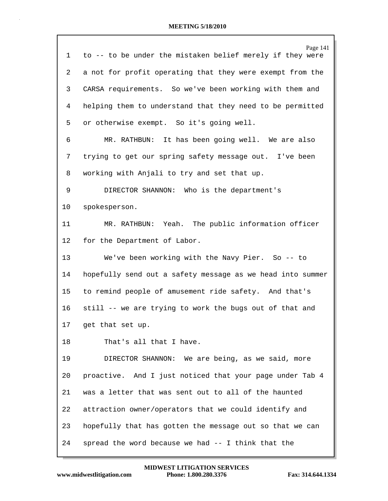| $\mathbf{1}$ | Page 141<br>to -- to be under the mistaken belief merely if they were |
|--------------|-----------------------------------------------------------------------|
| 2            | a not for profit operating that they were exempt from the             |
| 3            | CARSA requirements. So we've been working with them and               |
| 4            | helping them to understand that they need to be permitted             |
| 5            | or otherwise exempt. So it's going well.                              |
| 6            | MR. RATHBUN: It has been going well. We are also                      |
| 7            | trying to get our spring safety message out. I've been                |
| 8            | working with Anjali to try and set that up.                           |
| 9            | DIRECTOR SHANNON: Who is the department's                             |
| $10 \,$      | spokesperson.                                                         |
| 11           | MR. RATHBUN: Yeah. The public information officer                     |
| 12           | for the Department of Labor.                                          |
| 13           | We've been working with the Navy Pier. So -- to                       |
| 14           | hopefully send out a safety message as we head into summer            |
| 15           | to remind people of amusement ride safety. And that's                 |
| 16           | still -- we are trying to work the bugs out of that and               |
| 17           | get that set up.                                                      |
| 18           | That's all that I have.                                               |
| 19           | DIRECTOR SHANNON: We are being, as we said, more                      |
| 20           | proactive. And I just noticed that your page under Tab 4              |
| 21           | was a letter that was sent out to all of the haunted                  |
| 22           | attraction owner/operators that we could identify and                 |
| 23           | hopefully that has gotten the message out so that we can              |
| 24           | spread the word because we had -- I think that the                    |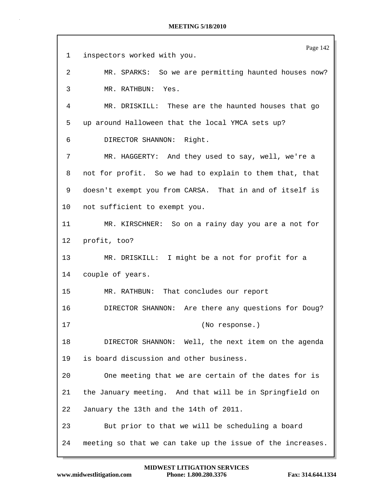|    | Page 142                                                   |
|----|------------------------------------------------------------|
| 1  | inspectors worked with you.                                |
| 2  | MR. SPARKS: So we are permitting haunted houses now?       |
| 3  | MR. RATHBUN: Yes.                                          |
| 4  | MR. DRISKILL: These are the haunted houses that go         |
| 5  | up around Halloween that the local YMCA sets up?           |
| 6  | DIRECTOR SHANNON: Right.                                   |
| 7  | MR. HAGGERTY: And they used to say, well, we're a          |
| 8  | not for profit. So we had to explain to them that, that    |
| 9  | doesn't exempt you from CARSA. That in and of itself is    |
| 10 | not sufficient to exempt you.                              |
| 11 | MR. KIRSCHNER: So on a rainy day you are a not for         |
| 12 | profit, too?                                               |
| 13 | MR. DRISKILL: I might be a not for profit for a            |
| 14 | couple of years.                                           |
| 15 | MR. RATHBUN: That concludes our report                     |
| 16 | DIRECTOR SHANNON: Are there any questions for Doug?        |
| 17 | (No response.)                                             |
| 18 | DIRECTOR SHANNON: Well, the next item on the agenda        |
| 19 | is board discussion and other business.                    |
| 20 | One meeting that we are certain of the dates for is        |
| 21 | the January meeting. And that will be in Springfield on    |
| 22 | January the 13th and the 14th of 2011.                     |
| 23 | But prior to that we will be scheduling a board            |
| 24 | meeting so that we can take up the issue of the increases. |

**www.midwestlitigation.com Phone: 1.800.280.3376 Fax: 314.644.1334 MIDWEST LITIGATION SERVICES**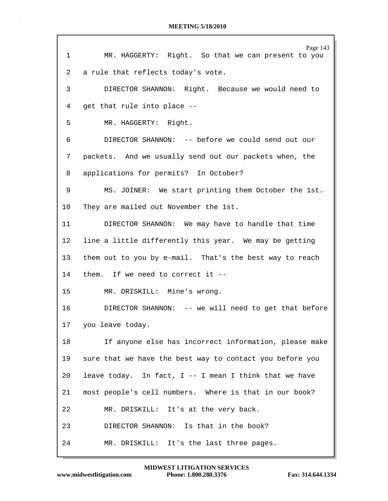| $\mathbf{1}$    | Page 143<br>MR. HAGGERTY: Right. So that we can present to you |
|-----------------|----------------------------------------------------------------|
| $\overline{2}$  | a rule that reflects today's vote.                             |
| 3               | DIRECTOR SHANNON: Right. Because we would need to              |
| 4               | get that rule into place --                                    |
| 5               | MR. HAGGERTY: Right.                                           |
| 6               | DIRECTOR SHANNON: -- before we could send out our              |
| 7               | packets. And we usually send out our packets when, the         |
| 8               | applications for permits? In October?                          |
| 9               | MS. JOINER: We start printing them October the 1st.            |
| 10              | They are mailed out November the 1st.                          |
| 11              | DIRECTOR SHANNON: We may have to handle that time              |
| 12 <sub>1</sub> | line a little differently this year. We may be getting         |
| 13              | them out to you by e-mail. That's the best way to reach        |
| 14              | them. If we need to correct it --                              |
| 15              | MR. DRISKILL: Mine's wrong.                                    |
| 16              | DIRECTOR SHANNON: -- we will need to get that before           |
| 17              | you leave today.                                               |
| 18              | If anyone else has incorrect information, please make          |
| 19              | sure that we have the best way to contact you before you       |
| 20              | leave today. In fact, $I$ -- I mean I think that we have       |
| 21              | most people's cell numbers. Where is that in our book?         |
| 22              | MR. DRISKILL: It's at the very back.                           |
| 23              | DIRECTOR SHANNON: Is that in the book?                         |
| 24              | MR. DRISKILL: It's the last three pages.                       |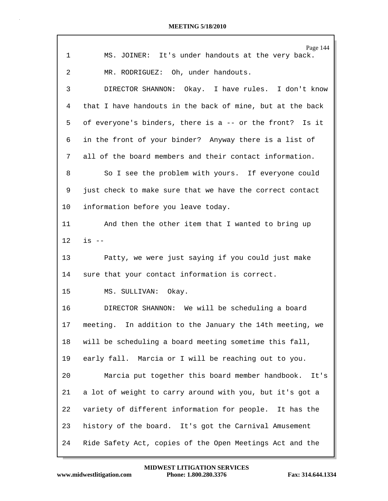|                 | Page 144                                                  |
|-----------------|-----------------------------------------------------------|
| 1               | MS. JOINER: It's under handouts at the very back.         |
| 2               | MR. RODRIGUEZ: Oh, under handouts.                        |
| 3               | DIRECTOR SHANNON: Okay. I have rules. I don't know        |
| 4               | that I have handouts in the back of mine, but at the back |
| 5               | of everyone's binders, there is a -- or the front? Is it  |
| 6               | in the front of your binder? Anyway there is a list of    |
| 7               | all of the board members and their contact information.   |
| 8               | So I see the problem with yours. If everyone could        |
| 9               | just check to make sure that we have the correct contact  |
| 10              | information before you leave today.                       |
| 11              | And then the other item that I wanted to bring up         |
| 12 <sup>°</sup> | $is$ --                                                   |
| 13              | Patty, we were just saying if you could just make         |
| 14              | sure that your contact information is correct.            |
| 15              | MS. SULLIVAN: Okay.                                       |
| 16              | DIRECTOR SHANNON: We will be scheduling a board           |
| 17              | meeting. In addition to the January the 14th meeting, we  |
| 18              | will be scheduling a board meeting sometime this fall,    |
| 19              | early fall. Marcia or I will be reaching out to you.      |
| 20              | Marcia put together this board member handbook.<br>It's   |
| 21              | a lot of weight to carry around with you, but it's got a  |
| 22              | variety of different information for people. It has the   |
| 23              | history of the board. It's got the Carnival Amusement     |
| 24              | Ride Safety Act, copies of the Open Meetings Act and the  |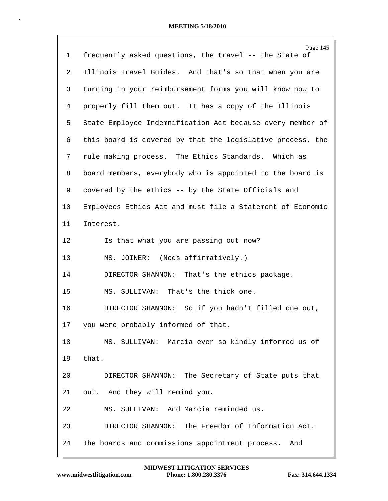## **MEETING 5/18/2010**

|    | Page 145                                                   |
|----|------------------------------------------------------------|
| 1  | frequently asked questions, the travel -- the State of     |
| 2  | Illinois Travel Guides. And that's so that when you are    |
| 3  | turning in your reimbursement forms you will know how to   |
| 4  | properly fill them out. It has a copy of the Illinois      |
| 5  | State Employee Indemnification Act because every member of |
| 6  | this board is covered by that the legislative process, the |
| 7  | rule making process. The Ethics Standards. Which as        |
| 8  | board members, everybody who is appointed to the board is  |
| 9  | covered by the ethics -- by the State Officials and        |
| 10 | Employees Ethics Act and must file a Statement of Economic |
| 11 | Interest.                                                  |
| 12 | Is that what you are passing out now?                      |
| 13 | MS. JOINER: (Nods affirmatively.)                          |
| 14 | DIRECTOR SHANNON: That's the ethics package.               |
| 15 | MS. SULLIVAN: That's the thick one.                        |
| 16 | DIRECTOR SHANNON: So if you hadn't filled one out,         |
| 17 | you were probably informed of that.                        |
| 18 | MS. SULLIVAN: Marcia ever so kindly informed us of         |
| 19 | that.                                                      |
| 20 | DIRECTOR SHANNON: The Secretary of State puts that         |
| 21 | out. And they will remind you.                             |
| 22 | MS. SULLIVAN: And Marcia reminded us.                      |
| 23 | DIRECTOR SHANNON: The Freedom of Information Act.          |
| 24 | The boards and commissions appointment process. And        |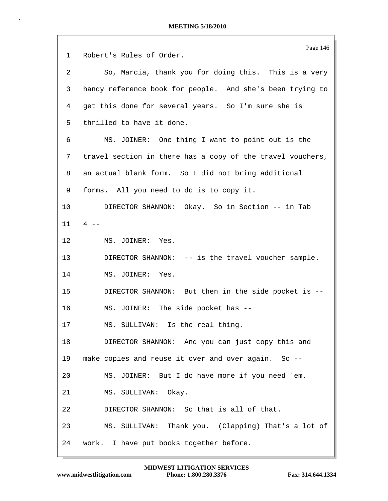Page 146 1 Robert's Rules of Order. 2 So, Marcia, thank you for doing this. This is a very 3 handy reference book for people. And she's been trying to 4 get this done for several years. So I'm sure she is 5 thrilled to have it done. 6 MS. JOINER: One thing I want to point out is the 7 travel section in there has a copy of the travel vouchers, 8 an actual blank form. So I did not bring additional 9 forms. All you need to do is to copy it. 10 DIRECTOR SHANNON: Okay. So in Section -- in Tab  $11 4 -$ 12 MS. JOINER: Yes. 13 DIRECTOR SHANNON: -- is the travel voucher sample. 14 MS. JOINER: Yes. 15 DIRECTOR SHANNON: But then in the side pocket is -- 16 MS. JOINER: The side pocket has -- 17 MS. SULLIVAN: Is the real thing. 18 DIRECTOR SHANNON: And you can just copy this and 19 make copies and reuse it over and over again. So -- 20 MS. JOINER: But I do have more if you need 'em. 21 MS. SULLIVAN: Okay. 22 DIRECTOR SHANNON: So that is all of that. 23 MS. SULLIVAN: Thank you. (Clapping) That's a lot of 24 work. I have put books together before.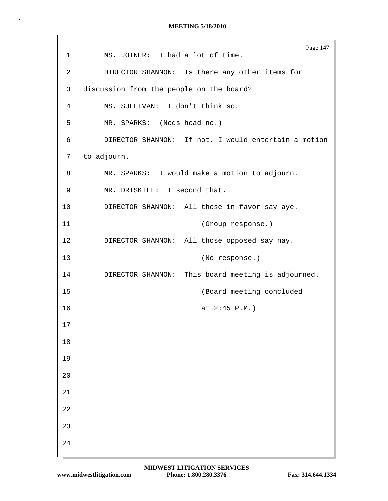| MS. JOINER: I had a lot of time.<br>$\mathbf 1$<br>$\overline{a}$<br>DIRECTOR SHANNON: Is there any other items for<br>discussion from the people on the board?<br>3<br>MS. SULLIVAN: I don't think so.<br>4<br>5<br>MR. SPARKS: (Nods head no.)<br>DIRECTOR SHANNON: If not, I would entertain a motion<br>6<br>to adjourn.<br>7<br>MR. SPARKS: I would make a motion to adjourn.<br>8<br>MR. DRISKILL: I second that.<br>9<br>10<br>DIRECTOR SHANNON: All those in favor say aye.<br>11<br>(Group response.)<br>DIRECTOR SHANNON: All those opposed say nay.<br>12<br>13<br>(No response.)<br>14<br>DIRECTOR SHANNON: This board meeting is adjourned.<br>(Board meeting concluded<br>15<br>16<br>at $2:45 P.M.$ )<br>17<br>$18\,$<br>19 | Page 147 |
|--------------------------------------------------------------------------------------------------------------------------------------------------------------------------------------------------------------------------------------------------------------------------------------------------------------------------------------------------------------------------------------------------------------------------------------------------------------------------------------------------------------------------------------------------------------------------------------------------------------------------------------------------------------------------------------------------------------------------------------------|----------|
|                                                                                                                                                                                                                                                                                                                                                                                                                                                                                                                                                                                                                                                                                                                                            |          |
|                                                                                                                                                                                                                                                                                                                                                                                                                                                                                                                                                                                                                                                                                                                                            |          |
|                                                                                                                                                                                                                                                                                                                                                                                                                                                                                                                                                                                                                                                                                                                                            |          |
|                                                                                                                                                                                                                                                                                                                                                                                                                                                                                                                                                                                                                                                                                                                                            |          |
|                                                                                                                                                                                                                                                                                                                                                                                                                                                                                                                                                                                                                                                                                                                                            |          |
|                                                                                                                                                                                                                                                                                                                                                                                                                                                                                                                                                                                                                                                                                                                                            |          |
|                                                                                                                                                                                                                                                                                                                                                                                                                                                                                                                                                                                                                                                                                                                                            |          |
|                                                                                                                                                                                                                                                                                                                                                                                                                                                                                                                                                                                                                                                                                                                                            |          |
|                                                                                                                                                                                                                                                                                                                                                                                                                                                                                                                                                                                                                                                                                                                                            |          |
|                                                                                                                                                                                                                                                                                                                                                                                                                                                                                                                                                                                                                                                                                                                                            |          |
|                                                                                                                                                                                                                                                                                                                                                                                                                                                                                                                                                                                                                                                                                                                                            |          |
|                                                                                                                                                                                                                                                                                                                                                                                                                                                                                                                                                                                                                                                                                                                                            |          |
|                                                                                                                                                                                                                                                                                                                                                                                                                                                                                                                                                                                                                                                                                                                                            |          |
|                                                                                                                                                                                                                                                                                                                                                                                                                                                                                                                                                                                                                                                                                                                                            |          |
|                                                                                                                                                                                                                                                                                                                                                                                                                                                                                                                                                                                                                                                                                                                                            |          |
|                                                                                                                                                                                                                                                                                                                                                                                                                                                                                                                                                                                                                                                                                                                                            |          |
|                                                                                                                                                                                                                                                                                                                                                                                                                                                                                                                                                                                                                                                                                                                                            |          |
|                                                                                                                                                                                                                                                                                                                                                                                                                                                                                                                                                                                                                                                                                                                                            |          |
|                                                                                                                                                                                                                                                                                                                                                                                                                                                                                                                                                                                                                                                                                                                                            |          |
| 20                                                                                                                                                                                                                                                                                                                                                                                                                                                                                                                                                                                                                                                                                                                                         |          |
| 21                                                                                                                                                                                                                                                                                                                                                                                                                                                                                                                                                                                                                                                                                                                                         |          |
| 22                                                                                                                                                                                                                                                                                                                                                                                                                                                                                                                                                                                                                                                                                                                                         |          |
| 23                                                                                                                                                                                                                                                                                                                                                                                                                                                                                                                                                                                                                                                                                                                                         |          |
| 24                                                                                                                                                                                                                                                                                                                                                                                                                                                                                                                                                                                                                                                                                                                                         |          |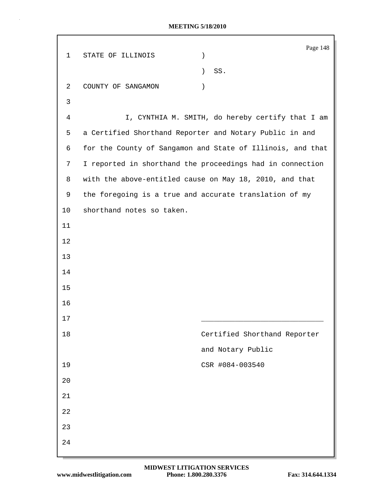| $\mathbf 1$    | STATE OF ILLINOIS                                          | Page 148                                         |
|----------------|------------------------------------------------------------|--------------------------------------------------|
|                | $\mathcal{C}$                                              |                                                  |
|                | $\lambda$                                                  | SS.                                              |
| 2              | COUNTY OF SANGAMON<br>$\mathcal{C}$                        |                                                  |
| 3              |                                                            |                                                  |
| $\overline{4}$ |                                                            | I, CYNTHIA M. SMITH, do hereby certify that I am |
| 5              | a Certified Shorthand Reporter and Notary Public in and    |                                                  |
| 6              | for the County of Sangamon and State of Illinois, and that |                                                  |
| 7              | I reported in shorthand the proceedings had in connection  |                                                  |
| 8              | with the above-entitled cause on May 18, 2010, and that    |                                                  |
| 9              | the foregoing is a true and accurate translation of my     |                                                  |
| 10             | shorthand notes so taken.                                  |                                                  |
| 11             |                                                            |                                                  |
| 12             |                                                            |                                                  |
| 13             |                                                            |                                                  |
| 14             |                                                            |                                                  |
| 15             |                                                            |                                                  |
| 16             |                                                            |                                                  |
| 17             |                                                            |                                                  |
| 18             |                                                            | Certified Shorthand Reporter                     |
|                |                                                            | and Notary Public                                |
| 19             |                                                            | CSR #084-003540                                  |
| 20             |                                                            |                                                  |
| 21             |                                                            |                                                  |
| 22             |                                                            |                                                  |
| 23             |                                                            |                                                  |
| 24             |                                                            |                                                  |
|                |                                                            |                                                  |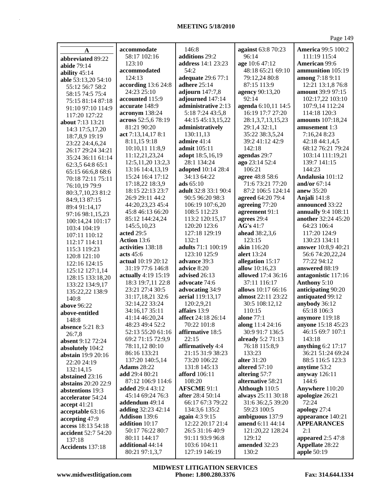| A                         | accommodate             | 146:8                | against 63:8 70:23      | <b>America 99:5 100:2</b> |
|---------------------------|-------------------------|----------------------|-------------------------|---------------------------|
| abbreviated 89:22         | 58:17 102:16            | additions 29:2       | 96:14                   | 111:19 115:4              |
| abide 79:14               | 123:10                  | address 14:1 23:23   | age 10:6 47:12          | <b>American 99:6</b>      |
|                           | accommodated            | 54:2                 | 48:18 65:21 69:10       | ammunition 105:19         |
| ability 45:14             | 124:13                  | adequate 29:6 77:1   | 79:12,24 80:8           | among 7:18 9:11           |
| able 53:13,20 54:10       | according 13:6 24:8     | adhere 25:14         | 87:15 113:9             | 12:21 13:1,8 76:8         |
| 55:12 56:7 58:2           | 24:23 25:10             | adjourn $147:7,8$    | agency 90:13,20         | amount 39:9 97:15         |
| 58:15 74:5 75:4           |                         |                      |                         |                           |
| 75:15 81:14 87:18         | accounted 115:9         | adjourned 147:14     | 92:14                   | 102:17,22 103:10          |
| 91:10 97:10 114:9         | accurate 148:9          | administrative 2:13  | agenda 6:10,11 14:5     | 107:9,14 112:24           |
| 117:20 127:22             | acronym 138:24          | 5:18 7:24 43:5,8     | 16:19 17:7 27:20        | 114:18 120:3              |
| <b>about</b> 7:13 13:21   | across 52:5,6 78:19     | 44:15 45:13,15,22    | 28:1,3,7,13,15,23       | amounts 107:18,24         |
| 14:3 17:5,17,20           | 81:21 90:20             | administratively     | 29:1,4 32:1,1           | amusement 1:3             |
| 18:7,8,9 19:19            | act 7:13,14,17 8:1      | 130:11,13            | 35:22 38:3,5,24         | 7:16,24 8:23              |
| 23:22 24:4,6,24           | 8:11,159:18             | admire 41:4          | 39:2 41:12 42:9         | 42:18 44:1,4,5            |
|                           | 10:10,11 11:8,9         | admit 105:11         | 142:18                  | 68:12 76:21 79:24         |
| 26:17 29:24 34:21         | 11:12,21,23,24          | adopt 18:5,16,19     | agendas 29:7            | 103:14 111:19,21          |
| 35:24 36:11 61:14         | 12:5, 11, 20 13:2, 3    | 28:1 134:24          | ago 23:14 52:4          | 139:7 141:15              |
| 62:3,5 64:8 65:1          |                         | adopted 10:14 28:4   | 106:21                  | 144:23                    |
| 65:15 66:6,8 68:6         | 13:16 14:4,13,19        |                      |                         |                           |
| 70:18 72:11 75:11         | 15:24 16:4 17:12        | 34:13 64:22          | agree 48:8 58:6         | Andalusia 101:12          |
| 76:10,19 79:9             | 17:18,22 18:3,9         | ads 65:10            | 71:6 73:21 77:20        | and/or $67:14$            |
| 80:3,7,10,23 81:2         | 18:15 22:13 23:7        | adult 32:8 33:1 90:4 | 87:2 106:5 124:14       | anew 35:20                |
| 84:9,13 87:15             | 26:9 29:11 44:2         | 90:5 96:20 98:3      | agreed 64:20 79:4       | Anjali 141:8              |
| 89:4 91:14,17             | 44:20,23,23 45:4        | 106:19 107:6,20      | agreeing 77:20          | announced 33:22           |
| 97:16 98:1,15,23          | 45:8 46:13 66:20        | 108:5 112:23         | agreement 91:1          | annually 9:4 108:11       |
| 100:14,24 101:17          | 85:12 144:24,24         | 113:2 120:15,17      | agrees 29:4             | another 32:24 45:20       |
|                           | 145:5,10,23             | 120:20 123:6         | AG's 41:7               | 64:23 106:4               |
| 103:4 104:19              | acted 29:5              | 127:18 129:19        | ahead 38:2,3,6          | 117:20 124:9              |
| 107:11 110:12             | Action 13:6             | 132:1                | 123:15                  | 130:23 134:11             |
| 112:17 114:11             | activities 138:18       | adults 71:1 100:19   | akin 116:20             | answer 10:8,9 40:21       |
| 115:3 119:23              | acts 45:6               | 123:10 125:9         | <b>alert</b> 13:24      | 56:6 74:20,22,24          |
| 120:8 121:10              |                         |                      |                         |                           |
| 122:16 124:15             | actual 10:19 20:12      | advance 39:3         | allegation 15:17        | 77:22 94:12               |
| 125:12 127:1,14           | 31:19 77:6 146:8        | advice 8:20          | allow 10:16,23          | answered 88:19            |
| 128:15 133:18,20          | actually 4:19 15:19     | advised 26:13        | allowed 17:4 36:16      | antagonistic 117:16       |
| 133:22 134:9,17           | 18:3 19:7,11 22:8       | advocate 74:6        | 37:11 116:17            | Anthony 5:10              |
| 135:22,22 138:9           | 23:21 27:4 30:5         | advocating 34:9      | allows 10:17 66:16      | anticipating 90:20        |
| 140:8                     | 31:17,18,21 32:6        | aerial 119:13,17     | almost 22:11 23:22      | antiquated 99:12          |
| above 96:22               | 32:14,22 33:24          | 120:2,9,21           | 30:5 108:12,12          | anybody 36:12             |
| above-entitled            | 34:16,17 35:11          | affairs 13:9         | 110:15                  | 65:18 106:3               |
| 148:8                     | 41:14 46:20,24          | affect 24:18 26:14   | alone 77:1              | anymore 119:18            |
|                           | 48:23 49:4 52:2         | 70:22 101:8          | along 11:4 24:16        | anyone 15:18 45:23        |
| absence 5:21 8:3          | 52:13 55:20 61:16       | affirmative 18:5     | 30:9 91:7 136:5         | 46:15 69:7 107:1          |
| 26:7.8                    | 69:2 71:15 72:9,9       | 22:15                | already 5:2 71:13       | 143:18                    |
| <b>absent</b> 9:12 72:24  | 78:11,12 80:10          | affirmatively 4:4    | 76:18 115:8,9           | anything 6:2 17:17        |
| absolutely 104:2          |                         |                      |                         |                           |
| <b>abstain</b> 19:9 20:16 | 86:16 133:21            | 21:15 31:9 38:23     | 133:23                  | 36:21 51:24 69:24         |
| 22:20 24:19               | 137:20 140:5,14         | 73:20 106:22         | alter 31:20             | 88:5 116:5 123:3          |
| 132:14,15                 | <b>Adams</b> 28:22      | 131:8 145:13         | altered $57:10$         | anytime 53:2              |
| abstained 23:16           | add 29:4 80:21          | afford 106:11        | altering 57:7           | anyway 126:11             |
| abstains 20:20 22:9       | 87:12 106:9 114:6       | 108:20               | alternative 58:21       | 144:6                     |
| abstentions 19:3          | <b>added</b> 29:4 43:12 | <b>AFSCME 91:1</b>   | Although 110:5          | Anywhere 110:20           |
| accelerator 54:24         | 45:14 69:24 76:3        | after 28:4 50:14     | always 25:11 30:18      | apologize 26:21           |
| accept 41:21              | addendum 49:14          | 66:17 67:3 79:22     | 31:6 36:2,5 39:20       | 72:24                     |
|                           | adding 32:23 42:14      | 134:3,6 135:2        | 59:23 100:5             | apology 27:4              |
| acceptable 63:16          | Addison 139:6           | again 4:3 9:15       | ambiguous 137:9         | appearance 140:21         |
| accepting 47:9            | addition 10:17          | 12:22 20:17 21:4     | <b>amend</b> 6:11 44:14 | <b>APPEARANCES</b>        |
| access 18:13 54:18        | 50:17 76:22 80:7        | 26:5 31:16 40:9      | 121:20,22 128:24        | 2:1                       |
| accident 52:7 54:20       | 80:11 144:17            | 91:11 93:9 96:8      | 129:12                  | appeared $2:547:8$        |
| 137:18                    |                         |                      |                         | <b>Appellate 28:22</b>    |
| Accidents 137:18          | additional 44:14        | 103:6 104:11         | amended 32:23           |                           |
|                           | 80:21 97:1,3,7          | 127:19 146:19        | 130:2                   | apple 50:19               |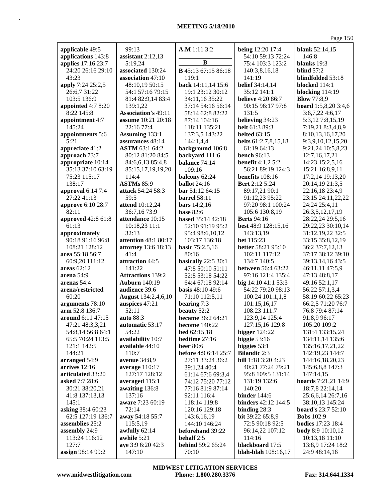## **MEETING 5/18/2010**

| applicable 49:5         | 99:13                      | A.M 1:11 3:2                 | being 12:20 17:4                    | <b>blank</b> 52:14,15                         |
|-------------------------|----------------------------|------------------------------|-------------------------------------|-----------------------------------------------|
| applications 143:8      | assistant $2:12,13$        |                              | 54:10 59:13 72:24                   | 146:8                                         |
| applies 17:16 23:7      | 5:19,24                    | B                            | 75:4 103:3 123:2                    | blanks $19:3$                                 |
| 24:20 26:16 29:10       | associated 130:24          | <b>B</b> 45:13 67:15 86:18   | 140:3,8,16,18                       | blind $57:2$                                  |
| 43:23                   | association 47:10          | 119:1                        | 141:19                              | blindfolded 53:18                             |
| apply 7:24 25:2,5       | 48:10,19 50:15             | back 14:11,14 15:6           | <b>belief</b> 34:14,14              | blocked 114:1                                 |
| 26:6,7 31:22            | 54:1 57:16 79:15           | 19:1 23:12 30:12             | 35:12 141:1                         | blocking 114:19                               |
| 103:5 136:9             | 81:4 82:9,14 83:4          | 34:11,16 35:22               | <b>believe</b> 4:20 86:7            | <b>Blow 77:8,9</b>                            |
| appointed 4:7 8:20      | 139:1,22                   | 37:14 54:16 56:14            | 90:15 96:17 97:8                    | <b>board</b> 1:5,8,20 3:4,6                   |
| 8:22 145:8              | <b>Association's 49:11</b> | 58:14 62:8 82:22             | 131:5                               | $3:6,7,22$ 4:6,17                             |
| appointment 4:7         | assume 10:21 20:18         | 87:14 104:16                 | believing 34:23                     | 5:3,12 7:8,15,19                              |
| 145:24                  | 22:16 77:4                 | 118:11 135:21                | <b>belt</b> 61:3 89:3               | 7:19,21 8:3,4,8,9                             |
| appointments 5:6        | Assuming 133:1             | 137:3,5 143:22               | <b>belted</b> 63:15                 | 8:10,13,16,17,20                              |
| 5:21                    | assurances 48:14           | 144:1,4,4                    | <b>belts</b> 61:2,7,8,15,18         | 9:3,9,10,12,15,20                             |
| appreciate 41:2         | <b>ASTM 63:1 64:2</b>      | background 106:8             | 61:19 64:13                         | 9:21,24 10:5,8,23                             |
| approach 73:7           | 80:12 81:20 84:5           | backyard 111:6               | <b>bench</b> 96:13                  | 12:7,16,17,21                                 |
| appropriate 10:14       | 84:6,6,13 85:4,8           | balance 74:14                | <b>benefit</b> 4:1,2 5:2            | 14:23 15:2,5,16                               |
| 35:13 37:10 63:19       | 85:15,17,19,19,20          | 109:16                       | 56:21 89:19 124:3                   | 15:21 16:8,9,11                               |
| 75:23 115:17            | 114:4                      | balcony 62:24                | benefits 108:16                     | 17:2,14 19:13,20                              |
| 138:17                  | <b>ASTMs 85:9</b>          | <b>ballot</b> 24:16          | <b>Bert</b> 2:12 5:24               | 20:14,19 21:3,5                               |
| approval 6:14 7:4       | attack 54:24 58:3          | bar 51:12 64:15              | 89:17,21 90:1                       | 22:16,18 23:4,9                               |
| 27:22 41:13             | 59:5                       | <b>barrel</b> 58:11          | 91:12,23 95:22                      | 23:15 24:11,22,22                             |
| approve 6:10 28:7       | attend 10:12,24            | <b>bars</b> 14:2,16          | 97:20 98:1 100:24                   | 24:24 25:4,11                                 |
| 82:11                   | 36:7,16 73:9               | <b>base 82:6</b>             | 105:6 130:8,19                      | 26:3,5,12,17,19                               |
| approved 42:8 61:8      | attendance 10:15           | <b>based</b> 35:14 42:18     | <b>Berts</b> 94:16                  | 28:22,24 29:5,16                              |
| 61:13                   | 10:18,23 11:1              | 52:10 91:19 95:2             | best 48:9 128:15,16                 | 29:22,23 30:10,14                             |
| approximately           | 32:13                      | 95:4 98:6,10,12              | 143:13,19                           | 31:12,19,22 32:5                              |
| 90:18 91:16 96:8        | attention 48:1 80:17       | 103:17 136:18                | <b>bet</b> 115:23                   | 33:15 35:8,12,19                              |
| 108:21 128:12           | attorney 13:6 18:13        | <b>basic</b> 75:2,5,16       | <b>better</b> 58:21 95:10           | 36:2 37:7,12,13                               |
| area 55:18 56:7         | 41:4                       | 80:16                        | 102:11 117:12                       | 37:17 38:12 39:10                             |
| 60:9,20 111:12          | attraction 44:5            | basically 22:5 30:1          | 134:7 140:5                         | 39:13,14,16 43:5                              |
| areas $62:12$           | 141:22                     | 47:8 50:10 51:11             | <b>between</b> 56:4 63:22           | 46:11,11 47:5,9                               |
| arena 54:9              | <b>Attractions 139:2</b>   | 52:8 53:18 54:22             | 97:16 121:4 135:4                   | 47:13 48:8,17                                 |
| arenas 54:4             | <b>Auburn</b> 140:19       | 64:4 67:18 92:14             | big 14:10 41:1 53:3                 | 49:16 52:1,17                                 |
| arena/restricted        | audience 39:6              | basis 48:10 49:6             | 54:22 79:20 98:13                   | 56:22 57:1,3,4                                |
| 60:20                   | <b>August</b> 134:2,4,6,10 | 71:10 112:5,11               | 100:24 101:1,1,8                    | 58:19 60:22 65:23                             |
| arguments 78:10         | auspices 47:21             | bearing 7:3                  | 101:15,16,17                        | 66:2,5 71:20 76:7                             |
| arm 52:8 136:7          | 52:11                      | beauty 52:2                  | 108:23 111:7                        | 76:8 79:4 87:14                               |
| around 6:11 47:15       | auto 88:3                  | became 36:2 64:21            | 123:9,14 125:4                      | 91:8,9 96:17                                  |
| 47:21 48:3,3,21         | automatic 53:17            | become $140:22$              | 127:15,16 129:8                     | 105:20 109:2                                  |
| 54:8,14 56:8 64:1       | 54:22                      | bed 62:15,18                 | bigger $124:22$                     | 131:4 133:15,24                               |
| 65:5 70:24 113:5        | availability 10:7          | bedtime 27:16                | biggie $53:16$                      | 134:11,14 135:6                               |
| 121:1 142:5             | available 44:10            | <b>beer</b> 80:6             | biggies $53:1$                      | 135:16,17,21,22                               |
| 144:21                  | 110:7                      | before 4:9 6:14 25:7         | <b>Bilandic 2:3</b>                 | 142:19,23 144:7                               |
| arranged 54:9           | avenue 34:8,9              | 27:11 33:24 36:2             | bill 1:18 3:20 4:23                 | 144:16,18,20,23                               |
| arrives 12:16           | average $110:17$           | 39:1,24 40:4                 | 40:21 77:24 79:21                   | 145:6,8,8 147:3                               |
| articulated 33:20       | 127:17 128:12              | 61:14 67:6 69:3,4            | 95:8 109:5 131:14                   | 147:14,15                                     |
| asked 7:7 28:6          | averaged 115:1             | 74:12 75:20 77:12            | 131:19 132:6                        | <b>boards</b> 7:21,21 14:9                    |
| 30:21 38:20,21          | awaiting 136:8             | 77:16 81:9 87:14             | 140:20                              | 18:7,8 22:14,14                               |
| 41:8 137:13,13<br>145:1 | 137:16<br>aware 7:23 60:19 | 92:11 116:4                  | binder 144:6<br>binders 42:12 144:5 | 25:6,6,14 26:7,16                             |
| asking 38:4 60:23       | 72:14                      | 118:14 119:8                 | binding $28:3$                      | 38:10,13 145:24<br><b>board's</b> $23:752:10$ |
| 62:5 127:19 136:7       | away 54:18 55:7            | 120:16 129:18                | <b>bit</b> 39:22 65:8,9             | <b>Bobs</b> 102:9                             |
| assemblies 25:2         | 115:5,19                   | 143:6,16,19<br>144:10 146:24 | 72:5 90:18 92:5                     | <b>bodies</b> 17:23 18:4                      |
| assembly 24:9           | awfully 62:14              | <b>beforehand</b> 39:22      | 96:14,22 107:12                     | <b>body</b> 8:9 10:10,12                      |
| 113:24 116:12           | awhile 5:21                | behalf 2:5                   | 114:16                              | 10:13,18 11:10                                |
| 127:7                   | aye 3:9 6:20 42:3          | <b>behind 59:2 65:24</b>     | blackboard 17:5                     | 13:8,9 17:24 18:2                             |
| assign 98:14 99:2       | 147:10                     | 70:10                        | blah-blah 108:16,17                 | 24:9 48:14,16                                 |
|                         |                            |                              |                                     |                                               |

**www.midwestlitigation.com Phone: 1.800.280.3376 Fax: 314.644.1334 MIDWEST LITIGATION SERVICES**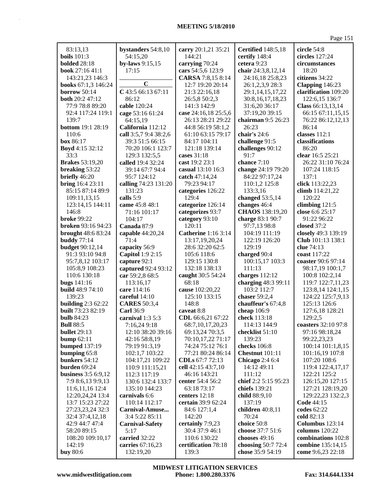| 83:13,13                   | bystanders 54:8,10      | carry 20:1,21 35:21        | <b>Certified</b> 148:5,18 | circle 54:8          |
|----------------------------|-------------------------|----------------------------|---------------------------|----------------------|
| <b>boils</b> 101:3         | 54:15,20                | 144:21                     | certify 148:4             | circles 127:24       |
| <b>bolded</b> 28:18        | by-laws 9:15,15         | carrying 70:24             | cetera 9:23               | circumstances        |
| <b>book</b> 27:16 41:1     | 17:15                   | cars 54:5,6 123:9          | chair 24:3,8,12,14        | 18:20                |
| 143:21,23 146:3            |                         | CARSA 7:8,15 8:14          | 24:16,18 25:8,23          | citizens 34:22       |
| books 67:1,3 146:24        | $\overline{C}$          | 12:7 19:20 20:14           | 26:1,2,3,9 28:3           | Clapping 146:23      |
| <b>borrow</b> 50:14        | C 43:5 66:13 67:11      | 21:3 22:16,18              | 29:1,14,15,17,22          | clarification 109:20 |
| <b>both</b> 20:2 47:12     | 86:12                   | 26:5,8 50:2,3              | 30:8,16,17,18,23          | 122:6,15 136:7       |
| 77:9 78:8 89:20            | cable 120:24            | 141:3 142:9                | 31:6,20 36:17             | Class 66:13,13,14    |
| 92:4 117:24 119:1          | cage 53:16 61:24        | case 24:16,18 25:5,6       | 37:19,20 39:15            | 66:15 67:11,15,15    |
| 139:7                      | 64:15,19                | 26:13 28:21 29:22          | chairman 9:5 26:23        | 76:22 86:12,12,13    |
| <b>bottom</b> 19:1 28:19   | California 112:12       | 44:8 56:19 58:1,2          | 26:23                     | 86:14                |
| 110:6                      | call 3:5,7 9:4 38:2,6   | 61:10 63:15 79:17          | chair's 24:6              | classes 112:1        |
| box 86:17                  | 39:3 51:5 66:15         | 84:17 104:11               | challenge 91:5            | classifications      |
| Boyd 4:15 32:12            | 70:20 106:1 123:7       | 121:18 139:14              | challenges 90:12          | 86:20                |
| 33:3                       | 129:3 132:5,5           | cases $31:18$              | 91:7                      | clear 16:5 25:21     |
| <b>Brakes</b> 53:19,20     | called 19:4 32:24       | cast 19:2 23:1             | chance 7:10               | 26:22 31:10 76:24    |
| breaking 53:22             | 39:14 67:7 94:4         | casual 13:10 16:3          | change 24:19 79:20        | 107:24 118:15        |
| briefly 46:20              | 95:7 124:12             | catch $47:14,24$           | 84:22 97:17,24            | 137:1                |
| bring 16:4 23:11           | calling 74:23 131:20    | 79:23 94:17                | 110:1,2 125:8             | click 113:22,23      |
| 85:15 87:14 89:9           | 131:23                  | categories 126:22          | 133:3,16                  | climb 114:21,22      |
| 109:11,13,15               | calls 5:9               | 129:4                      | changed 53:5,14           | 120:22               |
| 123:14,15 144:11           | came 45:8 48:1          | categorize 126:14          | changes 46:4              | climbing $121:5$     |
| 146:8                      | 71:16 101:17            | categorizes 93:7           | <b>CHAOS</b> 138:19,20    | close 6:6 25:17      |
| <b>broke</b> 99:22         | 104:17                  | category 93:10             | charge 83:1 90:7          | 91:22 96:22          |
| <b>broken</b> 93:16 94:23  | Canada 87:9             | 120:11                     | 97:7,13 98:8              | closed $37:2$        |
| <b>brought</b> 48:6 83:24  | capable 44:20,24        | <b>Catherine</b> 1:16 3:14 | 104:19 111:19             | closely 49:3 139:19  |
| <b>buddy</b> 77:14         | 71:4                    | 13:17,19,20,24             | 122:19 126:20             | Club 101:13 138:1    |
| <b>budget</b> 90:12,14     | capacity 56:9           | 28:6 32:20 62:5            | 129:19                    | clue 74:13           |
| 91:3 93:10 94:8            | <b>Capitol</b> 1:9 2:15 | 105:6 118:6                | charged 90:4              | coast 117:22         |
| 95:7,8,12 103:17           | capture 92:1            | 129:15 130:8               | 100:15,17 103:3           | coaster 90:6 97:14   |
| 105:8,9 108:23             | captured 92:4 93:12     | 132:18 138:13              | 111:13                    | 98:17,19 100:1,7     |
| 110:6 130:18               | car 59:2,8 68:5         | caught 30:5 54:24          | charges $112:12$          | 100:8 102:2,14       |
| <b>bugs</b> 141:16         | 113:16,17               | 68:18                      | charging 48:3 99:11       | 119:7 122:7,11,23    |
| <b>build</b> 48:9 74:10    | care 114:16             | cause 102:20,22            | 103:2 112:7               | 123:8,14 124:1,15    |
| 139:23                     | careful 14:10           | 125:10 133:15              | chaser 59:2,4             | 124:22 125:7,9,13    |
| <b>building 2:3 62:22</b>  | <b>CARES</b> 50:3,4     | 148:8                      | chauffeur's 67:4,8        | 125:13 126:6         |
| <b>built</b> 73:23 82:19   | <b>Carl</b> 36:9        | caveat 8:8                 | cheap 106:9               | 127:6,18 128:21      |
| <b>bulb</b> 84:23          | carnival $1:35:3$       | CDL 66:6,21 67:22          | check 113:18              | 129:2,5              |
| <b>Bull 88:5</b>           | 7:16,24 9:18            | 68:7, 10, 17, 20, 23       | 114:13 144:9              | coasters 32:10 97:8  |
| bullet 29:13               | 12:10 38:20 39:16       | 69:13,24 70:3,5            | checklist 51:10           | 97:16 98:18,24       |
| bump $62:11$               | 42:16 58:8,19           | 70:10,17,22 71:17          | 139:23                    | 99:22,23,23          |
| <b>bumped</b> 137:19       | 79:19 91:3,19           | 74:24 75:12 76:1           | checks 106:8              | 100:14 101:1,8,15    |
| bumping 65:8               | 102:1,7 103:22          | 77:21 80:24 86:14          | Chestnut 101:11           | 101:16,19 107:8      |
| bunkers 54:12              | 104:17,21 109:22        | CDLs 67:7 72:13            | <b>Chicago</b> 2:4 6:4    | 107:20 108:6         |
| burden 69:24               | 110:9 111:15,21         | cell 42:15 43:7,10         | 14:12 49:11               | 119:4 122:4,17,17    |
| <b>business</b> 3:5 6:9,12 | 112:3 117:19            | 46:16 143:21               | 111:12                    | 122:21 125:2         |
| 7:9 8:6,13 9:9,13          | 130:6 132:4 133:7       | center 54:4 56:2           | chief 2:2 5:15 95:23      | 126:15,20 127:15     |
| 11:6,11,16 12:4            | 135:10 144:23           | 63:18 73:17                | chiefs 139:21             | 127:21 128:19,20     |
| 12:20,24,24 13:4           | carnivals 6:6           | centers 12:18              | child 88:9,10             | 129:22,23 132:2,3    |
| 13:7 15:23 27:22           | 110:14 112:17           | certain 39:9 62:24         | 137:19                    | Code $44:15$         |
| 27:23,23,24 32:3           | Carnival-Amuse          | 84:6 127:1,4               | children 40:8,11          | codes 62:22          |
| 32:4 37:4,12,18            | 3:4 5:22 85:11          | 142:20                     | 70:24                     | cold 82:13           |
| 42:9 44:7 47:4             | <b>Carnival-Safety</b>  | certainly 7:9,23           | choice 50:8               | Columbus $123:14$    |
| 58:20 89:15                | 5:17                    | 30:4 37:9 46:1             | choose 37:7 51:6          | columns 120:22       |
| 108:20 109:10,17           | carried 32:22           | 110:6 130:22               | chooses 49:16             | combinations 102:8   |
| 142:19                     | carries 67:16,23        | certification 78:18        | choosing 50:7 72:4        | combine 135:14,15    |
| <b>buy</b> 80:6            | 132:19,20               | 139:3                      | chose 35:9 54:19          | come 9:6,23 22:18    |

**www.midwestlitigation.com Phone: 1.800.280.3376 Fax: 314.644.1334 MIDWEST LITIGATION SERVICES**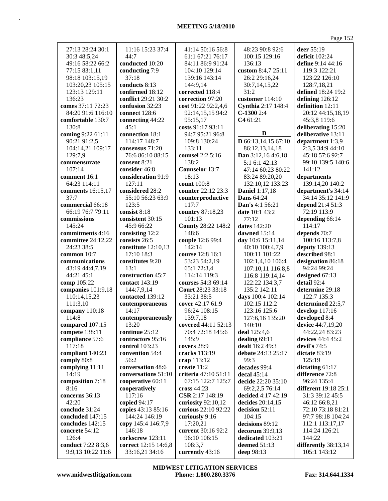| ٧ |
|---|
|   |

| 44:7<br>30:3 48:5,24<br>61:1 67:21 76:17<br>100:15 129:16<br>deficit $102:24$<br>conducted 10:20<br>136:13<br>49:16 58:22 66:2<br>84:11 86:9 91:24<br>define 9:14 44:16<br>custom 8:4,7 25:11<br>77:15 83:1,11<br>conducting 7:9<br>104:10 129:14<br>119:3 122:21<br>37:18<br>26:2 29:16,24<br>98:18 103:15,19<br>139:16 143:14<br>123:22 126:10<br>conducts 8:13<br>103:20,23 105:15<br>144:9,14<br>128:7,18,21<br>30:7,14,15,22<br>confirmed 18:12<br>31:2<br>defined 18:24 19:2<br>123:13 129:11<br>corrected 118:4<br>136:23<br>conflict 29:21 30:2<br>correction 97:20<br>customer 114:10<br>defining 126:12<br>comes 37:11 72:23<br>confusion 32:23<br>cost 91:22 92:2,4,6<br>Cynthia 2:17 148:4<br>definition 12:11<br>84:20 91:6 116:10<br>$C-13002:4$<br>connect 128:6<br>92:14,15,15 94:2<br>20:12 44:15,18,19<br>comfortable 130:7<br>connecting 44:22<br>95:15,17<br>C461:21<br>45:3,8 119:6<br>130:8<br>45:1<br>deliberating 15:20<br>costs 91:17 93:11<br>D<br>coming 9:22 61:11<br>connection 18:1<br>deliberative 13:11<br>94:7 95:21 96:8<br>90:21 91:2,5<br>114:17 148:7<br>D 66:13,14,15 67:10<br>department 1:3,9<br>109:8 130:24<br>104:14,21 109:17<br>consensus 71:20<br>133:11<br>2:3,5 34:9 44:10<br>86:12,13,14,18<br>76:6 86:10 88:15<br>counsel 2:2 5:16<br>129:7,9<br>Dan 3:12,16 4:6,18<br>45:18 57:6 92:7<br>138:2<br>consent 8:21<br>5:1 6:1 42:13<br>99:10 139:5 140:6<br>commensurate<br>107:14<br>Counselor 13:7<br>consider 46:8<br>47:14 60:23 80:22<br>141:12<br>consideration 91:9<br>18:13<br>comment 16:1<br>83:24 89:20,20<br>departments<br>139:14,20 140:2<br>64:23 114:11<br>127:11<br>count 100:8<br>132:10,12 133:23<br>counter 22:12 23:3<br>considered 28:2<br><b>Daniel 1:17,18</b><br>comments 16:15,17<br>department's 34:14<br>37:7<br>55:10 56:23 63:9<br>counterproductive<br><b>Dans</b> 64:24<br>34:14 35:12 141:9<br>commercial 66:18<br>123:5<br>117:7<br>Dan's 4:1 56:21<br>depend 21:4 51:3<br>66:19 76:7 79:11<br>consist 8:18<br>72:19 113:9<br>country 87:18,23<br>date 10:1 43:2<br>commissions<br>consistent 30:15<br>101:13<br>77:12<br>depending 66:14<br>145:24<br><b>County 28:22 148:2</b><br>dates 142:20<br>114:17<br>45:9 66:22<br>commitments 4:16<br>consisting 12:2<br>depends 70:7<br>148:6<br>dawned 15:14<br>consists 26:5<br>committee 24:12,22<br>couple 12:6 99:4<br>day 10:6 15:11,14<br>100:16 113:7,8<br>24:23 38:5<br>142:14<br>deputy 139:13<br>constitute 12:10,13<br>40:10 100:4,7,9<br>common 10:7<br>17:10 18:3<br>described 98:1<br>course 12:8 16:1<br>100:11 101:22<br>communications<br>constitutes 9:20<br>53:23 54:2,19<br>designation 86:18<br>102:1,4,10 106:4<br>13:1<br>43:19 44:4,7,19<br>65:1 72:3,4<br>94:24 99:24<br>107:10,11 116:8,8<br>construction 45:7<br>44:21 45:1<br>114:14 119:3<br>116:8 119:14,14<br>designed 67:13<br>contact 143:19<br>comp 105:22<br>courses 54:3 69:14<br>122:22 134:3,7<br>detail 92:4<br>companies 101:9,18<br>determine 29:18<br>144:7,9,14<br>Court 28:23 33:18<br>135:2 142:11<br>contacted 139:12<br>122:7 135:3<br>110:14,15,23<br>33:21 38:5<br>days 100:4 102:14<br>cover 42:17 61:9<br>determined 22:5,7<br>111:3,10<br>102:15 112:2<br>contemporaneous<br>14:17<br>96:24 108:15<br>develop 117:16<br>company 110:18<br>123:16 125:6<br>114:8<br>contemporaneously<br>139:7,18<br>developed 8:4<br>127:6,16 135:20<br>covered 44:11 52:13<br>compared 107:15<br>13:20<br>device 44:7,19,20<br>140:10<br>compete 138:11<br>70:4 72:18 145:6<br>deal 125:4,6<br>44:22,24 83:23<br>continue 25:12<br>compliance 57:6<br>contractors 95:16<br>145:9<br>dealing 69:11<br>devices 44:4 45:2<br>devil's 74:5<br>117:18<br>control 103:23<br>covers 28:9<br>dealt 16:2 49:3<br>compliant 140:23<br>convention 54:4<br>cracks 113:19<br>dictate 83:19<br>debate 24:13 25:17<br>comply 80:8<br>56:2<br>crap 113:12<br>99:3<br>125:19<br>conversation 48:6<br>complying 11:11<br>create 11:2<br>decades 99:4<br>dictating 61:17<br>conversations 51:10<br>criteria 47:10 51:11<br>14:19<br>decal $45:14$<br>difference 72:8<br>composition 7:18<br>cooperative 60:11<br>67:15 122:7 125:7<br>96:24 135:4<br>decide 22:20 35:10<br>8:16<br>different 19:18 25:1<br>cooperatively<br>cross $44:23$<br>69:2,2,5 76:14<br>concerns 36:13<br>117:16<br>CSR 2:17 148:19<br>decided 4:17 42:19<br>31:3 39:12 45:5<br>42:20<br>copied 94:17<br>curiosity 92:10,12<br>decides 20:14,15<br>46:12 66:8,21<br>conclude 31:24<br>copies 43:13 85:16<br>curious 22:10 92:22<br>72:10 73:18 81:21<br>decision 52:11<br>144:24 146:19<br>curiously 9:16<br>97:7 98:18 104:24<br>concluded 147:15<br>104:15<br>concludes 142:15<br>copy 145:4 146:7,9<br>17:20,21<br>decisions 89:12<br>112:1 113:17,17<br>146:18<br>current 30:16 92:2<br>decorum 39:9,13<br>114:24 126:21<br>concrete 54:12<br>126:4<br>corkscrew 123:11<br>144:22<br>96:10 106:15<br>dedicated 103:21<br>conduct 7:22 8:3,6<br>correct 12:15 14:6,8<br>108:3,7<br>differently 38:13,14<br>deemed $51:13$<br>9:9,13 10:22 11:6<br>33:16,21 34:16<br>currently 43:16<br>deep 98:13<br>105:1 143:12 | 27:13 28:24 30:1 | 11:16 15:23 37:4 | 41:14 50:16 56:8 | 48:23 90:8 92:6 | deer 55:19 |
|--------------------------------------------------------------------------------------------------------------------------------------------------------------------------------------------------------------------------------------------------------------------------------------------------------------------------------------------------------------------------------------------------------------------------------------------------------------------------------------------------------------------------------------------------------------------------------------------------------------------------------------------------------------------------------------------------------------------------------------------------------------------------------------------------------------------------------------------------------------------------------------------------------------------------------------------------------------------------------------------------------------------------------------------------------------------------------------------------------------------------------------------------------------------------------------------------------------------------------------------------------------------------------------------------------------------------------------------------------------------------------------------------------------------------------------------------------------------------------------------------------------------------------------------------------------------------------------------------------------------------------------------------------------------------------------------------------------------------------------------------------------------------------------------------------------------------------------------------------------------------------------------------------------------------------------------------------------------------------------------------------------------------------------------------------------------------------------------------------------------------------------------------------------------------------------------------------------------------------------------------------------------------------------------------------------------------------------------------------------------------------------------------------------------------------------------------------------------------------------------------------------------------------------------------------------------------------------------------------------------------------------------------------------------------------------------------------------------------------------------------------------------------------------------------------------------------------------------------------------------------------------------------------------------------------------------------------------------------------------------------------------------------------------------------------------------------------------------------------------------------------------------------------------------------------------------------------------------------------------------------------------------------------------------------------------------------------------------------------------------------------------------------------------------------------------------------------------------------------------------------------------------------------------------------------------------------------------------------------------------------------------------------------------------------------------------------------------------------------------------------------------------------------------------------------------------------------------------------------------------------------------------------------------------------------------------------------------------------------------------------------------------------------------------------------------------------------------------------------------------------------------------------------------------------------------------------------------------------------------------------------------------------------------------------------------------------------------------------------------------------------------------------------------------------------------------------------------------------------------------------------------------------------------------------------------------------------------------------------------------------------------------------------------------------------------------------------------------------------------------------------------------------------------------------------------------------------------------------------------------------------------------------------------------------------------------------------------------------------------------------------------------------------------------------------------------------------------------|------------------|------------------|------------------|-----------------|------------|
|                                                                                                                                                                                                                                                                                                                                                                                                                                                                                                                                                                                                                                                                                                                                                                                                                                                                                                                                                                                                                                                                                                                                                                                                                                                                                                                                                                                                                                                                                                                                                                                                                                                                                                                                                                                                                                                                                                                                                                                                                                                                                                                                                                                                                                                                                                                                                                                                                                                                                                                                                                                                                                                                                                                                                                                                                                                                                                                                                                                                                                                                                                                                                                                                                                                                                                                                                                                                                                                                                                                                                                                                                                                                                                                                                                                                                                                                                                                                                                                                                                                                                                                                                                                                                                                                                                                                                                                                                                                                                                                                                                                                                                                                                                                                                                                                                                                                                                                                                                                                                                                                                            |                  |                  |                  |                 |            |
|                                                                                                                                                                                                                                                                                                                                                                                                                                                                                                                                                                                                                                                                                                                                                                                                                                                                                                                                                                                                                                                                                                                                                                                                                                                                                                                                                                                                                                                                                                                                                                                                                                                                                                                                                                                                                                                                                                                                                                                                                                                                                                                                                                                                                                                                                                                                                                                                                                                                                                                                                                                                                                                                                                                                                                                                                                                                                                                                                                                                                                                                                                                                                                                                                                                                                                                                                                                                                                                                                                                                                                                                                                                                                                                                                                                                                                                                                                                                                                                                                                                                                                                                                                                                                                                                                                                                                                                                                                                                                                                                                                                                                                                                                                                                                                                                                                                                                                                                                                                                                                                                                            |                  |                  |                  |                 |            |
|                                                                                                                                                                                                                                                                                                                                                                                                                                                                                                                                                                                                                                                                                                                                                                                                                                                                                                                                                                                                                                                                                                                                                                                                                                                                                                                                                                                                                                                                                                                                                                                                                                                                                                                                                                                                                                                                                                                                                                                                                                                                                                                                                                                                                                                                                                                                                                                                                                                                                                                                                                                                                                                                                                                                                                                                                                                                                                                                                                                                                                                                                                                                                                                                                                                                                                                                                                                                                                                                                                                                                                                                                                                                                                                                                                                                                                                                                                                                                                                                                                                                                                                                                                                                                                                                                                                                                                                                                                                                                                                                                                                                                                                                                                                                                                                                                                                                                                                                                                                                                                                                                            |                  |                  |                  |                 |            |
|                                                                                                                                                                                                                                                                                                                                                                                                                                                                                                                                                                                                                                                                                                                                                                                                                                                                                                                                                                                                                                                                                                                                                                                                                                                                                                                                                                                                                                                                                                                                                                                                                                                                                                                                                                                                                                                                                                                                                                                                                                                                                                                                                                                                                                                                                                                                                                                                                                                                                                                                                                                                                                                                                                                                                                                                                                                                                                                                                                                                                                                                                                                                                                                                                                                                                                                                                                                                                                                                                                                                                                                                                                                                                                                                                                                                                                                                                                                                                                                                                                                                                                                                                                                                                                                                                                                                                                                                                                                                                                                                                                                                                                                                                                                                                                                                                                                                                                                                                                                                                                                                                            |                  |                  |                  |                 |            |
|                                                                                                                                                                                                                                                                                                                                                                                                                                                                                                                                                                                                                                                                                                                                                                                                                                                                                                                                                                                                                                                                                                                                                                                                                                                                                                                                                                                                                                                                                                                                                                                                                                                                                                                                                                                                                                                                                                                                                                                                                                                                                                                                                                                                                                                                                                                                                                                                                                                                                                                                                                                                                                                                                                                                                                                                                                                                                                                                                                                                                                                                                                                                                                                                                                                                                                                                                                                                                                                                                                                                                                                                                                                                                                                                                                                                                                                                                                                                                                                                                                                                                                                                                                                                                                                                                                                                                                                                                                                                                                                                                                                                                                                                                                                                                                                                                                                                                                                                                                                                                                                                                            |                  |                  |                  |                 |            |
|                                                                                                                                                                                                                                                                                                                                                                                                                                                                                                                                                                                                                                                                                                                                                                                                                                                                                                                                                                                                                                                                                                                                                                                                                                                                                                                                                                                                                                                                                                                                                                                                                                                                                                                                                                                                                                                                                                                                                                                                                                                                                                                                                                                                                                                                                                                                                                                                                                                                                                                                                                                                                                                                                                                                                                                                                                                                                                                                                                                                                                                                                                                                                                                                                                                                                                                                                                                                                                                                                                                                                                                                                                                                                                                                                                                                                                                                                                                                                                                                                                                                                                                                                                                                                                                                                                                                                                                                                                                                                                                                                                                                                                                                                                                                                                                                                                                                                                                                                                                                                                                                                            |                  |                  |                  |                 |            |
|                                                                                                                                                                                                                                                                                                                                                                                                                                                                                                                                                                                                                                                                                                                                                                                                                                                                                                                                                                                                                                                                                                                                                                                                                                                                                                                                                                                                                                                                                                                                                                                                                                                                                                                                                                                                                                                                                                                                                                                                                                                                                                                                                                                                                                                                                                                                                                                                                                                                                                                                                                                                                                                                                                                                                                                                                                                                                                                                                                                                                                                                                                                                                                                                                                                                                                                                                                                                                                                                                                                                                                                                                                                                                                                                                                                                                                                                                                                                                                                                                                                                                                                                                                                                                                                                                                                                                                                                                                                                                                                                                                                                                                                                                                                                                                                                                                                                                                                                                                                                                                                                                            |                  |                  |                  |                 |            |
|                                                                                                                                                                                                                                                                                                                                                                                                                                                                                                                                                                                                                                                                                                                                                                                                                                                                                                                                                                                                                                                                                                                                                                                                                                                                                                                                                                                                                                                                                                                                                                                                                                                                                                                                                                                                                                                                                                                                                                                                                                                                                                                                                                                                                                                                                                                                                                                                                                                                                                                                                                                                                                                                                                                                                                                                                                                                                                                                                                                                                                                                                                                                                                                                                                                                                                                                                                                                                                                                                                                                                                                                                                                                                                                                                                                                                                                                                                                                                                                                                                                                                                                                                                                                                                                                                                                                                                                                                                                                                                                                                                                                                                                                                                                                                                                                                                                                                                                                                                                                                                                                                            |                  |                  |                  |                 |            |
|                                                                                                                                                                                                                                                                                                                                                                                                                                                                                                                                                                                                                                                                                                                                                                                                                                                                                                                                                                                                                                                                                                                                                                                                                                                                                                                                                                                                                                                                                                                                                                                                                                                                                                                                                                                                                                                                                                                                                                                                                                                                                                                                                                                                                                                                                                                                                                                                                                                                                                                                                                                                                                                                                                                                                                                                                                                                                                                                                                                                                                                                                                                                                                                                                                                                                                                                                                                                                                                                                                                                                                                                                                                                                                                                                                                                                                                                                                                                                                                                                                                                                                                                                                                                                                                                                                                                                                                                                                                                                                                                                                                                                                                                                                                                                                                                                                                                                                                                                                                                                                                                                            |                  |                  |                  |                 |            |
|                                                                                                                                                                                                                                                                                                                                                                                                                                                                                                                                                                                                                                                                                                                                                                                                                                                                                                                                                                                                                                                                                                                                                                                                                                                                                                                                                                                                                                                                                                                                                                                                                                                                                                                                                                                                                                                                                                                                                                                                                                                                                                                                                                                                                                                                                                                                                                                                                                                                                                                                                                                                                                                                                                                                                                                                                                                                                                                                                                                                                                                                                                                                                                                                                                                                                                                                                                                                                                                                                                                                                                                                                                                                                                                                                                                                                                                                                                                                                                                                                                                                                                                                                                                                                                                                                                                                                                                                                                                                                                                                                                                                                                                                                                                                                                                                                                                                                                                                                                                                                                                                                            |                  |                  |                  |                 |            |
|                                                                                                                                                                                                                                                                                                                                                                                                                                                                                                                                                                                                                                                                                                                                                                                                                                                                                                                                                                                                                                                                                                                                                                                                                                                                                                                                                                                                                                                                                                                                                                                                                                                                                                                                                                                                                                                                                                                                                                                                                                                                                                                                                                                                                                                                                                                                                                                                                                                                                                                                                                                                                                                                                                                                                                                                                                                                                                                                                                                                                                                                                                                                                                                                                                                                                                                                                                                                                                                                                                                                                                                                                                                                                                                                                                                                                                                                                                                                                                                                                                                                                                                                                                                                                                                                                                                                                                                                                                                                                                                                                                                                                                                                                                                                                                                                                                                                                                                                                                                                                                                                                            |                  |                  |                  |                 |            |
|                                                                                                                                                                                                                                                                                                                                                                                                                                                                                                                                                                                                                                                                                                                                                                                                                                                                                                                                                                                                                                                                                                                                                                                                                                                                                                                                                                                                                                                                                                                                                                                                                                                                                                                                                                                                                                                                                                                                                                                                                                                                                                                                                                                                                                                                                                                                                                                                                                                                                                                                                                                                                                                                                                                                                                                                                                                                                                                                                                                                                                                                                                                                                                                                                                                                                                                                                                                                                                                                                                                                                                                                                                                                                                                                                                                                                                                                                                                                                                                                                                                                                                                                                                                                                                                                                                                                                                                                                                                                                                                                                                                                                                                                                                                                                                                                                                                                                                                                                                                                                                                                                            |                  |                  |                  |                 |            |
|                                                                                                                                                                                                                                                                                                                                                                                                                                                                                                                                                                                                                                                                                                                                                                                                                                                                                                                                                                                                                                                                                                                                                                                                                                                                                                                                                                                                                                                                                                                                                                                                                                                                                                                                                                                                                                                                                                                                                                                                                                                                                                                                                                                                                                                                                                                                                                                                                                                                                                                                                                                                                                                                                                                                                                                                                                                                                                                                                                                                                                                                                                                                                                                                                                                                                                                                                                                                                                                                                                                                                                                                                                                                                                                                                                                                                                                                                                                                                                                                                                                                                                                                                                                                                                                                                                                                                                                                                                                                                                                                                                                                                                                                                                                                                                                                                                                                                                                                                                                                                                                                                            |                  |                  |                  |                 |            |
|                                                                                                                                                                                                                                                                                                                                                                                                                                                                                                                                                                                                                                                                                                                                                                                                                                                                                                                                                                                                                                                                                                                                                                                                                                                                                                                                                                                                                                                                                                                                                                                                                                                                                                                                                                                                                                                                                                                                                                                                                                                                                                                                                                                                                                                                                                                                                                                                                                                                                                                                                                                                                                                                                                                                                                                                                                                                                                                                                                                                                                                                                                                                                                                                                                                                                                                                                                                                                                                                                                                                                                                                                                                                                                                                                                                                                                                                                                                                                                                                                                                                                                                                                                                                                                                                                                                                                                                                                                                                                                                                                                                                                                                                                                                                                                                                                                                                                                                                                                                                                                                                                            |                  |                  |                  |                 |            |
|                                                                                                                                                                                                                                                                                                                                                                                                                                                                                                                                                                                                                                                                                                                                                                                                                                                                                                                                                                                                                                                                                                                                                                                                                                                                                                                                                                                                                                                                                                                                                                                                                                                                                                                                                                                                                                                                                                                                                                                                                                                                                                                                                                                                                                                                                                                                                                                                                                                                                                                                                                                                                                                                                                                                                                                                                                                                                                                                                                                                                                                                                                                                                                                                                                                                                                                                                                                                                                                                                                                                                                                                                                                                                                                                                                                                                                                                                                                                                                                                                                                                                                                                                                                                                                                                                                                                                                                                                                                                                                                                                                                                                                                                                                                                                                                                                                                                                                                                                                                                                                                                                            |                  |                  |                  |                 |            |
|                                                                                                                                                                                                                                                                                                                                                                                                                                                                                                                                                                                                                                                                                                                                                                                                                                                                                                                                                                                                                                                                                                                                                                                                                                                                                                                                                                                                                                                                                                                                                                                                                                                                                                                                                                                                                                                                                                                                                                                                                                                                                                                                                                                                                                                                                                                                                                                                                                                                                                                                                                                                                                                                                                                                                                                                                                                                                                                                                                                                                                                                                                                                                                                                                                                                                                                                                                                                                                                                                                                                                                                                                                                                                                                                                                                                                                                                                                                                                                                                                                                                                                                                                                                                                                                                                                                                                                                                                                                                                                                                                                                                                                                                                                                                                                                                                                                                                                                                                                                                                                                                                            |                  |                  |                  |                 |            |
|                                                                                                                                                                                                                                                                                                                                                                                                                                                                                                                                                                                                                                                                                                                                                                                                                                                                                                                                                                                                                                                                                                                                                                                                                                                                                                                                                                                                                                                                                                                                                                                                                                                                                                                                                                                                                                                                                                                                                                                                                                                                                                                                                                                                                                                                                                                                                                                                                                                                                                                                                                                                                                                                                                                                                                                                                                                                                                                                                                                                                                                                                                                                                                                                                                                                                                                                                                                                                                                                                                                                                                                                                                                                                                                                                                                                                                                                                                                                                                                                                                                                                                                                                                                                                                                                                                                                                                                                                                                                                                                                                                                                                                                                                                                                                                                                                                                                                                                                                                                                                                                                                            |                  |                  |                  |                 |            |
|                                                                                                                                                                                                                                                                                                                                                                                                                                                                                                                                                                                                                                                                                                                                                                                                                                                                                                                                                                                                                                                                                                                                                                                                                                                                                                                                                                                                                                                                                                                                                                                                                                                                                                                                                                                                                                                                                                                                                                                                                                                                                                                                                                                                                                                                                                                                                                                                                                                                                                                                                                                                                                                                                                                                                                                                                                                                                                                                                                                                                                                                                                                                                                                                                                                                                                                                                                                                                                                                                                                                                                                                                                                                                                                                                                                                                                                                                                                                                                                                                                                                                                                                                                                                                                                                                                                                                                                                                                                                                                                                                                                                                                                                                                                                                                                                                                                                                                                                                                                                                                                                                            |                  |                  |                  |                 |            |
|                                                                                                                                                                                                                                                                                                                                                                                                                                                                                                                                                                                                                                                                                                                                                                                                                                                                                                                                                                                                                                                                                                                                                                                                                                                                                                                                                                                                                                                                                                                                                                                                                                                                                                                                                                                                                                                                                                                                                                                                                                                                                                                                                                                                                                                                                                                                                                                                                                                                                                                                                                                                                                                                                                                                                                                                                                                                                                                                                                                                                                                                                                                                                                                                                                                                                                                                                                                                                                                                                                                                                                                                                                                                                                                                                                                                                                                                                                                                                                                                                                                                                                                                                                                                                                                                                                                                                                                                                                                                                                                                                                                                                                                                                                                                                                                                                                                                                                                                                                                                                                                                                            |                  |                  |                  |                 |            |
|                                                                                                                                                                                                                                                                                                                                                                                                                                                                                                                                                                                                                                                                                                                                                                                                                                                                                                                                                                                                                                                                                                                                                                                                                                                                                                                                                                                                                                                                                                                                                                                                                                                                                                                                                                                                                                                                                                                                                                                                                                                                                                                                                                                                                                                                                                                                                                                                                                                                                                                                                                                                                                                                                                                                                                                                                                                                                                                                                                                                                                                                                                                                                                                                                                                                                                                                                                                                                                                                                                                                                                                                                                                                                                                                                                                                                                                                                                                                                                                                                                                                                                                                                                                                                                                                                                                                                                                                                                                                                                                                                                                                                                                                                                                                                                                                                                                                                                                                                                                                                                                                                            |                  |                  |                  |                 |            |
|                                                                                                                                                                                                                                                                                                                                                                                                                                                                                                                                                                                                                                                                                                                                                                                                                                                                                                                                                                                                                                                                                                                                                                                                                                                                                                                                                                                                                                                                                                                                                                                                                                                                                                                                                                                                                                                                                                                                                                                                                                                                                                                                                                                                                                                                                                                                                                                                                                                                                                                                                                                                                                                                                                                                                                                                                                                                                                                                                                                                                                                                                                                                                                                                                                                                                                                                                                                                                                                                                                                                                                                                                                                                                                                                                                                                                                                                                                                                                                                                                                                                                                                                                                                                                                                                                                                                                                                                                                                                                                                                                                                                                                                                                                                                                                                                                                                                                                                                                                                                                                                                                            |                  |                  |                  |                 |            |
|                                                                                                                                                                                                                                                                                                                                                                                                                                                                                                                                                                                                                                                                                                                                                                                                                                                                                                                                                                                                                                                                                                                                                                                                                                                                                                                                                                                                                                                                                                                                                                                                                                                                                                                                                                                                                                                                                                                                                                                                                                                                                                                                                                                                                                                                                                                                                                                                                                                                                                                                                                                                                                                                                                                                                                                                                                                                                                                                                                                                                                                                                                                                                                                                                                                                                                                                                                                                                                                                                                                                                                                                                                                                                                                                                                                                                                                                                                                                                                                                                                                                                                                                                                                                                                                                                                                                                                                                                                                                                                                                                                                                                                                                                                                                                                                                                                                                                                                                                                                                                                                                                            |                  |                  |                  |                 |            |
|                                                                                                                                                                                                                                                                                                                                                                                                                                                                                                                                                                                                                                                                                                                                                                                                                                                                                                                                                                                                                                                                                                                                                                                                                                                                                                                                                                                                                                                                                                                                                                                                                                                                                                                                                                                                                                                                                                                                                                                                                                                                                                                                                                                                                                                                                                                                                                                                                                                                                                                                                                                                                                                                                                                                                                                                                                                                                                                                                                                                                                                                                                                                                                                                                                                                                                                                                                                                                                                                                                                                                                                                                                                                                                                                                                                                                                                                                                                                                                                                                                                                                                                                                                                                                                                                                                                                                                                                                                                                                                                                                                                                                                                                                                                                                                                                                                                                                                                                                                                                                                                                                            |                  |                  |                  |                 |            |
|                                                                                                                                                                                                                                                                                                                                                                                                                                                                                                                                                                                                                                                                                                                                                                                                                                                                                                                                                                                                                                                                                                                                                                                                                                                                                                                                                                                                                                                                                                                                                                                                                                                                                                                                                                                                                                                                                                                                                                                                                                                                                                                                                                                                                                                                                                                                                                                                                                                                                                                                                                                                                                                                                                                                                                                                                                                                                                                                                                                                                                                                                                                                                                                                                                                                                                                                                                                                                                                                                                                                                                                                                                                                                                                                                                                                                                                                                                                                                                                                                                                                                                                                                                                                                                                                                                                                                                                                                                                                                                                                                                                                                                                                                                                                                                                                                                                                                                                                                                                                                                                                                            |                  |                  |                  |                 |            |
|                                                                                                                                                                                                                                                                                                                                                                                                                                                                                                                                                                                                                                                                                                                                                                                                                                                                                                                                                                                                                                                                                                                                                                                                                                                                                                                                                                                                                                                                                                                                                                                                                                                                                                                                                                                                                                                                                                                                                                                                                                                                                                                                                                                                                                                                                                                                                                                                                                                                                                                                                                                                                                                                                                                                                                                                                                                                                                                                                                                                                                                                                                                                                                                                                                                                                                                                                                                                                                                                                                                                                                                                                                                                                                                                                                                                                                                                                                                                                                                                                                                                                                                                                                                                                                                                                                                                                                                                                                                                                                                                                                                                                                                                                                                                                                                                                                                                                                                                                                                                                                                                                            |                  |                  |                  |                 |            |
|                                                                                                                                                                                                                                                                                                                                                                                                                                                                                                                                                                                                                                                                                                                                                                                                                                                                                                                                                                                                                                                                                                                                                                                                                                                                                                                                                                                                                                                                                                                                                                                                                                                                                                                                                                                                                                                                                                                                                                                                                                                                                                                                                                                                                                                                                                                                                                                                                                                                                                                                                                                                                                                                                                                                                                                                                                                                                                                                                                                                                                                                                                                                                                                                                                                                                                                                                                                                                                                                                                                                                                                                                                                                                                                                                                                                                                                                                                                                                                                                                                                                                                                                                                                                                                                                                                                                                                                                                                                                                                                                                                                                                                                                                                                                                                                                                                                                                                                                                                                                                                                                                            |                  |                  |                  |                 |            |
|                                                                                                                                                                                                                                                                                                                                                                                                                                                                                                                                                                                                                                                                                                                                                                                                                                                                                                                                                                                                                                                                                                                                                                                                                                                                                                                                                                                                                                                                                                                                                                                                                                                                                                                                                                                                                                                                                                                                                                                                                                                                                                                                                                                                                                                                                                                                                                                                                                                                                                                                                                                                                                                                                                                                                                                                                                                                                                                                                                                                                                                                                                                                                                                                                                                                                                                                                                                                                                                                                                                                                                                                                                                                                                                                                                                                                                                                                                                                                                                                                                                                                                                                                                                                                                                                                                                                                                                                                                                                                                                                                                                                                                                                                                                                                                                                                                                                                                                                                                                                                                                                                            |                  |                  |                  |                 |            |
|                                                                                                                                                                                                                                                                                                                                                                                                                                                                                                                                                                                                                                                                                                                                                                                                                                                                                                                                                                                                                                                                                                                                                                                                                                                                                                                                                                                                                                                                                                                                                                                                                                                                                                                                                                                                                                                                                                                                                                                                                                                                                                                                                                                                                                                                                                                                                                                                                                                                                                                                                                                                                                                                                                                                                                                                                                                                                                                                                                                                                                                                                                                                                                                                                                                                                                                                                                                                                                                                                                                                                                                                                                                                                                                                                                                                                                                                                                                                                                                                                                                                                                                                                                                                                                                                                                                                                                                                                                                                                                                                                                                                                                                                                                                                                                                                                                                                                                                                                                                                                                                                                            |                  |                  |                  |                 |            |
|                                                                                                                                                                                                                                                                                                                                                                                                                                                                                                                                                                                                                                                                                                                                                                                                                                                                                                                                                                                                                                                                                                                                                                                                                                                                                                                                                                                                                                                                                                                                                                                                                                                                                                                                                                                                                                                                                                                                                                                                                                                                                                                                                                                                                                                                                                                                                                                                                                                                                                                                                                                                                                                                                                                                                                                                                                                                                                                                                                                                                                                                                                                                                                                                                                                                                                                                                                                                                                                                                                                                                                                                                                                                                                                                                                                                                                                                                                                                                                                                                                                                                                                                                                                                                                                                                                                                                                                                                                                                                                                                                                                                                                                                                                                                                                                                                                                                                                                                                                                                                                                                                            |                  |                  |                  |                 |            |
|                                                                                                                                                                                                                                                                                                                                                                                                                                                                                                                                                                                                                                                                                                                                                                                                                                                                                                                                                                                                                                                                                                                                                                                                                                                                                                                                                                                                                                                                                                                                                                                                                                                                                                                                                                                                                                                                                                                                                                                                                                                                                                                                                                                                                                                                                                                                                                                                                                                                                                                                                                                                                                                                                                                                                                                                                                                                                                                                                                                                                                                                                                                                                                                                                                                                                                                                                                                                                                                                                                                                                                                                                                                                                                                                                                                                                                                                                                                                                                                                                                                                                                                                                                                                                                                                                                                                                                                                                                                                                                                                                                                                                                                                                                                                                                                                                                                                                                                                                                                                                                                                                            |                  |                  |                  |                 |            |
|                                                                                                                                                                                                                                                                                                                                                                                                                                                                                                                                                                                                                                                                                                                                                                                                                                                                                                                                                                                                                                                                                                                                                                                                                                                                                                                                                                                                                                                                                                                                                                                                                                                                                                                                                                                                                                                                                                                                                                                                                                                                                                                                                                                                                                                                                                                                                                                                                                                                                                                                                                                                                                                                                                                                                                                                                                                                                                                                                                                                                                                                                                                                                                                                                                                                                                                                                                                                                                                                                                                                                                                                                                                                                                                                                                                                                                                                                                                                                                                                                                                                                                                                                                                                                                                                                                                                                                                                                                                                                                                                                                                                                                                                                                                                                                                                                                                                                                                                                                                                                                                                                            |                  |                  |                  |                 |            |
|                                                                                                                                                                                                                                                                                                                                                                                                                                                                                                                                                                                                                                                                                                                                                                                                                                                                                                                                                                                                                                                                                                                                                                                                                                                                                                                                                                                                                                                                                                                                                                                                                                                                                                                                                                                                                                                                                                                                                                                                                                                                                                                                                                                                                                                                                                                                                                                                                                                                                                                                                                                                                                                                                                                                                                                                                                                                                                                                                                                                                                                                                                                                                                                                                                                                                                                                                                                                                                                                                                                                                                                                                                                                                                                                                                                                                                                                                                                                                                                                                                                                                                                                                                                                                                                                                                                                                                                                                                                                                                                                                                                                                                                                                                                                                                                                                                                                                                                                                                                                                                                                                            |                  |                  |                  |                 |            |
|                                                                                                                                                                                                                                                                                                                                                                                                                                                                                                                                                                                                                                                                                                                                                                                                                                                                                                                                                                                                                                                                                                                                                                                                                                                                                                                                                                                                                                                                                                                                                                                                                                                                                                                                                                                                                                                                                                                                                                                                                                                                                                                                                                                                                                                                                                                                                                                                                                                                                                                                                                                                                                                                                                                                                                                                                                                                                                                                                                                                                                                                                                                                                                                                                                                                                                                                                                                                                                                                                                                                                                                                                                                                                                                                                                                                                                                                                                                                                                                                                                                                                                                                                                                                                                                                                                                                                                                                                                                                                                                                                                                                                                                                                                                                                                                                                                                                                                                                                                                                                                                                                            |                  |                  |                  |                 |            |
|                                                                                                                                                                                                                                                                                                                                                                                                                                                                                                                                                                                                                                                                                                                                                                                                                                                                                                                                                                                                                                                                                                                                                                                                                                                                                                                                                                                                                                                                                                                                                                                                                                                                                                                                                                                                                                                                                                                                                                                                                                                                                                                                                                                                                                                                                                                                                                                                                                                                                                                                                                                                                                                                                                                                                                                                                                                                                                                                                                                                                                                                                                                                                                                                                                                                                                                                                                                                                                                                                                                                                                                                                                                                                                                                                                                                                                                                                                                                                                                                                                                                                                                                                                                                                                                                                                                                                                                                                                                                                                                                                                                                                                                                                                                                                                                                                                                                                                                                                                                                                                                                                            |                  |                  |                  |                 |            |
|                                                                                                                                                                                                                                                                                                                                                                                                                                                                                                                                                                                                                                                                                                                                                                                                                                                                                                                                                                                                                                                                                                                                                                                                                                                                                                                                                                                                                                                                                                                                                                                                                                                                                                                                                                                                                                                                                                                                                                                                                                                                                                                                                                                                                                                                                                                                                                                                                                                                                                                                                                                                                                                                                                                                                                                                                                                                                                                                                                                                                                                                                                                                                                                                                                                                                                                                                                                                                                                                                                                                                                                                                                                                                                                                                                                                                                                                                                                                                                                                                                                                                                                                                                                                                                                                                                                                                                                                                                                                                                                                                                                                                                                                                                                                                                                                                                                                                                                                                                                                                                                                                            |                  |                  |                  |                 |            |
|                                                                                                                                                                                                                                                                                                                                                                                                                                                                                                                                                                                                                                                                                                                                                                                                                                                                                                                                                                                                                                                                                                                                                                                                                                                                                                                                                                                                                                                                                                                                                                                                                                                                                                                                                                                                                                                                                                                                                                                                                                                                                                                                                                                                                                                                                                                                                                                                                                                                                                                                                                                                                                                                                                                                                                                                                                                                                                                                                                                                                                                                                                                                                                                                                                                                                                                                                                                                                                                                                                                                                                                                                                                                                                                                                                                                                                                                                                                                                                                                                                                                                                                                                                                                                                                                                                                                                                                                                                                                                                                                                                                                                                                                                                                                                                                                                                                                                                                                                                                                                                                                                            |                  |                  |                  |                 |            |
|                                                                                                                                                                                                                                                                                                                                                                                                                                                                                                                                                                                                                                                                                                                                                                                                                                                                                                                                                                                                                                                                                                                                                                                                                                                                                                                                                                                                                                                                                                                                                                                                                                                                                                                                                                                                                                                                                                                                                                                                                                                                                                                                                                                                                                                                                                                                                                                                                                                                                                                                                                                                                                                                                                                                                                                                                                                                                                                                                                                                                                                                                                                                                                                                                                                                                                                                                                                                                                                                                                                                                                                                                                                                                                                                                                                                                                                                                                                                                                                                                                                                                                                                                                                                                                                                                                                                                                                                                                                                                                                                                                                                                                                                                                                                                                                                                                                                                                                                                                                                                                                                                            |                  |                  |                  |                 |            |
|                                                                                                                                                                                                                                                                                                                                                                                                                                                                                                                                                                                                                                                                                                                                                                                                                                                                                                                                                                                                                                                                                                                                                                                                                                                                                                                                                                                                                                                                                                                                                                                                                                                                                                                                                                                                                                                                                                                                                                                                                                                                                                                                                                                                                                                                                                                                                                                                                                                                                                                                                                                                                                                                                                                                                                                                                                                                                                                                                                                                                                                                                                                                                                                                                                                                                                                                                                                                                                                                                                                                                                                                                                                                                                                                                                                                                                                                                                                                                                                                                                                                                                                                                                                                                                                                                                                                                                                                                                                                                                                                                                                                                                                                                                                                                                                                                                                                                                                                                                                                                                                                                            |                  |                  |                  |                 |            |
|                                                                                                                                                                                                                                                                                                                                                                                                                                                                                                                                                                                                                                                                                                                                                                                                                                                                                                                                                                                                                                                                                                                                                                                                                                                                                                                                                                                                                                                                                                                                                                                                                                                                                                                                                                                                                                                                                                                                                                                                                                                                                                                                                                                                                                                                                                                                                                                                                                                                                                                                                                                                                                                                                                                                                                                                                                                                                                                                                                                                                                                                                                                                                                                                                                                                                                                                                                                                                                                                                                                                                                                                                                                                                                                                                                                                                                                                                                                                                                                                                                                                                                                                                                                                                                                                                                                                                                                                                                                                                                                                                                                                                                                                                                                                                                                                                                                                                                                                                                                                                                                                                            |                  |                  |                  |                 |            |
|                                                                                                                                                                                                                                                                                                                                                                                                                                                                                                                                                                                                                                                                                                                                                                                                                                                                                                                                                                                                                                                                                                                                                                                                                                                                                                                                                                                                                                                                                                                                                                                                                                                                                                                                                                                                                                                                                                                                                                                                                                                                                                                                                                                                                                                                                                                                                                                                                                                                                                                                                                                                                                                                                                                                                                                                                                                                                                                                                                                                                                                                                                                                                                                                                                                                                                                                                                                                                                                                                                                                                                                                                                                                                                                                                                                                                                                                                                                                                                                                                                                                                                                                                                                                                                                                                                                                                                                                                                                                                                                                                                                                                                                                                                                                                                                                                                                                                                                                                                                                                                                                                            |                  |                  |                  |                 |            |
|                                                                                                                                                                                                                                                                                                                                                                                                                                                                                                                                                                                                                                                                                                                                                                                                                                                                                                                                                                                                                                                                                                                                                                                                                                                                                                                                                                                                                                                                                                                                                                                                                                                                                                                                                                                                                                                                                                                                                                                                                                                                                                                                                                                                                                                                                                                                                                                                                                                                                                                                                                                                                                                                                                                                                                                                                                                                                                                                                                                                                                                                                                                                                                                                                                                                                                                                                                                                                                                                                                                                                                                                                                                                                                                                                                                                                                                                                                                                                                                                                                                                                                                                                                                                                                                                                                                                                                                                                                                                                                                                                                                                                                                                                                                                                                                                                                                                                                                                                                                                                                                                                            |                  |                  |                  |                 |            |
|                                                                                                                                                                                                                                                                                                                                                                                                                                                                                                                                                                                                                                                                                                                                                                                                                                                                                                                                                                                                                                                                                                                                                                                                                                                                                                                                                                                                                                                                                                                                                                                                                                                                                                                                                                                                                                                                                                                                                                                                                                                                                                                                                                                                                                                                                                                                                                                                                                                                                                                                                                                                                                                                                                                                                                                                                                                                                                                                                                                                                                                                                                                                                                                                                                                                                                                                                                                                                                                                                                                                                                                                                                                                                                                                                                                                                                                                                                                                                                                                                                                                                                                                                                                                                                                                                                                                                                                                                                                                                                                                                                                                                                                                                                                                                                                                                                                                                                                                                                                                                                                                                            |                  |                  |                  |                 |            |
|                                                                                                                                                                                                                                                                                                                                                                                                                                                                                                                                                                                                                                                                                                                                                                                                                                                                                                                                                                                                                                                                                                                                                                                                                                                                                                                                                                                                                                                                                                                                                                                                                                                                                                                                                                                                                                                                                                                                                                                                                                                                                                                                                                                                                                                                                                                                                                                                                                                                                                                                                                                                                                                                                                                                                                                                                                                                                                                                                                                                                                                                                                                                                                                                                                                                                                                                                                                                                                                                                                                                                                                                                                                                                                                                                                                                                                                                                                                                                                                                                                                                                                                                                                                                                                                                                                                                                                                                                                                                                                                                                                                                                                                                                                                                                                                                                                                                                                                                                                                                                                                                                            |                  |                  |                  |                 |            |
|                                                                                                                                                                                                                                                                                                                                                                                                                                                                                                                                                                                                                                                                                                                                                                                                                                                                                                                                                                                                                                                                                                                                                                                                                                                                                                                                                                                                                                                                                                                                                                                                                                                                                                                                                                                                                                                                                                                                                                                                                                                                                                                                                                                                                                                                                                                                                                                                                                                                                                                                                                                                                                                                                                                                                                                                                                                                                                                                                                                                                                                                                                                                                                                                                                                                                                                                                                                                                                                                                                                                                                                                                                                                                                                                                                                                                                                                                                                                                                                                                                                                                                                                                                                                                                                                                                                                                                                                                                                                                                                                                                                                                                                                                                                                                                                                                                                                                                                                                                                                                                                                                            |                  |                  |                  |                 |            |
|                                                                                                                                                                                                                                                                                                                                                                                                                                                                                                                                                                                                                                                                                                                                                                                                                                                                                                                                                                                                                                                                                                                                                                                                                                                                                                                                                                                                                                                                                                                                                                                                                                                                                                                                                                                                                                                                                                                                                                                                                                                                                                                                                                                                                                                                                                                                                                                                                                                                                                                                                                                                                                                                                                                                                                                                                                                                                                                                                                                                                                                                                                                                                                                                                                                                                                                                                                                                                                                                                                                                                                                                                                                                                                                                                                                                                                                                                                                                                                                                                                                                                                                                                                                                                                                                                                                                                                                                                                                                                                                                                                                                                                                                                                                                                                                                                                                                                                                                                                                                                                                                                            |                  |                  |                  |                 |            |
|                                                                                                                                                                                                                                                                                                                                                                                                                                                                                                                                                                                                                                                                                                                                                                                                                                                                                                                                                                                                                                                                                                                                                                                                                                                                                                                                                                                                                                                                                                                                                                                                                                                                                                                                                                                                                                                                                                                                                                                                                                                                                                                                                                                                                                                                                                                                                                                                                                                                                                                                                                                                                                                                                                                                                                                                                                                                                                                                                                                                                                                                                                                                                                                                                                                                                                                                                                                                                                                                                                                                                                                                                                                                                                                                                                                                                                                                                                                                                                                                                                                                                                                                                                                                                                                                                                                                                                                                                                                                                                                                                                                                                                                                                                                                                                                                                                                                                                                                                                                                                                                                                            |                  |                  |                  |                 |            |
|                                                                                                                                                                                                                                                                                                                                                                                                                                                                                                                                                                                                                                                                                                                                                                                                                                                                                                                                                                                                                                                                                                                                                                                                                                                                                                                                                                                                                                                                                                                                                                                                                                                                                                                                                                                                                                                                                                                                                                                                                                                                                                                                                                                                                                                                                                                                                                                                                                                                                                                                                                                                                                                                                                                                                                                                                                                                                                                                                                                                                                                                                                                                                                                                                                                                                                                                                                                                                                                                                                                                                                                                                                                                                                                                                                                                                                                                                                                                                                                                                                                                                                                                                                                                                                                                                                                                                                                                                                                                                                                                                                                                                                                                                                                                                                                                                                                                                                                                                                                                                                                                                            |                  |                  |                  |                 |            |
|                                                                                                                                                                                                                                                                                                                                                                                                                                                                                                                                                                                                                                                                                                                                                                                                                                                                                                                                                                                                                                                                                                                                                                                                                                                                                                                                                                                                                                                                                                                                                                                                                                                                                                                                                                                                                                                                                                                                                                                                                                                                                                                                                                                                                                                                                                                                                                                                                                                                                                                                                                                                                                                                                                                                                                                                                                                                                                                                                                                                                                                                                                                                                                                                                                                                                                                                                                                                                                                                                                                                                                                                                                                                                                                                                                                                                                                                                                                                                                                                                                                                                                                                                                                                                                                                                                                                                                                                                                                                                                                                                                                                                                                                                                                                                                                                                                                                                                                                                                                                                                                                                            |                  |                  |                  |                 |            |
|                                                                                                                                                                                                                                                                                                                                                                                                                                                                                                                                                                                                                                                                                                                                                                                                                                                                                                                                                                                                                                                                                                                                                                                                                                                                                                                                                                                                                                                                                                                                                                                                                                                                                                                                                                                                                                                                                                                                                                                                                                                                                                                                                                                                                                                                                                                                                                                                                                                                                                                                                                                                                                                                                                                                                                                                                                                                                                                                                                                                                                                                                                                                                                                                                                                                                                                                                                                                                                                                                                                                                                                                                                                                                                                                                                                                                                                                                                                                                                                                                                                                                                                                                                                                                                                                                                                                                                                                                                                                                                                                                                                                                                                                                                                                                                                                                                                                                                                                                                                                                                                                                            |                  |                  |                  |                 |            |
|                                                                                                                                                                                                                                                                                                                                                                                                                                                                                                                                                                                                                                                                                                                                                                                                                                                                                                                                                                                                                                                                                                                                                                                                                                                                                                                                                                                                                                                                                                                                                                                                                                                                                                                                                                                                                                                                                                                                                                                                                                                                                                                                                                                                                                                                                                                                                                                                                                                                                                                                                                                                                                                                                                                                                                                                                                                                                                                                                                                                                                                                                                                                                                                                                                                                                                                                                                                                                                                                                                                                                                                                                                                                                                                                                                                                                                                                                                                                                                                                                                                                                                                                                                                                                                                                                                                                                                                                                                                                                                                                                                                                                                                                                                                                                                                                                                                                                                                                                                                                                                                                                            |                  |                  |                  |                 |            |
|                                                                                                                                                                                                                                                                                                                                                                                                                                                                                                                                                                                                                                                                                                                                                                                                                                                                                                                                                                                                                                                                                                                                                                                                                                                                                                                                                                                                                                                                                                                                                                                                                                                                                                                                                                                                                                                                                                                                                                                                                                                                                                                                                                                                                                                                                                                                                                                                                                                                                                                                                                                                                                                                                                                                                                                                                                                                                                                                                                                                                                                                                                                                                                                                                                                                                                                                                                                                                                                                                                                                                                                                                                                                                                                                                                                                                                                                                                                                                                                                                                                                                                                                                                                                                                                                                                                                                                                                                                                                                                                                                                                                                                                                                                                                                                                                                                                                                                                                                                                                                                                                                            |                  |                  |                  |                 |            |
|                                                                                                                                                                                                                                                                                                                                                                                                                                                                                                                                                                                                                                                                                                                                                                                                                                                                                                                                                                                                                                                                                                                                                                                                                                                                                                                                                                                                                                                                                                                                                                                                                                                                                                                                                                                                                                                                                                                                                                                                                                                                                                                                                                                                                                                                                                                                                                                                                                                                                                                                                                                                                                                                                                                                                                                                                                                                                                                                                                                                                                                                                                                                                                                                                                                                                                                                                                                                                                                                                                                                                                                                                                                                                                                                                                                                                                                                                                                                                                                                                                                                                                                                                                                                                                                                                                                                                                                                                                                                                                                                                                                                                                                                                                                                                                                                                                                                                                                                                                                                                                                                                            |                  |                  |                  |                 |            |
|                                                                                                                                                                                                                                                                                                                                                                                                                                                                                                                                                                                                                                                                                                                                                                                                                                                                                                                                                                                                                                                                                                                                                                                                                                                                                                                                                                                                                                                                                                                                                                                                                                                                                                                                                                                                                                                                                                                                                                                                                                                                                                                                                                                                                                                                                                                                                                                                                                                                                                                                                                                                                                                                                                                                                                                                                                                                                                                                                                                                                                                                                                                                                                                                                                                                                                                                                                                                                                                                                                                                                                                                                                                                                                                                                                                                                                                                                                                                                                                                                                                                                                                                                                                                                                                                                                                                                                                                                                                                                                                                                                                                                                                                                                                                                                                                                                                                                                                                                                                                                                                                                            |                  |                  |                  |                 |            |
|                                                                                                                                                                                                                                                                                                                                                                                                                                                                                                                                                                                                                                                                                                                                                                                                                                                                                                                                                                                                                                                                                                                                                                                                                                                                                                                                                                                                                                                                                                                                                                                                                                                                                                                                                                                                                                                                                                                                                                                                                                                                                                                                                                                                                                                                                                                                                                                                                                                                                                                                                                                                                                                                                                                                                                                                                                                                                                                                                                                                                                                                                                                                                                                                                                                                                                                                                                                                                                                                                                                                                                                                                                                                                                                                                                                                                                                                                                                                                                                                                                                                                                                                                                                                                                                                                                                                                                                                                                                                                                                                                                                                                                                                                                                                                                                                                                                                                                                                                                                                                                                                                            |                  |                  |                  |                 |            |
|                                                                                                                                                                                                                                                                                                                                                                                                                                                                                                                                                                                                                                                                                                                                                                                                                                                                                                                                                                                                                                                                                                                                                                                                                                                                                                                                                                                                                                                                                                                                                                                                                                                                                                                                                                                                                                                                                                                                                                                                                                                                                                                                                                                                                                                                                                                                                                                                                                                                                                                                                                                                                                                                                                                                                                                                                                                                                                                                                                                                                                                                                                                                                                                                                                                                                                                                                                                                                                                                                                                                                                                                                                                                                                                                                                                                                                                                                                                                                                                                                                                                                                                                                                                                                                                                                                                                                                                                                                                                                                                                                                                                                                                                                                                                                                                                                                                                                                                                                                                                                                                                                            |                  |                  |                  |                 |            |
|                                                                                                                                                                                                                                                                                                                                                                                                                                                                                                                                                                                                                                                                                                                                                                                                                                                                                                                                                                                                                                                                                                                                                                                                                                                                                                                                                                                                                                                                                                                                                                                                                                                                                                                                                                                                                                                                                                                                                                                                                                                                                                                                                                                                                                                                                                                                                                                                                                                                                                                                                                                                                                                                                                                                                                                                                                                                                                                                                                                                                                                                                                                                                                                                                                                                                                                                                                                                                                                                                                                                                                                                                                                                                                                                                                                                                                                                                                                                                                                                                                                                                                                                                                                                                                                                                                                                                                                                                                                                                                                                                                                                                                                                                                                                                                                                                                                                                                                                                                                                                                                                                            |                  |                  |                  |                 |            |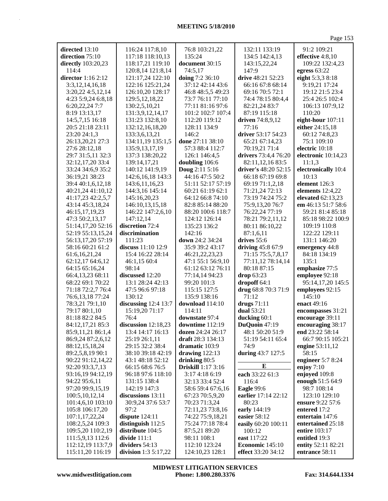|--|--|

| directed 13:10            | 116:24 117:8,10       | 76:8 103:21,22            | 132:11 133:19        | 91:2 109:21         |
|---------------------------|-----------------------|---------------------------|----------------------|---------------------|
| direction 75:10           | 117:18 118:10,13      | 135:24                    | 134:5 142:4,13       | effective 4:8,10    |
| <b>directly</b> 103:20,23 | 118:17,21 119:10      | document 30:15            | 143:15,22,24         | 109:22 132:4,23     |
| 114:4                     | 120:8,14 121:8,14     | 74:5,17                   | 147:9                | egress 63:22        |
| director 1:16 2:12        | 121:17,24 122:10      | doing 7:2 36:10           | drive 48:21 52:23    | eight 5:3,3 8:18    |
| 3:3,12,14,16,18           | 122:16 125:21,24      | 37:12 42:14 43:6          | 66:16 67:8 68:14     | 9:19,21 17:24       |
| 3:20,22 4:5,12,14         | 126:10,20 128:17      | 46:8 48:5,5 49:23         | 69:16 70:5 72:1      | 19:12 21:5 23:4     |
| 4:23 5:9,24 6:8,18        | 129:5, 12, 18, 22     | 73:7 76:11 77:10          | 74:4 78:15 80:4,4    | 25:4 26:5 102:4     |
| 6:20,22,24 7:7            | 130:2,5,10,21         | 77:11 81:16 97:6          | 82:21,24 83:7        | 106:13 107:9,12     |
| 8:19 13:13,17             | 131:3,9,12,14,17      | 101:2 102:7 107:4         | 87:19 115:18         | 110:20              |
|                           |                       |                           | driven 74:8,9,12     |                     |
| 14:5,7,15 16:18           | 131:23 132:8,10       | 112:20 119:12             |                      | eight-hour 107:11   |
| 20:5 21:18 23:11          | 132:12,16,18,20       | 128:11 134:9              | 77:16                | either 24:15,18     |
| 23:20 24:1,3              | 133:3,6,13,21         | 146:2                     | driver 53:17 54:23   | 60:12 74:8,23       |
| 26:13,20,21 27:3          | 134:11,19 135:1,5     | done 27:11 38:10          | 65:21 67:14,23       | 75:1 109:10         |
| 27:6 28:12,18             | 135:9, 13, 17, 19     | 57:3 88:4 112:7           | 70:19,21 71:4        | electric 10:18      |
| 29:7 31:5,11 32:3         | 137:3 138:20,22       | 126:1 146:4,5             | drivers 73:4,4 76:20 | electronic 10:14,23 |
| 32:12,17,20 33:4          | 139:14,17,21          | doubling 106:6            | 82:11,12,16 83:5     | 11:1,3              |
| 33:24 34:6,9 35:2         | 140:12 141:9,19       | Doug 2:11 5:16            | driver's 48:20 52:15 | electronically 10:4 |
| 36:19,21 38:23            | 142:6, 16, 18 143:3   | 44:16 47:5 50:2           | 66:18 67:19 69:8     | 10:13               |
| 39:4 40:1,6,12,18         | 143:6, 11, 16, 23     | 51:11 52:17 57:19         | 69:19 71:1,2,18      | element 126:3       |
| 40:21,24 41:10,12         | 144:3,16 145:14       | 60:21 61:19 62:1          | 71:21,24 72:13       | elements 12:4,22    |
| 41:17,23 42:2,5,7         | 145:16,20,23          | 64:12 66:8 74:10          | 73:19 74:24 75:2     | elevated 62:13,23   |
| 43:14 45:3,18,24          | 146:10,13,15,18       | 82:8 85:14 88:20          | 75:9,13,20 76:7      | em 46:13 51:7 58:6  |
| 46:15,17,19,23            | 146:22 147:2,6,10     | 88:20 100:6 118:7         | 76:22,24 77:19       | 59:21 81:4 85:18    |
| 47:3 50:2,13,17           | 147:12,14             | 124:12 126:14             | 78:21 79:2,11,12     | 85:18 98:22 100:9   |
| 51:14,17,20 52:16         | discretion 72:4       | 135:23 136:2              | 80:11 86:10,22       | 109:19 110:8        |
| 52:19 55:13,15,24         | discrimination        | 142:16                    | 87:1,6,11            | 122:22 129:11       |
| 56:13,17,20 57:19         | 111:23                | down 24:2 34:24           | drives 55:6          | 131:1 146:20        |
| 58:16 60:21 61:2          | discuss 11:10 12:9    | 35:9 39:2 43:17           | driving 45:8 67:9    | emergency 44:8      |
| 61:6,16,21,24             | 15:4 16:22 28:14      | 46:21,22,23,23            | 71:15 75:5,7,8,17    | 84:18 134:19        |
| 62:12,17 64:6,12          | 46:1,15 60:4          | 47:1 55:1 56:9,10         | 77:11,12 78:14,14    | 135:1               |
| 64:15 65:16,24            | 98:14                 | 61:12 63:12 76:11         | 80:18 87:15          | emphasize 77:5      |
| 66:4,13,23 68:11          | discussed 12:20       | 77:14,14 94:23            | drop 63:23           | employee 92:18      |
| 68:22 69:1 70:22          | 13:1 28:24 42:13      | 99:20 101:3               | dropoff 64:1         | 95:14,17,20 145:5   |
| 71:18 72:2,7 76:4         | 47:5 96:6 97:18       | 115:15 127:5              | drug 68:8 70:3 71:9  | employees 92:15     |
| 76:6,13,18 77:24          | 130:12                | 135:9 138:16              | 71:12                | 145:10              |
| 78:3,21 79:1,10           | discussing 12:4 13:7  | download 114:10           | drugs 71:11          | enact 49:16         |
| 79:17 80:1,10             | 15:19,20 71:17        | 114:11                    | dual 53:21           | encompasses 31:21   |
| 81:18 82:2 84:5           | 76:4                  | downstate 97:4            | ducking 60:1         | encourage 39:11     |
| 84:12,17,21 85:3          | discussion 12:18,23   | downtime 112:19           | DuQuoin 47:19        | encouraging 38:17   |
| 85:9,11,21 86:1,4         | 13:4 14:17 16:13      | dozen 24:24 26:17         | 48:1 50:20 51:9      | end 23:22 58:14     |
| 86:9,24 87:2,6,12         | 25:19 26:1,11         | draft 28:3 134:13         | 51:19 54:11 65:4     | 66:7 90:15 105:21   |
| 88:12,15,18,24            | 29:15 32:2 38:4       | dramatic 103:9            | 74:9                 | engine 53:11,12     |
| 89:2,5,8,19 90:1          | 38:10 39:18 42:19     | drawing $122:13$          | during 43:7 127:5    | 58:15               |
| 90:22 91:12,14,22         | 43:1 48:18 52:12      | drinking 80:5             |                      | engineer 5:7 8:24   |
| 92:20 93:3,7,13           | 66:15 68:6 76:5       | <b>Driskill</b> 1:17 3:16 | E                    | enjoy $7:10$        |
| 93:16,19 94:12,19         | 96:18 97:6 118:10     | 3:174:186:19              | each 33:22 61:3      | enjoyed 109:8       |
| 94:22 95:6,11             | 131:15 138:4          | 32:13 33:4 52:4           | 116:4                | enough 51:5 64:9    |
| 97:20 99:9,15,19          | 142:19 147:3          | 58:6 59:4 67:6,16         | <b>Eagle 99:6</b>    | 98:7 108:14         |
| 100:5,10,12,14            | discussions 13:11     | 67:23 70:5,9,20           | earlier 17:14 22:12  | 123:10 129:10       |
| 101:4,6,10 103:10         | 30:9,24 37:6 53:7     | 70:23 71:3,24             | 80:23                | ensure 9:22 57:6    |
| 105:8 106:17,20           | 97:2                  | 72:11,23 73:8,16          | early 144:19         | entered 17:2        |
| 107:1,17,22,24            | dispute 124:11        | 74:22 75:9,18,21          | easier 58:12         | entertain 147:6     |
| 108:2,5,24 109:3          | distinguish 112:5     | 75:24 77:18 78:4          | easily 60:20 100:11  | entertained 25:18   |
| 109:5,20 110:2,19         | distribute 104:5      | 87:5,21 89:20             | 100:12               | entire 103:17       |
| 111:5,9,13 112:6          | divide $111:1$        | 98:11 108:1               | east 117:22          | entitled 19:3       |
| 112:12,19 113:7,9         | dividers 54:13        | 112:10 123:24             | Economic 145:10      | entity 52:11 82:21  |
| 115:11,20 116:19          | division $1:35:17,22$ | 124:10,23 128:1           | effect 33:20 34:12   | entrance 58:11      |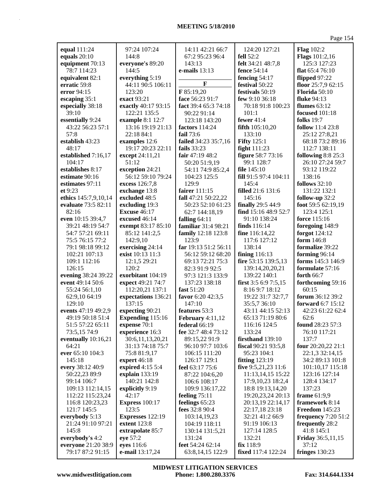|                              |                                      |                                   |                            | Page 154                   |
|------------------------------|--------------------------------------|-----------------------------------|----------------------------|----------------------------|
| equal 111:24                 | 97:24 107:24                         | 14:11 42:21 66:7                  | 124:20 127:21              | <b>Flag</b> 102:2          |
| equals $20:10$               | 144:8                                | 67:2 95:23 96:4                   | fell 52:2                  | <b>Flags</b> 101:2,16      |
| equipment 70:13              | everyone's 89:20                     | 143:13                            | felt 34:21 48:7,8          | 125:3 127:23               |
| 78:7 114:23                  | 144:5                                | e-mails 13:13                     | <b>fence</b> 54:14         | flat $65:476:10$           |
| equivalent 82:1              | everything 5:19                      |                                   | fencing $54:17$            | flipped 97:22              |
| erratic 59:8                 | 44:11 90:5 106:11                    | $\mathbf{F}$                      | festival 50:22             | floor 25:7,9 62:15         |
| error 94:15                  | 123:20                               | F 85:19,20                        | festivals 50:19            | Florida 50:10              |
| escaping 35:1                | exact 93:21                          | face 56:23 91:7                   | few 9:10 36:18             | <b>fluke</b> 94:13         |
| especially 38:18             | exactly 40:17 93:15                  | fact 39:4 65:3 74:18              | 70:18 91:8 100:23          | flumes $63:12$             |
| 39:10                        | 122:21 135:5                         | 90:22 91:14                       | 101:1                      | <b>focused</b> 101:18      |
| essentially 9:24             | example 8:1 12:7                     | 123:18 143:20                     | fewer 41:4                 | folks $19:7$               |
| 43:22 56:23 57:1             | 13:16 19:19 21:13                    | <b>factors</b> 114:24             | <b>fifth</b> 105:10,20     | follow 11:4 23:8           |
| 57:8                         | 22:18 84:1                           | fail $73:6$                       | 133:10                     | 25:12 27:8,21              |
| establish 43:23              | examples 12:6                        | failed 34:23 35:7,16              | <b>Fifty</b> 125:1         | 68:18 73:2 89:16           |
| 48:17                        | 19:17 20:23 22:11                    | fails $33:23$                     | fight 111:23               | 112:7 138:11               |
| established 7:16,17          | except 24:11,21                      | fair $47:19\,48:2$                | figure 58:7 73:16          | following $8:825:3$        |
| 104:17                       | 51:12                                | 50:20 51:9,19                     | 99:1 128:7                 | 26:10 27:24 59:7           |
| establishes 8:17             | exception 24:21                      | 54:11 74:9 85:2,4                 | file $145:10$              | 93:12 119:22               |
| estimate 90:16               | 56:12 59:10 79:24                    | 104:23 125:5                      | fill 91:5 97:4 104:11      | 138:16                     |
| estimates 97:11              | excess 126:7,8                       | 129:9                             | 145:4                      | follows $32:10$            |
| et 9:23                      | exchange 13:8                        | fairer 111:15                     | filled 21:6 131:6          | 131:22 132:1               |
| ethics 145:7,9,10,14         | excluded 48:5                        | fall 47:21 50:22,22               | 145:16                     | follow-up 32:2             |
| evaluate 73:5 82:11          | excluding 19:3                       | 50:23 52:10 61:23                 | finally 29:5 44:9          | foot 59:5 62:19,19         |
| 82:16                        | <b>Excuse 46:17</b>                  | 62:7 144:18,19                    | find 15:16 48:9 52:7       | 123:4 125:1                |
| even 10:15 39:4,7            | excused 46:14                        | falling 64:11                     | 91:10 138:24               | force 115:16               |
| 39:21 48:19 54:7             | exempt 83:17 85:10                   | familiar 31:4 98:21               | <b>finds</b> 116:14        | foregoing 148:9            |
| 54:7 57:21 69:11             | 85:12 141:2,5                        | family 12:18 123:8                | fine 116:14,22             | forgot 124:12              |
| 75:5 76:15 77:2              | 142:9,10                             | 123:9                             | 117:6 127:12               | form 146:8                 |
| 79:1 98:18 99:12             | exercising 24:14                     | far 19:13 51:2 56:11              | 138:14                     | formalize 39:22            |
| 102:21 107:13                | exist 10:13 11:3                     | 56:12 59:12 68:20                 | fining 116:13              | forming 96:14              |
| 109:1 112:16                 | 12:1,5 29:21                         | 69:13 72:21 75:3                  | fire 53:15 139:5,13        | forms 145:3 146:9          |
| 126:15                       | 120:2                                | 82:3 91:9 92:5                    | 139:14,20,20,21            | formulate 57:16            |
| evening 38:24 39:22          | exorbitant 104:19                    | 97:3 121:3 133:9                  | 139:22 140:1               | forth $66:7$               |
| event 49:14 50:6             | expect 49:21 74:7                    | 137:23 138:18                     | first 3:5 6:9 7:5,15       | forthcoming 59:16          |
| 55:24 56:1,10                | 112:20,21 137:1                      | fast 51:20                        | 8:16 9:7 18:12             | 60:15                      |
| 62:9,10 64:19                | expectations 136:21                  | favor 6:20 42:3,5                 | 19:22 31:7 32:7,7          | forum 36:12 39:2           |
| 129:10                       | 137:15                               | 147:10                            | 35:5,7 36:10               | forward 6:7 15:12          |
| events 47:19 49:2,9          | expecting 90:21                      | features 53:3                     | 43:11 44:15 52:13          | 42:23 61:22 62:4           |
| 49:19 50:18 51:4             | <b>Expending 115:16</b>              | February 4:11,12                  | 65:13 71:19 80:6           | 62:6                       |
| 51:5 57:22 65:11             | expense 70:1                         | federal 66:19                     | 116:16 124:5               | found 28:23 57:3           |
| 73:5,15 74:9                 | experience 16:3                      | fee 32:7 48:4 73:12               | 133:24<br>firsthand 139:10 | 76:10 117:21<br>137:7      |
| eventually 10:16,21<br>64:21 | 30:6,11,13,20,21<br>31:13 74:18 75:7 | 89:15,22 91:9<br>96:10 97:7 103:6 | fiscal 90:21 93:5,8        | four 20:20,22 21:1         |
| ever 65:10 104:3             | 75:8 81:9,17                         | 106:15 111:20                     | 95:23 104:1                | 22:1,3 32:14,15            |
| 145:18                       | expert 46:18                         | 126:17 129:1                      | <b>fitting</b> 123:19      | 34:2 89:13 101:8           |
| every 38:12 40:9             | expired 4:15 5:4                     | feel 63:17 75:6                   | five $9:5,21,23$ 11:6      | 101:10,17 115:18           |
| 50:22,23 89:9                | explain 133:19                       | 87:22 104:6,20                    | 11:13,14,15 15:22          | 123:16 127:14              |
| 99:14 106:7                  | 140:21 142:8                         | 106:6 108:17                      | 17:9, 10, 23 18:2, 4       | 128:4 134:17               |
| 109:13 112:14,15             | explicitly 9:19                      | 109:9 136:17,22                   | 18:8 19:13,14,20           | 137:23                     |
| 112:22 115:23,24             | 42:17                                | feeling $75:11$                   | 19:20,23,24 20:13          | frame 61:9,9               |
| 116:8 120:23,23              | <b>Express 100:17</b>                | feelings 65:23                    | 20:13,19 22:14,17          | framework 8:14             |
| 121:7 145:5                  | 123:5                                | fees 32:8 90:4                    | 22:17,18 23:18             | <b>Freedom 145:23</b>      |
| everybody 5:13               | Expresses 122:19                     | 103:14,19,23                      | 32:21 41:2 66:9            | <b>frequency</b> 7:20 51:2 |
| 21:24 91:10 97:21            | extent 123:8                         | 104:19 118:11                     | 91:19 106:13               | frequently 28:2            |
| 145:8                        | extrapolate 85:7                     | 130:14 131:5,21                   | 127:14 128:5               | 41:8 145:1                 |
| everybody's 4:2              | eye 57:2                             | 131:24                            | 132:21                     | <b>Friday</b> 36:5,11,15   |
| everyone 21:20 38:9          | eyes 116:6                           | feet 54:24 62:14                  | fix 118:9                  | 37:12                      |
| 79:17 87:2 91:15             | e-mail 13:17,24                      | 63:8, 14, 15 122:9                | fixed 117:4 122:24         | fringes $130:23$           |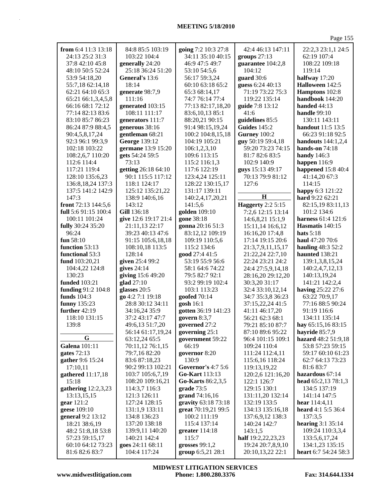| from $6:4$ 11:3 13:18 | 84:8 85:5 103:19     | going 7:2 10:3 27:8       | 42:4 46:13 147:11        | 22:2,3 23:1,1 24:5                    |
|-----------------------|----------------------|---------------------------|--------------------------|---------------------------------------|
| 24:13 25:2 31:3       | 103:22 104:4         | 34:11 35:10 40:15         | groups 27:13             | 62:19 107:4                           |
| 37:8 42:10 45:8       | generally 24:20      | 46:9 47:5 49:7            | guarantee 104:2,8        | 108:22 109:18                         |
| 48:10 50:5 52:24      | 25:18 36:24 51:20    | 53:10 54:5,6              | 104:12                   | 119:14                                |
| 53:9 54:18,20         | General's 13:6       | 56:17 59:3,24             | guard $30:6$             | halfway 17:20                         |
| 55:7,18 62:14,18      | 18:14                | 60:10 63:18 65:2          | guess 6:24 40:13         | Halloween 142:5                       |
| 62:21 64:10 65:3      | generate 98:7,9      | 65:3 68:14,17             | 71:19 73:22 75:3         | Hamptons 102:8                        |
| 65:21 66:1,3,4,5,8    | 111:16               | 74:7 76:14 77:4           | 119:22 135:14            | handbook 144:20                       |
| 66:16 68:1 72:12      | generated 103:15     | 77:13 82:17,18,20         | guide 7:8 13:12          | handed $44:13$                        |
| 77:14 82:13 83:6      | 108:11 111:17        | 83:6,10,13 85:1           | 41:6                     | <b>handle</b> 99:10                   |
| 83:10 85:7 86:23      | generators 111:7     | 88:20,21 90:15            | guidelines 85:5          | 130:11 143:11                         |
| 86:24 87:9 88:4,5     | generous 38:16       | 91:4 98:15,19,24          | <b>Guides 145:2</b>      | <b>handout</b> 11:5 13:5              |
| 90:4,5,8,17,24        | gentleman 68:21      | 100:2 104:8,15,18         | <b>Gurney 100:2</b>      | 66:23 91:18 92:5                      |
| 92:3 96:1 99:3,9      | George 139:12        | 104:19 105:21             | guy 50:19 59:4,18        | handouts $144:1,2,4$                  |
| 102:18 103:22         | germane 13:9 15:20   | 106:1,2,3,10              | 59:20 73:23 74:15        | hands-on $74:18$                      |
| 108:2,6,7 110:20      | gets 54:24 59:5      | 109:6 113:15              | 81:7 82:6 83:5           | handy $146:3$                         |
| 112:6 114:4           | 73:13                | 115:2 116:1,3             | 102:9 140:9              | happen $116:9$                        |
| 117:21 119:4          | getting 26:18 64:10  | 117:6 122:19              | guys 15:13 49:17         | happened 15:8 40:4                    |
| 128:10 135:6,23       | 90:1 115:5 117:12    | 123:4,24 125:11           | 70:13 79:9 81:12         | 41:14,20 67:3                         |
| 136:8, 18, 24 137:3   | 118:1 124:17         | 128:22 130:15,17          | 127:6                    | 114:15                                |
| 137:5 141:2 142:9     | 125:12 135:21,22     | 131:17 139:11             |                          | happy 6:3 121:22                      |
| 147:3                 | 138:9 140:6,16       | 140:2,4,17,20,21          | $\bf H$                  | hard 9:22 62:21                       |
| front 72:13 144:5,6   | 143:12               | 141:5,6                   | <b>Haggerty</b> 2:2 5:15 | 82:15,19 83:11,13                     |
| full 5:6 91:15 100:4  | Gill 136:18          | golden 109:10             | 7:2,6 12:15 13:14        | 101:2 134:6                           |
| 100:11 101:24         | give 12:6 19:17 21:4 | gone 38:18                | 14:6,8,21 15:1,9         | harness 61:4 121:6                    |
| fully 30:24 35:20     | 21:11,13 22:17       | gonna 20:16 51:3          | 15:11,14 16:6,12         | Hasmatis 140:15                       |
| 96:24                 | 39:23 40:13 47:6     | 83:12,12 109:19           | 16:16,20 17:4,8          | hats $5:18$                           |
| fun $58:10$           | 91:15 105:6,18,18    | 109:19 110:5,6            | 17:14 19:15 20:6         | <b>haul</b> 47:20 70:6                |
| function 53:13        | 108:10,18 113:5      | 115:2 134:6               | 21:3,7,9,11,15,17        | hauling 48:3 52:2                     |
| functional 53:3       | 128:14               | good 27:4 41:5            | 21:22,24 22:7,10         | haunted 138:21                        |
| fund 103:20,21        | given 25:4 99:2      | 53:19 55:9 56:6           | 22:24 23:21 24:2         | 139:1,3,8,15,24                       |
| 104:4,22 124:8        | gives $24:14$        | 58:1 64:6 74:22           | 24:4 27:5,9,14,18        | 140:2,4,7,12,13                       |
| 130:23                | giving 15:6 49:20    | 79:5 82:7 92:1            | 28:16,20 29:12,20        | 140:13,19,24                          |
| <b>funded</b> 103:21  | glad $27:10$         | 93:2 99:19 102:4          | 30:3,20 31:17            | 141:21 142:2,4                        |
| funding 91:2 104:8    | glasses 20:5         | 103:1 113:23              | 32:4 33:10,12,14         | having 25:22 27:6                     |
| funds 104:3           | go 4:2 7:1 19:18     | goofed 70:14              | 34:7 35:3,8 36:23        | 63:22 70:9,17                         |
| funny 135:23          | 28:8 30:12 34:11     | gosh 16:1                 | 37:15,22,24 41:5         | 77:16 88:5 90:24                      |
| further 42:19         | 34:16,24 35:9        | gotten 36:19 141:23       | 41:11 46:17,20           | 91:19 116:6                           |
| 118:10 131:15         | 37:2 43:17 47:7      | govern $8:3,7$            | 56:21 62:3 68:1          | 134:11 135:14                         |
| 139:8                 | 49:6,13 51:7,20      | governed 27:2             | 79:21 85:10 87:7         | hay 65:15,16 83:15                    |
|                       | 56:14 61:17,19,24    | governing 25:1            | 87:10 89:6 95:22         | hayride 85:7,9                        |
| G                     |                      | government 59:22          | 96:4 101:15 109:1        | hazard 48:2 51:9,18                   |
|                       | 63:12,24 65:5        |                           |                          |                                       |
| <b>Galena</b> 101:11  | 70:11,12 76:1,15     | 66:19                     | 109:24 110:4             | 53:8 57:23 59:15<br>59:17 60:10 61:23 |
| gates $72:13$         | 79:7,16 82:20        | governor 8:20             | 111:24 112:4,11          |                                       |
| gather 9:6 15:24      | 83:6 87:18,23        | 130:9                     | 115:6,16 118:24          | 62:7 64:13 73:23                      |
| 17:10,11              | 90:2 99:13 102:21    | <b>Governor's 4:7 5:6</b> | 119:13,19,22             | 81:6 83:7                             |
| gathered 11:17,18     | 103:7 105:6,7,19     | <b>Go-Kart</b> 113:13     | 120:2,6 121:16,20        | hazardous 67:14                       |
| 15:18                 | 108:20 109:16,21     | <b>Go-Karts</b> 86:2,3,5  | 122:1 126:7              | head 65:2,13 78:1,3                   |
| gathering $12:2,3,23$ | 114:3,7 116:3        | grade 73:5                | 129:15 130:1             | 134:5 137:19                          |
| 13:13,15,15           | 121:3 126:11         | grand 74:16,16            | 131:11,20 132:14         | 141:14 147:5                          |
| gear $121:2$          | 127:24 128:15        | gravity 63:18 73:18       | 132:19 133:5             | hear 114:4,11                         |
| geese 109:10          | 131:1,9 133:11       | great 70:19,21 99:5       | 134:13 135:16,18         | heard 4:1 5:5 36:4                    |
| general 9:2 13:12     | 134:8 136:23         | 100:2 111:19              | 137:6,9,12 138:3         | 137:3,5                               |
| 18:21 38:6,19         | 137:20 138:18        | 115:4 137:14              | 140:24 142:7             | hearing $3:1$ 35:14                   |
| 48:2 51:8,18 53:8     | 139:9,11 140:20      | greater $114:18$          | 143:1,5                  | 109:24 110:3,3,4                      |
| 57:23 59:15,17        | 140:21 142:4         | 115:7                     | half 19:2,22,23,23       | 133:5,6,17,24                         |
| 60:10 64:12 73:23     | goes 24:11 68:11     | grosses $99:1,2$          | 19:24 20:7,8,9,10        | 134:1,23 135:15                       |
| 81:6 82:6 83:7        | 104:4 117:24         | group 6:5,21 28:1         | 20:10,13,22 22:1         | heart 6:7 54:24 58:3                  |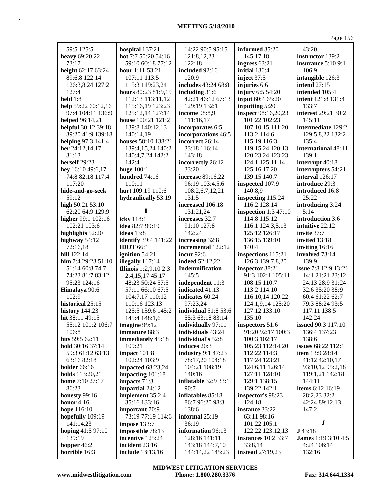| 59:5 125:5                | hospital 137:21              | 14:22 90:5 95:15          | informed 35:20          | 43:20                      |
|---------------------------|------------------------------|---------------------------|-------------------------|----------------------------|
| heavy 69:20,22            | hot 7:7 50:20 54:16          | 121:8,12,23               | 145:17,18               | instructor 139:2           |
| 73:17                     | 59:10 60:18 77:12            | 122:18                    | ingress 63:21           | <b>insurance</b> 5:10 9:1  |
| height 62:17 63:24        | hour $1:11\,53:21$           | included 92:16            | initial 136:4           | 106:9                      |
|                           |                              |                           |                         |                            |
| 89:6,8 122:14             | 107:11 113:5                 | 120:9                     | inject 37:5             | intangible 126:3           |
| 126:3,8,24 127:2          | 115:3 119:23,24              | includes 43:24 68:8       | injuries 6:6            | <b>intend</b> 27:15        |
| 127:4                     | hours 80:23 81:9,15          | including 31:6            | injury $6:554:20$       | intended 105:4             |
| held $1:8$                | 112:13 113:11,12             | 42:21 46:12 67:13         | input 60:4 65:20        | intent 121:8 131:4         |
| help 59:22 60:12,16       | 115:16,19 123:23             | 129:19 132:1              | inputting 5:20          | 133:7                      |
| 97:4 104:11 136:9         | 125:12,14 127:14             | income 98:8,9             | inspect 98:16,20,23     | interest 29:21 30:2        |
| helped 96:14,21           | house 100:21 121:2           | 111:16,17                 | 101:22 102:23           | 145:11                     |
| helpful 30:12 39:18       | 139:8 140:12,13              | incorporates 6:5          | 107:10,15 111:20        | intermediate 129:2         |
| 39:20 41:9 139:18         | 140:14,19                    | incorporations 46:5       | 113:2 114:6             | 129:5,8,22 132:2           |
| helping 97:3 141:4        | houses 58:10 138:21          | incorrect 26:14           | 115:19 116:3            | 135:4                      |
|                           |                              |                           |                         |                            |
| her 24:12,14,17           | 139:4, 15, 24 140: 2         | 33:18 116:14              | 119:15,24 120:13        | international 48:11        |
| 31:13                     | 140:4,7,24 142:2             | 143:18                    | 120:23,24 123:23        | 139:1                      |
| herself 29:23             | 142:4                        | incorrectly 26:12         | 124:1 125:11,14         | interrupt 40:18            |
| hey 16:10 49:6,17         | huge $100:1$                 | 33:20                     | 125:16,17,20            | interrupters 54:21         |
| 74:8 82:18 117:4          | hundred 74:16                | increase 89:16,22         | 139:15 140:7            | interval 126:17            |
| 117:20                    | 110:11                       | 96:19 103:4,5,6           | inspected 107:9         | introduce 29:3             |
| hide-and-go-seek          | hurt 109:19 110:6            | 108:2,6,7,12,21           | 140:8,9                 | introduced 16:8            |
| 59:12                     | hydraulically 53:19          | 131:5                     | inspecting 115:24       | 25:22                      |
| high 50:21 53:10          |                              | increased 106:18          | 116:2 128:14            | introducing 3:24           |
| 62:20 64:9 129:9          | I                            | 131:21,24                 | inspection $1:3,47:10$  | 5:14                       |
|                           |                              |                           |                         |                            |
| higher 99:1 102:16        | icky 118:1                   | increases 32:7            | 114:8 115:12            | introduction 3:6           |
| 102:21 103:6              | idea 82:7 99:19              | 91:10 127:8               | 116:1 124:3,5,13        | intuitive 22:12            |
| highlights 52:20          | ideas $13:8$                 | 142:24                    | 125:12 126:17           | invite $37:7$              |
| highway 54:12             | identify 39:4 141:22         | increasing 32:8           | 136:15 139:10           | invited 13:18              |
| 72:16,18                  | <b>IDOT</b> 66:1             | incremental 122:12        | 140:4                   | inviting 16:16             |
| hill 122:14               | ignition 54:21               | incur $92:6$              | inspections 115:21      | involved 73:14             |
| him 7:4 29:23 $51:10$     | illegally 117:14             | <b>indeed</b> 52:12,22    | 126:3 139:7,8,20        | 139:9                      |
| 51:14 60:8 74:7           | <b>Illinois</b> 1:2,9,10 2:3 | Indemnification           | inspector 38:21         | issue 7:8 12:9 13:21       |
| 74:23 81:7 83:12          | 2:4,15,17 45:17              | 145:5                     | 91:3 102:1 105:11       | 14:1 21:21 23:12           |
| 95:23 124:16              | 48:23 50:24 57:5             | independent 11:3          | 108:15 110:7            | 24:13 28:9 31:24           |
| Himalaya 90:6             | 57:11 66:10 67:5             | indicated 41:13           | 113:2 114:10            | 32:6 35:20 38:9            |
|                           |                              | indicates 60:24           |                         |                            |
| 102:9                     | 104:7,17 110:12              |                           | 116:10,14 120:22        | 60:4 61:22 62:7            |
| historical 25:15          | 110:16 123:13                | 97:23,24                  | 124:1,9,14 125:20       | 79:3 88:24 93:5            |
| <b>history</b> 144:23     | 125:5 139:6 145:2            | individual 51:8 53:6      | 127:12 133:10           | 117:11 138:5               |
| hit 38:11 49:15           | 145:4 148:1,6                | 55:3 63:18 83:14          | 135:10                  | 142:24                     |
| 55:12 101:2 106:7         | imagine 99:12                | individually 97:11        | inspectors 51:6         | <b>issued</b> 90:3 117:10  |
| 106:8                     | immature 88:3                | individuals 43:24         | 91:20 92:17 100:3       | 136:4 137:23               |
| hits 59:5 62:11           | immediately 45:18            | individual's 52:8         | 100:3 102:17            | 138:6                      |
| hold $30:16\,37:14$       | 109:21                       | induces 20:3              | 105:23 112:14,20        | issues 68:22 112:1         |
| 59:3 61:12 63:13          | impact 101:8                 | <b>industry</b> 9:1 47:23 | 112:22 114:3            | item 13:9 28:14            |
| 63:16 82:18               | 102:24 103:9                 | 78:17,20 104:18           | 117:24 123:21           | 41:12 42:10,17             |
| <b>holder</b> 66:16       | impacted 68:23,24            | 104:21 108:19             | 124:6,11 126:14         | 93:10,12 95:2,18           |
| holds 113:20,21           | impacting 101:18             | 140:16                    |                         | 119:1,21 142:18            |
|                           |                              |                           | 127:11 128:10           |                            |
| <b>home</b> $7:10\,27:17$ | impacts 71:3                 | inflatable 32:9 33:1      | 129:1 138:15            | 144:11                     |
| 86:23                     | impartial 24:12              | 90:7                      | 139:22 142:1            | <b>items</b> 6:12 16:19    |
| honesty 99:16             | implement 35:2,4             | inflatables 85:18         | inspector's 98:23       | 28:2,23 32:2               |
| honor $4:16$              | 35:16 133:16                 | 86:7 96:20 98:3           | 124:18                  | 42:24 89:12,13             |
| hope 116:10               | important 70:9               | 138:6                     | instance 33:22          | 147:2                      |
| hopefully 109:19          | 73:19 77:19 114:6            | informal 25:19            | 63:11 98:16             |                            |
| 141:14,23                 | impose 133:7                 | 36:19                     | 101:22 105:1            | J                          |
| hoping 41:5 97:10         | impossible $78:13$           | information 96:13         | 122:22 123:12,13        | J43:18                     |
| 139:19                    | incentive 125:24             | 128:16 141:11             | instances $10:2$ 33:7   | <b>James</b> 1:19 3:10 4:5 |
| hopper 46:2               | incident 23:16               | 143:18 144:7,10           | 33:8,14                 | 4:24 106:14                |
| horrible 16:3             | include 13:13,16             | 144:14,22 145:23          | <b>instead</b> 27:19,23 | 132:16                     |
|                           |                              |                           |                         |                            |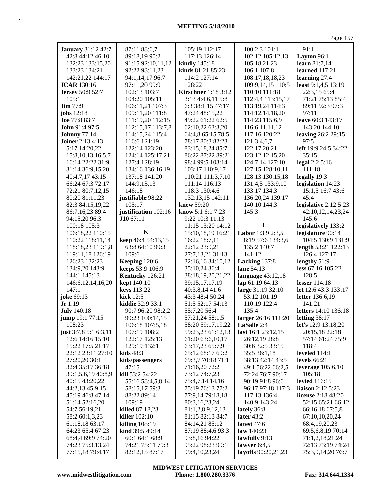|                                 |                                   |                                    |                                    | $\frac{1}{2}$ and $\frac{1}{2}$     |
|---------------------------------|-----------------------------------|------------------------------------|------------------------------------|-------------------------------------|
| <b>January</b> 31:12 42:7       | 87:11 88:6,7                      | 105:19 112:17                      | 100:2,3 101:1                      | 91:1                                |
| 42:8 44:12 46:10                | 89:18,19 90:2                     | 117:13 126:14                      | 102:12 105:12,13                   | Layton 96:1                         |
| 132:23 133:15,20                | 91:15 92:10,11,12                 | kindly 145:18                      | 105:18,21,23                       | learn $81:7,14$                     |
| 133:23 134:21                   | 92:22 93:11,23                    | kinds 81:21 85:23                  | 106:1 107:8                        | learned 117:21                      |
| 142:21,22 144:17                | 94:1,14,17 96:7                   | 114:2 127:14                       | 108:17,18,18,23                    | learning 27:4                       |
| <b>JCAR</b> 130:16              | 97:11,20 99:9                     | 128:22                             | 109:9,14,15 110:5                  | least 9:1,4,5 13:19                 |
| <b>Jersey</b> 50:9 52:7         | 102:13 103:7                      | <b>Kirschner</b> 1:18 3:12         | 110:10 111:18                      | 22:3,15 65:4                        |
| 105:1                           | 104:20 105:11                     | 3:13 4:4,6,11 5:8                  | 112:4,4 113:15,17                  | 71:21 75:13 85:4                    |
| <b>Jim</b> 77:9                 | 106:11,21 107:3                   | 6:3 38:1,15 47:17                  | 113:19,24 114:3                    | 89:11 92:3 97:3                     |
| jobs $12:18$                    | 109:11,20 111:8                   | 47:24 48:15,22                     | 114:12,14,18,20                    | 97:11                               |
| <b>Joe</b> 77:8 83:7            | 111:19,20 112:15                  | 49:22 61:22 62:5                   | 114:23 115:6,9                     | leave 60:3 143:17                   |
| John 91:4 97:5                  | 112:15,17 113:7,8                 | 62:10,22 63:3,20                   | 116:6, 11, 11, 12                  | 143:20 144:10                       |
| <b>Johnny</b> 77:14             | 114:15,24 115:4                   | 64:4,8 65:15 78:5                  | 117:16 120:22                      | <b>leaving</b> 26:2 29:15           |
| <b>Joiner</b> 2:13 4:13         | 116:6 121:19                      | 78:17 80:3 82:23                   | 121:3,4,6,7                        | 97:5                                |
| 5:17 14:20,22                   | 122:14 123:20                     | 83:15,18,24 85:7                   | 122:17,20,21                       | left 19:9 24:5 34:22                |
| 15:8, 10, 13 16:5, 7            | 124:14 125:17,21                  | 86:22 87:22 89:21                  | 123:12,12,15,20                    | 35:15                               |
| 16:14 22:22 31:9                | 127:4 128:19                      | 98:4 99:5 103:14                   | 124:7,14 127:10                    | legal $2:2 5:16$                    |
| 31:14 36:9,15,20                | 134:16 136:16,19                  | 103:17 110:9,17                    | 127:15 128:10,11                   | 111:18                              |
| 40:4,7,17 43:15                 | 137:18 141:20                     | 110:21 111:3,7,10                  | 128:13 130:15,18                   | legally 19:3                        |
| 66:24 67:3 72:17                | 144:9,13,13                       | 111:14 116:13                      | 131:4,5 133:9,10                   | legislation 14:23                   |
| 72:21 80:7,12,15                | 146:18                            | 118:3 130:4,6                      | 133:17 134:3                       | 15:1,5 16:7 43:6                    |
| 80:20 81:11,23                  | justifiable 98:22                 | 132:13,15 142:11                   | 136:20,24 139:17                   | 45:4                                |
| 82:3 84:15,19,22                | 105:17                            | knew 59:20                         | 140:10 144:3                       | legislative $2:12\,5:23$            |
| 86:7,16,23 89:4                 | justification 102:16              | know 5:1 6:1 7:23                  | 145:3                              | 42:10,12,14,23,24                   |
| 94:15,20 96:3                   | $J10 67:11$                       | 9:22 10:3 11:13                    |                                    | 145:6                               |
| 100:18 105:3                    | $\mathbf K$                       | 11:15 13:20 14:12                  | L                                  | legislatively 133:2                 |
| 106:18,22 110:15                |                                   | 15:10,18,19 16:21                  | Labor 1:3,9 2:3,5                  | legislature 90:14                   |
| 110:22 118:11,14                | keep 46:4 54:13,15                | 16:22 18:7,11                      | 8:19 57:6 134:3,6                  | 104:5 130:9 131:9                   |
| 118:18,23 119:1,8               | 63:8 64:10 99:3<br>109:6          | 22:12 23:9,21                      | 135:2 140:7                        | length 53:21 122:13                 |
| 119:11,18 126:19                |                                   | 27:7,13,21 31:13                   | 141:12                             | 126:4 127:17                        |
| 126:23 132:23<br>134:9,20 143:9 | Keeping 120:6<br>keeps 53:9 106:9 | 32:16,16 34:10,12<br>35:10,24 36:4 | Lacking 137:8<br><b>lane</b> 54:13 | lengthy $51:9$<br>less 67:16 105:22 |
| 144:1 145:13                    | Kentucky 126:21                   | 38:18,19,20,21,22                  | language $43:12,18$                | 128:5                               |
| 146:6, 12, 14, 16, 20           | <b>kept</b> 140:10                | 39:15,17,17,19                     | lap 61:19 64:13                    | lesser $114:18$                     |
| 147:1                           | keys 113:22                       | 40:3,8,14 41:6                     | large 31:19 32:10                  | <b>let</b> 12:6 43:3 133:17         |
| joke 69:13                      | kick 12:5                         | 43:3 48:4 50:24                    | 53:12 101:19                       | <b>letter</b> 136:6,19              |
| Jr1:19                          | <b>kiddie</b> 32:9 33:1           | 51:5 52:17 54:13                   | 110:19 122:4                       | 141:21                              |
| <b>July</b> 140:18              | 90:7 96:20 98:2,2                 | 55:7,20 56:4                       | 135:4                              | letters 14:10 136:18                |
| jump 19:1 77:15                 | 99:23 100:14,15                   | 57:21,24 58:1,5                    | larger 26:16 111:20                | letting 38:17                       |
| 108:23                          | 106:18 107:5,18                   | 58:20 59:17,19,22                  | LaSalle 2:4                        | let's 12:9 13:18,20                 |
| just 3:7,8 5:1 6:3,11           | 107:19 108:2                      | 59:23,23 61:12,13                  | last 16:1 23:12,15                 | 20:15,18 22:18                      |
| 12:6 14:16 15:10                | 122:17 125:13                     | 61:20 63:6,10,17                   | 26:12,19 28:8                      | 57:14 61:24 75:9                    |
| 15:22 17:5 21:17                | 129:19 132:1                      | 63:17,23 65:7,9                    | 30:6 32:5 33:15                    | 118:4                               |
| 22:12 23:11 27:10               | kids $48:3$                       | 65:12 68:17 69:2                   | 35:5 36:1,18                       | leveled 114:1                       |
| 27:20,20 30:1                   | kids/passengers                   | 69:3,7 70:18 71:1                  | 38:13 42:14 43:5                   | levels $66:21$                      |
| 32:4 35:17 36:18                | 47:15                             | 71:16,20 72:2                      | 49:1 56:22 66:2,5                  | leverage $105:6,10$                 |
| 39:1,5,6,19 40:8,9              | kill 53:2 54:22                   | 73:12 74:7,23                      | 72:24 76:7 90:17                   | 105:18                              |
| 40:15 43:20,22                  | 55:16 58:4,5,8,14                 | 75:4,7,14,14,16                    | 90:19 91:8 96:6                    | levied 116:15                       |
| 44:2,13 45:9,15                 | 58:15,17 59:3                     | 75:19 76:13 77:2                   | 96:17 97:18 117:3                  | liaison $2:12$ 5:23                 |
| 45:19 46:8 47:14                | 88:22 89:14                       | 77:9,14 79:18,18                   | 117:13 136:4                       | <b>license</b> 2:18 48:20           |
| 51:14 52:16,20                  | 109:19                            | 80:3,16,23,24                      | 140:9 143:24                       | 52:15 65:21 66:12                   |
| 54:7 56:19,21                   | <b>killed</b> $87:18,23$          | 81:1,2,8,9,12,13                   | lately 36:8                        | 66:16,18 67:5,8                     |
| 58:2 60:1,3,23                  | killer $102:10$                   | 81:15 82:13 84:7                   | later $43:2$                       | 67:10,10,20,24                      |
| 61:18,18 63:17                  | <b>killing</b> 108:19             | 84:14,21 85:12                     | latest $47:6$                      | 68:4, 19, 20, 23                    |
| 64:23 65:4 67:23                | kind 39:5 49:14                   | 87:19 88:4,6 93:3                  | law 140:23                         | 69:5,6,8,19 70:14                   |
| 68:4,4 69:9 74:20               | 60:1 64:1 68:9                    | 93:8,16 94:22                      | lawfully 9:13                      | 71:1,2,18,21,24                     |
| 74:23 75:3,13,24                | 74:21 75:11 79:3                  | 95:22 98:23 99:1                   | lawyer $6:4,5$                     | 72:13 73:19 74:24                   |
| 77:15,18 79:4,17                | 82:12,15 87:17                    | 99:4, 10, 23, 24                   | layoffs 90:20,21,23                | 75:3,9,14,20 76:7                   |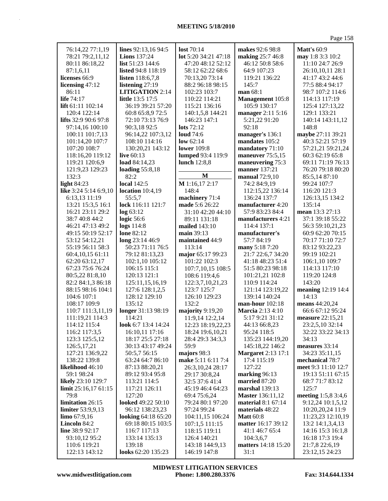| 76:14,22 77:1,19             | lines 92:13,16 94:5       | lost $70:14$         | makes 92:6 98:8           | <b>Matt's 60:9</b>  |
|------------------------------|---------------------------|----------------------|---------------------------|---------------------|
| 78:21 79:2,11,12             | <b>Lions</b> 137:24       | lot 5:20 34:21 47:18 | making 25:7 46:8          | may 1:8 3:3 10:2    |
| 80:11 86:18,22               | list $51:23$ 144:6        | 47:20 48:12 52:12    | 46:12 50:8 58:6           | 11:10 24:7 26:9     |
| 87:1,6,11                    | <b>listed</b> 94:8 118:19 | 58:12 62:22 68:6     | 64:9 107:23               | 26:10,10,11 28:1    |
| licenses 66:9                | <b>listen</b> $118:6,7,8$ | 70:13,20 73:14       | 119:21 136:22             | 41:17 43:2 44:6     |
| licensing 47:12              | listening 27:19           | 88:2 96:18 98:15     | 145:7                     | 77:5 88:4 94:17     |
| 86:11                        | <b>LITIGATION</b> 2:14    | 102:23 103:7         | man 68:1                  | 98:7 107:2 114:6    |
|                              |                           |                      |                           |                     |
| life 74:17                   | <b>little</b> 13:5 17:5   | 110:22 114:21        | Management 105:8          | 114:13 117:19       |
| lift 61:11 102:14            | 36:19 39:21 57:20         | 115:21 136:16        | 105:9 130:17              | 125:4 127:13,22     |
| 120:4 122:14                 | 60:8 65:8,9 72:5          | 140:1,5,8 144:21     | manager 2:11 5:16         | 129:1 133:21        |
| <b>lifts</b> $32:990:697:8$  | 72:10 73:13 76:9          | 146:23 147:1         | 5:21,22 91:20             | 140:14 143:11,12    |
| 97:14,16 100:10              | 90:3,18 92:5              | lots $72:12$         | 92:18                     | 148:8               |
| 100:11 101:7,13              | 96:14,22 107:3,12         | <b>loud</b> 74:6     | manager's 136:1           | maybe 27:11 39:21   |
| 101:14,20 107:7              | 108:10 114:16             | low $62:14$          | mandates 105:2            | 40:3 52:21 57:19    |
| 107:20 108:7                 | 130:20,21 143:12          | <b>lower</b> 109:8   | mandatory 71:10           | 57:21,21 59:21,24   |
| 118:16,20 119:12             | live $60:13$              | lumped 93:4 119:9    | maneuver 75:5,15          | 60:3 62:19 65:8     |
| 119:21 120:6,9               | load 84:14,23             | lunch 12:8,8         | maneuvering 75:3          | 69:11 71:19 76:13   |
| 121:9,23 129:23              | loading $55:8,18$         |                      | <b>manner</b> 137:21      | 76:20 79:18 80:20   |
| 132:3                        | 82:2                      | M                    | manual 72:9,10            | 85:5,14 87:10       |
| light $84:23$                | <b>local</b> 142:5        | M 1:16,17 2:17       | 74:2 84:9,19              | 99:24 107:7         |
| like 3:24 5:14 6:9,10        | location $10:4,19$        | 148:4                | 112:15,22 136:14          | 116:20 121:3        |
| 6:13,13 11:19                | 55:5.7                    | machinery 71:4       | 136:24 137:7              | 126:13,15 134:2     |
| 13:21 15:3,5 16:1            | lock 116:11 121:7         | made 5:6 26:22       | manufacturer 4:20         | 135:14              |
| 16:21 23:11 29:2             | log 63:12                 | 31:10 42:20 44:10    | 57:9 83:23 84:4           | mean 13:3 27:13     |
| 38:7 40:8 44:2               | logic 56:6                | 89:11 131:18         | manufacturers 4:21        | 37:1 39:18 55:22    |
|                              |                           |                      |                           |                     |
| 46:21 47:13 49:2             | $\log s$ 114:8            | mailed $143:10$      | 114:4 137:1               | 56:3 59:10,21,23    |
| 49:15 50:19 52:17            | <b>lone</b> 82:12         | main 39:13           | manufacturer's            | 60:9 62:20 70:15    |
| 53:12 54:12,21               | long 23:14 46:9           | maintained 44:9      | 57:7 84:19                | 70:17 71:10 72:7    |
| 55:19 56:11 58:3             | 50:23 71:11 76:5          | 113:14               | many 5:18 7:20            | 83:12 93:22,23      |
| 60:4, 10, 15 61:11           | 79:12 81:13,23            | major 65:17 99:23    | 21:7 22:6,7 34:20         | 99:19 102:21        |
| 62:20 63:12,17               | 102:1,10 105:12           | 101:22 102:3         | 41:18 48:23 51:4          | 106:1,10 109:7      |
| 67:23 75:6 76:24             | 106:15 115:1              | 107:7,10,15 108:5    | 51:5 80:23 98:18          | 114:13 117:10       |
| 80:5,22 81:8,10              | 120:13 121:1              | 108:6 119:4,6        | 101:21,21 102:8           | 119:20 124:8        |
| 82:2 84:1,3 86:18            | 125:11,15,16,19           | 122:3,7,10,21,23     | 110:9 114:24              | 143:20              |
| 88:15 98:16 104:1            | 127:6 128:1,2,5           | 123:7 125:7          | 121:14 123:19,22          | meaning 12:19 14:4  |
| 104:6 107:1                  | 128:12 129:10             | 126:10 129:23        | 139:14 140:24             | 14:13               |
| 108:17 109:9                 | 135:12                    | 132:2                | man-hour $102:18$         | means 44:20,24      |
| 110:7 111:3,11,19            | longer 31:13 98:19        | majority 9:19,20     | <b>Marcia</b> 2:13 4:10   | 66:6 67:12 95:24    |
| 111:19,21 114:3              | 114:21                    | 11:9,14 12:2,14      | 5:17 9:21 31:12           | measure 22:15,21    |
| 114:12 115:4                 | look 6:7 13:4 14:24       | 12:23 18:19,22,23    | 44:13 66:8,23             | 23:2,5,10 32:14     |
| 116:2 117:3,5                | 16:10,11 17:16            | 18:24 19:6,10,21     | 95:24 118:5               | 32:22 33:22 34:13   |
| 123:3 125:5,12               | 18:17 25:5 27:18          | 28:4 29:3 34:3,3     | 135:23 144:19,20          | 34:13               |
| 126:5, 17, 21                | 30:13 43:17 49:24         | 59:9                 | 145:18,22 146:2           | measures 33:14      |
| 127:21 136:9,22              | 50:5,7 56:15              | majors 98:3          | <b>Margaret</b> 2:13 17:1 | 34:23 35:11,15      |
| 138:22 139:8                 | 63:24 64:7 86:10          | make 5:11 6:11 7:4   | 17:4 115:19               | mechanical 78:7     |
| likelihood 46:10             | 87:13 88:20,21            | 26:3,10,24 28:17     | 127:22                    | meet 9:3 11:10 12:7 |
| 59:1 98:24                   | 89:12 93:4 95:8           | 29:17 30:8,24        | marking 96:13             | 19:13 51:11 67:15   |
| likely 23:10 129:7           | 113:21 114:5              | 32:5 37:6 41:4       | married 87:20             | 68:7 71:7 83:12     |
| <b>limit</b> $25:16,1761:15$ | 117:21 126:11             | 45:19 46:4 64:23     | marshal 139:13            | 125:7               |
|                              |                           |                      |                           |                     |
| 79:8                         | 127:20                    | 69:4 75:6,24         | <b>Master</b> 136:11,12   | meeting 1:5,8 3:4,6 |
| limitation 26:15             | looked 49:22 50:10        | 79:24 80:1 97:20     | <b>material 8:1 67:14</b> | 9:12,24 10:1,5,12   |
| limiter 53:9,9,13            | 96:12 138:23,23           | 97:24 99:24          | materials 48:22           | 10:20,20,24 11:9    |
| <b>limo</b> $67:9,16$        | looking 64:18 65:20       | 104:11,15 106:24     | <b>Matt 60:8</b>          | 11:23,23 12:10,19   |
| Lincoln 84:2                 | 69:18 80:15 103:5         | 107:1,5 111:15       | matter 16:17 39:12        | 13:2 14:1,3,4,13    |
| line 38:9 92:17              | 116:7 117:13              | 118:15 119:11        | 41:1 46:7 65:4            | 14:16 15:3 16:1,8   |
| 93:10,12 95:2                | 133:14 135:13             | 126:4 140:21         | 104:3,6,7                 | 16:18 17:3 19:4     |
| 110:6 119:21                 | 139:18                    | 143:18 144:9,13      | matters 14:18 15:20       | 21:7,8 22:6,19      |
| 122:13 143:12                | looks 62:20 135:23        | 146:19 147:8         | 31:1                      | 23:12,15 24:23      |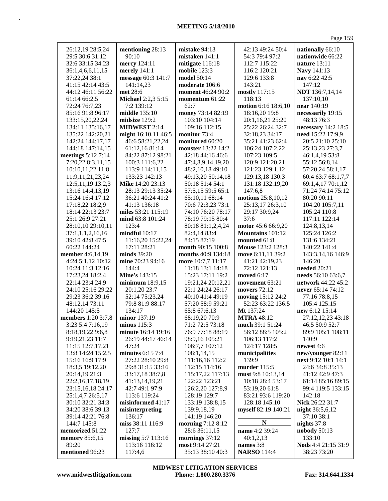| 26:12,19 28:5,24         | mentioning 28:13          | mistake 94:13                       | 42:13 49:24 50:4                | nationally 66:10                   |
|--------------------------|---------------------------|-------------------------------------|---------------------------------|------------------------------------|
| 29:5 30:6 31:12          | 90:10                     | mistaken 141:1                      | 54:3 79:4 97:2                  | nationwide 66:22                   |
| 32:6 33:15 34:23         | mercy 124:11              | mitigate 116:18                     | 112:7 115:22                    | nature 13:11                       |
| 36:1,4,6,6,11,15         | merely 141:1              | mobile 123:3                        | 116:2 120:21                    | Navy 141:13                        |
| 37:22,24 38:1            | message 60:3 141:7        | model 50:14                         | 129:6 133:8                     | nay 6:22 42:5                      |
| 41:15 42:14 43:5         | 141:14,23                 | moderate 106:6                      | 143:21                          | 147:12                             |
| 44:12 46:11 56:22        | met 28:6                  | <b>moment</b> 46:24 90:2            | mostly 117:15                   | <b>NDT</b> 136:7,14,14             |
| 61:14 66:2,5             | <b>Michael 2:2,3 5:15</b> | momentum $61:22$                    | 118:13                          | 137:10,10                          |
| 72:24 76:7,23            | 7:2 139:12                | 62:7                                | motion 6:16 18:6,10             | near 140:19                        |
| 85:16 91:8 96:17         | middle 135:10             | money 73:14 82:19                   | 18:16,20 19:8                   | necessarily 19:15                  |
| 133:15,20,22,24          | midsize 129:2             | 103:10 104:14                       | 20:1,16,21 25:20                | 48:13 76:3                         |
| 134:11 135:16,17         | <b>MIDWEST 2:14</b>       | 109:16 112:15                       | 25:22 26:24 32:7                | necessary 14:2 18:5                |
| 135:22 142:20,21         | might 16:10,11 46:5       | monitor 73:4                        | 32:18,23 34:17                  | need 15:22 17:9,9                  |
| 142:24 144:17,17         | 46:6 58:21,22,24          | monitored 60:20                     | 35:21 41:23 62:4                | 20:5 21:10 25:10                   |
| 144:18 147:14,15         | 61:12,16 81:14            | monster 13:22 14:2                  | 106:24 107:2,22                 | 25:13,23 27:3,7                    |
| meetings 5:12 7:14       | 84:22 87:12 98:21         | 42:18 44:16 46:6                    | 107:23 109:5                    | 46:1,4,19 53:8                     |
| 7:20,22 8:3,11,15        | 100:3 111:6,22            | 47:4,8,9,14,19,20                   | 120:9 121:20,21                 | 55:12 56:8,14                      |
| 10:10,11,22 11:8         | 113:9 114:11,15           | 48:2,10,18 49:10                    | 121:23 129:1,12                 | 57:20,24 58:1,17                   |
| 11:9,11,21,23,24         | 133:23 142:13             | 49:13,20 50:14,18                   | 129:13,18 130:3                 | 60:4 63:7 68:1,7,7                 |
| 12:5, 11, 19 13:2, 3     | Mike 14:20 23:13          | 50:18 51:4 54:1                     | 131:18 132:19,20                | 69:1,4,17 70:1,12                  |
| 13:16 14:4,13,19         | 28:13 29:13 35:24         | 57:5,15 59:5 65:1                   | 147:6,8                         | 71:24 74:14 75:12                  |
| 15:24 16:4 17:12         | 36:21 40:24 41:2          | 65:10,11 68:14                      | motions 25:8,10,12              | 80:20 90:11                        |
| 17:18,22 18:2,9          | 41:13 136:18              | 70:6 72:3,23 73:1                   | 25:13,17 26:3,10                | 104:20 105:7,11                    |
| 18:14 22:13 23:7         | miles 53:21 115:19        | 74:10 76:20 78:17                   | 29:17 30:9,24                   | 105:24 110:8                       |
| 25:1 26:9 27:21          | mind 63:8 101:24          | 78:19 79:15 80:4                    | 37:6                            | 117:11 122:14                      |
| 28:10,10 29:10,11        | 123:4                     | 80:18 81:1,2,4,24                   | motor 45:6 66:9,20              | 124:8,13,14                        |
| 37:1,1,1,2,16,16         | mindful $10:17$           | 82:4,14 83:4                        | <b>Mountains</b> 101:12         | 125:24 126:2                       |
| 39:10 42:8 47:5          | 11:16,20 15:22,24         | 84:15 87:19                         | mounted 61:8                    | 131:6 134:21                       |
| 60:22 144:24             | 17:11 28:21               | month 90:15 100:8                   | <b>Mouse</b> 123:2 128:3        | 140:22 141:4                       |
|                          |                           |                                     |                                 |                                    |
|                          |                           |                                     |                                 |                                    |
| member 4:6,14,19         | minds $39:20$             | months 40:9 134:18                  | move 6:11,11 39:2               | 143:3,14,16 146:9                  |
| 4:24 5:1,12 10:12        | mine 70:23 94:16          | more 10:7,7 11:17                   | 41:21 42:19,23                  | 146:20                             |
| 10:24 11:3 12:16         | 144:4                     | 11:18 13:1 14:18                    | 72:12 121:13                    | needed 20:21                       |
| 17:23,24 18:2,4          | <b>Mine's 143:15</b>      | 15:23 17:11 19:2                    | moved 6:17                      | needs 56:10 63:6,7                 |
| 22:14 23:4 24:9          | minimum $18:9,15$         | 19:21,24 20:12,21                   | movement 63:21                  | network 44:22 45:2                 |
| 24:10 25:16 29:22        | 20:1,20 23:7              | 22:1 24:24 26:17                    | movers 72:12                    | never 65:14 74:12                  |
| 29:23 36:2 39:16         | 52:14 75:23,24            | 40:10 41:4 49:19                    | moving 15:12 24:2               | 77:16 78:8,15                      |
| 48:12,14 73:11           | 79:8 81:9 88:17           | 57:20 58:9 59:21                    | 52:23 63:22 136:5               | 105:4 125:15                       |
| 144:20 145:5             | 134:17                    | 65:8 67:6,13                        | Mt 137:24                       | new 6:12 15:14                     |
| members 1:20 3:7,8       | minor 137:19              | 68:19,20 70:9                       | <b>MTRA</b> 48:12               | 27:12,12,23 43:18                  |
| 3:23 5:4 7:16,19         | minus $115:3$             | 71:2 72:5 73:18                     | much 39:1 51:24                 | 46:5 50:9 52:7                     |
| 8:18,19,22 9:6,8         | minute 16:14 19:16        | 76:9 77:18 88:19                    | 56:12 88:5 105:2                | 89:9 105:1 108:11                  |
| 9:19,21,23 11:7          | 26:19 44:17 46:14         | 98:9,16 105:21                      | 106:13 117:2                    | 140:9                              |
| 11:15 12:7,17,21         | 47:24                     | 106:7,7 107:12                      | 124:17 128:5                    | newest 4:6                         |
| 13:8 14:24 15:2,5        | minutes 6:15 7:4          | 108:1,14,15                         | municipalities                  | new/younger 82:11                  |
| 15:16 16:9 17:9          | 27:22 28:10 29:8          | 111:16,16 112:2                     | 139:9                           | next 9:12 10:1 14:1                |
| 18:3,5 19:12,20          | 29:8 31:15 33:16          | 112:15 114:16                       | murder 115:5                    | 24:6 34:8 35:13                    |
| 20:14,19 21:3            | 33:17,18 38:7,8           | 115:17,22 117:13                    | must 9:8 10:13,14               | 41:12 42:9 47:3                    |
| 22:2,16,17,18,19         | 41:13,14,19,21            | 122:22 123:21                       | 10:18 28:4 53:17                | 61:14 85:16 89:15                  |
| 23:15,16,18 24:17        | 42:7 49:1 97:9            | 126:2,20 127:8,9                    | 53:19,20 61:8                   | 99:4 119:5 133:15                  |
| 25:1,4,7 26:5,17         | 113:6 119:24              | 128:19 129:7                        | 83:21 93:6 119:20               | 142:18                             |
| 30:10 32:21 34:3         | misinformed 41:17         | 133:19 138:8,15                     | 128:18 145:10                   | Nick 26:22 31:7                    |
| 34:20 38:6 39:13         | misinterpreting           | 139:9,18,19                         | myself 82:19 140:21             | <b>night</b> 36:5,6,12             |
| 39:14 42:21 76:8         | 136:17                    | 141:19 146:20                       | $\mathbf N$                     | 37:10 38:1                         |
| 144:7 145:8              | miss 38:11 116:9<br>127:7 | morning 7:12 8:12                   |                                 | nights 37:8                        |
| memorized 51:22          |                           | 28:6 36:11,15                       | name 4:2 39:24                  | nobody $50:13$                     |
| <b>memory</b> 85:6,15    | missing 5:7 113:16        | mornings 37:12                      | 40:1,2,13                       | 133:10                             |
| 89:20<br>mentioned 96:23 | 113:16 116:12<br>117:4,6  | most 9:14 27:21<br>35:13 38:10 40:3 | names 3:8<br><b>NARSO</b> 114:4 | Nods 4:4 21:15 31:9<br>38:23 73:20 |

**www.midwestlitigation.com Phone: 1.800.280.3376 Fax: 314.644.1334 MIDWEST LITIGATION SERVICES**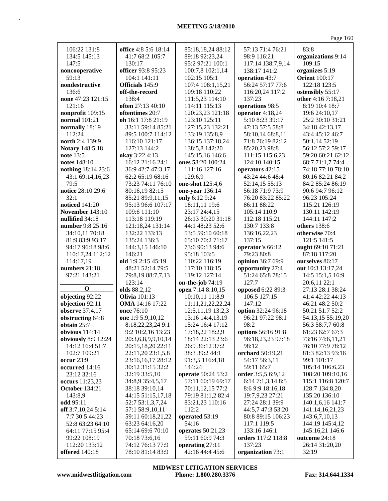| age $160$<br>De |  |
|-----------------|--|
|                 |  |

| 106:22 131:8           | <b>office</b> 4:8 5:6 18:14 | 85:18,18,24 88:12    | 57:13 71:4 76:21   | 83:8                              |
|------------------------|-----------------------------|----------------------|--------------------|-----------------------------------|
| 134:5 145:13           | 41:7 68:2 105:7             | 89:18 92:23,24       | 98:9 116:21        | organizations 9:14                |
| 147:5                  | 130:17                      | 95:2 97:21 100:1     | 117:14 138:7,9,14  | 109:15                            |
| noncooperative         | officer 93:8 95:23          | 100:7,8 102:1,14     | 138:17 141:2       | organizes 5:19                    |
| 59:13                  | 104:1 141:11                | 102:15 105:1         | operation 43:7     | <b>Orient</b> 100:17              |
| nondestructive         | Officials 145:9             | 107:4 108:1,15,21    | 56:24 57:17 77:6   | 122:18 123:5                      |
| 136:6                  | off-the-record              | 109:18 110:22        | 116:20,24 117:2    | ostensibly 55:17                  |
| none 47:23 121:15      | 138:4                       | 111:5,23 114:10      | 137:23             | other 4:16 7:18,21                |
| 121:16                 | often 27:13 40:10           | 114:11 115:13        | operations 98:5    | 8:19 10:4 18:7                    |
| nonprofit 109:15       | oftentimes 20:7             | 120:23,23 121:18     | operator 4:18,24   | 19:6 24:10,17                     |
| normal 101:21          | oh 16:1 17:8 21:19          | 123:10 125:11        | 5:10 8:23 39:17    | 25:2 30:10 31:21                  |
| normally 18:19         | 33:11 59:14 85:21           | 127:15,23 132:21     | 47:13 57:5 58:8    |                                   |
| 112:24                 |                             |                      |                    | 34:18 42:13,17<br>43:4 45:12 46:7 |
|                        | 89:5 100:7 114:12           | 133:19 135:8,9       | 58:10,14 68:8,11   |                                   |
| north 2:4 139:9        | 116:10 121:17               | 136:15 137:18,24     | 71:8 76:19 82:12   | 50:1,14 52:19                     |
| Notary 148:5,18        | 127:13 144:2                | 138:5,8 142:20       | 85:20,23 98:8      | 56:12 57:2 59:17                  |
| note 13:5              | okay 3:22 4:13              | 145:15,16 146:6      | 111:15 115:6,23    | 59:20 60:21 62:12                 |
| notes 148:10           | 16:12 21:16 24:1            | ones 58:20 100:24    | 124:10 140:15      | 68:7 71:1,7 74:4                  |
| nothing 18:14 23:6     | 36:9 42:7 47:3,17           | 111:16 127:16        | operators 42:15    | 74:18 77:10 78:10                 |
| 43:1 69:14,16,23       | 62:2 65:19 68:16            | 129:6,9              | 43:24 44:6 48:4    | 80:16 82:21 84:2                  |
| 79:5                   | 73:23 74:11 76:10           | one-shot 125:4,6     | 52:14,15 55:13     | 84:2 85:24 86:19                  |
| notice 28:10 29:6      | 80:16,19 82:15              | one-year 136:14      | 56:18 71:9 73:9    | 90:6 94:7 96:12                   |
| 32:1                   | 85:21 89:9,11,15            | only 6:12 9:24       | 76:20 83:22 85:22  | 96:23 105:24                      |
| noticed 141:20         | 95:13 96:6 107:17           | 18:11,11 19:6        | 86:11 88:22        | 115:21 126:19                     |
| November 143:10        | 109:6 111:10                | 23:17 24:4,15        | 105:14 110:9       | 130:11 142:19                     |
| nullified 34:18        | 113:18 119:19               | 26:13 30:20 31:18    | 112:18 115:21      | 144:11 147:2                      |
| number 9:8 25:16       | 121:18,24 131:14            | 44:1 48:23 52:6      | 130:7 133:8        | others 138:6                      |
| 34:10,11 70:18         | 132:22 133:13               | 53:5 59:10 60:18     | 136:16,22,23       | otherwise 70:4                    |
| 81:9 83:9 93:17        | 135:24 136:3                | 65:10 70:2 71:17     | 137:15             | 121:5 141:5                       |
| 94:17 96:18 98:6       | 144:3,15 146:10             | 73:6 90:13 94:6      | operator's 66:12   | ought 69:10 71:21                 |
| 110:17,24 112:12       | 146:21                      | 95:18 103:5          | 79:23 80:8         | 87:18 117:20                      |
| 114:17,19              | old 1:9 2:15 45:19          | 110:22 116:19        | opinion 36:7 69:9  | ourselves 86:17                   |
| numbers 21:18          | 48:21 52:14 79:5            | 117:10 118:15        | opportunity 27:4   | out 10:3 13:17,24                 |
| 97:21 143:21           | 79:8,19 88:7,7,13           | 119:12 127:14        | 51:24 65:8 78:15   | 14:5 15:1,5 16:9                  |
|                        | 123:14                      | on-the-job $74:19$   | 127:7              | 20:6,11 22:1                      |
| $\mathbf 0$            | olds 88:2,12                | open 7:14 8:10,15    | opposed 6:22 89:3  | 27:13 28:1 38:24                  |
| objecting 92:22        | <b>Olivia</b> 101:13        | 10:10,11 11:8,9      | 106:5 127:15       | 41:4 42:22 44:13                  |
| objection 92:11        | <b>OMA</b> 14:16 17:22      | 11:11,21,22,22,24    | 147:12             | 46:21 48:2 50:2                   |
| observe 37:4,17        | once 76:10                  | 12:5, 11, 19 13:2, 3 | option 32:24 96:18 | 50:21 51:7 52:2                   |
| obstructing 64:8       | one 1:9 5:9,10,12           | 13:16 14:4,13,19     | 96:21 97:22 98:1   |                                   |
|                        | 8:18,22,23,24 9:1           | 15:24 16:4 17:12     | 98:2               | 54:13,15 55:19,20                 |
| obtain 25:7            |                             |                      |                    | 56:3 58:7,7 60:8                  |
| obvious $114:14$       | 9:2 10:2,16 13:23           | 17:18,22 18:2,9      | options 56:16 91:8 | 61:23 62:7 67:3                   |
| obviously $8:9$ 12:24  | 20:3,6,8,9,9,10,14          | 18:14 22:13 23:6     | 96:18,23,23 97:18  | 73:16 74:6,11,21                  |
| 14:12 16:4 51:7        | 20:15,18,20 22:11           | 26:9 36:12 37:2      | 98:12              | 76:10 77:9 78:12                  |
| 102:7 109:21           | 22:11,20 23:1,5,8           | 38:3 39:2 44:1       | orchard 50:19,21   | 81:3 82:13 93:16                  |
| occur 23:9             | 23:16,16,17 28:12           | 91:3,5 116:4,18      | 54:17 56:3,11      | 99:1 101:17                       |
| occurred 14:16         | 30:12 31:15 32:2            | 144:24               | 59:11 65:7         | 105:14 106:6,23                   |
| 23:12 32:16            | 32:19 33:5,10               | operate 50:24 53:2   | order 3:5,5 6:9,12 | 108:20 109:10,16                  |
| <b>occurs</b> 11:23,23 | 34:8,9 35:4,5,17            | 57:11 60:19 69:17    | 6:147:1,3,148:5    | 115:1 116:8 120:7                 |
| <b>October</b> 134:21  | 38:18 39:10,14              | 70:11,12,15 77:2     | 8:6 9:9 18:16,18   | 128:7 134:8,20                    |
| 143:8,9                | 44:15 51:15,17,18           | 79:19 81:1,2 82:4    | 19:7,9,23 27:21    | 135:20 136:10                     |
| odd $95:11$            | 52:7 53:1,3,7,24            | 83:21,23 110:16      | 27:24 28:1 39:9    | 140:1,6,16 141:7                  |
| off 3:7,10,24 5:14     | 57:1 58:9,10,11             | 112:2                | 44:5,7 47:3 53:20  | 141:14,16,21,23                   |
| 7:7 30:5 44:23         | 59:11 60:18,21,22           | operated 53:19       | 80:8 89:15 106:23  | 143:6,7,10,13                     |
| 52:8 63:23 64:10       | 63:23 64:16,20              | 54:16                | 117:1 119:5        | 144:19 145:4,12                   |
| 64:11 77:15 95:4       | 65:14 69:6 70:10            | operates $50:21,23$  | 133:16 146:1       | 145:16,21 146:6                   |
| 99:22 108:19           | 70:18 73:6,16               | 59:11 60:9 74:3      | orders 117:2 118:8 | outcome 24:18                     |
| 112:20 133:12          | 74:12 76:13 77:9            | operating 27:11      | 137:23             | 26:14 31:20,20                    |
| offered 140:18         | 78:10 81:14 83:9            | 42:16 44:4 45:6      | organization 73:1  | 32:19                             |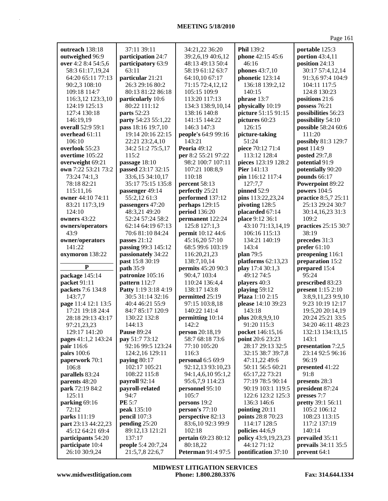## **MEETING 5/18/2010**

Page 161

| outreach 138:18     | 37:11 39:11          | 34:21,22 36:20           | <b>Phil 139:2</b>    | portable 125:3       |
|---------------------|----------------------|--------------------------|----------------------|----------------------|
| outweighed 96:9     | participation 24:7   | 39:2,6,19 40:6,12        | phone 42:15 45:6     | portion 43:4,11      |
| over 4:2 8:4 54:5,6 | participatory 63:9   | 48:13 49:13 50:4         | 46:16                | position 24:13       |
|                     |                      |                          |                      |                      |
| 58:3 61:17,19,24    | 63:11                | 58:19 61:12 63:7         | phones 43:7,10       | 30:17 57:4,12,14     |
| 64:20 65:11 77:13   | particular 21:21     | 64:10,10 67:17           | phonetic 123:14      | 91:3,6 97:4 104:9    |
| 90:2,3 108:10       | 26:3 29:16 80:2      | 71:15 72:4,12,12         | 136:18 139:2,12      | 104:11 117:5         |
| 109:18 114:7        | 80:13 81:22 86:18    | 105:15 109:9             | 140:15               | 124:8 130:23         |
| 116:3,12 123:3,10   | particularly 10:6    | 113:20 117:13            | phrase 13:7          | positions 21:6       |
| 124:19 125:13       | 80:22 111:12         | 134:3 138:9,10,14        | physically 10:19     | possess 76:21        |
| 127:4 130:18        | parts 52:23          | 138:16 140:8             | picture 51:15 91:15  | possibilities 56:23  |
| 146:19,19           | party 54:23 55:1,22  | 141:15 144:22            | pictures 60:23       | possibility 54:10    |
| overall 52:9 59:1   | pass 18:16 19:7,10   | 146:3 147:3              | 126:15               | possible 58:24 60:6  |
| overhead 61:11      | 19:14 20:16 22:15    | people's 64:9 99:16      | picture-taking       | 111:20               |
|                     |                      |                          |                      |                      |
| 106:10              | 22:21 23:2,4,10      | 143:21                   | 51:24                | possibly 81:3 129:7  |
| overlook 55:23      | 34:2 51:2 75:5,17    | <b>Peoria</b> 49:12      | piece 70:12 71:4     | post 114:9           |
| overtime 105:22     | 115:2                | per 8:2 55:21 97:22      | 113:12 128:4         | posted 29:7,8        |
| overweight 69:21    | passage 18:10        | 98:2 100:7 107:11        | pieces 123:19 128:2  | potential 91:9       |
| own 7:22 53:21 73:2 | passed 23:17 32:15   | 107:21 108:8,9           | <b>Pier</b> 141:13   | potentially 90:20    |
| 73:24 74:1,3        | 33:6,15 34:10,17     | 110:18                   | pin 116:12 117:4     | pounds 66:17         |
| 78:18 82:21         | 35:17 75:15 135:8    | percent 58:13            | 127:7,7              | Powerpoint 89:22     |
| 115:11,16           | passenger 49:14      | perfectly 25:21          | pinned 52:9          | powers 104:5         |
|                     | 55:2,12 61:3         | performed 137:12         | pins 113:22,23,24    | practice 8:5,7 25:11 |
| owner 44:10 74:11   |                      |                          |                      |                      |
| 83:21 117:3,19      | passengers 47:20     | perhaps 129:15           | pivoting 128:5       | 25:13 29:24 30:7     |
| 124:10              | 48:3,21 49:20        | period 136:20            | placarded 67:14      | 30:14,16,23 31:3     |
| owners 43:22        | 52:24 57:24 58:2     | permanent 122:24         | place 9:12 36:1      | 109:2                |
| owners/operators    | 62:14 64:19 67:13    | 125:8 127:1,3            | 43:10 71:13,14,19    | practices 25:15 30:7 |
| 43:9                | 70:6 81:10 84:24     | <b>permit</b> 10:12 44:6 | 106:16 115:13        | 38:19                |
| owner/operators     | passes 21:12         | 45:16,20 57:10           | 134:21 140:19        | precedes 31:3        |
| 141:22              | passing 99:3 145:12  | 68:5 99:6 103:19         | 143:4                | prefer $61:10$       |
| oxymoron 138:22     | passionately 34:22   | 116:20,21,23             | plan 79:5            | preopening 116:1     |
|                     | past 15:8 30:19      | 138:7,10,14              | platforms 62:13,23   | preparation 15:2     |
| $\mathbf{P}$        | path 35:9            | permits 45:20 90:3       | play 17:4 30:1,3     | prepared 15:4        |
| package 145:14      | patronize 105:16     | 90:4,7 103:4             | 49:12 74:5           | 95:24                |
|                     |                      |                          |                      |                      |
| packet 91:11        | pattern 112:7        | 110:24 136:4,4           | players 40:3         | prescribed 83:23     |
| packets 7:6 134:8   | Patty 1:19 3:18 4:19 | 138:17 143:8             | playing 59:12        | present 1:15 2:10    |
| 143:7,7             | 30:5 31:14 32:16     | permitted 25:19          | Plaza 1:10 2:15      | 3:8,9,11,23 9:9,10   |
| page 11:4 12:1 13:5 | 40:4 46:21 55:9      | 97:15 103:8,18           | please 14:10 39:23   | 9:23 10:19 12:17     |
| 17:21 19:18 24:4    | 84:7 85:17 120:9     | 140:22 141:4             | 143:18               | 19:5,20 20:14,19     |
| 28:18 29:13 43:17   | 130:22 132:8         | permitting 10:14         | plus 20:8,9,9,10     | 20:24 25:21 33:5     |
| 97:21,23,23         | 144:13               | 142:2                    | 91:20 115:3          | 34:20 46:11 48:23    |
| 129:17 141:20       | <b>Pause 89:24</b>   | person $20:18,19$        | pocket 146:15,16     | 132:13 134:13,15     |
| pages 41:1,2 143:24 | pay 51:7 73:12       | 58:7 68:18 73:6          | point 20:6 23:23     | 143:1                |
| pair 116:6          | 92:16 99:5 123:24    | 77:10 105:20             | 28:17 29:13 32:5     | presentation 7:2,5   |
| pairs 100:6         | 124:2,16 129:11      | 116:3                    | 32:15 38:7 39:7,8    | 23:14 92:5 96:16     |
|                     | paying 80:17         | personal 6:5 69:9        | 47:11,22 49:6        | 96:19                |
| paperwork 70:1      |                      |                          |                      |                      |
| 106:8               | 102:17 105:21        | 92:12,13 93:10,23        | 50:11 56:5 60:21     | presented 41:22      |
| parallels 83:24     | 108:22 115:8         | 94:1,4,6,10 95:1,2       | 65:17,22 73:21       | 91:8                 |
| parents 48:20       | payroll 92:14        | 95:6,7,9 114:23          | 77:19 78:5 90:14     | presents 28:3        |
| park 72:19 84:2     | payroll-related      | personnel 95:10          | 90:19 103:1 119:5    | president 87:24      |
| 125:11              | 94:7                 | 105:7                    | 122:6 123:2 125:3    | presses 7:7          |
| parking 69:16       | <b>PE 5:7</b>        | persons 19:2             | 136:3 146:6          | pretty 39:1 56:11    |
| 72:12               | peak 135:10          | person's 77:10           | pointing 20:11       | 105:2 106:12         |
| parks 111:19        | pencil 107:3         | perspective 82:13        | points 28:8 70:23    | 108:23 113:15        |
| part 23:13 44:22,23 | pending 25:20        | 83:6,10 92:3 99:9        | 114:17 128:5         | 117:2 137:19         |
| 45:12 64:21 69:4    | 89:12,13 121:21      | 102:18                   | policies 44:6,9      | 140:14               |
|                     |                      |                          |                      |                      |
| participants 54:20  | 137:17               | pertain 69:23 80:12      | policy 43:9,19,23,23 | prevailed 35:11      |
| participate 10:4    | people 5:4 20:7,24   | 80:18,22                 | 44:12 71:12          | prevails 34:11 35:5  |
| 26:10 30:9,24       | 21:5,7,8 22:6,7      | Peterman 91:4 97:5       | pontification 37:10  | prevent 64:1         |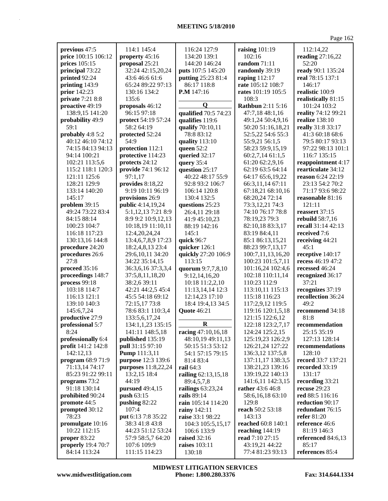| previous 47:5       | 114:1 145:4               | 116:24 127:9            | raising $101:19$         | 112:14,22           |
|---------------------|---------------------------|-------------------------|--------------------------|---------------------|
| price 100:15 106:12 | property 45:16            | 134:20 139:1            | 102:16                   | reading 27:16,22    |
| prices 105:15       | proposal 25:21            | 144:20 146:24           | random 71:11             | 52:20               |
| principal 73:22     | 32:24 42:15,20,24         | puts 107:5 145:20       | randomly 39:19           | ready 90:1 135:24   |
| printed 92:24       | 43:6 46:6 61:6            | putting 25:23 81:4      | raping 112:17            | real 78:15 137:1    |
|                     |                           | 86:17 118:8             | rate 105:12 108:7        | 146:17              |
| printing 143:9      | 65:24 89:22 97:13         |                         |                          |                     |
| prior 142:23        | 130:16 134:2              | <b>P.M</b> 147:16       | rates 101:19 105:5       | realistic 100:9     |
| private 7:21 8:8    | 135:6                     | $\mathbf Q$             | 108:3                    | realistically 81:15 |
| proactive 49:19     | proposals 46:12           |                         | <b>Rathbun</b> 2:11 5:16 | 101:24 103:2        |
| 138:9,15 141:20     | 96:15 97:18               | qualified 70:5 74:23    | 47:7,18 48:1,16          | reality 74:12 99:21 |
| probability 49:9    | protect 54:19 57:24       | qualifies 119:6         | 49:1,24 50:4,9,16        | realize $138:10$    |
| 59:1                | 58:2 64:19                | qualify 70:10,11        | 50:20 51:16,18,21        | really 31:8 33:17   |
| probably 4:8 5:2    | protected 52:24           | 78:8 83:12              | 52:5,22 54:6 55:3        | 41:3 60:18 68:6     |
| 40:12 46:10 74:12   | 54:9                      | quality 113:10          | 55:9,21 56:1,5           | 79:5 80:17 93:13    |
| 74:15 84:13 94:13   | protection 112:1          | queen 52:2              | 58:23 59:9,15,19         | 97:22 98:13 101:1   |
| 94:14 100:21        | protective 114:23         | queried 32:17           | 60:2,7,14 61:1,5         | 116:7 135:15        |
| 102:21 113:5,6      | protects 24:12            | query 35:4              | 61:20 62:2,9,16          | reappointment 4:17  |
| 115:2 118:1 120:3   | provide 74:1 96:12        | question 25:17          | 62:19 63:5 64:14         | rearticulate 34:12  |
| 121:11 125:6        | 97:1,17                   | 40:22 48:17 55:9        | 64:17 65:6,19,22         | reason 6:24 22:19   |
| 128:21 129:9        | provides $8:18,22$        | 92:8 93:2 106:7         | 66:3,11,14 67:11         | 23:13 54:2 70:2     |
| 133:14 140:20       | 9:19 10:11 96:19          | 106:14 120:8            | 67:18,21 68:10,16        | 71:17 93:6 98:22    |
| 145:17              | provisions 26:9           | 130:4 132:5             | 68:20,24 72:14           | reasonable 81:16    |
| problem 39:15       | public 4:14,19,24         | questions 25:23         | 73:3,12,21 74:3          | 121:11              |
| 49:24 73:22 83:4    | 5:1,12,13 7:21 8:9        | 26:4,11 29:18           | 74:10 76:17 78:8         | reassert 37:15      |
| 84:15 88:14         | 8:9 9:2 10:9,12,13        | 41:9 45:10,23           | 78:19,23 79:3            | rebuild 58:7,16     |
| 100:23 104:7        | 10:18,19 11:10,11         | 88:19 142:16            | 82:10,18 83:3,17         | recall 31:14 42:13  |
| 116:18 117:23       | 12:4,20,24,24             | 145:1                   | 83:19 84:4,11            | received 7:6        |
| 130:13,16 144:8     | 13:4,6,7,8,9 17:23        | quick 96:7              | 85:1 86:13,15,21         | receiving 44:21     |
| procedure 24:20     | 18:2,4,8,13 23:4          | quicker 126:1           | 88:23 99:7,13,17         | 45:1                |
| procedures 26:6     | 29:6,10,11 34:20          | quickly 27:20 106:9     | 100:7,11,13,16,20        | receptive 140:17    |
| 27:8                | 34:22 35:14,15            | 113:15                  | 100:23 101:5,7,11        | recess 46:19 47:2   |
| proceed 35:16       | 36:3,6,16 37:3,3,4        | quorum 9:7,7,8,10       | 101:16,24 102:4,6        | recessed 46:24      |
| proceedings 148:7   | 37:5,8,11,18,20           | 9:12,14,16,20           | 102:18 110:11,14         | recognized 36:17    |
| process 99:18       | 38:2,6 39:11              | 10:18 11:2,2,10         | 110:23 112:9             | 37:21               |
| 103:18 114:7        | 42:21 44:2,5 45:4         | 11:13,14,14 12:3        | 113:10,11 115:13         | recognizes 37:19    |
| 116:13 121:1        | 45:5 54:18 69:12          | 12:14,23 17:10          | 115:18 116:23            | recollection 36:24  |
| 139:10 140:3        | 72:15,17 73:8             | 18:4 19:4,13 34:5       | 117:2,9,12 119:5         | 49:2                |
| 145:6,7,24          | 78:6 83:1 110:3,4         | <b>Quote 46:21</b>      | 119:16 120:1,5,18        | recommend 34:18     |
| productive 27:9     | 133:5,6,17,24             |                         | 121:15 122:6,12          | 81:8                |
| professional 5:7    | 134:1,1,23 135:15         | $\mathbf{R}$            | 122:18 123:2,7,17        | recommendation      |
| 8:24                | 141:11 148:5,18           | racing 47:10,16,18      | 124:24 125:2,15          | 25:15 35:19         |
| professionally 6:4  | published 135:19          | 48:10,19 49:11,13       | 125:19,23 126:2,9        | 127:13 128:14       |
| profit 141:2 142:8  | <b>pull</b> 31:15 97:10   | 50:15 51:3 53:12        | 126:21,24 127:22         | recommendations     |
| 142:12,13           | <b>Pump</b> 111:3,11      | 54:1 57:15 79:15        | 136:3,12 137:5,8         | 128:10              |
| program 68:9 71:9   | purpose 12:3 139:6        | 81:4 83:4               | 137:11,17 138:3,5        | record 33:7 137:21  |
| 71:13,14 74:17      | purposes 11:8,22,24       | rail $64:3$             | 138:21,23 139:16         | recorded 33:19      |
| 85:23 91:22 99:11   | 13:2,15 18:4              | railing 62:13,15,18     | 139:19,22 140:13         | 131:17              |
| programs 73:2       | 44:19                     | 89:4,5,7,8              | 141:6,11 142:3,15        | recording 33:21     |
| 91:18 130:14        | pursued 49:4,15           | railings 63:23,24       | rather 43:6 46:8         | recuse 29:23        |
| prohibited 90:24    | push 63:15                | rails 89:14             | 58:6,16,18 63:10         | red 88:5 116:16     |
| promote 44:5        | pushing 82:22             | rain 105:14 114:20      | 129:8                    | reduction 90:17     |
| prompted 30:12      | 107:4                     | rainy 142:11            | reach 50:2 53:18         | redundant 76:15     |
| 78:23               | <b>put</b> 6:13 7:8 35:22 | <b>raise</b> 33:1 98:22 | 143:13                   | <b>refer</b> 81:20  |
| promulgate 10:16    | 38:3 41:8 43:8            | 104:3 105:5,15,17       | reached 60:8 140:1       | reference 46:6      |
| 10:22 112:15        | 44:23 51:12 53:24         | 106:6 133:9             | reaching 144:19          | 81:19 146:3         |
| proper 83:22        | 57:9 58:5,7 64:20         | raised 32:16            | read $7:10\,27:15$       | referenced 84:6,13  |
| properly 19:4 70:7  | 107:6 109:9               | <b>raises</b> 103:11    | 43:19,21 44:22           | 85:17               |
| 84:14 113:24        | 111:15 114:23             | 130:18                  | 77:4 81:23 93:13         | references 85:4     |
|                     |                           |                         |                          |                     |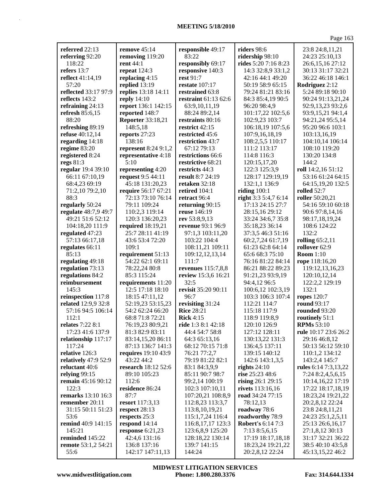| referred 22:13       | remove $45:14$                 | responsible 49:17                       | riders 98:6                     | 23:8 24:8,11,21                       |
|----------------------|--------------------------------|-----------------------------------------|---------------------------------|---------------------------------------|
| referring 92:20      | removing 119:20                | 83:22                                   | ridership 98:10                 | 24:23 25:10,13                        |
| 118:22               | rent 44:1                      | responsibly 69:17                       | rides 5:20 7:16 8:23            | 26:6,15,16 27:12                      |
| refers 13:7          | repeat $124:3$                 | responsive 140:3                        | 14:3 32:8,9 33:1,2              | 30:13 31:17 32:21                     |
| reflect 41:14,19     | replacing 4:15                 | <b>rest 91:7</b>                        | 42:16 44:1 49:20                | 36:22 46:18 146:1                     |
| 57:20                | replied $13:19$                | restate $107:17$                        | 50:19 58:9 65:15                | Rodriguez 2:12                        |
| reflected 33:17 97:9 | replies 13:18 14:11            | restrained 63:8                         | 79:24 81:21 83:16               | 5:24 89:18 90:10                      |
| reflects 143:2       | reply $14:10$                  | restraint 61:13 62:6                    | 84:3 85:4,19 90:5               | 90:24 91:13,21,24                     |
| refraining 24:13     | report 136:1 142:15            | 63:9,10,11,19                           | 96:20 98:4,9                    | 92:9,13,23 93:2,6                     |
| refresh $85:6,15$    | reported 148:7                 | 88:24 89:2,14                           | 101:17,22 102:5,6               | 93:9,15,21 94:1,4                     |
| 88:20                | <b>Reporter 33:18,21</b>       | restraints 80:16                        | 102:9,23 103:7                  | 94:21,24 95:5,14                      |
| refreshing 89:19     | 148:5,18                       | restrict 42:15                          | 106:18,19 107:5,6               | 95:20 96:6 103:1                      |
| refuse 40:12,14      | reports 27:23                  | restricted 45:6                         | 107:9,16,18,19                  | 103:13,16,19                          |
| regarding 14:18      | 138:16                         | restriction 43:7                        | 108:2,5,5 110:17                | 104:10,14 106:14                      |
| regime 83:20         | represent 8:24 9:1,2           | 67:12 79:13                             | 111:2 113:17                    | 108:10 119:20                         |
| registered 8:24      | representative 4:18            | restrictions 66:6                       | 114:8 116:3                     | 130:20 134:8                          |
| regs $81:3$          | 5:10                           | restrictive 68:21                       | 120:15,17,20                    | 144:2                                 |
| regular 19:4 39:10   | representing 4:20              | restricts 44:3                          | 122:3 125:3,9                   | roll 14:2,16 51:12                    |
| 66:11 67:10,19       | request 9:5 44:11              | <b>result</b> 8:7 24:19                 | 128:17 129:19,19                | 53:16 61:24 64:15                     |
| 68:4,23 69:19        | 45:18 131:20,23                | retaken 32:18                           | 132:1,1 136:9                   | 64:15,19,20 132:5                     |
| 71:2,10 79:2,10      | require 56:17 67:21            | retired 104:1                           | riding $100:1$                  | rolled 52:7                           |
| 88:3                 | 72:13 73:10 76:14              | retract 96:4                            | right 3:3 5:4,7 6:14            | roller 50:20,21                       |
| regularly 50:24      | 79:11 109:24                   | returning 90:15                         | 17:13 24:15 27:7                | 54:16 59:10 60:18                     |
| regulate 48:7,9 49:7 | 110:2,3 119:14                 | reuse 146:19                            | 28:15,16 29:12                  | 90:6 97:8,14,16                       |
| 49:21 51:6 52:12     | 120:3 136:20,23                | rev 53:8,9,13                           | 33:24 34:6,7 35:8               | 98:17,18,19,24                        |
| 104:18,20 111:9      | required 18:19,21              | revenue 93:1 96:9                       | 35:18,23 36:14                  | 108:6 124:22                          |
| regulated 47:23      | 25:7 28:11 41:19               | 97:1,3 103:11,20                        | 37:3,5 46:3 51:16               | 132:2                                 |
| 57:13 66:17,18       | 43:6 53:4 72:20                | 103:22 104:4                            | 60:2,7,24 61:7,19               | rolling $65:2,11$                     |
| regulates 66:11      | 109:1                          | 108:11,21 109:11                        | 61:23 62:8 64:14                | rollover 62:9                         |
| 85:13                | requirement 51:13              | 109:12,12,13,14                         | 65:6 68:3 75:10                 | <b>Room</b> 1:10                      |
| regulating 49:18     | 54:22 62:1 69:11               | 111:7                                   | 76:16 81:22 84:14               | rope 118:16,20                        |
| regulation 73:13     | 78:22,24 80:8                  | revenues 115:7,8,8                      | 86:21 88:22 89:23               | 119:12,13,16,23                       |
| regulations 84:2     | 85:3 115:24                    | review 15:3,6 16:21                     | 91:21,23 93:9,19                | 120:10,12,14                          |
| reimbursement        | requirements 11:20             | 32:5                                    | 94:4,12 96:5                    | 122:2,2 129:19                        |
| 145:3                | 12:5 17:18 18:10               | revisit 35:20 90:11                     | 100:6,12 102:3,19               | 132:1                                 |
| reinspection 117:8   | 18:15 47:11,12                 | 96:7                                    | 103:3 106:3 107:4               | <b>ropes</b> 120:7                    |
| related 12:9,9 32:8  | 52:19,23 53:15,23              | revisiting 31:24                        | 112:21 114:7                    | round 93:17                           |
| 57:16 94:5 106:14    | 54:2 62:24 66:20               | <b>Rice 28:21</b>                       | 115:18 117:9                    | rounded 93:20                         |
| 112:1                | 68:8 71:8 72:21                | <b>Rick</b> 4:15                        | 118:9 119:8,9                   | routinely 51:1                        |
| relates 7:22 8:1     | 76:19,23 80:9,21               | ride 1:3 8:1 42:18                      | 120:10 126:9                    | <b>RPMs</b> 53:10                     |
| 17:23 41:6 137:9     | 81:3 82:9 83:11                | 44:4 54:7 58:8                          | 127:12 128:11                   | rule 10:17 23:6 26:2                  |
| relationship 117:17  | 83:14,15,20 86:11              | 64:3 65:13,16                           | 130:13,22 131:3                 | 29:16 46:8,12                         |
| 117:24               | 87:13 136:7 141:3              | 68:12 70:15 71:8                        | 136:4,5 137:11                  | 50:13 56:12 59:10                     |
| relative 126:3       | requires 19:10 43:9            | 76:21 77:2,7                            | 139:15 140:12                   | 110:1,2 134:12                        |
| relatively 47:9 52:9 | 43:22 44:2                     | 79:19 81:22 82:1                        | 142:6 143:1,3,5                 | 143:2,4 145:7                         |
| reluctant 40:6       | research 18:12 52:6            | 83:1 84:3,9,9                           | rights 24:10                    | rules 6:14 7:3,13,22                  |
| relying $99:15$      | 89:10 105:23                   | 85:11 90:7 98:7                         | rise 25:23 48:6                 | 7:24 8:2,4,5,6,15                     |
| remain 45:16 90:12   | 112:6                          | 99:2,14 100:19                          | rising $26:1 29:15$             | 10:14,16,22 17:19                     |
| 122:3                | residence 86:24                | 102:3 107:10,11                         | rivets 113:16,16                | 17:22 18:17,18,19                     |
| remarks 13:10 16:3   | 87:7                           | 107:20,21 108:8,9                       | road 34:24 77:15                |                                       |
| remember 20:11       | <b>resort</b> 117:3,13         | 112:8,23 113:3,7                        | 78:12,13                        | 18:23,24 19:21,22<br>20:2,8,12 22:24  |
| 31:15 50:11 51:23    |                                |                                         |                                 |                                       |
| 53:6                 | respect $28:13$                | 113:8, 10, 19, 21                       | roadway 78:6<br>roadworthy 78:9 | 23:8 24:8,11,21                       |
| remind 40:9 141:15   | respects 25:3<br>respond 14:14 | 115:1,7,24 116:4<br>116:8, 17, 17 123:3 | <b>Robert's 6:14 7:3</b>        | 24:23 25:1,2,5,11<br>25:13 26:6,16,17 |
| 145:21               | response $6:21,23$             | 123:6,8,9 125:20                        | 7:13 8:5,6,15                   |                                       |
| reminded 145:22      |                                |                                         |                                 | 27:1,8,12 30:13                       |
| remote 53:1,2 54:21  | 42:4,6 131:16                  | 128:18,22 130:14                        | 17:19 18:17,18,18               | 31:17 32:21 36:22                     |
|                      | 136:8 137:16                   | 139:7 141:15                            | 18:23,24 19:21,22               | 38:5 40:10 43:5,8                     |
| 55:6                 | 142:17 147:11,13               | 144:24                                  | 20:2,8,12 22:24                 | 45:13,15,22 46:2                      |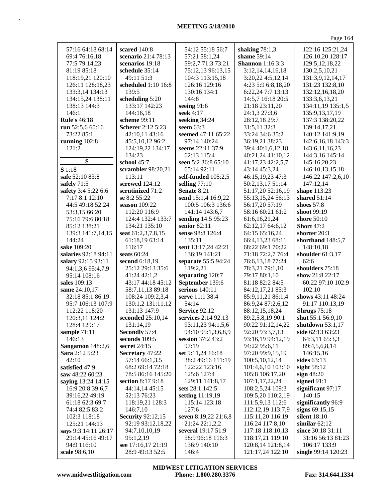| 57:16 64:18 68:14    | scared 140:8             | 54:12 55:18 56:7     | shaking $78:1,3$        | 122:16 125:21,24    |
|----------------------|--------------------------|----------------------|-------------------------|---------------------|
| 69:4 76:16,18        | scenario 21:4 78:13      | 57:21 58:1,24        | shame 59:14             | 126:10,20 128:17    |
| 77:5 79:14,23        | scenarios 19:18          | 59:2,7 71:3 73:21    | <b>Shannon</b> 1:16 3:3 | 129:5, 12, 18, 22   |
| 81:19 85:18          | schedule 35:14           | 75:12,13 96:13,15    | 3:12, 14, 14, 16, 18    | 130:2,5,10,21       |
| 118:19,21 120:10     | 49:11 51:3               | 104:3 113:15,18      | 3:20,22 4:5,12,14       | 131:3,9,12,14,17    |
| 126:11 128:18,23     | scheduled 1:10 16:8      | 126:16 129:16        | 4:23 5:9 6:8,18,20      | 131:23 132:8,10     |
| 133:3,14 134:13      | 139:5                    | 130:16 134:1         | 6:22,24 7:7 13:13       | 132:12,16,18,20     |
| 134:15,24 138:11     | scheduling 5:20          | 144:8                | 14:5,7 16:18 20:5       | 133:3,6,13,21       |
| 138:13 144:3         | 133:17 142:23            | seeing 91:6          | 21:18 23:11,20          | 134:11,19 135:1,5   |
| 146:1                | 144:16,18                | seek 4:17            | 24:1,3 27:3,6           | 135:9, 13, 17, 19   |
| <b>Rule's 46:18</b>  | scheme 99:11             | seeking 34:24        | 28:12,18 29:7           | 137:3 138:20,22     |
| run 52:5,6 60:16     | <b>Scherer</b> 2:12 5:23 | seem 63:3            | 31:5,11 32:3            | 139:14,17,21        |
| 73:22 85:1           | 42:10,11 43:16           | seemed 47:11 65:22   | 33:24 34:6 35:2         | 140:12 141:9,19     |
| running $102:8$      | 45:5,10,12 96:2          | 97:14 140:24         | 36:19,21 38:23          | 142:6, 16, 18 143:3 |
| 121:2                | 124:19,22 134:17         | seems 22:11 37:9     | 39:4 40:1,6,12,18       | 143:6, 11, 16, 23   |
|                      | 134:23                   | 62:13 115:4          | 40:21,24 41:10,12       | 144:3,16 145:14     |
| ${\bf S}$            | school 45:7              | seen 5:2 36:8 65:10  | 41:17,23 42:2,5,7       | 145:16,20,23        |
| <b>S</b> 1:18        | scrambler 98:20,21       | 65:14 92:11          | 43:14 45:3,24           | 146:10,13,15,18     |
| safe 52:10 83:8      | 113:11                   | self-funded 105:2,5  | 46:15,19,23 47:3        | 146:22 147:2,6,10   |
| safely 71:5          | screwed 124:12           | selling $77:10$      | 50:2,13,17 51:14        | 147:12,14           |
| safety 3:4 5:22 6:6  | scrutinized 71:2         | Senate 8:21          | 51:17,20 52:16,19       | shape 113:23        |
| 7:17 8:1 12:10       | se 8:2 55:22             | send 15:1,4 16:9,22  | 55:13,15,24 56:13       | shared 51:14        |
| 44:5 49:18 52:24     | season $109:22$          | 100:5 106:3 136:6    | 56:17,20 57:19          | shoes $57:8$        |
| 53:3,15 66:20        | 112:20 116:9             | 141:14 143:6,7       | 58:16 60:21 61:2        | shoot 99:19         |
| 75:16 79:6 80:18     | 124:4 132:4 133:7        | sending 14:5 95:23   | 61:6,16,21,24           | shore 50:10         |
| 85:12 138:21         | 134:21 135:10            | senior 82:11         | 62:12,17 64:6,12        | <b>Short 47:2</b>   |
| 139:3 141:7,14,15    | seat 61:2,3,7,8,15       | sense 98:8 126:4     | 64:15 65:16,24          | shorter 20:3        |
| 144:24               | 61:18,19 63:14           | 135:11               | 66:4,13,23 68:11        | shorthand 148:5,7   |
| sake 109:20          | 116:17                   | sent 13:17,24 42:21  | 68:22 69:1 70:22        | 148:10,18           |
| salaries 92:18 94:11 | seats $60:24$            | 136:19 141:21        | 71:18 72:2,7 76:4       | shoulder 61:3,17    |
| salary 92:15 93:11   | second 6:18,19           | separate 55:5 94:24  | 76:6,13,18 77:24        | 62:6                |
| 94:1,3,6 95:4,7,9    | 25:12 29:13 35:6         | 119:2,21             | 78:3,21 79:1,10         | shoulders 75:18     |
| 95:14 108:16         | 41:24 42:1,2             | separating 120:7     | 79:17 80:1,10           | show 21:8 22:17     |
| sales 109:13         | 43:17 44:18 45:12        | September 139:6      | 81:18 82:2 84:5         | 60:22 97:10 102:9   |
| same 24:10,17        | 58:7,11,13 89:18         | serious 140:11       | 84:12,17,21 85:3        | 102:10              |
| 32:18 85:1 86:19     | 108:24 109:2,3,4         | serve 11:1 38:4      | 85:9,11,21 86:1,4       | shows 43:11 48:24   |
| 95:7 106:13 107:9    | 130:1,2 131:11,12        | 54:14                | 86:9,24 87:2,6,12       | 91:17 110:13,19     |
| 112:22 118:20        | 131:13 147:9             | Service 92:12        | 88:12,15,18,24          | <b>Shrugs</b> 75:18 |
| 120:3,11 124:2       | seconded 25:10,14        | services 2:14 92:13  | 89:2,5,8,19 90:1        | shut 55:1 56:9,10   |
| 128:4 129:17         | 131:14,19                | 93:11,23 94:1,5,6    | 90:22 91:12,14,22       | shutdown 53:1,17    |
| sample 71:11         | Secondly 57:4            | 94:10 95:1,3,6,8,9   | 92:20 93:3,7,13         | side 62:13 63:23    |
| 146:13               | seconds 109:5            | session 37:2 43:2    | 93:16,19 94:12,19       | 64:3,11 65:3,3      |
| Sangamon 148:2,6     | secret $24:15$           | 97:19                | 94:22 95:6,11           | 89:4,5,6,8,14       |
| Sara 2:12 5:23       | Secretary 47:22          | set 9:11,24 16:18    | 97:20 99:9,15,19        | 146:15,16           |
| 42:10                | 57:14 66:1,3,5           | 38:2 49:16 111:19    | 100:5,10,12,14          | sides $63:13$       |
| satisfied 47:9       | 68:2 69:14 72:18         | 122:22 123:16        | 101:4,6,10 103:10       | sight $58:12$       |
| saw 48:22 60:23      | 78:5 86:16 145:20        | 125:6 127:4          | 105:8 106:17,20         | sign $48:20$        |
| saying 13:24 14:15   | section 8:17 9:18        | 129:11 141:8,17      | 107:1,17,22,24          | signed $91:1$       |
| 16:9 20:8 39:6,7     | 44:14,14 45:15           | sets 28:1 142:5      | 108:2,5,24 109:3        | significant 97:17   |
| 39:16,22 49:19       | 52:13 76:23              | setting 11:19,19     | 109:5,20 110:2,19       | 140:15              |
| 61:18 62:3 69:7      | 118:19,21 128:3          | 115:14 123:18        | 111:5,9,13 112:6        | significantly 96:9  |
| 74:4 82:5 83:2       | 146:7,10                 | 127:6                | 112:12,19 113:7,9       | signs $69:15,15$    |
| 102:3 118:18         | <b>Security 92:12,15</b> | seven 8:19,22 21:6,8 | 115:11,20 116:19        | silent 18:10        |
| 125:21 144:13        | 92:19 93:12,18,22        | 21:24 22:1,2,2       | 116:24 117:8,10         | similar $62:12$     |
| says 9:3 14:11 26:17 | 94:7,10,10,19            | several 19:17 51:9   | 117:18 118:10,13        | since 30:18 31:11   |
| 29:14 45:16 49:17    | 95:1,2,19                | 58:9 96:18 116:3     | 118:17,21 119:10        | 31:16 56:13 81:23   |
| 94:9 116:10          | see 17:16,17 21:19       | 136:9 140:10         | 120:8,14 121:8,14       | 106:17 133:9        |
| scale 98:6,10        | 28:9 49:13 52:5          | 146:4                | 121:17,24 122:10        | single 99:14 120:23 |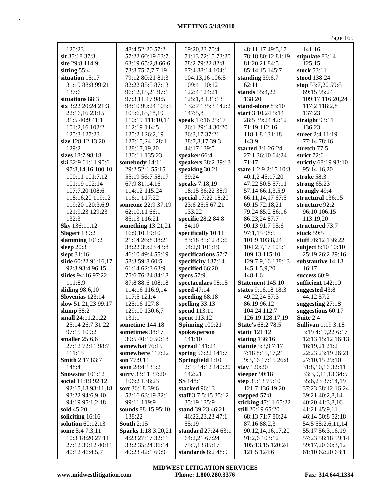| 120:23                         | 48:4 52:20 57:2     | 69:20,23 70:4        | 48:11,17 49:5,17      | 141:16                    |
|--------------------------------|---------------------|----------------------|-----------------------|---------------------------|
| sit 35:18 37:3                 | 57:22 60:19 63:7    | 71:13 72:15 73:20    | 78:18 80:12 81:19     | stipulate 83:14           |
| site 29:8 114:9                | 63:19 65:2,8 66:6   | 78:2 79:22 82:8      | 81:20,21 84:5         | 125:15                    |
| sitting 55:4                   | 73:8 75:7,7,7,19    | 87:4 88:14 104:1     | 85:14,15 145:7        | stock 53:11               |
| situation 15:17                | 79:12 80:21 81:3    | 104:13,16 106:5      | standing 39:6,7       | stood 138:24              |
| 31:19 88:8 99:21               | 82:22 85:5 87:13    | 109:4 110:12         | 62:11                 | stop 53:7,20 59:8         |
| 137:6                          | 96:12,15,21 97:1    | 122:4 124:21         | stands 55:4,22        | 69:15 95:24               |
| situations 88:3                | 97:3,11,17 98:5     | 125:1,8 131:13       | 138:20                | 109:17 116:20,24          |
| six 3:22 20:24 21:3            | 98:10 99:24 105:5   | 132:7 135:3 142:2    | stand-alone 83:10     | 117:2 118:2,8             |
| 22:16,16 23:15                 | 105:6, 18, 18, 19   | 147:5,8              | start 3:10,24 5:14    | 137:23                    |
| 31:5 40:9 41:1                 | 110:19 111:10,14    | speak 17:16 25:17    | 28:5 39:24 42:12      | straight 93:11            |
|                                | 112:19 114:5        | 26:1 29:14 30:20     | 71:19 112:16          | 136:23                    |
| 101:2,16 102:2<br>125:3 127:23 | 125:2 126:2,19      |                      |                       |                           |
|                                |                     | 36:3,17 37:21        | 118:1,8 131:18        | street 2:4 11:19          |
| size 128:12,13,20              | 127:15,24 128:1     | 38:7,8,17 39:3       | 143:9                 | 77:14 78:16               |
| 129:2                          | 128:17,19,20        | 44:17 139:5          | started 3:1 26:24     | stretch 77:5              |
| sizes 18:7 98:18               | 130:11 135:23       | speaker 66:4         | 27:1 36:10 64:24      | strict 72:6               |
| ski 32:9 61:11 90:6            | somebody 14:11      | speakers 38:2 39:13  | 71:17                 | strictly 68:19 93:10      |
| 97:8,14,16 100:10              | 29:2 52:1 55:15     | speaking 30:21       | state 1:2,9 2:15 10:3 | 95:14,16,20               |
| 100:11 101:7,12                | 55:19 56:7 58:17    | 39:24                | 40:1,2 45:17,20       | stroke 58:3               |
| 101:19 102:14                  | 67:9 81:14,16       | speaks 7:18,19       | 47:22 50:5 57:11      | strong 65:23              |
| 107:7,20 108:6                 | 114:12 115:24       | 18:15 36:22 38:9     | 57:14 66:1,3,5,9      | strongly 49:4             |
| 118:16,20 119:12               | 116:1 117:22        | special 17:22 18:20  | 66:11,14,17 67:5      | structural 136:15         |
| 119:20 120:3,6,9               | someone 22:9 37:19  | 23:6 25:5 67:21      | 69:15 72:18,21        | structure 92:2            |
| 121:9,23 129:23                | 62:10,11 66:1       | 133:22               | 79:24 85:2 86:16      | 96:10 106:15              |
| 132:3                          | 85:13 116:21        | specific 28:2 84:8   | 86:23,24 87:7         | 113:19,20                 |
| Sky 136:11,12                  | something 13:21,21  | 84:10                | 90:13 91:7 95:6       | structured 73:7           |
| Slagert 139:2                  | 16:9,10 19:10       | specifically 10:11   | 97:1,15 98:5          | stuck $59:5$              |
| slamming 101:2                 | 21:14 26:8 38:21    | 83:18 85:12 89:6     | 101:9 103:8,24        | stuff 76:12 136:22        |
| sleep 20:3                     | 38:22 39:23 43:8    | 94:2,9 101:19        | 104:2,7,17 105:1      | subject 8:10 10:10        |
| slept 31:16                    | 46:10 49:4 55:19    | specifications 57:7  | 109:13 115:10         | 25:19 26:2 29:16          |
| slide 60:22 91:16,17           | 58:3 59:8 60:5      | specificity 137:14   | 129:7,9,16 138:13     | substantive 14:18         |
| 92:3 93:4 96:15                | 61:14 62:3 63:9     | specified 66:20      | 145:1,5,9,20          | 16:17                     |
| slides 94:16 97:22             | 75:6 76:24 84:18    | specs 57:9           | 148:1,6               | success $60:9$            |
| 111:8,9                        | 87:8 88:6 108:18    | spectaculars 98:15   | Statement 145:10      | sufficient 142:10         |
| sliding 98:6,10                | 114:16 116:9,14     | speed 47:14          | states 9:16,18 18:3   | suggested 43:8            |
| Slovenias 123:14               | 117:5 121:4         | speeding 68:18       | 49:22,24 57:3         | 44:12 57:2                |
| slow 51:21,23 99:17            | 125:16 127:8        | spelling 33:13       | 86:19 96:12           | suggesting 27:18          |
| slump $58:2$                   | 129:10 130:6,7      | spend 113:11         | 104:24 112:7          | suggestions 60:17         |
| small 24:11,21,22              | 131:1               | spent 113:12         | 126:19 128:17,19      | Suite 2:4                 |
| 25:14 26:7 31:22               | sometime 144:18     | Spinning 100:21      | State's 68:2 78:5     | <b>Sullivan</b> 1:19 3:18 |
| 97:15 109:2                    | sometimes 38:17     | spokesperson         | static $121:12$       | 3:19 4:19,22 6:17         |
| smaller $25:6,6$               | 39:5 40:10 50:18    | 141:10               | stating 136:16        | 12:13 15:12 16:13         |
| 27:12 72:11 98:7               | somewhat 76:15      | spread 141:24        | statute 5:3,9 7:17    | 16:19,21 21:2             |
| 111:15                         | somewhere 117:22    | spring 56:22 141:7   | 7:18 8:15,17,21       | 22:23 23:19 26:21         |
| <b>Smith 2:17 83:7</b>         | son $77:9,11$       | Springfield 1:10     | 9:3,16 17:15 26:8     | 27:10,15 29:10            |
| 148:4                          | soon 28:4 135:2     | 2:15 14:12 140:20    | stay 120:20           | 31:8,10,16 32:11          |
| Snowstar 101:12                | sorry 33:11 37:20   | 142:21               | steeper 90:18         | 33:3,9,11,13 34:5         |
| social 11:19 92:12             | 106:2 138:23        | SS 148:1             | step 35:13 75:10      | 35:6,23 37:14,19          |
| 92:15,18 93:11,18              | sort 36:18 39:6     | stacked 96:13        | 121:7 136:19,20       | 37:23 38:12,16,24         |
| 93:22 94:6,9,10                | 52:16 63:19 82:1    | staff 3:7 5:15 35:12 | stepped 57:8          | 39:21 40:2,8,14           |
| 94:19 95:1,2,18                | 99:11 119:9         | 35:19 135:9          | sticking 47:11 65:22  | 40:20 41:3,8,16           |
| sold 45:20                     | sounds 88:15 95:10  | stand 39:23 46:21    | still 20:19 65:20     | 41:21 45:9,11             |
| soliciting 16:16               | 138:22              | 46:22,23,23 47:1     | 68:13 71:7 80:24      | 46:14 50:8 52:18          |
| solution $60:12,13$            | <b>South 2:15</b>   | 55:19                | 87:16 88:2,3          | 54:5 55:2,6,11,14         |
| some 5:47:3,11                 | Sparks 1:18 3:20,21 | standard $27:2463:1$ | 90:12,14,16,17,20     | 55:17 56:3,16,19          |
| 10:3 18:20 27:11               | 4:23 27:17 32:11    | 64:2,21 67:24        | 91:2,6 103:12         | 57:23 58:18 59:14         |
| 27:12 39:12 40:11              | 33:2 35:24 36:14    | 75:9,13 85:17        | 105:13,15 120:24      | 59:17,20 60:3,12          |
| 40:12 46:4,5,7                 | 40:23 42:1 69:9     | standards 8:2 48:9   | 121:5 124:6           | 61:10 62:20 63:1          |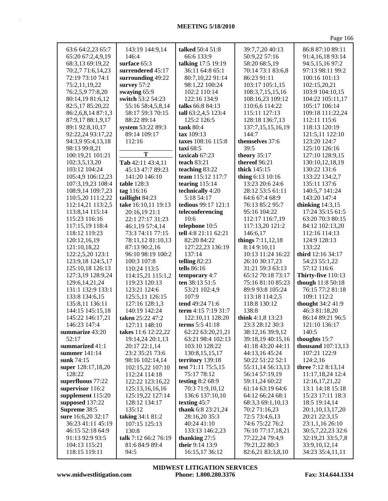| 63:6 64:2,23 65:7  | 143:19 144:9,14      | <b>talked</b> 50:4 51:8 | 39:7,7,20 40:13     | 86:8 87:10 89:11     |
|--------------------|----------------------|-------------------------|---------------------|----------------------|
| 65:20 67:2,4,9,19  | 146:4                | 66:6 133:9              | 50:9,22 57:16       | 91:4,16,18 93:14     |
| 68:3,13 69:19,22   | surface 65:3         | talking 17:5 19:19      | 58:20 68:5,19       | 94:5,15,16 97:2      |
| 70:2,7 71:6,14,23  | surrendered 45:17    | 36:11 64:8 65:1         | 70:14 73:1 83:6,8   | 97:13 98:11 99:2     |
| 72:19 73:10 74:1   | surrounding 49:22    | 80:7,10,22 91:14        | 86:23 91:11         | 100:16 101:13        |
| 75:2,11,19,22      | survey 57:2          | 98:1,22 100:24          | 103:17 105:1,15     | 102:15,20,21         |
| 76:2,5,9 77:8,20   | swaying 65:9         | 102:2 110:14            | 108:3,7,15,15,16    | 103:9 104:10,15      |
| 80:14,19 81:6,12   | switch 53:2 54:23    | 122:16 134:9            | 108:16,23 109:12    | 104:22 105:11,17     |
| 82:5,17 85:20,22   | 55:16 58:4,5,8,14    | talks 66:8 84:13        | 110:6,6 114:22      | 105:17 106:14        |
| 86:2,6,8,14 87:1,3 | 58:17 59:3 70:15     | tall 63:2,4,5 123:4     | 115:11 127:13       | 109:18 111:22,24     |
| 87:9,17 88:1,9,17  | 88:22 89:14          | 125:2 126:5             | 128:18 136:7,13     | 112:11 115:6         |
| 89:1 92:8,10,17    | system 53:22 89:3    | tank 80:4               | 137:7,15,15,16,19   | 118:13 120:19        |
| 92:22,24 93:17,22  | 89:14 109:17         | $\textbf{tax } 109:13$  | 144:7               | 121:5,11 122:10      |
| 94:3,9 95:4,13,18  | 112:16               | taxes 108:16 115:8      | themselves 37:6     | 123:20 124:7         |
| 98:13 99:8,21      |                      | taxi $68:5$             | 39:5                | 125:10 126:16        |
| 100:19,21 101:21   | T                    | taxicab 67:23           | theory 35:17        | 127:10 128:9,15      |
| 102:3,5,13,20      | Tab 42:11 43:4,11    | teach $83:21$           | thereof 96:21       | 130:10,12,18,19      |
| 103:12 104:24      | 45:13 47:7 89:23     | teaching 83:22          | thick 145:15        | 130:22 131:6         |
| 105:4,9 106:12,23  | 141:20 146:10        | team 115:12 117:7       | thing 6:13 10:16    | 133:22 134:2,7       |
| 107:3,19,23 108:4  | table 128:3          | tearing $115:14$        | 13:23 20:6 24:6     | 135:11 137:6         |
| 108:9,14 109:7,23  | tag 116:16           | technically 4:20        | 28:12 53:5 61:11    | 140:5,7 141:24       |
| 110:5,20 111:2,22  | taillight 84:23      | 5:18 54:17              | 64:6 67:4 68:9      | 143:20 147:4         |
| 112:14,21 113:2,5  | take 16:10,11 19:13  | tedious 99:17 121:1     | 76:13 85:2 95:7     | thinking $14:3,15$   |
| 113:8,14 115:14    | 20:16,19 21:1        | teleconferencing        | 95:16 104:22        | 17:24 35:15 61:5     |
| 115:23 116:16      | 22:1 27:17 31:23     | 10:6                    | 112:17 116:7,19     | 63:20 70:3 80:15     |
| 117:15,19 118:4    | 46:1,19 57:4,14      | telephone 10:5          | 117:13,20 121:2     | 84:12 102:13,20      |
| 118:12 119:23      | 73:3 74:11 77:15     | tell 4:8 21:11 62:21    | 146:6,17            | 112:16 114:13        |
| 120:12,16,19       | 78:11,12 81:10,13    | 82:20 84:22             | things $7:11,12,18$ | 124:9 128:13         |
| 121:10,18,22       | 87:13 90:2,16        | 127:22,23 136:19        | 8:14 9:10,11        | 133:22               |
| 122:2,5,20 123:1   | 96:10 98:19 100:2    | 137:14                  | 10:13 11:24 16:22   | third 12:16 34:17    |
| 123:9,18 124:5,17  | 100:3 107:8          | telling $82:23$         | 26:10 30:17,23      | 54:23 55:1,22        |
| 125:10,18 126:13   | 110:24 113:5         | tells 86:16             | 31:21 59:3 63:13    | 57:12 116:6          |
| 127:3,19 128:9,24  | 114:15,21 115:1,2    | temporary 4:7           | 65:12 70:18 73:17   | Thirty-five 110:13   |
| 129:6, 14, 21, 24  | 119:23 120:13        | ten 38:13 51:5          | 75:16 81:10 85:23   | though 11:8 50:18    |
| 131:1 132:9 133:1  | 123:21 124:6         | 53:21 102:4,9           | 89:9 93:8 105:24    | 76:15 77:2 81:18     |
| 133:8 134:6,15     | 125:5,11 126:15      | 107:9                   | 113:18 114:2,5      | 109:1 112:2          |
| 135:8,11 136:11    | 127:16 128:1,3       | tend 49:24 71:6         | 118:8 130:12        | thought 34:2 41:9    |
| 144:15 145:15,18   | 140:19 142:24        | term 4:15 7:19 31:7     | 138:8               | 46:3 81:18,20        |
| 145:22 146:17,21   | taken 25:22 47:2     | 122:10,11 128:20        | think 4:1,8 13:23   | 86:14 89:21 96:5     |
| 146:23 147:4       | 127:11 148:10        | terms 5:5 41:18         | 23:3 28:12 30:3     | 121:10 136:17        |
| summarize 43:20    | takes 11:6 12:22,22  | 62:22 63:20,21,21       | 38:12,16 39:9,12    | 140:5                |
| 52:17              | 19:14,24 20:1,13     | 63:21 98:4 102:13       | 39:18,19 40:15,16   | thoughts 15:7        |
| summarized 41:1    | 20:17 22:1,14        | 103:10 128:22           | 41:18 43:20 44:11   | thousand $107:13,13$ |
| summer 141:14      | 23:2 35:21 73:6      | 130:8, 15, 15, 17       | 44:13,16 45:24      | 107:21 122:9         |
| sunk 74:15         | 98:16 102:14,14      | territory 139:18        | 50:22 51:22 52:1    | 124:2,16             |
| super 128:17,18,20 | 102:15,22 107:10     | test 71:11 75:5,15      | 55:11,14 56:13,13   | three 7:12 8:13,14   |
| 128:22             | 112:24 114:18        | 75:17 78:12             | 56:14 57:19,19      | 11:17,18,24 12:4     |
| superfluous 77:22  | 122:22 123:16,22     | testing $8:268:9$       | 59:11,24 60:22      | 12:16,17,21,22       |
| supervisor 116:2   | 125:13,16,16,16      | 70:3 71:9,10,12         | 61:14 63:19 64:6    | 13:1 14:18 15:18     |
| supplement 115:20  | 125:19,22 127:14     | 136:6 137:10,10         | 64:12 66:24 68:1    | 15:23 17:11 18:3     |
| supposed 137:22    | 128:12 134:17        | texting 45:7            | 68:3,3 69:1,10,13   | 18:5 19:14,14        |
| Supreme 38:5       | 135:12               | thank 6:8 23:21,24      | 70:2 71:16,23       | 20:1,10,13,17,20     |
| sure 16:6,20 32:17 | taking 34:1 81:2     | 28:16,20 35:3           | 72:5 73:4,6,13      | 20:21 22:3,15        |
| 36:23 41:11 45:19  | 107:15 125:13        | 40:24 41:10             | 74:6 75:22 76:2     | 23:1,1,16 26:10      |
| 46:15 52:18 64:9   | 130:8                | 133:13 146:2,23         | 76:10 77:17,18,21   | 30:5,7,22,23 32:6    |
| 91:13 92:9 93:5    | talk 7:12 66:2 76:19 | thanking $27:5$         | 77:22,24 79:4,9     | 32:19,21 33:5,7,8    |
| 104:13 115:21      | 81:6 84:9 89:4       | <b>their</b> 9:14 13:9  | 79:21,22 80:3       | 33:9, 10, 12, 14     |
| 118:15 119:11      | 94:5                 | 16:15,17 36:12          | 82:6,21 83:3,8,10   | 34:23 35:4,11,11     |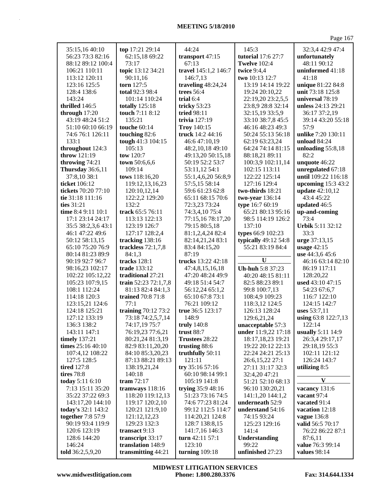| 35:15,16 40:10           | top 17:21 29:14      | 44:24                | 145:3                     | 32:3,4 42:9 47:4       |
|--------------------------|----------------------|----------------------|---------------------------|------------------------|
| 56:23 73:3 82:16         | 62:15,18 69:22       | transport 47:15      | <b>tutorial</b> 17:6 27:7 | unfortunately          |
| 88:12 89:12 100:4        | 73:17                | 67:13                | <b>Twelve</b> 102:4       | 48:11 90:12            |
| 106:21 110:11            | topic 13:12 34:21    | travel 145:1,2 146:7 | twice $9:4.4$             | uninformed 41:18       |
| 113:12 120:11            | 90:11,16             | 146:7,13             | two 10:13 12:7            | 41:18                  |
| 123:16 125:5             | torn 127:5           | traveling 48:24,24   | 13:19 14:14 19:22         | unique 81:22 84:8      |
| 128:4 138:6              | total 92:3 98:4      | trees $56:4$         | 19:24 20:10,22            | unit 73:18 125:8       |
| 143:24                   | 101:14 110:24        | trial 6:4            | 22:19,20 23:2,5,5         | universal 78:19        |
| thrilled 146:5           | totally $125:18$     | tricky 53:23         | 23:8,9 28:8 32:14         | unless 24:13 29:21     |
| through $17:20$          | touch 7:11 8:12      | tried 98:11          | 32:15,19 33:5,9           | 36:17 37:2,19          |
| 43:19 48:24 51:2         | 135:21               | trivia $127:19$      | 33:10 38:7,8 45:5         | 39:14 43:20 55:18      |
| 51:10 60:10 66:19        | touche 60:14         | <b>Troy 140:15</b>   | 46:16 48:23 49:3          | 57:9                   |
| 74:6 76:1 126:11         | touching 82:6        | truck 14:2 44:16     | 50:24 55:13 56:18         | unlike 7:20 130:11     |
| 133:1                    | tough 41:3 104:15    | 46:6 47:10,19        | 62:19 63:23,24            | unload $84:24$         |
| throughout 124:3         | 105:13               | 48:2,10,18 49:10     | 64:24 74:14 81:15         | unloading $55:8,18$    |
| throw 121:19             | tow 120:7            | 49:13,20 50:15,18    | 88:18,21 89:11            | 82:2                   |
| throwing 74:21           | town 50:6,6,6        | 50:19 52:2 53:7      | 100:3,9 102:11,14         | unquote 46:22          |
| <b>Thursday</b> 36:6,11  | 109:14               | 53:11,12 54:1        | 102:15 113:11             | unregulated 67:18      |
| 37:8,10 38:1             | tows 118:16,20       | 55:1,4,6,20 56:8,9   | 122:22 125:14             | until 109:22 116:18    |
| ticket 106:12            | 119:12,13,16,23      | 57:5,15 58:14        | 127:16 129:4              | upcoming $15:343:2$    |
| tickets 70:20 77:10      | 120:10,12,14         | 59:6 61:23 62:8      | two-thirds 18:21          | <b>update</b> 42:10,12 |
| tie 31:18 111:16         | 122:2,2 129:20       | 65:11 68:15 70:6     | two-year $136:14$         | 43:4 45:22             |
| ties $31:21$             | 132:2                | 72:3,23 73:24        | type 16:7 60:19           | updated 46:5           |
| time 8:4 9:11 10:1       | track 65:5 76:11     | 74:3,4,10 75:4       | 65:21 80:13 95:16         | up-and-coming          |
| 17:1 23:14 24:17         | 113:13 122:13        | 77:15,16 78:17,20    | 98:5 114:19 126:2         | 73:4                   |
| 35:5 38:2,3,6 43:1       | 123:19 126:7         | 79:15 80:5,18        | 137:10                    | Urbik 5:11 32:12       |
| 46:1 47:22 49:6          | 127:17 128:2,4       | 81:1,2,4,24 82:4     | types 66:9 102:23         | 33:3                   |
| 50:12 58:13,15           | tracking 138:16      | 82:14,21,24 83:1     | typically 49:12 54:8      | urge 37:13,15          |
| 65:10 75:20 76:9         | trackless $72:1,7,8$ | 83:4 84:15,20        | 55:21 83:19 84:4          | usage $42:15$          |
| 80:14 81:23 89:9         | 84:1,3               | 87:19                |                           | use 44:3,6 45:6        |
| 90:19 92:7 96:7          | tracks 128:1         | trucks 13:22 42:18   | $\mathbf U$               | 46:16 63:14 82:10      |
| 98:16,23 102:17          | trade 133:12         | 47:4,8,15,16,18      | Uh-huh 5:8 37:23          | 86:19 117:11           |
| 102:22 105:12,22         | traditional 27:21    | 47:20 48:24 49:9     | 40:20 48:15 81:11         | 128:20,22              |
| 105:23 107:9,15          | train 52:23 72:1,7,8 | 49:18 51:4 54:7      | 82:5 88:23 89:1           | used 43:10 47:15       |
| 108:1 112:24             | 81:13 82:4 84:1,3    | 56:12,24 65:1,2      | 99:8 100:7,13             | 54:23 67:6,7           |
| 114:18 120:3             | trained 70:8 71:8    | 65:10 67:8 73:1      | 108:4,9 109:23            | 116:7 122:10           |
| 123:15,21 124:6          | 77:1                 | 76:21 109:12         | 118:3,12 124:5            | 124:15 142:7           |
| 124:18 125:21            | training $70:1273:2$ | true 36:5 123:17     | 126:13 128:24             | uses 53:7,11           |
| 127:12 133:19            | 73:18 74:2,5,7,14    | 148:9                | 129:6,21,24               | using 63:8 122:7,13    |
| 136:3 138:2              | 74:17,19 75:7        | truly 140:8          | unacceptable $57:3\,$     | 122:14                 |
| 143:11 147:1             | 76:19,23 77:6,21     | trust 88:7           | under 11:9,22 17:18       | usually 5:11 14:9      |
| timely 137:21            | 80:21,24 81:3,19     | Trustees 28:22       | 18:17,18,23 19:21         | 26:3,4 29:17,17        |
| times $25:16\,40:10$     | 82:9 83:11,20,20     | trusting 88:6        | 19:22 20:12 22:13         | 29:18,19 55:3          |
| 107:4,12 108:22          | 84:10 85:3,20,23     | truthfully 50:11     | 22:24 24:21 25:13         | 102:11 121:12          |
| 127:5 128:5              | 87:13 88:21 89:13    | 121:11               | 26:6,15,22 27:1           | 126:24 143:7           |
| <b>tired</b> 127:8       | 138:19,21,24         | try 35:16 57:16      | 27:11 31:17 32:3          | utilizing 8:5          |
| tires 78:8               | 140:18               | 60:10 98:14 99:1     | 32:4,20 47:21             |                        |
| today 5:11 6:10          | tram 72:17           | 105:19 141:8         | 51:21 52:10 68:13         | V                      |
| 7:13 15:11 35:20         | tramways 118:16      | trying 35:9 48:16    | 96:10 130:20,21           | vacancy 131:6          |
| 35:22 37:22 69:3         | 118:20 119:12,13     | 51:23 73:16 74:5     | 141:1,20 144:1,2          | vacant 97:4            |
| 143:17,20 144:10         | 119:17 120:2,10      | 74:6 77:23 81:24     | underneath 52:9           | vacated 91:4           |
| today's 32:1 143:2       | 120:21 121:9,10      | 99:12 112:5 114:7    | understand 54:16          | vacation 12:18         |
| <b>together</b> 7:8 57:9 | 121:12,12,23         | 114:20,21 124:8      | 74:15 93:24               | <b>vague</b> 136:8     |
| 90:19 93:4 119:9         | 129:23 132:3         | 128:7 138:8,15       | 125:23 129:16             | valid 56:5 70:17       |
| 120:6 123:19             | transact 9:13        | 141:7,16 146:3       | 141:4                     | 76:22 86:22 87:1       |
| 128:6 144:20             | transcript 33:17     | turn 42:11 57:1      | Understanding             | 87:6,11                |
| 146:24                   | translation 148:9    | 123:10               | 99:22                     | value 76:3 99:14       |
| told 36:2,5,9,20         | transmitting 44:21   | turning $109:18$     | unfinished 27:23          | values 98:14           |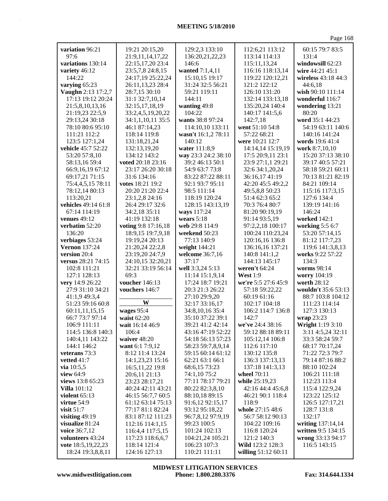| variation 96:21                         | 19:21 20:15,20                     | 129:2,3 133:10                    | 112:6,21 113:12                         | 60:15 79:7 83:5               |
|-----------------------------------------|------------------------------------|-----------------------------------|-----------------------------------------|-------------------------------|
| 97:6                                    | 21:9,11,14,17,22                   | 136:20,21,22,23                   | 113:14 114:13                           | 131:4                         |
| variations 130:14                       | 22:15,17,20 23:4                   | 146:6                             | 115:11,13,24                            | windowsill 62:23              |
| variety 46:12                           | 23:5,7,8 24:8,15                   | wanted 7:1,4,11                   | 116:16 118:13,14                        | wire 44:21 45:1               |
| 144:22                                  | 24:17,19 25:22,24                  | 15:10,15 19:17                    | 119:22 120:12,21                        | wireless 43:18 44:3           |
| varying 65:23                           | 26:11,13,23 28:4                   | 31:24 32:5 56:21                  | 121:2 122:12                            | 44:6,18                       |
| Vaughn 2:13 17:2,7                      | 28:7,15 30:10                      | 59:21 119:11                      | 126:10 131:20                           | wish 90:10 111:14             |
| 17:13 19:12 20:24                       | 31:1 32:7,10,14                    | 144:11                            | 132:14 133:13,18                        | wonderful 116:7               |
| 21:5,8,10,13,16                         | 32:15,17,18,19                     | wanting 49:8                      | 135:20,24 140:4                         | wondering 13:21               |
| 21:19,23 22:5,9                         | 33:2,4,5,19,20,22                  | 104:22                            | 140:17 141:5,6                          | 80:20                         |
| 29:13,24 30:18                          | 34:1,1,10,11 35:5                  | wants 38:8 97:24                  | 142:7,18                                | word 35:1 44:23               |
| 78:10 80:6 95:10                        | 46:1 87:14,23                      | 114:10,10 133:11                  | went 51:10 54:8                         | 54:19 63:11 140:6             |
| 111:21 112:2                            | 118:14 119:8                       | wasn't 16:1,2 78:11               | 57:22 68:21                             | 140:16 141:24                 |
| 123:5 127:1,24                          | 131:18,21,24                       | 140:12                            | were 10:21 12:7                         | words 19:6 41:4               |
| <b>vehicle</b> 45:7 52:22               | 132:13,19,20                       | water 111:8,9                     | 14:14,14 15:19,19                       | work 8:7,10,10                |
| 53:20 57:8,10                           | 134:12 143:2                       | way 23:3 24:2 38:10               | 17:5 20:9,11 23:1                       | 15:20 37:13 38:10             |
| 58:13,16 59:4                           | voted 20:18 23:16                  | 39:2 46:13 50:1                   | 23:9 27:1,1 29:21                       | 39:17 40:5 57:21              |
| 66:9,16,19 67:12                        | 23:17 26:20 30:18                  | 54:9 63:7 73:8                    | 32:6 34:1,20,24                         | 58:18 59:21 60:11             |
| 69:17,21 71:15                          | 31:6 134:16                        | 83:22 87:22 88:11                 | 36:16,17 41:19                          | 70:13 81:21 82:19             |
| 75:4,4,5,15 78:11                       | votes 18:21 19:2                   | 92:1 93:7 95:11                   | 42:20 45:5 49:2,2                       | 84:21 109:14                  |
| 78:12,14 80:13                          | 20:20 21:20 22:4                   | 98:5 111:14                       | 49:5,8,8 50:23                          | 115:16 117:3,15               |
| 113:20,21                               | 23:1,2,8 24:16                     | 118:19 120:24                     | 51:4 62:3 65:2                          | 127:6 134:4                   |
| vehicles 49:14 61:8                     | 26:4 29:17 32:6                    | 128:15 143:13,19                  | 70:3 76:4 80:7                          | 139:19 141:16                 |
| 67:14 114:19                            | 34:2,18 35:11                      | ways 117:24                       | 81:20 90:19,19                          | 146:24                        |
| <b>venues</b> 49:12                     | 41:19 132:18                       | wears $5:18$                      | 91:14 93:5,19                           | worked 142:1                  |
| verbatim 52:20                          | voting 9:8 17:16,18                | web 29:8 114:9                    | 97:2,2,18 100:17                        | working 5:5 6:7               |
| 136:20                                  | 18:9,15 19:7,9,18                  | weekend 50:23                     | 100:24 110:23,24                        | 53:20 57:14,15                |
| verbiages 53:24                         | 19:19,24 20:13                     | 77:13 140:9                       | 120:16,16 136:8                         | 81:12 117:7,23                |
| <b>Vernon</b> 137:24                    | 21:20,24 22:2,8                    | weight 144:21                     | 136:16,16 137:21                        | 119:6 141:3,8,13              |
|                                         |                                    |                                   |                                         |                               |
| version 20:4                            | 23:19,20 24:7,9                    | welcome 36:7,16                   | 140:8 141:1,2                           | works 9:22 57:22              |
| versus 28:21 74:15                      | 24:10,15 32:20,21                  | 37:17                             | 144:13 145:17                           | 134:3                         |
| 102:8 111:21                            | 32:21 33:19 56:14                  | well 3:3,24 5:13                  | weren't 64:24                           | worms 98:14                   |
| 127:1 128:13                            | 69:3                               | 11:14 15:1,9,14                   | <b>West</b> 1:9                         | worry 104:19                  |
| very 14:9 26:22                         | voucher 146:13                     | 17:24 18:7 19:21                  | we're 5:5 27:6 45:9                     | worth 28:12                   |
| 27:9 31:10 34:21                        | vouchers 146:7                     | 20:3 21:3 26:22                   | 57:18 59:22,22                          | wouldn't 35:6 53:13           |
| 41:1,9 49:3,4                           |                                    | 27:10 29:9,20                     | 60:19 61:16                             | 88:7 103:8 104:12             |
| 51:23 59:16 60:8                        | W                                  | 32:17 33:16,17                    | 102:17 104:18                           | 111:23 114:14                 |
| 60:11,11,15,15                          | wages 95:4                         | 34:8,10,16 35:4                   | 106:2 114:7 136:8                       | 127:3 130:13                  |
| 66:7 73:7 97:14                         | waist 62:20                        | 35:10 37:22 39:1                  | 142:7                                   | wrap 23:23                    |
| 106:9 111:11                            | wait 16:14 46:9                    | 39:21 41:2 42:14                  | we've 24:4 38:16                        | <b>Wright</b> 1:19 3:10       |
| 114:5 136:8 140:3                       | 106:4<br>waiver 48:20              | 43:16 47:19 52:22                 | 59:12 88:18 89:11                       | 3:11 4:5,24 32:11             |
| 140:4,11 143:22                         |                                    | 54:18 56:13 57:23                 | 105:12,14 106:8                         | 33:3 58:24 59:7               |
| 144:1 146:2<br>veterans 73:3            | want 6:1 7:9,12                    | 58:23 59:7,8,9,14                 | 112:6 117:10                            | 68:17 70:17,24                |
| vetted 41:7                             | 8:12 11:4 13:24                    | 59:15 60:14 61:12                 | 130:12 135:8                            | 71:22 72:3 79:7               |
|                                         | 14:1,23,23 15:16                   | 62:21 63:1 66:1<br>68:6,15 73:23  | 136:3 137:13,13                         | 79:14 87:16 88:2              |
| via $10:5,5$<br>view $64:9$             | 16:5, 11, 22 19:8<br>20:6,11 21:13 |                                   | 137:18 141:3,13<br>wheel 70:11          | 88:10 102:24                  |
| views 13:8 65:23                        | 23:23 28:17,21                     | 74:1,10 75:2<br>77:11 78:17 79:21 | while 25:19,23                          | 106:21 111:18<br>112:23 113:4 |
| <b>Villa</b> 101:12                     | 40:24 42:11 43:21                  | 80:22 82:3,8,10                   | 42:16 44:4 45:6,8                       | 115:4 122:9,24                |
| violent 65:13                           | 46:15 56:7,7 60:5                  | 88:10,18 89:15                    | 46:21 90:1 118:4                        | 123:22 125:12                 |
| virtue 54:9                             | 61:12 63:14 75:13                  | 91:6,12 92:15,17                  | 118:9                                   | 126:5 127:17,21               |
| visit $51:7$                            | 77:17 81:1 82:24                   | 93:12 95:18,22                    | whole 27:15 48:6                        | 128:7 131:8                   |
| visiting 49:19                          | 83:1 87:12 111:23                  | 96:7,8,12 97:9,19                 | 56:7 58:12 90:13                        | 132:17                        |
| visualize 81:24                         | 112:16 114:1,15                    | 99:23 100:5                       | 104:22 109:16                           | writing 137:14,14             |
| voice 36:7,12                           | 116:4,4 117:5,15                   | 101:24 102:13                     | 116:8 120:24                            | written 9:5 134:15            |
| volunteers 43:24                        | 117:23 118:6,6,7                   | 104:21,24 105:21                  | 121:2 140:3                             | wrong 33:13 94:17             |
| vote 18:5,19,22,23<br>18:24 19:3,8,8,11 | 118:14 121:4<br>124:16 127:13      | 106:23 107:3<br>110:21 111:11     | Wild 123:2 128:3<br>willing 51:12 60:11 | 116:5 143:15                  |